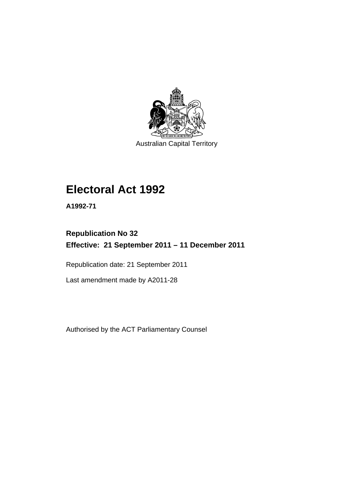

Australian Capital Territory

# **Electoral Act 1992**

**A1992-71** 

# **Republication No 32 Effective: 21 September 2011 – 11 December 2011**

Republication date: 21 September 2011

Last amendment made by A2011-28

Authorised by the ACT Parliamentary Counsel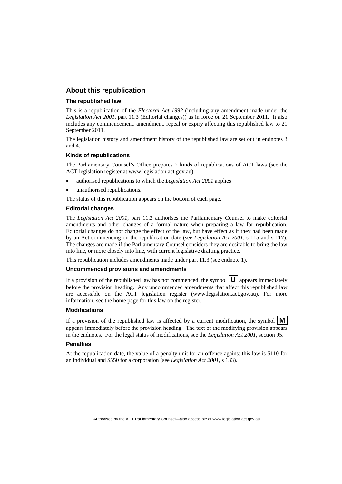#### **About this republication**

#### **The republished law**

This is a republication of the *Electoral Act 1992* (including any amendment made under the *Legislation Act 2001*, part 11.3 (Editorial changes)) as in force on 21 September 2011*.* It also includes any commencement, amendment, repeal or expiry affecting this republished law to 21 September 2011.

The legislation history and amendment history of the republished law are set out in endnotes 3 and 4.

#### **Kinds of republications**

The Parliamentary Counsel's Office prepares 2 kinds of republications of ACT laws (see the ACT legislation register at www.legislation.act.gov.au):

- authorised republications to which the *Legislation Act 2001* applies
- unauthorised republications.

The status of this republication appears on the bottom of each page.

#### **Editorial changes**

The *Legislation Act 2001*, part 11.3 authorises the Parliamentary Counsel to make editorial amendments and other changes of a formal nature when preparing a law for republication. Editorial changes do not change the effect of the law, but have effect as if they had been made by an Act commencing on the republication date (see *Legislation Act 2001*, s 115 and s 117). The changes are made if the Parliamentary Counsel considers they are desirable to bring the law into line, or more closely into line, with current legislative drafting practice.

This republication includes amendments made under part 11.3 (see endnote 1).

#### **Uncommenced provisions and amendments**

If a provision of the republished law has not commenced, the symbol  $\mathbf{U}$  appears immediately before the provision heading. Any uncommenced amendments that affect this republished law are accessible on the ACT legislation register (www.legislation.act.gov.au). For more information, see the home page for this law on the register.

#### **Modifications**

If a provision of the republished law is affected by a current modification, the symbol  $\vert \mathbf{M} \vert$ appears immediately before the provision heading. The text of the modifying provision appears in the endnotes. For the legal status of modifications, see the *Legislation Act 2001*, section 95.

#### **Penalties**

At the republication date, the value of a penalty unit for an offence against this law is \$110 for an individual and \$550 for a corporation (see *Legislation Act 2001*, s 133).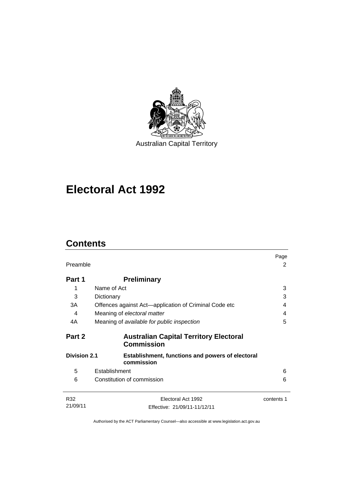

# **Electoral Act 1992**

# **Contents**

| Preamble            |                                                                       | Page<br>2  |
|---------------------|-----------------------------------------------------------------------|------------|
| Part 1              | <b>Preliminary</b>                                                    |            |
| 1                   | Name of Act                                                           | 3          |
| 3                   | Dictionary                                                            | 3          |
| 3A                  | Offences against Act-application of Criminal Code etc                 | 4          |
| 4                   | Meaning of electoral matter                                           | 4          |
| 4A                  | Meaning of available for public inspection                            | 5          |
| Part 2              | <b>Australian Capital Territory Electoral</b><br><b>Commission</b>    |            |
| <b>Division 2.1</b> | <b>Establishment, functions and powers of electoral</b><br>commission |            |
| 5                   | Establishment                                                         | 6          |
| 6                   | Constitution of commission                                            | 6          |
| R32                 | Electoral Act 1992                                                    | contents 1 |
| 21/09/11            | Effective: 21/09/11-11/12/11                                          |            |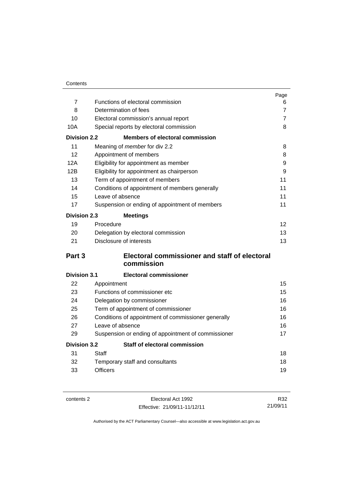| Contents |
|----------|
|          |

|                     |                                                     | Page           |
|---------------------|-----------------------------------------------------|----------------|
| $\overline{7}$      | Functions of electoral commission                   | 6              |
| 8                   | Determination of fees                               | $\overline{7}$ |
| 10                  | Electoral commission's annual report                | $\overline{7}$ |
| 10A                 | Special reports by electoral commission             | 8              |
| <b>Division 2.2</b> | <b>Members of electoral commission</b>              |                |
| 11                  | Meaning of member for div 2.2                       | 8              |
| 12                  | Appointment of members                              | 8              |
| 12A                 | Eligibility for appointment as member               | 9              |
| 12B                 | Eligibility for appointment as chairperson          | 9              |
| 13                  | Term of appointment of members                      | 11             |
| 14                  | Conditions of appointment of members generally      | 11             |
| 15                  | Leave of absence                                    | 11             |
| 17                  | Suspension or ending of appointment of members      | 11             |
| <b>Division 2.3</b> | <b>Meetings</b>                                     |                |
| 19                  | Procedure                                           | 12             |
| 20                  | Delegation by electoral commission                  | 13             |
| 21                  | Disclosure of interests                             | 13             |
| Part 3              | Electoral commissioner and staff of electoral       |                |
|                     | commission                                          |                |
| <b>Division 3.1</b> | <b>Electoral commissioner</b>                       |                |
| 22                  | Appointment                                         | 15             |
| 23                  | Functions of commissioner etc                       | 15             |
| 24                  | Delegation by commissioner                          | 16             |
| 25                  | Term of appointment of commissioner                 | 16             |
| 26                  | Conditions of appointment of commissioner generally | 16             |
| 27                  | Leave of absence                                    | 16             |
| 29                  | Suspension or ending of appointment of commissioner | 17             |
| <b>Division 3.2</b> | <b>Staff of electoral commission</b>                |                |
| 31                  | Staff                                               | 18             |
| 32                  | Temporary staff and consultants                     | 18             |
| 33                  | <b>Officers</b>                                     | 19             |

contents 2 Electoral Act 1992 Effective: 21/09/11-11/12/11

R32 21/09/11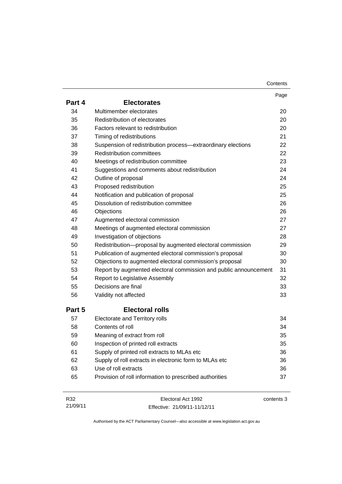| Contents |
|----------|
|----------|

|        |                                                                  | Page       |
|--------|------------------------------------------------------------------|------------|
| Part 4 | <b>Electorates</b>                                               |            |
| 34     | Multimember electorates                                          | 20         |
| 35     | Redistribution of electorates                                    | 20         |
| 36     | Factors relevant to redistribution                               | 20         |
| 37     | Timing of redistributions                                        | 21         |
| 38     | Suspension of redistribution process—extraordinary elections     | 22         |
| 39     | <b>Redistribution committees</b>                                 | 22         |
| 40     | Meetings of redistribution committee                             | 23         |
| 41     | Suggestions and comments about redistribution                    | 24         |
| 42     | Outline of proposal                                              | 24         |
| 43     | Proposed redistribution                                          | 25         |
| 44     | Notification and publication of proposal                         | 25         |
| 45     | Dissolution of redistribution committee                          | 26         |
| 46     | Objections                                                       | 26         |
| 47     | Augmented electoral commission                                   | 27         |
| 48     | Meetings of augmented electoral commission                       | 27         |
| 49     | Investigation of objections                                      | 28         |
| 50     | Redistribution-proposal by augmented electoral commission        | 29         |
| 51     | Publication of augmented electoral commission's proposal         | 30         |
| 52     | Objections to augmented electoral commission's proposal          | 30         |
| 53     | Report by augmented electoral commission and public announcement | 31         |
| 54     | Report to Legislative Assembly                                   | 32         |
| 55     | Decisions are final                                              | 33         |
| 56     | Validity not affected                                            | 33         |
| Part 5 | <b>Electoral rolls</b>                                           |            |
| 57     | Electorate and Territory rolls                                   | 34         |
| 58     | Contents of roll                                                 | 34         |
| 59     | Meaning of extract from roll                                     | 35         |
| 60     | Inspection of printed roll extracts                              | 35         |
| 61     | Supply of printed roll extracts to MLAs etc                      | 36         |
| 62     | Supply of roll extracts in electronic form to MLAs etc           | 36         |
| 63     | Use of roll extracts                                             | 36         |
| 65     | Provision of roll information to prescribed authorities          | 37         |
| R32    | Electoral Act 1992                                               | contents 3 |

Effective: 21/09/11-11/12/11

21/09/11

contents 3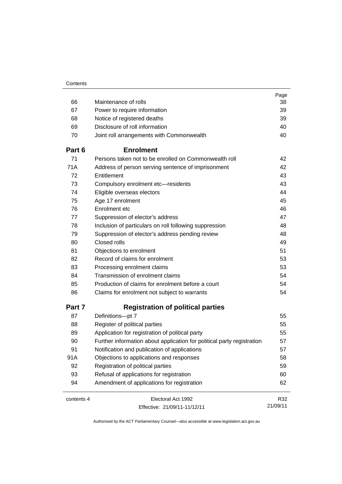|            |                                                                        | Page     |
|------------|------------------------------------------------------------------------|----------|
| 66         | Maintenance of rolls                                                   | 38       |
| 67         | Power to require information                                           | 39       |
| 68         | Notice of registered deaths                                            | 39       |
| 69         | Disclosure of roll information                                         | 40       |
| 70         | Joint roll arrangements with Commonwealth                              | 40       |
| Part 6     | <b>Enrolment</b>                                                       |          |
| 71         | Persons taken not to be enrolled on Commonwealth roll                  | 42       |
| 71A        | Address of person serving sentence of imprisonment                     | 42       |
| 72         | Entitlement                                                            | 43       |
| 73         | Compulsory enrolment etc-residents                                     | 43       |
| 74         | Eligible overseas electors                                             | 44       |
| 75         | Age 17 enrolment                                                       | 45       |
| 76         | Enrolment etc                                                          | 46       |
| 77         | Suppression of elector's address                                       | 47       |
| 78         | Inclusion of particulars on roll following suppression                 | 48       |
| 79         | Suppression of elector's address pending review                        | 48       |
| 80         | Closed rolls                                                           | 49       |
| 81         | Objections to enrolment                                                | 51       |
| 82         | Record of claims for enrolment                                         | 53       |
| 83         | Processing enrolment claims                                            | 53       |
| 84         | Transmission of enrolment claims                                       | 54       |
| 85         | Production of claims for enrolment before a court                      | 54       |
| 86         | Claims for enrolment not subject to warrants                           | 54       |
| Part 7     | <b>Registration of political parties</b>                               |          |
| 87         | Definitions-pt 7                                                       | 55       |
| 88         | Register of political parties                                          | 55       |
| 89         | Application for registration of political party                        | 55       |
| 90         | Further information about application for political party registration | 57       |
| 91         | Notification and publication of applications                           | 57       |
| 91A        | Objections to applications and responses                               | 58       |
| 92         | Registration of political parties                                      | 59       |
| 93         | Refusal of applications for registration                               | 60       |
| 94         | Amendment of applications for registration                             | 62       |
| contents 4 | Electoral Act 1992                                                     | R32      |
|            | Effective: 21/09/11-11/12/11                                           | 21/09/11 |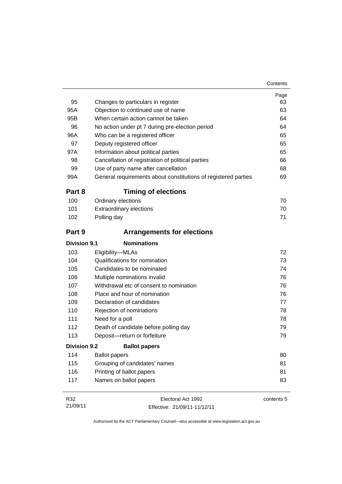| 95                  | Changes to particulars in register                             | Page<br>63 |
|---------------------|----------------------------------------------------------------|------------|
| 95A                 | Objection to continued use of name                             | 63         |
| 95B                 | When certain action cannot be taken                            | 64         |
| 96                  | No action under pt 7 during pre-election period                | 64         |
| 96A                 | Who can be a registered officer                                | 65         |
| 97                  | Deputy registered officer                                      | 65         |
| 97A                 | Information about political parties                            | 65         |
| 98                  | Cancellation of registration of political parties              | 66         |
| 99                  | Use of party name after cancellation                           | 68         |
| 99A                 | General requirements about constitutions of registered parties | 69         |
| Part 8              | <b>Timing of elections</b>                                     |            |
| 100                 | Ordinary elections                                             | 70         |
| 101                 | <b>Extraordinary elections</b>                                 | 70         |
| 102                 | Polling day                                                    | 71         |
| Part 9              | <b>Arrangements for elections</b>                              |            |
| <b>Division 9.1</b> | <b>Nominations</b>                                             |            |
| 103                 | Eligibility-MLAs                                               | 72         |
| 104                 | Qualifications for nomination                                  | 73         |
| 105                 | Candidates to be nominated                                     | 74         |
| 106                 | Multiple nominations invalid                                   | 76         |
| 107                 | Withdrawal etc of consent to nomination                        | 76         |
| 108                 | Place and hour of nomination                                   | 76         |
| 109                 | Declaration of candidates                                      | 77         |
| 110                 | Rejection of nominations                                       | 78         |
| 111                 | Need for a poll                                                | 78         |
| 112                 | Death of candidate before polling day                          | 79         |
| 113                 | Deposit-return or forfeiture                                   | 79         |
| Division 9.2        | <b>Ballot papers</b>                                           |            |
| 114                 | <b>Ballot papers</b>                                           | 80         |
| 115                 | Grouping of candidates' names                                  | 81         |
| 116                 | Printing of ballot papers                                      | 81         |
| 117                 | Names on ballot papers                                         | 83         |
| R32                 | Electoral Act 1992                                             | contents 5 |

Effective: 21/09/11-11/12/11

21/09/11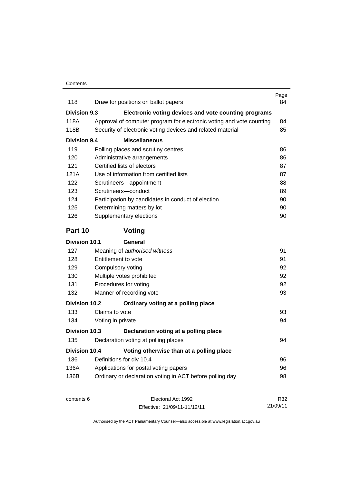| 118                  | Draw for positions on ballot papers                                  | Page<br>84 |
|----------------------|----------------------------------------------------------------------|------------|
| Division 9.3         | Electronic voting devices and vote counting programs                 |            |
| 118A                 | Approval of computer program for electronic voting and vote counting | 84         |
| 118B                 | Security of electronic voting devices and related material           | 85         |
| <b>Division 9.4</b>  | <b>Miscellaneous</b>                                                 |            |
| 119                  | Polling places and scrutiny centres                                  | 86         |
| 120                  | Administrative arrangements                                          | 86         |
| 121                  | Certified lists of electors                                          | 87         |
| 121A                 | Use of information from certified lists                              | 87         |
| 122                  | Scrutineers-appointment                                              | 88         |
| 123                  | Scrutineers-conduct                                                  | 89         |
| 124                  | Participation by candidates in conduct of election                   | 90         |
| 125                  | Determining matters by lot                                           | 90         |
| 126                  | Supplementary elections                                              | 90         |
| Part 10              | Voting                                                               |            |
| <b>Division 10.1</b> | General                                                              |            |
| 127                  | Meaning of authorised witness                                        | 91         |
| 128                  | Entitlement to vote                                                  | 91         |
| 129                  | Compulsory voting                                                    | 92         |
| 130                  | Multiple votes prohibited                                            | 92         |
| 131                  | Procedures for voting                                                | 92         |
| 132                  | Manner of recording vote                                             | 93         |
| <b>Division 10.2</b> | Ordinary voting at a polling place                                   |            |
| 133                  | Claims to vote                                                       | 93         |
| 134                  | Voting in private                                                    | 94         |
| Division 10.3        | Declaration voting at a polling place                                |            |
| 135                  | Declaration voting at polling places                                 | 94         |
| <b>Division 10.4</b> | Voting otherwise than at a polling place                             |            |
| 136                  | Definitions for div 10.4                                             | 96         |
| 136A                 | Applications for postal voting papers                                | 96         |
| 136B                 | Ordinary or declaration voting in ACT before polling day             | 98         |
| contents 6           | Electoral Act 1992                                                   | R32        |
|                      | Effective: 21/09/11-11/12/11                                         | 21/09/11   |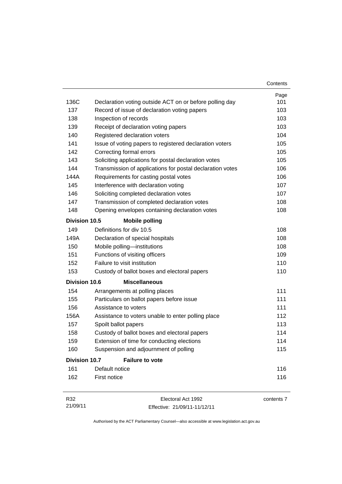|                       |                                                           | Contents |
|-----------------------|-----------------------------------------------------------|----------|
|                       |                                                           | Page     |
| 136C                  | Declaration voting outside ACT on or before polling day   | 101      |
| 137                   | Record of issue of declaration voting papers              | 103      |
| 138                   | Inspection of records                                     | 103      |
| 139                   | Receipt of declaration voting papers                      | 103      |
| 140                   | Registered declaration voters                             | 104      |
| 141                   | Issue of voting papers to registered declaration voters   | 105      |
| 142                   | Correcting formal errors                                  | 105      |
| 143                   | Soliciting applications for postal declaration votes      | 105      |
| 144                   | Transmission of applications for postal declaration votes | 106      |
| 144A                  | Requirements for casting postal votes                     | 106      |
| 145                   | Interference with declaration voting                      | 107      |
| 146                   | Soliciting completed declaration votes                    | 107      |
| 147                   | Transmission of completed declaration votes               | 108      |
| 148                   | Opening envelopes containing declaration votes            | 108      |
| Division 10.5         | <b>Mobile polling</b>                                     |          |
| 149                   | Definitions for div 10.5                                  | 108      |
| 149A                  | Declaration of special hospitals                          | 108      |
| 150                   | Mobile polling-institutions                               | 108      |
| 151                   | Functions of visiting officers                            | 109      |
| 152                   | Failure to visit institution                              | 110      |
| 153                   | Custody of ballot boxes and electoral papers              | 110      |
| <b>Division 10.6</b>  | <b>Miscellaneous</b>                                      |          |
| 154                   | Arrangements at polling places                            | 111      |
| 155                   | Particulars on ballot papers before issue                 | 111      |
| 156                   | Assistance to voters                                      | 111      |
| 156A                  | Assistance to voters unable to enter polling place        | 112      |
| 157                   | Spoilt ballot papers                                      | 113      |
| 158                   | Custody of ballot boxes and electoral papers              | 114      |
| 159                   | Extension of time for conducting elections                | 114      |
| 160                   | Suspension and adjournment of polling                     | 115      |
| Division 10.7         | <b>Failure to vote</b>                                    |          |
| 161                   | Default notice                                            | 116      |
| 162                   | First notice                                              | 116      |
| <b>D</b> <sup>2</sup> | $E$ lootorol Aot 1002                                     |          |

R32 21/09/11 Electoral Act 1992 Effective: 21/09/11-11/12/11 contents 7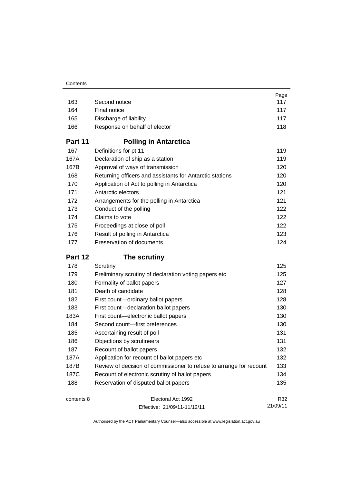|            |                                                                     | Page            |
|------------|---------------------------------------------------------------------|-----------------|
| 163        | Second notice                                                       | 117             |
| 164        | Final notice                                                        | 117             |
| 165        | Discharge of liability                                              | 117             |
| 166        | Response on behalf of elector                                       | 118             |
| Part 11    | <b>Polling in Antarctica</b>                                        |                 |
| 167        | Definitions for pt 11                                               | 119             |
| 167A       | Declaration of ship as a station                                    | 119             |
| 167B       | Approval of ways of transmission                                    | 120             |
| 168        | Returning officers and assistants for Antarctic stations            | 120             |
| 170        | Application of Act to polling in Antarctica                         | 120             |
| 171        | Antarctic electors                                                  | 121             |
| 172        | Arrangements for the polling in Antarctica                          | 121             |
| 173        | Conduct of the polling                                              | 122             |
| 174        | Claims to vote                                                      | 122             |
| 175        | Proceedings at close of poll                                        | 122             |
| 176        | Result of polling in Antarctica                                     | 123             |
| 177        | Preservation of documents                                           | 124             |
| Part 12    | The scrutiny                                                        |                 |
| 178        | Scrutiny                                                            | 125             |
|            |                                                                     |                 |
| 179        | Preliminary scrutiny of declaration voting papers etc               | 125             |
| 180        | Formality of ballot papers                                          | 127             |
| 181        | Death of candidate                                                  | 128             |
| 182        | First count-ordinary ballot papers                                  | 128             |
| 183        | First count-declaration ballot papers                               | 130             |
| 183A       | First count-electronic ballot papers                                | 130             |
| 184        | Second count-first preferences                                      | 130             |
| 185        | Ascertaining result of poll                                         | 131             |
| 186        | Objections by scrutineers                                           | 131             |
| 187        | Recount of ballot papers                                            | 132             |
| 187A       | Application for recount of ballot papers etc                        | 132             |
| 187B       | Review of decision of commissioner to refuse to arrange for recount | 133             |
| 187C       | Recount of electronic scrutiny of ballot papers                     | 134             |
| 188        | Reservation of disputed ballot papers                               | 135             |
| contents 8 | Electoral Act 1992                                                  | R32<br>21/09/11 |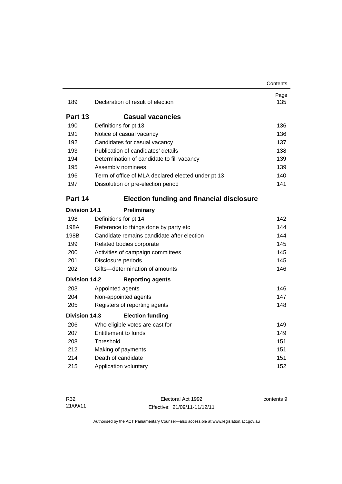|                      |                                                    | Contents    |
|----------------------|----------------------------------------------------|-------------|
| 189                  | Declaration of result of election                  | Page<br>135 |
|                      |                                                    |             |
| Part 13              | <b>Casual vacancies</b>                            |             |
| 190                  | Definitions for pt 13                              | 136         |
| 191                  | Notice of casual vacancy                           | 136         |
| 192                  | Candidates for casual vacancy                      | 137         |
| 193                  | Publication of candidates' details                 | 138         |
| 194                  | Determination of candidate to fill vacancy         | 139         |
| 195                  | Assembly nominees                                  | 139         |
| 196                  | Term of office of MLA declared elected under pt 13 | 140         |
| 197                  | Dissolution or pre-election period                 | 141         |
| Part 14              | <b>Election funding and financial disclosure</b>   |             |
| <b>Division 14.1</b> | Preliminary                                        |             |
| 198                  | Definitions for pt 14                              | 142         |
| 198A                 | Reference to things done by party etc              | 144         |
| 198B                 | Candidate remains candidate after election         | 144         |
| 199                  | Related bodies corporate                           | 145         |
| 200                  | Activities of campaign committees                  | 145         |
| 201                  | Disclosure periods                                 | 145         |
| 202                  | Gifts-determination of amounts                     | 146         |
| <b>Division 14.2</b> | <b>Reporting agents</b>                            |             |
| 203                  | Appointed agents                                   | 146         |
| 204                  | Non-appointed agents                               | 147         |
| 205                  | Registers of reporting agents                      | 148         |
| <b>Division 14.3</b> | <b>Election funding</b>                            |             |
| 206                  | Who eligible votes are cast for                    | 149         |
| 207                  | <b>Entitlement to funds</b>                        | 149         |
| 208                  | Threshold                                          | 151         |
| 212                  | Making of payments                                 | 151         |
| 214                  | Death of candidate                                 | 151         |
| 215                  | Application voluntary                              | 152         |
|                      |                                                    |             |

contents 9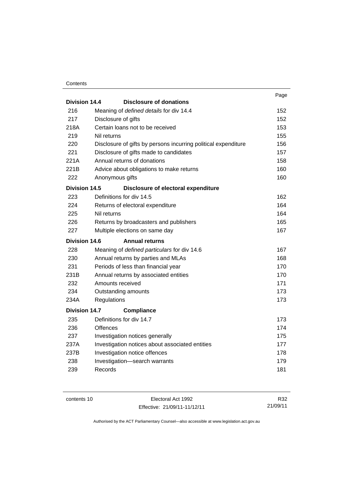#### **Contents**

|                      |                                                                | Page |
|----------------------|----------------------------------------------------------------|------|
| Division 14.4        | <b>Disclosure of donations</b>                                 |      |
| 216                  | Meaning of defined details for div 14.4                        | 152  |
| 217                  | Disclosure of gifts                                            | 152  |
| 218A                 | Certain loans not to be received                               | 153  |
| 219                  | Nil returns                                                    | 155  |
| 220                  | Disclosure of gifts by persons incurring political expenditure | 156  |
| 221                  | Disclosure of gifts made to candidates                         | 157  |
| 221A                 | Annual returns of donations                                    | 158  |
| 221B                 | Advice about obligations to make returns                       | 160  |
| 222                  | Anonymous gifts                                                | 160  |
| <b>Division 14.5</b> | Disclosure of electoral expenditure                            |      |
| 223                  | Definitions for div 14.5                                       | 162  |
| 224                  | Returns of electoral expenditure                               | 164  |
| 225                  | Nil returns                                                    | 164  |
| 226                  | Returns by broadcasters and publishers                         | 165  |
| 227                  | Multiple elections on same day                                 | 167  |
| <b>Division 14.6</b> | <b>Annual returns</b>                                          |      |
| 228                  | Meaning of defined particulars for div 14.6                    | 167  |
| 230                  | Annual returns by parties and MLAs                             | 168  |
| 231                  | Periods of less than financial year                            | 170  |
| 231B                 | Annual returns by associated entities                          | 170  |
| 232                  | Amounts received                                               | 171  |
| 234                  | Outstanding amounts                                            | 173  |
| 234A                 | Regulations                                                    | 173  |
| <b>Division 14.7</b> | <b>Compliance</b>                                              |      |
| 235                  | Definitions for div 14.7                                       | 173  |
| 236                  | <b>Offences</b>                                                | 174  |
| 237                  | Investigation notices generally                                | 175  |
| 237A                 | Investigation notices about associated entities                | 177  |
| 237B                 | Investigation notice offences                                  | 178  |
| 238                  | Investigation-search warrants                                  | 179  |
| 239                  | Records                                                        | 181  |
|                      |                                                                |      |

contents 10 Electoral Act 1992 Effective: 21/09/11-11/12/11

R32 21/09/11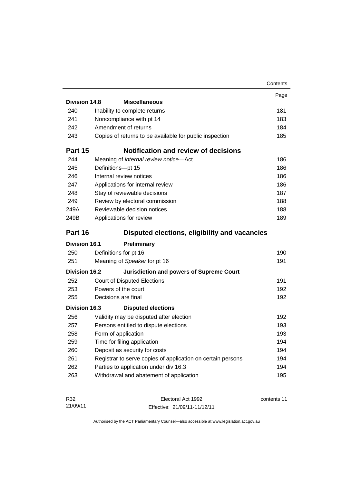|                      |                                                             | Contents |
|----------------------|-------------------------------------------------------------|----------|
|                      |                                                             | Page     |
| Division 14.8        | <b>Miscellaneous</b>                                        |          |
| 240                  | Inability to complete returns                               | 181      |
| 241                  | Noncompliance with pt 14                                    | 183      |
| 242                  | Amendment of returns                                        | 184      |
| 243                  | Copies of returns to be available for public inspection     | 185      |
| Part 15              | <b>Notification and review of decisions</b>                 |          |
| 244                  | Meaning of internal review notice-Act                       | 186      |
| 245                  | Definitions-pt 15                                           | 186      |
| 246                  | Internal review notices                                     | 186      |
| 247                  | Applications for internal review                            | 186      |
| 248                  | Stay of reviewable decisions                                | 187      |
| 249                  | Review by electoral commission                              | 188      |
| 249A                 | Reviewable decision notices                                 | 188      |
| 249B                 | Applications for review                                     | 189      |
| Part 16              | Disputed elections, eligibility and vacancies               |          |
| <b>Division 16.1</b> | Preliminary                                                 |          |
| 250                  | Definitions for pt 16                                       | 190      |
| 251                  | Meaning of Speaker for pt 16                                | 191      |
| <b>Division 16.2</b> | <b>Jurisdiction and powers of Supreme Court</b>             |          |
| 252                  | <b>Court of Disputed Elections</b>                          | 191      |
| 253                  | Powers of the court                                         | 192      |
| 255                  | Decisions are final                                         | 192      |
| Division 16.3        | <b>Disputed elections</b>                                   |          |
| 256                  | Validity may be disputed after election                     | 192      |
| 257                  | Persons entitled to dispute elections                       | 193      |
| 258                  | Form of application                                         | 193      |
| 259                  | Time for filing application                                 | 194      |
| 260                  | Deposit as security for costs                               | 194      |
| 261                  | Registrar to serve copies of application on certain persons | 194      |
| 262                  | Parties to application under div 16.3                       | 194      |
| 263                  | Withdrawal and abatement of application                     | 195      |
|                      |                                                             |          |

| R32      | Electoral Act 1992           | contents 11 |
|----------|------------------------------|-------------|
| 21/09/11 | Effective: 21/09/11-11/12/11 |             |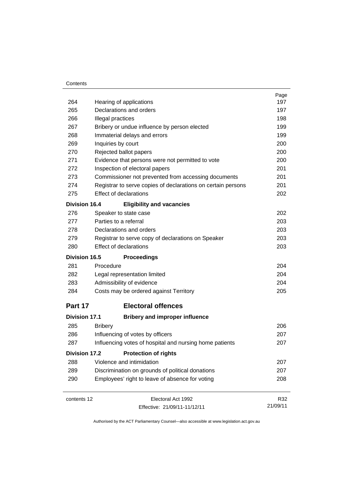#### **Contents**

|                      |                                                              | Page     |
|----------------------|--------------------------------------------------------------|----------|
| 264                  | Hearing of applications                                      | 197      |
| 265                  | Declarations and orders                                      | 197      |
| 266                  | Illegal practices                                            | 198      |
| 267                  | Bribery or undue influence by person elected                 | 199      |
| 268                  | Immaterial delays and errors                                 | 199      |
| 269                  | Inquiries by court                                           | 200      |
| 270                  | Rejected ballot papers                                       | 200      |
| 271                  | Evidence that persons were not permitted to vote             | 200      |
| 272                  | Inspection of electoral papers                               | 201      |
| 273                  | Commissioner not prevented from accessing documents          | 201      |
| 274                  | Registrar to serve copies of declarations on certain persons | 201      |
| 275                  | <b>Effect of declarations</b>                                | 202      |
| <b>Division 16.4</b> | <b>Eligibility and vacancies</b>                             |          |
| 276                  | Speaker to state case                                        | 202      |
| 277                  | Parties to a referral                                        | 203      |
| 278                  | Declarations and orders                                      | 203      |
| 279                  | Registrar to serve copy of declarations on Speaker           | 203      |
| 280                  | <b>Effect of declarations</b>                                | 203      |
| <b>Division 16.5</b> | <b>Proceedings</b>                                           |          |
| 281                  | Procedure                                                    | 204      |
| 282                  | Legal representation limited                                 | 204      |
| 283                  | Admissibility of evidence                                    | 204      |
| 284                  | Costs may be ordered against Territory                       | 205      |
| Part 17              | <b>Electoral offences</b>                                    |          |
| <b>Division 17.1</b> | <b>Bribery and improper influence</b>                        |          |
| 285                  | <b>Bribery</b>                                               | 206      |
| 286                  | Influencing of votes by officers                             | 207      |
| 287                  | Influencing votes of hospital and nursing home patients      | 207      |
| <b>Division 17.2</b> | <b>Protection of rights</b>                                  |          |
| 288                  | Violence and intimidation                                    | 207      |
| 289                  | Discrimination on grounds of political donations             | 207      |
| 290                  | Employees' right to leave of absence for voting              | 208      |
| contents 12          | Electoral Act 1992                                           | R32      |
|                      | Effective: 21/09/11-11/12/11                                 | 21/09/11 |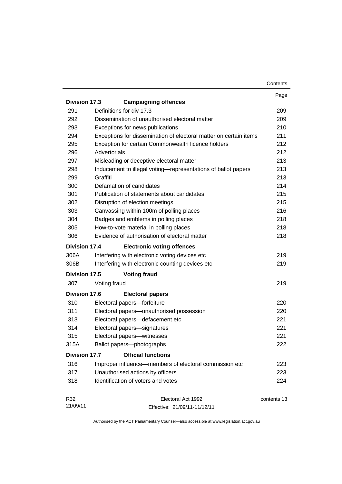|                      |                                                                   | Contents    |
|----------------------|-------------------------------------------------------------------|-------------|
|                      |                                                                   | Page        |
| <b>Division 17.3</b> | <b>Campaigning offences</b>                                       |             |
| 291                  | Definitions for div 17.3                                          | 209         |
| 292                  | Dissemination of unauthorised electoral matter                    | 209         |
| 293                  | Exceptions for news publications                                  | 210         |
| 294                  | Exceptions for dissemination of electoral matter on certain items | 211         |
| 295                  | Exception for certain Commonwealth licence holders                | 212         |
| 296                  | Advertorials                                                      | 212         |
| 297                  | Misleading or deceptive electoral matter                          | 213         |
| 298                  | Inducement to illegal voting-representations of ballot papers     | 213         |
| 299                  | Graffiti                                                          | 213         |
| 300                  | Defamation of candidates                                          | 214         |
| 301                  | Publication of statements about candidates                        | 215         |
| 302                  | Disruption of election meetings                                   | 215         |
| 303                  | Canvassing within 100m of polling places                          | 216         |
| 304                  | Badges and emblems in polling places                              | 218         |
| 305                  | How-to-vote material in polling places                            | 218         |
| 306                  | Evidence of authorisation of electoral matter                     | 218         |
| <b>Division 17.4</b> | <b>Electronic voting offences</b>                                 |             |
| 306A                 | Interfering with electronic voting devices etc                    | 219         |
| 306B                 | Interfering with electronic counting devices etc                  | 219         |
| <b>Division 17.5</b> | <b>Voting fraud</b>                                               |             |
| 307                  | Voting fraud                                                      | 219         |
| <b>Division 17.6</b> | <b>Electoral papers</b>                                           |             |
| 310                  | Electoral papers-forfeiture                                       | 220         |
| 311                  | Electoral papers-unauthorised possession                          | 220         |
| 313                  | Electoral papers-defacement etc                                   | 221         |
| 314                  | Electoral papers-signatures                                       | 221         |
| 315                  | Electoral papers-witnesses                                        | 221         |
| 315A                 | Ballot papers-photographs                                         | 222         |
| <b>Division 17.7</b> | <b>Official functions</b>                                         |             |
| 316                  | Improper influence—members of electoral commission etc            | 223         |
| 317                  | Unauthorised actions by officers                                  | 223         |
| 318                  | Identification of voters and votes                                | 224         |
| R32                  | Electoral Act 1992                                                | contents 13 |
| 21/09/11             | Effective: 21/09/11-11/12/11                                      |             |

Effective: 21/09/11-11/12/11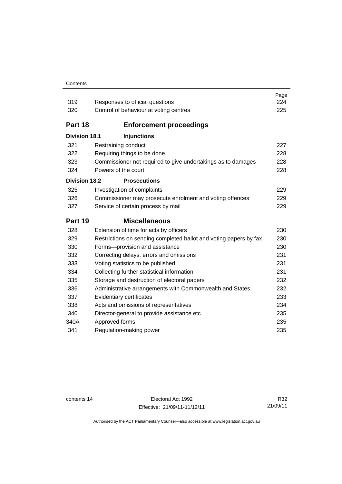#### **Contents**

| 319                  | Responses to official questions                                   | Page<br>224 |
|----------------------|-------------------------------------------------------------------|-------------|
| 320                  | Control of behaviour at voting centres                            | 225         |
| Part 18              | <b>Enforcement proceedings</b>                                    |             |
| <b>Division 18.1</b> | <b>Injunctions</b>                                                |             |
| 321                  | Restraining conduct                                               | 227         |
| 322                  | Requiring things to be done                                       | 228         |
| 323                  | Commissioner not required to give undertakings as to damages      | 228         |
| 324                  | Powers of the court                                               | 228         |
| <b>Division 18.2</b> | <b>Prosecutions</b>                                               |             |
| 325                  | Investigation of complaints                                       | 229         |
| 326                  | Commissioner may prosecute enrolment and voting offences          | 229         |
| 327                  | Service of certain process by mail                                | 229         |
| Part 19              | <b>Miscellaneous</b>                                              |             |
| 328                  | Extension of time for acts by officers                            | 230         |
| 329                  |                                                                   |             |
|                      | Restrictions on sending completed ballot and voting papers by fax | 230         |
| 330                  | Forms-provision and assistance                                    | 230         |
| 332                  | Correcting delays, errors and omissions                           | 231         |
| 333                  | Voting statistics to be published                                 | 231         |
| 334                  | Collecting further statistical information                        | 231         |
| 335                  | Storage and destruction of electoral papers                       | 232         |
| 336                  | Administrative arrangements with Commonwealth and States          | 232         |
| 337                  | Evidentiary certificates                                          | 233         |
| 338                  | Acts and omissions of representatives                             | 234         |
| 340                  | Director-general to provide assistance etc                        | 235         |
| 340A                 | Approved forms                                                    | 235         |
| 341                  | Regulation-making power                                           | 235         |

contents 14 Electoral Act 1992 Effective: 21/09/11-11/12/11

R32 21/09/11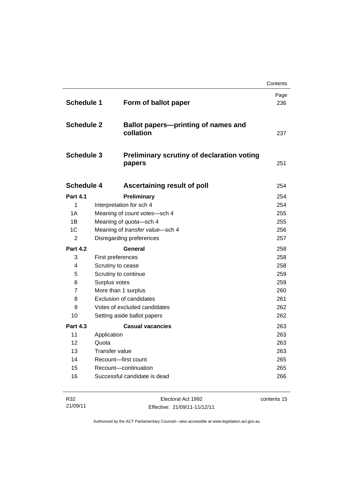|                   |                                                             | Contents    |
|-------------------|-------------------------------------------------------------|-------------|
| <b>Schedule 1</b> | Form of ballot paper                                        | Page<br>236 |
| <b>Schedule 2</b> | <b>Ballot papers-printing of names and</b><br>collation     | 237         |
| <b>Schedule 3</b> | <b>Preliminary scrutiny of declaration voting</b><br>papers | 251         |
| <b>Schedule 4</b> | Ascertaining result of poll                                 | 254         |
| <b>Part 4.1</b>   | Preliminary                                                 | 254         |
| 1                 | Interpretation for sch 4                                    | 254         |
| 1A                | Meaning of count votes-sch 4                                | 255         |
| 1B                | Meaning of quota-sch 4                                      | 255         |
| 1C                | Meaning of transfer value-sch 4                             | 256         |
| 2                 | Disregarding preferences                                    | 257         |
| <b>Part 4.2</b>   | General                                                     | 258         |
| 3                 | First preferences                                           | 258         |
| 4                 | Scrutiny to cease                                           | 258         |
| 5                 | Scrutiny to continue                                        | 259         |
| 6                 | Surplus votes                                               | 259         |
| 7                 | More than 1 surplus                                         | 260         |
| 8                 | <b>Exclusion of candidates</b>                              | 261         |
| 9                 | Votes of excluded candidates                                | 262         |
| 10                | Setting aside ballot papers                                 | 262         |
| <b>Part 4.3</b>   | <b>Casual vacancies</b>                                     | 263         |
| 11                | Application                                                 | 263         |
| 12                | Quota                                                       | 263         |
|                   |                                                             | 263         |
| 13                | Transfer value                                              |             |
| 14<br>15          | Recount-first count<br>Recount-continuation                 | 265<br>265  |

| R32      | Electoral Act 1992           | contents 15 |
|----------|------------------------------|-------------|
| 21/09/11 | Effective: 21/09/11-11/12/11 |             |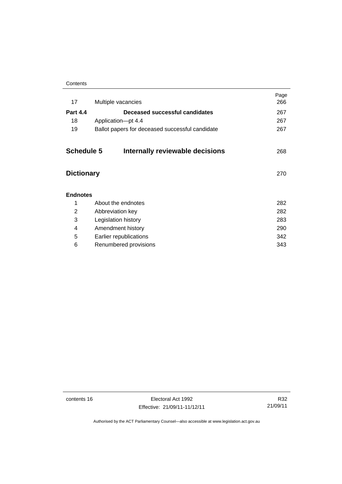| Contents |
|----------|
|----------|

| 17                | Multiple vacancies                              | Page<br>266 |
|-------------------|-------------------------------------------------|-------------|
| <b>Part 4.4</b>   | Deceased successful candidates                  | 267         |
| 18                | Application-pt 4.4                              | 267         |
| 19                | Ballot papers for deceased successful candidate | 267         |
| <b>Schedule 5</b> | Internally reviewable decisions                 | 268         |
| <b>Dictionary</b> |                                                 | 270         |
| <b>Endnotes</b>   |                                                 |             |
| 1                 | About the endnotes                              | 282         |
| 2                 | Abbreviation key                                | 282         |
| 3                 | Legislation history                             | 283         |
| 4                 | Amendment history                               | 290         |
| 5                 | Earlier republications                          | 342         |
| 6                 | Renumbered provisions                           | 343         |
|                   |                                                 |             |

contents 16 Electoral Act 1992 Effective: 21/09/11-11/12/11

R32 21/09/11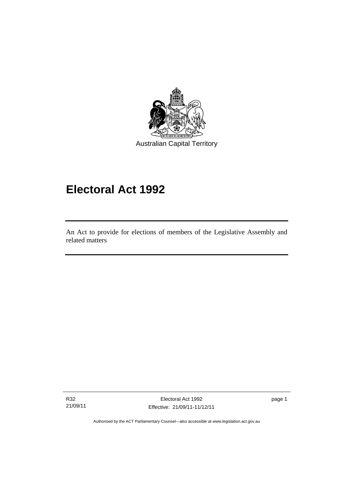

# **Electoral Act 1992**

An Act to provide for elections of members of the Legislative Assembly and related matters

R32 21/09/11

I

Electoral Act 1992 Effective: 21/09/11-11/12/11 page 1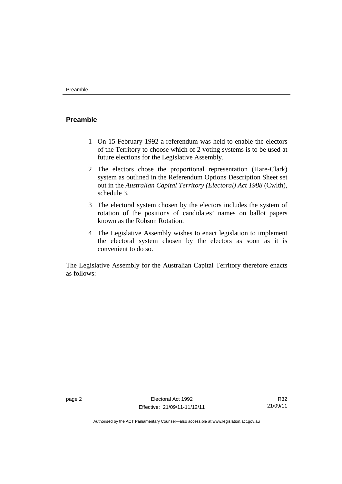### <span id="page-19-0"></span>**Preamble**

- 1 On 15 February 1992 a referendum was held to enable the electors of the Territory to choose which of 2 voting systems is to be used at future elections for the Legislative Assembly.
- 2 The electors chose the proportional representation (Hare-Clark) system as outlined in the Referendum Options Description Sheet set out in the *Australian Capital Territory (Electoral) Act 1988* (Cwlth), schedule 3.
- 3 The electoral system chosen by the electors includes the system of rotation of the positions of candidates' names on ballot papers known as the Robson Rotation.
- 4 The Legislative Assembly wishes to enact legislation to implement the electoral system chosen by the electors as soon as it is convenient to do so.

The Legislative Assembly for the Australian Capital Territory therefore enacts as follows:

R32 21/09/11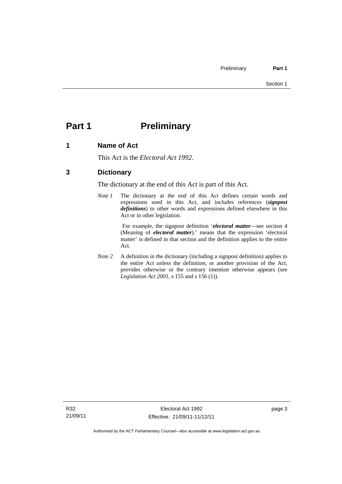# <span id="page-20-0"></span>**Part 1** Preliminary

### <span id="page-20-1"></span>**1 Name of Act**

This Act is the *Electoral Act 1992*.

### <span id="page-20-2"></span>**3 Dictionary**

The dictionary at the end of this Act is part of this Act.

*Note 1* The dictionary at the end of this Act defines certain words and expressions used in this Act, and includes references (*signpost definitions*) to other words and expressions defined elsewhere in this Act or in other legislation.

> For example, the signpost definition '*electoral matter*—see section 4 (Meaning of *electoral matter*).' means that the expression 'electoral matter' is defined in that section and the definition applies to the entire Act.

*Note 2* A definition in the dictionary (including a signpost definition) applies to the entire Act unless the definition, or another provision of the Act, provides otherwise or the contrary intention otherwise appears (see *Legislation Act 2001*, s 155 and s 156 (1)).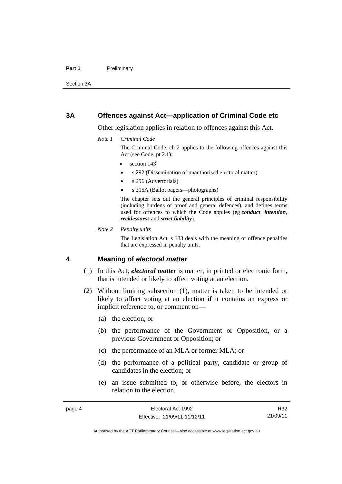#### Part 1 **Preliminary**

Section 3A

#### <span id="page-21-0"></span>**3A Offences against Act—application of Criminal Code etc**

Other legislation applies in relation to offences against this Act.

*Note 1 Criminal Code*

The Criminal Code, ch 2 applies to the following offences against this Act (see Code, pt 2.1):

- section 143
- s 292 (Dissemination of unauthorised electoral matter)
- s 296 (Advertorials)
- s 315A (Ballot papers—photographs)

The chapter sets out the general principles of criminal responsibility (including burdens of proof and general defences), and defines terms used for offences to which the Code applies (eg *conduct*, *intention*, *recklessness* and *strict liability*).

*Note 2 Penalty units* 

The Legislation Act, s 133 deals with the meaning of offence penalties that are expressed in penalty units.

#### <span id="page-21-1"></span>**4 Meaning of** *electoral matter*

- (1) In this Act, *electoral matter* is matter, in printed or electronic form, that is intended or likely to affect voting at an election.
- (2) Without limiting subsection (1), matter is taken to be intended or likely to affect voting at an election if it contains an express or implicit reference to, or comment on—
	- (a) the election; or
	- (b) the performance of the Government or Opposition, or a previous Government or Opposition; or
	- (c) the performance of an MLA or former MLA; or
	- (d) the performance of a political party, candidate or group of candidates in the election; or
	- (e) an issue submitted to, or otherwise before, the electors in relation to the election.

R32 21/09/11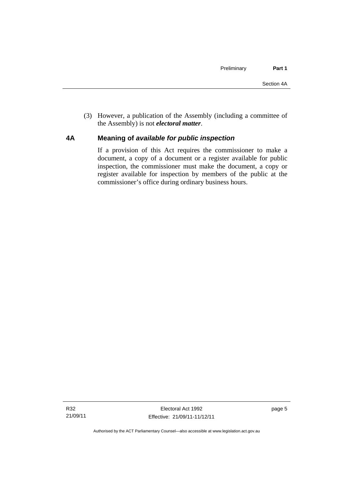(3) However, a publication of the Assembly (including a committee of the Assembly) is not *electoral matter*.

### <span id="page-22-0"></span>**4A Meaning of** *available for public inspection*

If a provision of this Act requires the commissioner to make a document, a copy of a document or a register available for public inspection, the commissioner must make the document, a copy or register available for inspection by members of the public at the commissioner's office during ordinary business hours.

page 5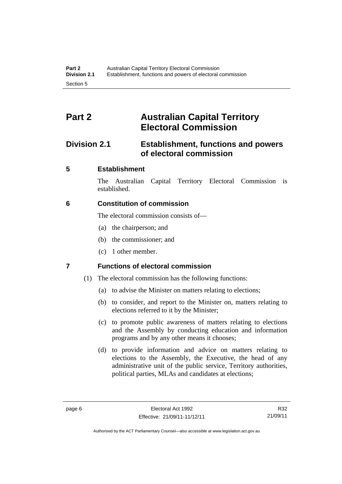# <span id="page-23-0"></span>**Part 2 Australian Capital Territory Electoral Commission**

# <span id="page-23-1"></span>**Division 2.1 Establishment, functions and powers of electoral commission**

## <span id="page-23-2"></span>**5 Establishment**

The Australian Capital Territory Electoral Commission is established.

## <span id="page-23-3"></span>**6 Constitution of commission**

The electoral commission consists of—

- (a) the chairperson; and
- (b) the commissioner; and
- (c) 1 other member.

# <span id="page-23-4"></span>**7 Functions of electoral commission**

- (1) The electoral commission has the following functions:
	- (a) to advise the Minister on matters relating to elections;
	- (b) to consider, and report to the Minister on, matters relating to elections referred to it by the Minister;
	- (c) to promote public awareness of matters relating to elections and the Assembly by conducting education and information programs and by any other means it chooses;
	- (d) to provide information and advice on matters relating to elections to the Assembly, the Executive, the head of any administrative unit of the public service, Territory authorities, political parties, MLAs and candidates at elections;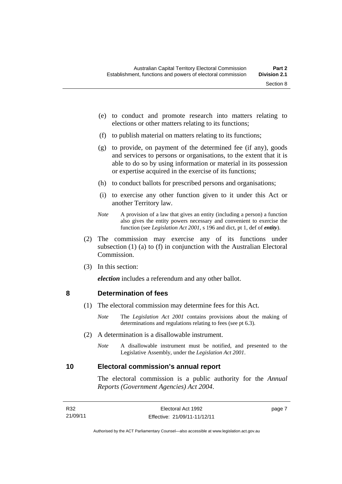- (e) to conduct and promote research into matters relating to elections or other matters relating to its functions;
- (f) to publish material on matters relating to its functions;
- (g) to provide, on payment of the determined fee (if any), goods and services to persons or organisations, to the extent that it is able to do so by using information or material in its possession or expertise acquired in the exercise of its functions;
- (h) to conduct ballots for prescribed persons and organisations;
- (i) to exercise any other function given to it under this Act or another Territory law.
- *Note* A provision of a law that gives an entity (including a person) a function also gives the entity powers necessary and convenient to exercise the function (see *Legislation Act 2001*, s 196 and dict, pt 1, def of *entity*).
- (2) The commission may exercise any of its functions under subsection (1) (a) to (f) in conjunction with the Australian Electoral Commission.
- (3) In this section:

*election* includes a referendum and any other ballot.

#### <span id="page-24-0"></span>**8 Determination of fees**

- (1) The electoral commission may determine fees for this Act.
	- *Note* The *Legislation Act 2001* contains provisions about the making of determinations and regulations relating to fees (see pt 6.3).
- (2) A determination is a disallowable instrument.
	- *Note* A disallowable instrument must be notified, and presented to the Legislative Assembly, under the *Legislation Act 2001*.

#### <span id="page-24-1"></span>**10 Electoral commission's annual report**

The electoral commission is a public authority for the *Annual Reports (Government Agencies) Act 2004*.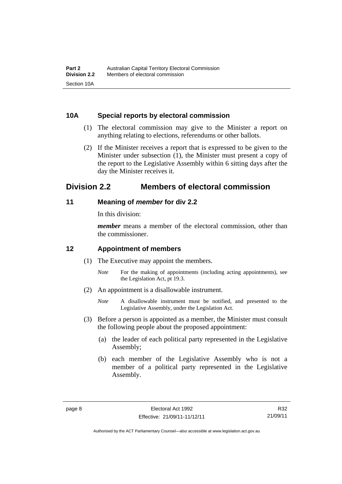#### <span id="page-25-0"></span>**10A Special reports by electoral commission**

- (1) The electoral commission may give to the Minister a report on anything relating to elections, referendums or other ballots.
- (2) If the Minister receives a report that is expressed to be given to the Minister under subsection (1), the Minister must present a copy of the report to the Legislative Assembly within 6 sitting days after the day the Minister receives it.

# <span id="page-25-1"></span>**Division 2.2 Members of electoral commission**

#### <span id="page-25-2"></span>**11 Meaning of** *member* **for div 2.2**

In this division:

*member* means a member of the electoral commission, other than the commissioner.

### <span id="page-25-3"></span>**12 Appointment of members**

- (1) The Executive may appoint the members.
	- *Note* For the making of appointments (including acting appointments), see the Legislation Act, pt 19.3.
- (2) An appointment is a disallowable instrument.
	- *Note* A disallowable instrument must be notified, and presented to the Legislative Assembly, under the Legislation Act.
- (3) Before a person is appointed as a member, the Minister must consult the following people about the proposed appointment:
	- (a) the leader of each political party represented in the Legislative Assembly;
	- (b) each member of the Legislative Assembly who is not a member of a political party represented in the Legislative Assembly.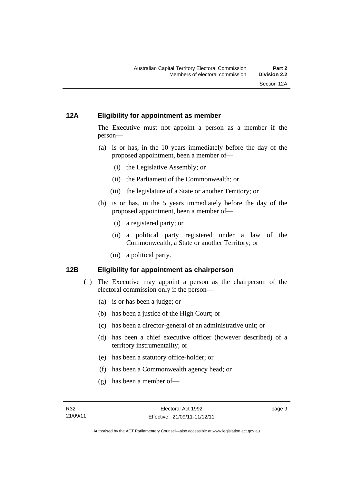#### <span id="page-26-0"></span>**12A Eligibility for appointment as member**

The Executive must not appoint a person as a member if the person—

- (a) is or has, in the 10 years immediately before the day of the proposed appointment, been a member of—
	- (i) the Legislative Assembly; or
	- (ii) the Parliament of the Commonwealth; or
	- (iii) the legislature of a State or another Territory; or
- (b) is or has, in the 5 years immediately before the day of the proposed appointment, been a member of—
	- (i) a registered party; or
	- (ii) a political party registered under a law of the Commonwealth, a State or another Territory; or
	- (iii) a political party.

### <span id="page-26-1"></span>**12B Eligibility for appointment as chairperson**

- (1) The Executive may appoint a person as the chairperson of the electoral commission only if the person—
	- (a) is or has been a judge; or
	- (b) has been a justice of the High Court; or
	- (c) has been a director-general of an administrative unit; or
	- (d) has been a chief executive officer (however described) of a territory instrumentality; or
	- (e) has been a statutory office-holder; or
	- (f) has been a Commonwealth agency head; or
	- (g) has been a member of—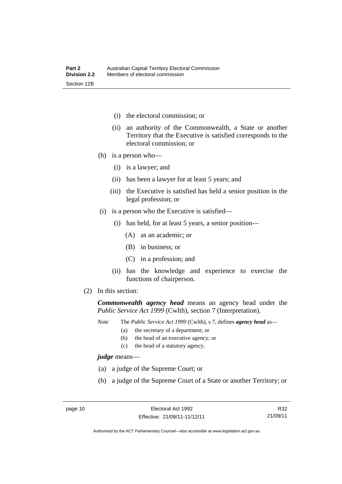- (i) the electoral commission; or
- (ii) an authority of the Commonwealth, a State or another Territory that the Executive is satisfied corresponds to the electoral commission; or
- (h) is a person who—
	- (i) is a lawyer; and
	- (ii) has been a lawyer for at least 5 years; and
	- (iii) the Executive is satisfied has held a senior position in the legal profession; or
- (i) is a person who the Executive is satisfied—
	- (i) has held, for at least 5 years, a senior position—
		- (A) as an academic; or
		- (B) in business; or
		- (C) in a profession; and
	- (ii) has the knowledge and experience to exercise the functions of chairperson.
- (2) In this section:

*Commonwealth agency head* means an agency head under the *Public Service Act 1999* (Cwlth), section 7 (Interpretation).

*Note* The *Public Service Act 1999* (Cwlth), s 7, defines *agency head* as—

- (a) the secretary of a department; or
	- (b) the head of an executive agency; or
	- (c) the head of a statutory agency.

*judge* means—

- (a) a judge of the Supreme Court; or
- (b) a judge of the Supreme Court of a State or another Territory; or

R32 21/09/11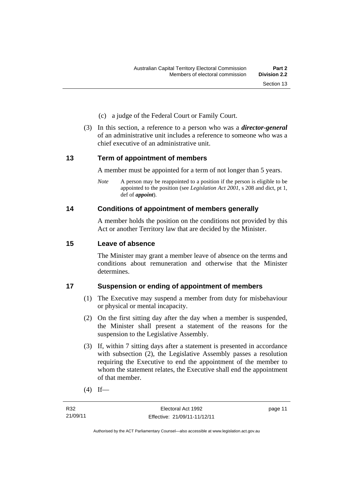- (c) a judge of the Federal Court or Family Court.
- (3) In this section, a reference to a person who was a *director-general*  of an administrative unit includes a reference to someone who was a chief executive of an administrative unit.

#### <span id="page-28-0"></span>**13 Term of appointment of members**

A member must be appointed for a term of not longer than 5 years.

*Note* A person may be reappointed to a position if the person is eligible to be appointed to the position (see *Legislation Act 2001*, s 208 and dict, pt 1, def of *appoint*).

#### <span id="page-28-1"></span>**14 Conditions of appointment of members generally**

A member holds the position on the conditions not provided by this Act or another Territory law that are decided by the Minister.

#### <span id="page-28-2"></span>**15 Leave of absence**

The Minister may grant a member leave of absence on the terms and conditions about remuneration and otherwise that the Minister determines.

#### <span id="page-28-3"></span>**17 Suspension or ending of appointment of members**

- (1) The Executive may suspend a member from duty for misbehaviour or physical or mental incapacity.
- (2) On the first sitting day after the day when a member is suspended, the Minister shall present a statement of the reasons for the suspension to the Legislative Assembly.
- (3) If, within 7 sitting days after a statement is presented in accordance with subsection (2), the Legislative Assembly passes a resolution requiring the Executive to end the appointment of the member to whom the statement relates, the Executive shall end the appointment of that member.
- $(4)$  If—

page 11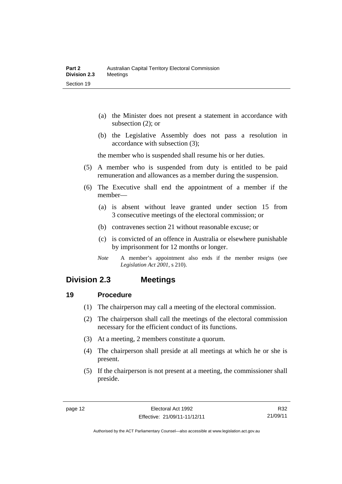- (a) the Minister does not present a statement in accordance with subsection (2); or
- (b) the Legislative Assembly does not pass a resolution in accordance with subsection (3);

the member who is suspended shall resume his or her duties.

- (5) A member who is suspended from duty is entitled to be paid remuneration and allowances as a member during the suspension.
- (6) The Executive shall end the appointment of a member if the member—
	- (a) is absent without leave granted under section 15 from 3 consecutive meetings of the electoral commission; or
	- (b) contravenes section 21 without reasonable excuse; or
	- (c) is convicted of an offence in Australia or elsewhere punishable by imprisonment for 12 months or longer.
	- *Note* A member's appointment also ends if the member resigns (see *Legislation Act 2001*, s 210).

# <span id="page-29-0"></span>**Division 2.3 Meetings**

#### <span id="page-29-1"></span>**19 Procedure**

- (1) The chairperson may call a meeting of the electoral commission.
- (2) The chairperson shall call the meetings of the electoral commission necessary for the efficient conduct of its functions.
- (3) At a meeting, 2 members constitute a quorum.
- (4) The chairperson shall preside at all meetings at which he or she is present.
- (5) If the chairperson is not present at a meeting, the commissioner shall preside.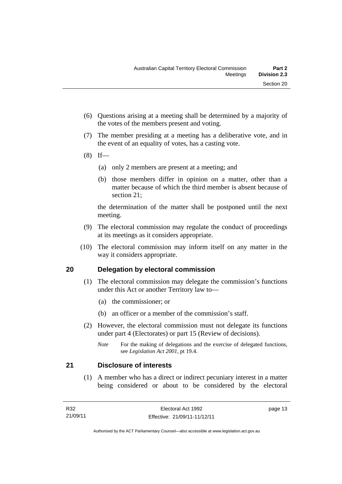- (6) Questions arising at a meeting shall be determined by a majority of the votes of the members present and voting.
- (7) The member presiding at a meeting has a deliberative vote, and in the event of an equality of votes, has a casting vote.
- $(8)$  If—
	- (a) only 2 members are present at a meeting; and
	- (b) those members differ in opinion on a matter, other than a matter because of which the third member is absent because of section 21;

the determination of the matter shall be postponed until the next meeting.

- (9) The electoral commission may regulate the conduct of proceedings at its meetings as it considers appropriate.
- (10) The electoral commission may inform itself on any matter in the way it considers appropriate.

### <span id="page-30-0"></span>**20 Delegation by electoral commission**

- (1) The electoral commission may delegate the commission's functions under this Act or another Territory law to—
	- (a) the commissioner; or
	- (b) an officer or a member of the commission's staff.
- (2) However, the electoral commission must not delegate its functions under part 4 (Electorates) or part 15 (Review of decisions).

#### <span id="page-30-1"></span>**21 Disclosure of interests**

 (1) A member who has a direct or indirect pecuniary interest in a matter being considered or about to be considered by the electoral

*Note* For the making of delegations and the exercise of delegated functions, see *Legislation Act 2001*, pt 19.4.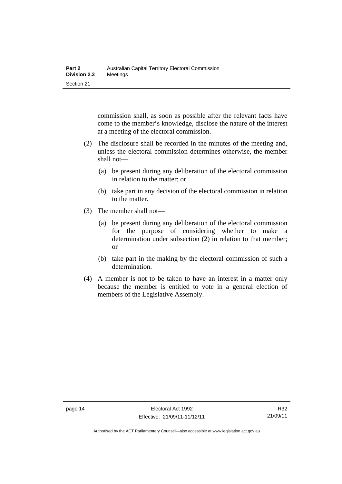commission shall, as soon as possible after the relevant facts have come to the member's knowledge, disclose the nature of the interest at a meeting of the electoral commission.

- (2) The disclosure shall be recorded in the minutes of the meeting and, unless the electoral commission determines otherwise, the member shall not—
	- (a) be present during any deliberation of the electoral commission in relation to the matter; or
	- (b) take part in any decision of the electoral commission in relation to the matter.
- (3) The member shall not—
	- (a) be present during any deliberation of the electoral commission for the purpose of considering whether to make a determination under subsection (2) in relation to that member; or
	- (b) take part in the making by the electoral commission of such a determination.
- (4) A member is not to be taken to have an interest in a matter only because the member is entitled to vote in a general election of members of the Legislative Assembly.

Authorised by the ACT Parliamentary Counsel—also accessible at www.legislation.act.gov.au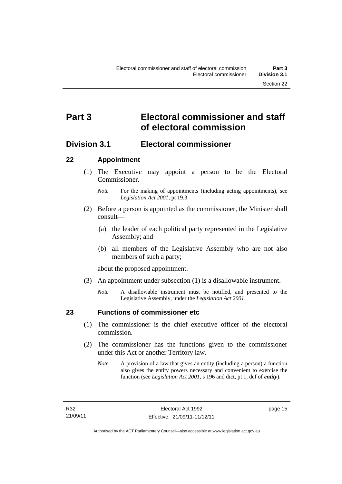# <span id="page-32-0"></span>**Part 3 Electoral commissioner and staff of electoral commission**

# <span id="page-32-1"></span>**Division 3.1 Electoral commissioner**

#### <span id="page-32-2"></span>**22 Appointment**

- (1) The Executive may appoint a person to be the Electoral Commissioner.
	- *Note* For the making of appointments (including acting appointments), see *Legislation Act 2001*, pt 19.3.
- (2) Before a person is appointed as the commissioner, the Minister shall consult—
	- (a) the leader of each political party represented in the Legislative Assembly; and
	- (b) all members of the Legislative Assembly who are not also members of such a party;

about the proposed appointment.

- (3) An appointment under subsection (1) is a disallowable instrument.
	- *Note* A disallowable instrument must be notified, and presented to the Legislative Assembly, under the *Legislation Act 2001*.

<span id="page-32-3"></span>

#### **23 Functions of commissioner etc**

- (1) The commissioner is the chief executive officer of the electoral commission.
- (2) The commissioner has the functions given to the commissioner under this Act or another Territory law.
	- *Note* A provision of a law that gives an entity (including a person) a function also gives the entity powers necessary and convenient to exercise the function (see *Legislation Act 2001*, s 196 and dict, pt 1, def of *entity*).

page 15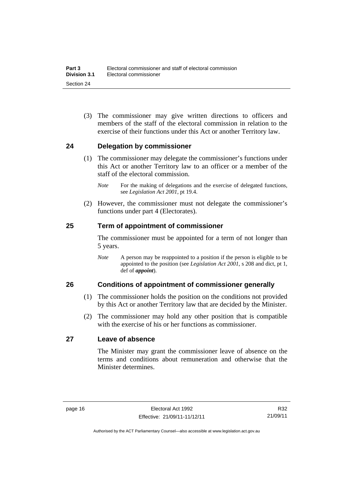(3) The commissioner may give written directions to officers and members of the staff of the electoral commission in relation to the exercise of their functions under this Act or another Territory law.

#### <span id="page-33-0"></span>**24 Delegation by commissioner**

- (1) The commissioner may delegate the commissioner's functions under this Act or another Territory law to an officer or a member of the staff of the electoral commission.
	- *Note* For the making of delegations and the exercise of delegated functions, see *Legislation Act 2001*, pt 19.4.
- (2) However, the commissioner must not delegate the commissioner's functions under part 4 (Electorates).

#### <span id="page-33-1"></span>**25 Term of appointment of commissioner**

The commissioner must be appointed for a term of not longer than 5 years.

*Note* A person may be reappointed to a position if the person is eligible to be appointed to the position (see *Legislation Act 2001*, s 208 and dict, pt 1, def of *appoint*).

#### <span id="page-33-2"></span>**26 Conditions of appointment of commissioner generally**

- (1) The commissioner holds the position on the conditions not provided by this Act or another Territory law that are decided by the Minister.
- (2) The commissioner may hold any other position that is compatible with the exercise of his or her functions as commissioner.

#### <span id="page-33-3"></span>**27 Leave of absence**

The Minister may grant the commissioner leave of absence on the terms and conditions about remuneration and otherwise that the Minister determines.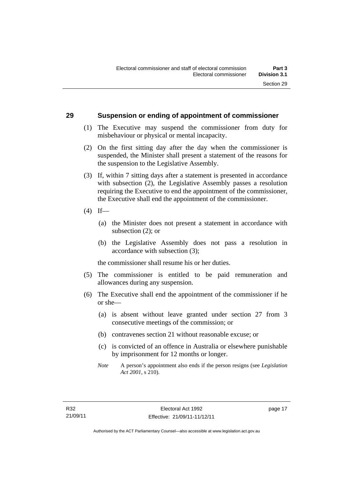#### <span id="page-34-0"></span>**29 Suspension or ending of appointment of commissioner**

- (1) The Executive may suspend the commissioner from duty for misbehaviour or physical or mental incapacity.
- (2) On the first sitting day after the day when the commissioner is suspended, the Minister shall present a statement of the reasons for the suspension to the Legislative Assembly.
- (3) If, within 7 sitting days after a statement is presented in accordance with subsection (2), the Legislative Assembly passes a resolution requiring the Executive to end the appointment of the commissioner, the Executive shall end the appointment of the commissioner.
- $(4)$  If—
	- (a) the Minister does not present a statement in accordance with subsection (2); or
	- (b) the Legislative Assembly does not pass a resolution in accordance with subsection (3);

the commissioner shall resume his or her duties.

- (5) The commissioner is entitled to be paid remuneration and allowances during any suspension.
- (6) The Executive shall end the appointment of the commissioner if he or she—
	- (a) is absent without leave granted under section 27 from 3 consecutive meetings of the commission; or
	- (b) contravenes section 21 without reasonable excuse; or
	- (c) is convicted of an offence in Australia or elsewhere punishable by imprisonment for 12 months or longer.
	- *Note* A person's appointment also ends if the person resigns (see *Legislation Act 2001*, s 210).

page 17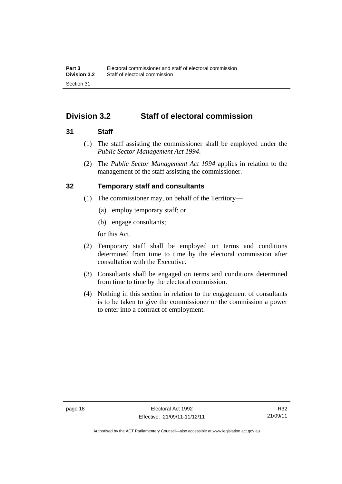# <span id="page-35-0"></span>**Division 3.2 Staff of electoral commission**

#### <span id="page-35-1"></span>**31 Staff**

- (1) The staff assisting the commissioner shall be employed under the *Public Sector Management Act 1994*.
- (2) The *Public Sector Management Act 1994* applies in relation to the management of the staff assisting the commissioner.

### <span id="page-35-2"></span>**32 Temporary staff and consultants**

- (1) The commissioner may, on behalf of the Territory—
	- (a) employ temporary staff; or
	- (b) engage consultants;

for this Act.

- (2) Temporary staff shall be employed on terms and conditions determined from time to time by the electoral commission after consultation with the Executive.
- (3) Consultants shall be engaged on terms and conditions determined from time to time by the electoral commission.
- (4) Nothing in this section in relation to the engagement of consultants is to be taken to give the commissioner or the commission a power to enter into a contract of employment.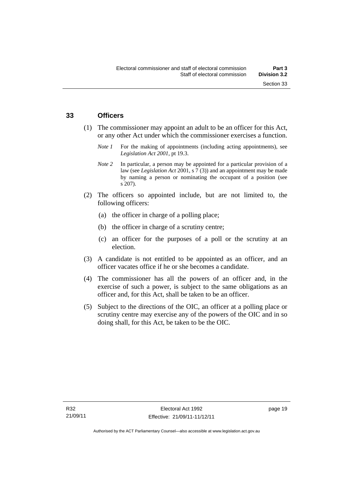#### **33 Officers**

- (1) The commissioner may appoint an adult to be an officer for this Act, or any other Act under which the commissioner exercises a function.
	- *Note 1* For the making of appointments (including acting appointments), see *Legislation Act 2001*, pt 19.3.
	- *Note* 2 In particular, a person may be appointed for a particular provision of a law (see *Legislation Act* 2001, s 7 (3)) and an appointment may be made by naming a person or nominating the occupant of a position (see s 207).
- (2) The officers so appointed include, but are not limited to, the following officers:
	- (a) the officer in charge of a polling place;
	- (b) the officer in charge of a scrutiny centre;
	- (c) an officer for the purposes of a poll or the scrutiny at an election.
- (3) A candidate is not entitled to be appointed as an officer, and an officer vacates office if he or she becomes a candidate.
- (4) The commissioner has all the powers of an officer and, in the exercise of such a power, is subject to the same obligations as an officer and, for this Act, shall be taken to be an officer.
- (5) Subject to the directions of the OIC, an officer at a polling place or scrutiny centre may exercise any of the powers of the OIC and in so doing shall, for this Act, be taken to be the OIC.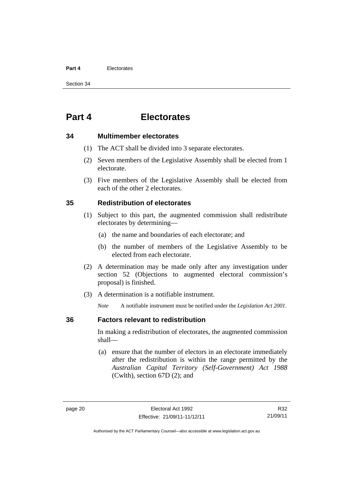#### **Part 4** Electorates

Section 34

# **Part 4 Electorates**

#### **34 Multimember electorates**

- (1) The ACT shall be divided into 3 separate electorates.
- (2) Seven members of the Legislative Assembly shall be elected from 1 electorate.
- (3) Five members of the Legislative Assembly shall be elected from each of the other 2 electorates.

#### **35 Redistribution of electorates**

- (1) Subject to this part, the augmented commission shall redistribute electorates by determining—
	- (a) the name and boundaries of each electorate; and
	- (b) the number of members of the Legislative Assembly to be elected from each electorate.
- (2) A determination may be made only after any investigation under section 52 (Objections to augmented electoral commission's proposal) is finished.
- (3) A determination is a notifiable instrument.

*Note* A notifiable instrument must be notified under the *Legislation Act 2001*.

#### **36 Factors relevant to redistribution**

In making a redistribution of electorates, the augmented commission shall—

 (a) ensure that the number of electors in an electorate immediately after the redistribution is within the range permitted by the *Australian Capital Territory (Self-Government) Act 1988*  (Cwlth), section 67D (2); and

R32 21/09/11

Authorised by the ACT Parliamentary Counsel—also accessible at www.legislation.act.gov.au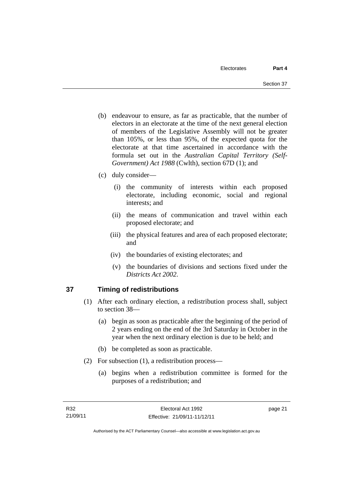- (b) endeavour to ensure, as far as practicable, that the number of electors in an electorate at the time of the next general election of members of the Legislative Assembly will not be greater than 105%, or less than 95%, of the expected quota for the electorate at that time ascertained in accordance with the formula set out in the *Australian Capital Territory (Self-Government) Act 1988* (Cwlth), section 67D (1); and
- (c) duly consider—
	- (i) the community of interests within each proposed electorate, including economic, social and regional interests; and
	- (ii) the means of communication and travel within each proposed electorate; and
	- (iii) the physical features and area of each proposed electorate; and
	- (iv) the boundaries of existing electorates; and
	- (v) the boundaries of divisions and sections fixed under the *Districts Act 2002*.

## **37 Timing of redistributions**

- (1) After each ordinary election, a redistribution process shall, subject to section 38—
	- (a) begin as soon as practicable after the beginning of the period of 2 years ending on the end of the 3rd Saturday in October in the year when the next ordinary election is due to be held; and
	- (b) be completed as soon as practicable.
- (2) For subsection (1), a redistribution process—
	- (a) begins when a redistribution committee is formed for the purposes of a redistribution; and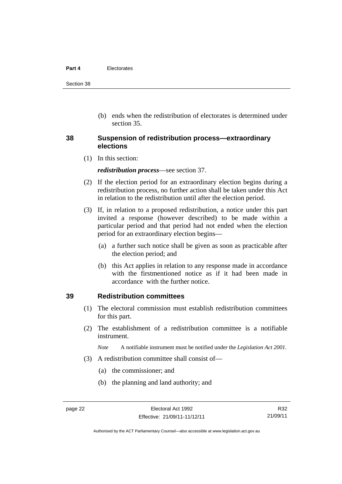#### **Part 4** Electorates

Section 38

 (b) ends when the redistribution of electorates is determined under section 35.

#### **38 Suspension of redistribution process—extraordinary elections**

(1) In this section:

*redistribution process*—see section 37.

- (2) If the election period for an extraordinary election begins during a redistribution process, no further action shall be taken under this Act in relation to the redistribution until after the election period.
- (3) If, in relation to a proposed redistribution, a notice under this part invited a response (however described) to be made within a particular period and that period had not ended when the election period for an extraordinary election begins—
	- (a) a further such notice shall be given as soon as practicable after the election period; and
	- (b) this Act applies in relation to any response made in accordance with the firstmentioned notice as if it had been made in accordance with the further notice.

#### **39 Redistribution committees**

- (1) The electoral commission must establish redistribution committees for this part.
- (2) The establishment of a redistribution committee is a notifiable instrument.

*Note* A notifiable instrument must be notified under the *Legislation Act 2001*.

- (3) A redistribution committee shall consist of—
	- (a) the commissioner; and
	- (b) the planning and land authority; and

R32 21/09/11

Authorised by the ACT Parliamentary Counsel—also accessible at www.legislation.act.gov.au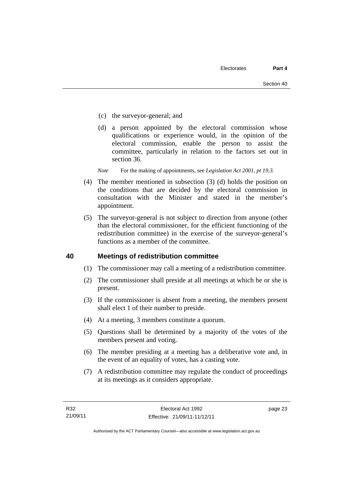- (c) the surveyor-general; and
- (d) a person appointed by the electoral commission whose qualifications or experience would, in the opinion of the electoral commission, enable the person to assist the committee, particularly in relation to the factors set out in section 36.
- *Note* For the making of appointments, see *Legislation Act 2001, pt 19.3.*
- (4) The member mentioned in subsection (3) (d) holds the position on the conditions that are decided by the electoral commission in consultation with the Minister and stated in the member's appointment.
- (5) The surveyor-general is not subject to direction from anyone (other than the electoral commissioner, for the efficient functioning of the redistribution committee) in the exercise of the surveyor-general's functions as a member of the committee.

#### **40 Meetings of redistribution committee**

- (1) The commissioner may call a meeting of a redistribution committee.
- (2) The commissioner shall preside at all meetings at which he or she is present.
- (3) If the commissioner is absent from a meeting, the members present shall elect 1 of their number to preside.
- (4) At a meeting, 3 members constitute a quorum.
- (5) Questions shall be determined by a majority of the votes of the members present and voting.
- (6) The member presiding at a meeting has a deliberative vote and, in the event of an equality of votes, has a casting vote.
- (7) A redistribution committee may regulate the conduct of proceedings at its meetings as it considers appropriate.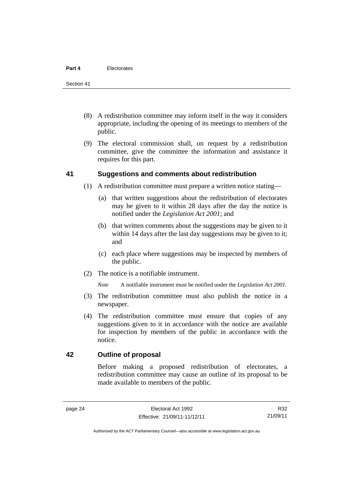- (8) A redistribution committee may inform itself in the way it considers appropriate, including the opening of its meetings to members of the public.
- (9) The electoral commission shall, on request by a redistribution committee, give the committee the information and assistance it requires for this part.

#### **41 Suggestions and comments about redistribution**

- (1) A redistribution committee must prepare a written notice stating—
	- (a) that written suggestions about the redistribution of electorates may be given to it within 28 days after the day the notice is notified under the *Legislation Act 2001*; and
	- (b) that written comments about the suggestions may be given to it within 14 days after the last day suggestions may be given to it; and
	- (c) each place where suggestions may be inspected by members of the public.
- (2) The notice is a notifiable instrument.

*Note* A notifiable instrument must be notified under the *Legislation Act 2001*.

- (3) The redistribution committee must also publish the notice in a newspaper.
- (4) The redistribution committee must ensure that copies of any suggestions given to it in accordance with the notice are available for inspection by members of the public in accordance with the notice.

#### **42 Outline of proposal**

Before making a proposed redistribution of electorates, a redistribution committee may cause an outline of its proposal to be made available to members of the public.

Authorised by the ACT Parliamentary Counsel—also accessible at www.legislation.act.gov.au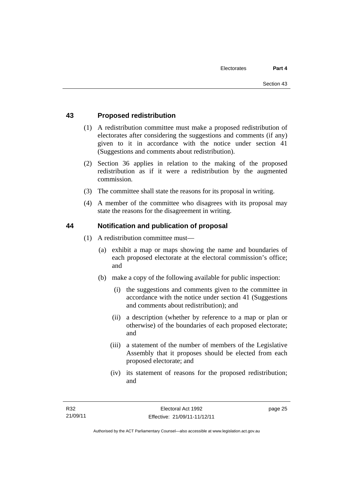### **43 Proposed redistribution**

- (1) A redistribution committee must make a proposed redistribution of electorates after considering the suggestions and comments (if any) given to it in accordance with the notice under section 41 (Suggestions and comments about redistribution).
- (2) Section 36 applies in relation to the making of the proposed redistribution as if it were a redistribution by the augmented commission.
- (3) The committee shall state the reasons for its proposal in writing.
- (4) A member of the committee who disagrees with its proposal may state the reasons for the disagreement in writing.

#### **44 Notification and publication of proposal**

- (1) A redistribution committee must—
	- (a) exhibit a map or maps showing the name and boundaries of each proposed electorate at the electoral commission's office; and
	- (b) make a copy of the following available for public inspection:
		- (i) the suggestions and comments given to the committee in accordance with the notice under section 41 (Suggestions and comments about redistribution); and
		- (ii) a description (whether by reference to a map or plan or otherwise) of the boundaries of each proposed electorate; and
		- (iii) a statement of the number of members of the Legislative Assembly that it proposes should be elected from each proposed electorate; and
		- (iv) its statement of reasons for the proposed redistribution; and

page 25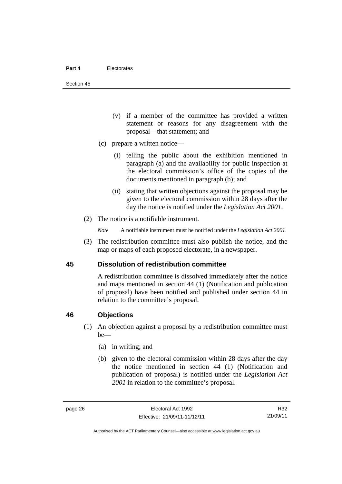Section 45

- (v) if a member of the committee has provided a written statement or reasons for any disagreement with the proposal—that statement; and
- (c) prepare a written notice—
	- (i) telling the public about the exhibition mentioned in paragraph (a) and the availability for public inspection at the electoral commission's office of the copies of the documents mentioned in paragraph (b); and
	- (ii) stating that written objections against the proposal may be given to the electoral commission within 28 days after the day the notice is notified under the *Legislation Act 2001*.
- (2) The notice is a notifiable instrument.

*Note* A notifiable instrument must be notified under the *Legislation Act 2001*.

 (3) The redistribution committee must also publish the notice, and the map or maps of each proposed electorate, in a newspaper.

#### **45 Dissolution of redistribution committee**

A redistribution committee is dissolved immediately after the notice and maps mentioned in section 44 (1) (Notification and publication of proposal) have been notified and published under section 44 in relation to the committee's proposal.

#### **46 Objections**

- (1) An objection against a proposal by a redistribution committee must be—
	- (a) in writing; and
	- (b) given to the electoral commission within 28 days after the day the notice mentioned in section 44 (1) (Notification and publication of proposal) is notified under the *Legislation Act 2001* in relation to the committee's proposal.

R32 21/09/11

Authorised by the ACT Parliamentary Counsel—also accessible at www.legislation.act.gov.au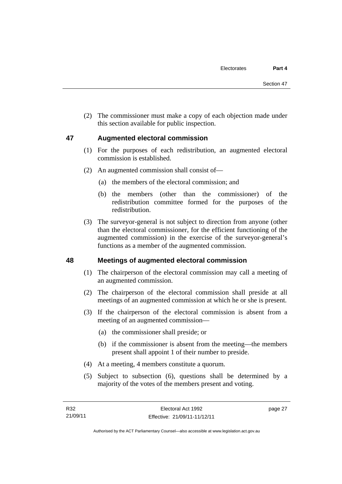(2) The commissioner must make a copy of each objection made under this section available for public inspection.

#### **47 Augmented electoral commission**

- (1) For the purposes of each redistribution, an augmented electoral commission is established.
- (2) An augmented commission shall consist of—
	- (a) the members of the electoral commission; and
	- (b) the members (other than the commissioner) of the redistribution committee formed for the purposes of the redistribution.
- (3) The surveyor-general is not subject to direction from anyone (other than the electoral commissioner, for the efficient functioning of the augmented commission) in the exercise of the surveyor-general's functions as a member of the augmented commission.

#### **48 Meetings of augmented electoral commission**

- (1) The chairperson of the electoral commission may call a meeting of an augmented commission.
- (2) The chairperson of the electoral commission shall preside at all meetings of an augmented commission at which he or she is present.
- (3) If the chairperson of the electoral commission is absent from a meeting of an augmented commission—
	- (a) the commissioner shall preside; or
	- (b) if the commissioner is absent from the meeting—the members present shall appoint 1 of their number to preside.
- (4) At a meeting, 4 members constitute a quorum.
- (5) Subject to subsection (6), questions shall be determined by a majority of the votes of the members present and voting.

page 27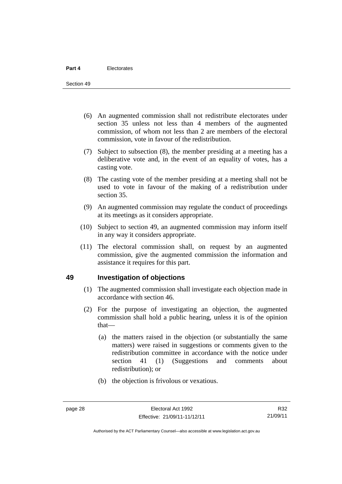- (6) An augmented commission shall not redistribute electorates under section 35 unless not less than 4 members of the augmented commission, of whom not less than 2 are members of the electoral commission, vote in favour of the redistribution.
- (7) Subject to subsection (8), the member presiding at a meeting has a deliberative vote and, in the event of an equality of votes, has a casting vote.
- (8) The casting vote of the member presiding at a meeting shall not be used to vote in favour of the making of a redistribution under section 35.
- (9) An augmented commission may regulate the conduct of proceedings at its meetings as it considers appropriate.
- (10) Subject to section 49, an augmented commission may inform itself in any way it considers appropriate.
- (11) The electoral commission shall, on request by an augmented commission, give the augmented commission the information and assistance it requires for this part.

#### **49 Investigation of objections**

- (1) The augmented commission shall investigate each objection made in accordance with section 46.
- (2) For the purpose of investigating an objection, the augmented commission shall hold a public hearing, unless it is of the opinion that—
	- (a) the matters raised in the objection (or substantially the same matters) were raised in suggestions or comments given to the redistribution committee in accordance with the notice under section 41 (1) (Suggestions and comments about redistribution); or
	- (b) the objection is frivolous or vexatious.

Authorised by the ACT Parliamentary Counsel—also accessible at www.legislation.act.gov.au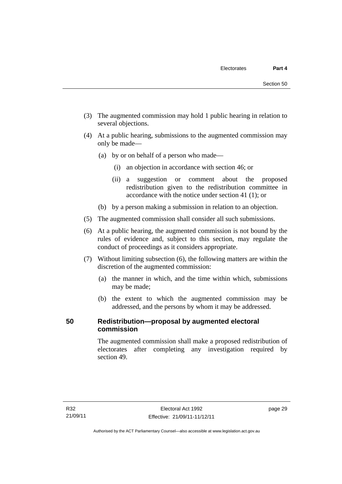- (3) The augmented commission may hold 1 public hearing in relation to several objections.
- (4) At a public hearing, submissions to the augmented commission may only be made—
	- (a) by or on behalf of a person who made—
		- (i) an objection in accordance with section 46; or
		- (ii) a suggestion or comment about the proposed redistribution given to the redistribution committee in accordance with the notice under section 41 (1); or
	- (b) by a person making a submission in relation to an objection.
- (5) The augmented commission shall consider all such submissions.
- (6) At a public hearing, the augmented commission is not bound by the rules of evidence and, subject to this section, may regulate the conduct of proceedings as it considers appropriate.
- (7) Without limiting subsection (6), the following matters are within the discretion of the augmented commission:
	- (a) the manner in which, and the time within which, submissions may be made;
	- (b) the extent to which the augmented commission may be addressed, and the persons by whom it may be addressed.

## **50 Redistribution—proposal by augmented electoral commission**

The augmented commission shall make a proposed redistribution of electorates after completing any investigation required by section 49.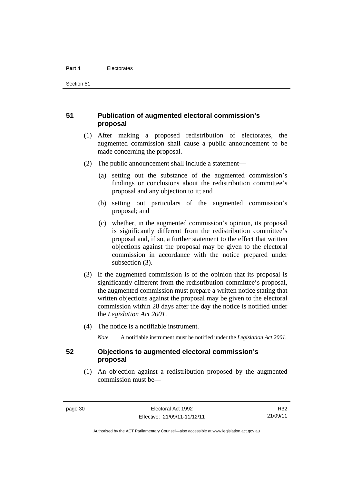Section 51

### **51 Publication of augmented electoral commission's proposal**

- (1) After making a proposed redistribution of electorates, the augmented commission shall cause a public announcement to be made concerning the proposal.
- (2) The public announcement shall include a statement—
	- (a) setting out the substance of the augmented commission's findings or conclusions about the redistribution committee's proposal and any objection to it; and
	- (b) setting out particulars of the augmented commission's proposal; and
	- (c) whether, in the augmented commission's opinion, its proposal is significantly different from the redistribution committee's proposal and, if so, a further statement to the effect that written objections against the proposal may be given to the electoral commission in accordance with the notice prepared under subsection (3).
- (3) If the augmented commission is of the opinion that its proposal is significantly different from the redistribution committee's proposal, the augmented commission must prepare a written notice stating that written objections against the proposal may be given to the electoral commission within 28 days after the day the notice is notified under the *Legislation Act 2001*.
- (4) The notice is a notifiable instrument.

*Note* A notifiable instrument must be notified under the *Legislation Act 2001*.

#### **52 Objections to augmented electoral commission's proposal**

 (1) An objection against a redistribution proposed by the augmented commission must be—

R32 21/09/11

Authorised by the ACT Parliamentary Counsel—also accessible at www.legislation.act.gov.au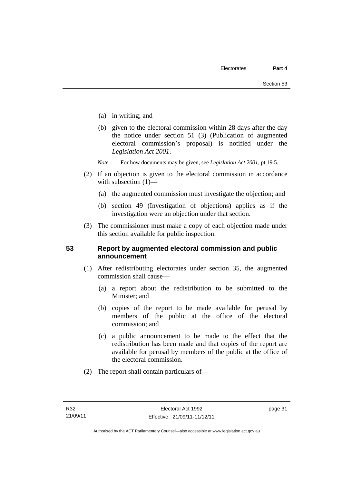- (a) in writing; and
- (b) given to the electoral commission within 28 days after the day the notice under section 51 (3) (Publication of augmented electoral commission's proposal) is notified under the *Legislation Act 2001*.
- *Note* For how documents may be given, see *Legislation Act 2001*, pt 19.5.
- (2) If an objection is given to the electoral commission in accordance with subsection  $(1)$ —
	- (a) the augmented commission must investigate the objection; and
	- (b) section 49 (Investigation of objections) applies as if the investigation were an objection under that section.
- (3) The commissioner must make a copy of each objection made under this section available for public inspection.

#### **53 Report by augmented electoral commission and public announcement**

- (1) After redistributing electorates under section 35, the augmented commission shall cause—
	- (a) a report about the redistribution to be submitted to the Minister; and
	- (b) copies of the report to be made available for perusal by members of the public at the office of the electoral commission; and
	- (c) a public announcement to be made to the effect that the redistribution has been made and that copies of the report are available for perusal by members of the public at the office of the electoral commission.
- (2) The report shall contain particulars of—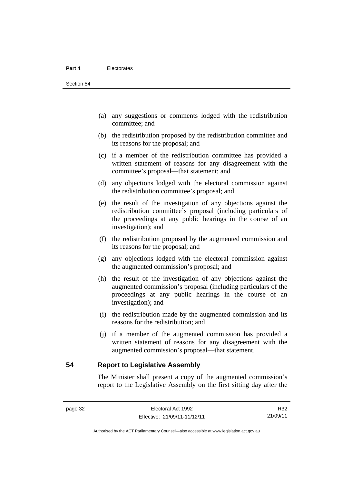- (a) any suggestions or comments lodged with the redistribution committee; and
- (b) the redistribution proposed by the redistribution committee and its reasons for the proposal; and
- (c) if a member of the redistribution committee has provided a written statement of reasons for any disagreement with the committee's proposal—that statement; and
- (d) any objections lodged with the electoral commission against the redistribution committee's proposal; and
- (e) the result of the investigation of any objections against the redistribution committee's proposal (including particulars of the proceedings at any public hearings in the course of an investigation); and
- (f) the redistribution proposed by the augmented commission and its reasons for the proposal; and
- (g) any objections lodged with the electoral commission against the augmented commission's proposal; and
- (h) the result of the investigation of any objections against the augmented commission's proposal (including particulars of the proceedings at any public hearings in the course of an investigation); and
- (i) the redistribution made by the augmented commission and its reasons for the redistribution; and
- (j) if a member of the augmented commission has provided a written statement of reasons for any disagreement with the augmented commission's proposal—that statement.

**54 Report to Legislative Assembly** 

The Minister shall present a copy of the augmented commission's report to the Legislative Assembly on the first sitting day after the

R32 21/09/11

Authorised by the ACT Parliamentary Counsel—also accessible at www.legislation.act.gov.au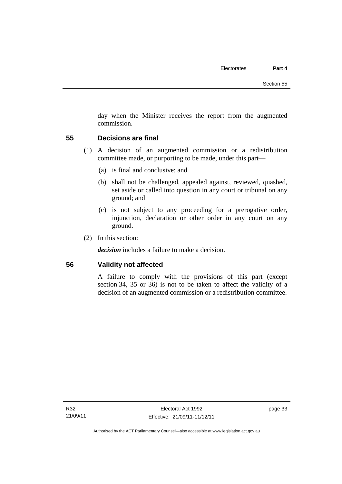day when the Minister receives the report from the augmented commission.

#### **55 Decisions are final**

- (1) A decision of an augmented commission or a redistribution committee made, or purporting to be made, under this part—
	- (a) is final and conclusive; and
	- (b) shall not be challenged, appealed against, reviewed, quashed, set aside or called into question in any court or tribunal on any ground; and
	- (c) is not subject to any proceeding for a prerogative order, injunction, declaration or other order in any court on any ground.
- (2) In this section:

*decision* includes a failure to make a decision.

#### **56 Validity not affected**

A failure to comply with the provisions of this part (except section 34, 35 or 36) is not to be taken to affect the validity of a decision of an augmented commission or a redistribution committee.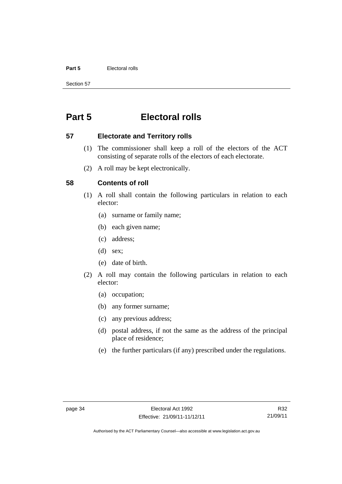#### **Part 5** Electoral rolls

Section 57

# **Part 5 Electoral rolls**

#### **57 Electorate and Territory rolls**

- (1) The commissioner shall keep a roll of the electors of the ACT consisting of separate rolls of the electors of each electorate.
- (2) A roll may be kept electronically.

#### **58 Contents of roll**

- (1) A roll shall contain the following particulars in relation to each elector:
	- (a) surname or family name;
	- (b) each given name;
	- (c) address;
	- (d) sex;
	- (e) date of birth.
- (2) A roll may contain the following particulars in relation to each elector:
	- (a) occupation;
	- (b) any former surname;
	- (c) any previous address;
	- (d) postal address, if not the same as the address of the principal place of residence;
	- (e) the further particulars (if any) prescribed under the regulations.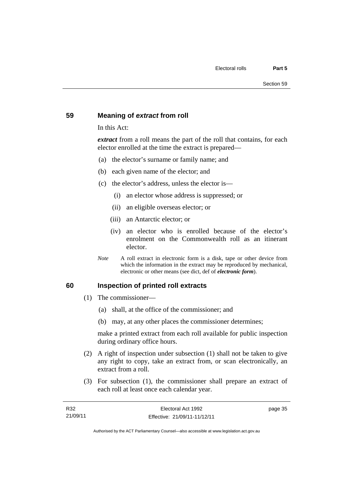#### **59 Meaning of** *extract* **from roll**

In this Act:

*extract* from a roll means the part of the roll that contains, for each elector enrolled at the time the extract is prepared—

- (a) the elector's surname or family name; and
- (b) each given name of the elector; and
- (c) the elector's address, unless the elector is—
	- (i) an elector whose address is suppressed; or
	- (ii) an eligible overseas elector; or
	- (iii) an Antarctic elector; or
	- (iv) an elector who is enrolled because of the elector's enrolment on the Commonwealth roll as an itinerant elector.
- *Note* A roll extract in electronic form is a disk, tape or other device from which the information in the extract may be reproduced by mechanical, electronic or other means (see dict, def of *electronic form*).

#### **60 Inspection of printed roll extracts**

- (1) The commissioner—
	- (a) shall, at the office of the commissioner; and
	- (b) may, at any other places the commissioner determines;

make a printed extract from each roll available for public inspection during ordinary office hours.

- (2) A right of inspection under subsection (1) shall not be taken to give any right to copy, take an extract from, or scan electronically, an extract from a roll.
- (3) For subsection (1), the commissioner shall prepare an extract of each roll at least once each calendar year.

page 35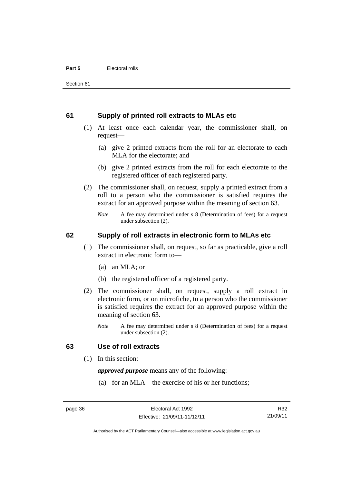#### **61 Supply of printed roll extracts to MLAs etc**

- (1) At least once each calendar year, the commissioner shall, on request—
	- (a) give 2 printed extracts from the roll for an electorate to each MLA for the electorate; and
	- (b) give 2 printed extracts from the roll for each electorate to the registered officer of each registered party.
- (2) The commissioner shall, on request, supply a printed extract from a roll to a person who the commissioner is satisfied requires the extract for an approved purpose within the meaning of section 63.
	- *Note* A fee may determined under s 8 (Determination of fees) for a request under subsection (2).

#### **62 Supply of roll extracts in electronic form to MLAs etc**

- (1) The commissioner shall, on request, so far as practicable, give a roll extract in electronic form to—
	- (a) an MLA; or
	- (b) the registered officer of a registered party.
- (2) The commissioner shall, on request, supply a roll extract in electronic form, or on microfiche, to a person who the commissioner is satisfied requires the extract for an approved purpose within the meaning of section 63.
	- *Note* A fee may determined under s 8 (Determination of fees) for a request under subsection (2).

#### **63 Use of roll extracts**

(1) In this section:

*approved purpose* means any of the following:

(a) for an MLA—the exercise of his or her functions;

Authorised by the ACT Parliamentary Counsel—also accessible at www.legislation.act.gov.au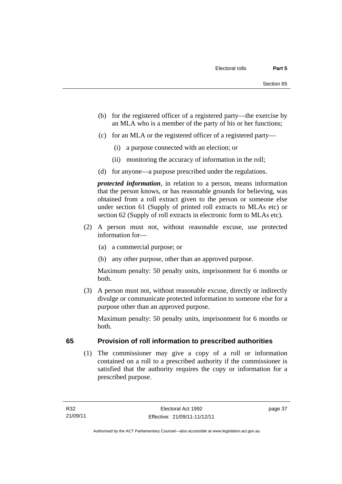- (b) for the registered officer of a registered party—the exercise by an MLA who is a member of the party of his or her functions;
- (c) for an MLA or the registered officer of a registered party—
	- (i) a purpose connected with an election; or
	- (ii) monitoring the accuracy of information in the roll;
- (d) for anyone—a purpose prescribed under the regulations.

*protected information*, in relation to a person, means information that the person knows, or has reasonable grounds for believing, was obtained from a roll extract given to the person or someone else under section 61 (Supply of printed roll extracts to MLAs etc) or section 62 (Supply of roll extracts in electronic form to MLAs etc).

- (2) A person must not, without reasonable excuse, use protected information for—
	- (a) a commercial purpose; or
	- (b) any other purpose, other than an approved purpose.

Maximum penalty: 50 penalty units, imprisonment for 6 months or both.

 (3) A person must not, without reasonable excuse, directly or indirectly divulge or communicate protected information to someone else for a purpose other than an approved purpose.

Maximum penalty: 50 penalty units, imprisonment for 6 months or both.

## **65 Provision of roll information to prescribed authorities**

(1) The commissioner may give a copy of a roll or information contained on a roll to a prescribed authority if the commissioner is satisfied that the authority requires the copy or information for a prescribed purpose.

page 37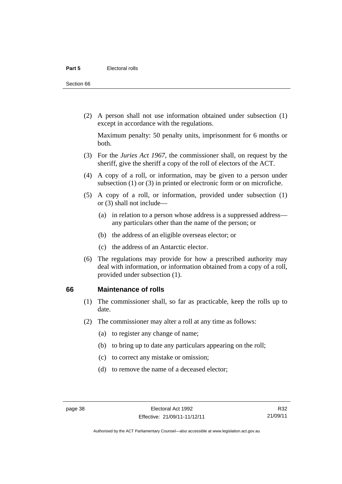Section 66

 (2) A person shall not use information obtained under subsection (1) except in accordance with the regulations.

Maximum penalty: 50 penalty units, imprisonment for 6 months or both.

- (3) For the *Juries Act 1967*, the commissioner shall, on request by the sheriff, give the sheriff a copy of the roll of electors of the ACT.
- (4) A copy of a roll, or information, may be given to a person under subsection (1) or (3) in printed or electronic form or on microfiche.
- (5) A copy of a roll, or information, provided under subsection (1) or (3) shall not include—
	- (a) in relation to a person whose address is a suppressed address any particulars other than the name of the person; or
	- (b) the address of an eligible overseas elector; or
	- (c) the address of an Antarctic elector.
- (6) The regulations may provide for how a prescribed authority may deal with information, or information obtained from a copy of a roll, provided under subsection (1).

#### **66 Maintenance of rolls**

- (1) The commissioner shall, so far as practicable, keep the rolls up to date.
- (2) The commissioner may alter a roll at any time as follows:
	- (a) to register any change of name;
	- (b) to bring up to date any particulars appearing on the roll;
	- (c) to correct any mistake or omission;
	- (d) to remove the name of a deceased elector;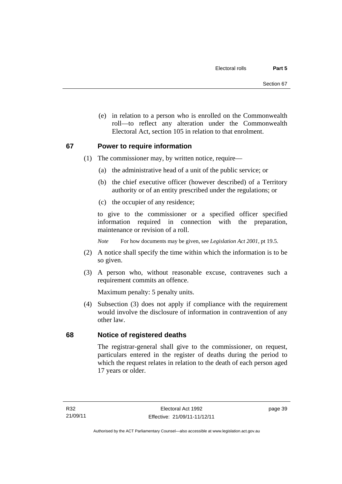(e) in relation to a person who is enrolled on the Commonwealth roll—to reflect any alteration under the Commonwealth Electoral Act, section 105 in relation to that enrolment.

#### **67 Power to require information**

- (1) The commissioner may, by written notice, require—
	- (a) the administrative head of a unit of the public service; or
	- (b) the chief executive officer (however described) of a Territory authority or of an entity prescribed under the regulations; or
	- (c) the occupier of any residence;

to give to the commissioner or a specified officer specified information required in connection with the preparation, maintenance or revision of a roll.

*Note* For how documents may be given, see *Legislation Act 2001*, pt 19.5.

- (2) A notice shall specify the time within which the information is to be so given.
- (3) A person who, without reasonable excuse, contravenes such a requirement commits an offence.

Maximum penalty: 5 penalty units.

 (4) Subsection (3) does not apply if compliance with the requirement would involve the disclosure of information in contravention of any other law.

## **68 Notice of registered deaths**

The registrar-general shall give to the commissioner, on request, particulars entered in the register of deaths during the period to which the request relates in relation to the death of each person aged 17 years or older.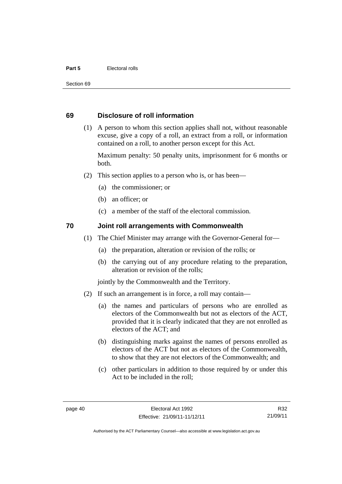#### **Part 5** Electoral rolls

Section 69

#### **69 Disclosure of roll information**

 (1) A person to whom this section applies shall not, without reasonable excuse, give a copy of a roll, an extract from a roll, or information contained on a roll, to another person except for this Act.

Maximum penalty: 50 penalty units, imprisonment for 6 months or both.

- (2) This section applies to a person who is, or has been—
	- (a) the commissioner; or
	- (b) an officer; or
	- (c) a member of the staff of the electoral commission.

#### **70 Joint roll arrangements with Commonwealth**

- (1) The Chief Minister may arrange with the Governor-General for—
	- (a) the preparation, alteration or revision of the rolls; or
	- (b) the carrying out of any procedure relating to the preparation, alteration or revision of the rolls;

jointly by the Commonwealth and the Territory.

- (2) If such an arrangement is in force, a roll may contain—
	- (a) the names and particulars of persons who are enrolled as electors of the Commonwealth but not as electors of the ACT, provided that it is clearly indicated that they are not enrolled as electors of the ACT; and
	- (b) distinguishing marks against the names of persons enrolled as electors of the ACT but not as electors of the Commonwealth, to show that they are not electors of the Commonwealth; and
	- (c) other particulars in addition to those required by or under this Act to be included in the roll;

R32 21/09/11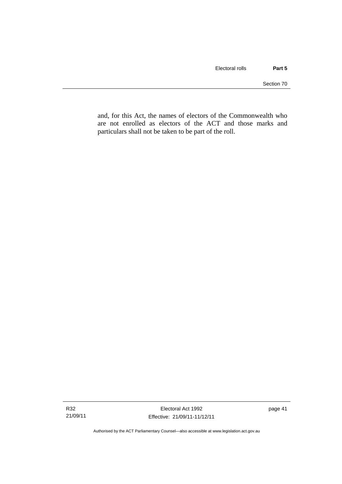and, for this Act, the names of electors of the Commonwealth who are not enrolled as electors of the ACT and those marks and particulars shall not be taken to be part of the roll.

Authorised by the ACT Parliamentary Counsel—also accessible at www.legislation.act.gov.au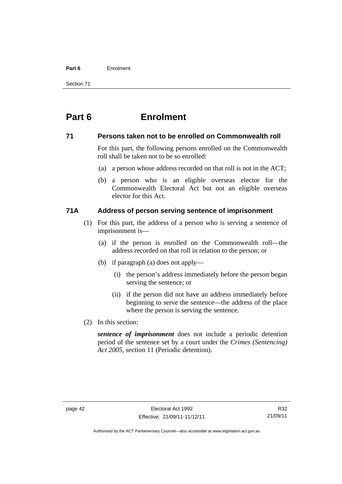#### **Part 6** Enrolment

Section 71

# **Part 6 Enrolment**

#### **71 Persons taken not to be enrolled on Commonwealth roll**

For this part, the following persons enrolled on the Commonwealth roll shall be taken not to be so enrolled:

- (a) a person whose address recorded on that roll is not in the ACT;
- (b) a person who is an eligible overseas elector for the Commonwealth Electoral Act but not an eligible overseas elector for this Act.

## **71A Address of person serving sentence of imprisonment**

- (1) For this part, the address of a person who is serving a sentence of imprisonment is—
	- (a) if the person is enrolled on the Commonwealth roll—the address recorded on that roll in relation to the person; or
	- (b) if paragraph (a) does not apply—
		- (i) the person's address immediately before the person began serving the sentence; or
		- (ii) if the person did not have an address immediately before beginning to serve the sentence—the address of the place where the person is serving the sentence.
- (2) In this section:

*sentence of imprisonment* does not include a periodic detention period of the sentence set by a court under the *Crimes (Sentencing) Act 2005*, section 11 (Periodic detention).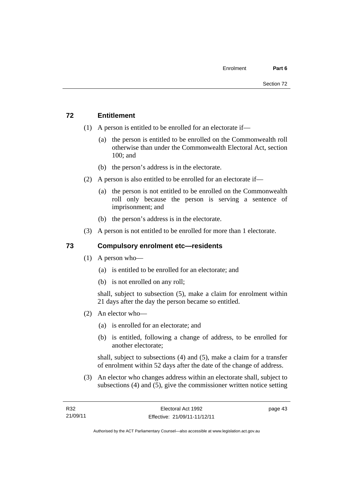## **72 Entitlement**

- (1) A person is entitled to be enrolled for an electorate if—
	- (a) the person is entitled to be enrolled on the Commonwealth roll otherwise than under the Commonwealth Electoral Act, section 100; and
	- (b) the person's address is in the electorate.
- (2) A person is also entitled to be enrolled for an electorate if—
	- (a) the person is not entitled to be enrolled on the Commonwealth roll only because the person is serving a sentence of imprisonment; and
	- (b) the person's address is in the electorate.
- (3) A person is not entitled to be enrolled for more than 1 electorate.

## **73 Compulsory enrolment etc—residents**

- (1) A person who—
	- (a) is entitled to be enrolled for an electorate; and
	- (b) is not enrolled on any roll;

shall, subject to subsection (5), make a claim for enrolment within 21 days after the day the person became so entitled.

- (2) An elector who—
	- (a) is enrolled for an electorate; and
	- (b) is entitled, following a change of address, to be enrolled for another electorate;

shall, subject to subsections (4) and (5), make a claim for a transfer of enrolment within 52 days after the date of the change of address.

 (3) An elector who changes address within an electorate shall, subject to subsections (4) and (5), give the commissioner written notice setting

page 43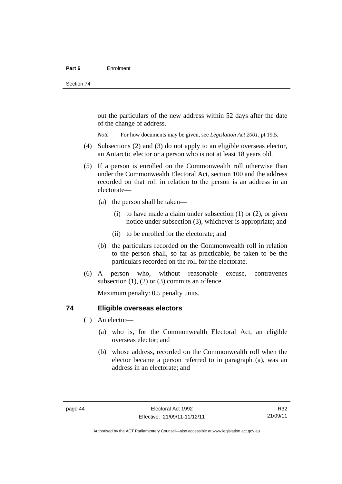out the particulars of the new address within 52 days after the date of the change of address.

*Note* For how documents may be given, see *Legislation Act 2001*, pt 19.5.

- (4) Subsections (2) and (3) do not apply to an eligible overseas elector, an Antarctic elector or a person who is not at least 18 years old.
- (5) If a person is enrolled on the Commonwealth roll otherwise than under the Commonwealth Electoral Act, section 100 and the address recorded on that roll in relation to the person is an address in an electorate—
	- (a) the person shall be taken—
		- (i) to have made a claim under subsection  $(1)$  or  $(2)$ , or given notice under subsection (3), whichever is appropriate; and
		- (ii) to be enrolled for the electorate; and
	- (b) the particulars recorded on the Commonwealth roll in relation to the person shall, so far as practicable, be taken to be the particulars recorded on the roll for the electorate.
- (6) A person who, without reasonable excuse, contravenes subsection  $(1)$ ,  $(2)$  or  $(3)$  commits an offence.

Maximum penalty: 0.5 penalty units.

#### **74 Eligible overseas electors**

- (1) An elector—
	- (a) who is, for the Commonwealth Electoral Act, an eligible overseas elector; and
	- (b) whose address, recorded on the Commonwealth roll when the elector became a person referred to in paragraph (a), was an address in an electorate; and

R32 21/09/11

Authorised by the ACT Parliamentary Counsel—also accessible at www.legislation.act.gov.au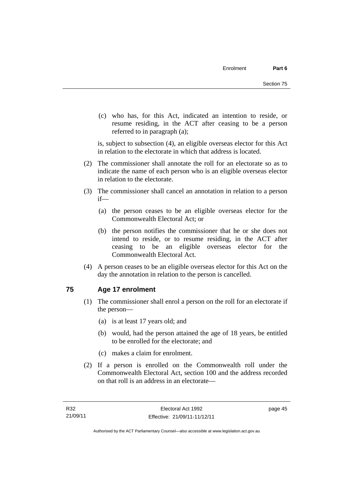(c) who has, for this Act, indicated an intention to reside, or resume residing, in the ACT after ceasing to be a person referred to in paragraph (a);

is, subject to subsection (4), an eligible overseas elector for this Act in relation to the electorate in which that address is located.

- (2) The commissioner shall annotate the roll for an electorate so as to indicate the name of each person who is an eligible overseas elector in relation to the electorate.
- (3) The commissioner shall cancel an annotation in relation to a person if—
	- (a) the person ceases to be an eligible overseas elector for the Commonwealth Electoral Act; or
	- (b) the person notifies the commissioner that he or she does not intend to reside, or to resume residing, in the ACT after ceasing to be an eligible overseas elector for the Commonwealth Electoral Act.
- (4) A person ceases to be an eligible overseas elector for this Act on the day the annotation in relation to the person is cancelled.

## **75 Age 17 enrolment**

- (1) The commissioner shall enrol a person on the roll for an electorate if the person—
	- (a) is at least 17 years old; and
	- (b) would, had the person attained the age of 18 years, be entitled to be enrolled for the electorate; and
	- (c) makes a claim for enrolment.
- (2) If a person is enrolled on the Commonwealth roll under the Commonwealth Electoral Act, section 100 and the address recorded on that roll is an address in an electorate—

page 45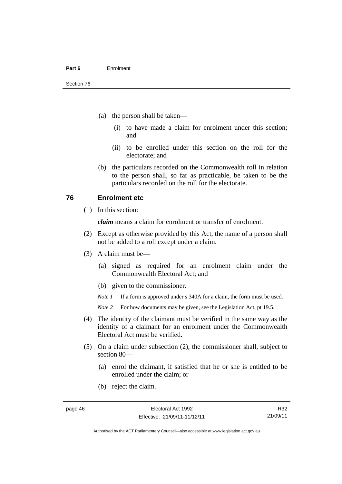- (a) the person shall be taken—
	- (i) to have made a claim for enrolment under this section; and
	- (ii) to be enrolled under this section on the roll for the electorate; and
- (b) the particulars recorded on the Commonwealth roll in relation to the person shall, so far as practicable, be taken to be the particulars recorded on the roll for the electorate.

#### **76 Enrolment etc**

(1) In this section:

*claim* means a claim for enrolment or transfer of enrolment.

- (2) Except as otherwise provided by this Act, the name of a person shall not be added to a roll except under a claim.
- (3) A claim must be—
	- (a) signed as required for an enrolment claim under the Commonwealth Electoral Act; and
	- (b) given to the commissioner.

*Note 1* If a form is approved under s 340A for a claim, the form must be used.

- *Note* 2 For how documents may be given, see the Legislation Act, pt 19.5.
- (4) The identity of the claimant must be verified in the same way as the identity of a claimant for an enrolment under the Commonwealth Electoral Act must be verified.
- (5) On a claim under subsection (2), the commissioner shall, subject to section 80—
	- (a) enrol the claimant, if satisfied that he or she is entitled to be enrolled under the claim; or
	- (b) reject the claim.

R32 21/09/11

Authorised by the ACT Parliamentary Counsel—also accessible at www.legislation.act.gov.au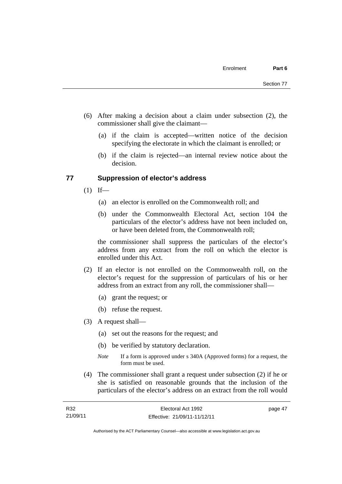- (6) After making a decision about a claim under subsection (2), the commissioner shall give the claimant—
	- (a) if the claim is accepted—written notice of the decision specifying the electorate in which the claimant is enrolled; or
	- (b) if the claim is rejected—an internal review notice about the decision.

#### **77 Suppression of elector's address**

- $(1)$  If—
	- (a) an elector is enrolled on the Commonwealth roll; and
	- (b) under the Commonwealth Electoral Act, section 104 the particulars of the elector's address have not been included on, or have been deleted from, the Commonwealth roll;

the commissioner shall suppress the particulars of the elector's address from any extract from the roll on which the elector is enrolled under this Act.

- (2) If an elector is not enrolled on the Commonwealth roll, on the elector's request for the suppression of particulars of his or her address from an extract from any roll, the commissioner shall—
	- (a) grant the request; or
	- (b) refuse the request.
- (3) A request shall—
	- (a) set out the reasons for the request; and
	- (b) be verified by statutory declaration.
	- *Note* If a form is approved under s 340A (Approved forms) for a request, the form must be used.
- (4) The commissioner shall grant a request under subsection (2) if he or she is satisfied on reasonable grounds that the inclusion of the particulars of the elector's address on an extract from the roll would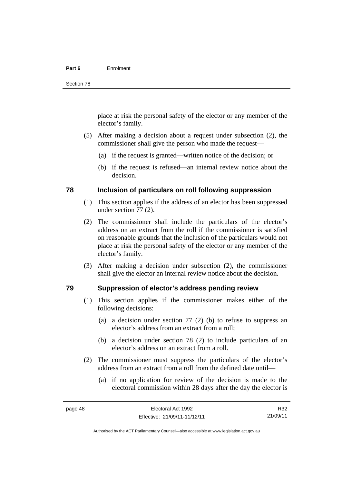#### **Part 6** Enrolment

place at risk the personal safety of the elector or any member of the elector's family.

- (5) After making a decision about a request under subsection (2), the commissioner shall give the person who made the request—
	- (a) if the request is granted—written notice of the decision; or
	- (b) if the request is refused—an internal review notice about the decision.

#### **78 Inclusion of particulars on roll following suppression**

- (1) This section applies if the address of an elector has been suppressed under section 77 (2).
- (2) The commissioner shall include the particulars of the elector's address on an extract from the roll if the commissioner is satisfied on reasonable grounds that the inclusion of the particulars would not place at risk the personal safety of the elector or any member of the elector's family.
- (3) After making a decision under subsection (2), the commissioner shall give the elector an internal review notice about the decision.

#### **79 Suppression of elector's address pending review**

- (1) This section applies if the commissioner makes either of the following decisions:
	- (a) a decision under section 77 (2) (b) to refuse to suppress an elector's address from an extract from a roll;
	- (b) a decision under section 78 (2) to include particulars of an elector's address on an extract from a roll.
- (2) The commissioner must suppress the particulars of the elector's address from an extract from a roll from the defined date until—
	- (a) if no application for review of the decision is made to the electoral commission within 28 days after the day the elector is

R32 21/09/11

Authorised by the ACT Parliamentary Counsel—also accessible at www.legislation.act.gov.au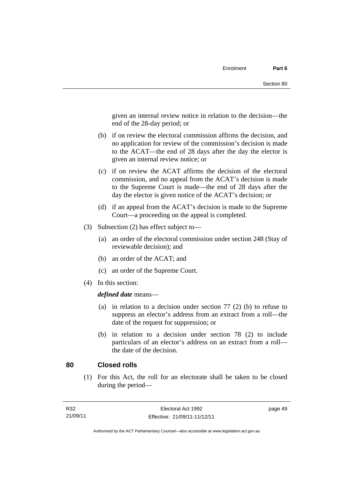given an internal review notice in relation to the decision—the end of the 28-day period; or

- (b) if on review the electoral commission affirms the decision, and no application for review of the commission's decision is made to the ACAT—the end of 28 days after the day the elector is given an internal review notice; or
- (c) if on review the ACAT affirms the decision of the electoral commission, and no appeal from the ACAT's decision is made to the Supreme Court is made—the end of 28 days after the day the elector is given notice of the ACAT's decision; or
- (d) if an appeal from the ACAT's decision is made to the Supreme Court—a proceeding on the appeal is completed.
- (3) Subsection (2) has effect subject to—
	- (a) an order of the electoral commission under section 248 (Stay of reviewable decision); and
	- (b) an order of the ACAT; and
	- (c) an order of the Supreme Court.
- (4) In this section:

*defined date* means—

- (a) in relation to a decision under section 77 (2) (b) to refuse to suppress an elector's address from an extract from a roll—the date of the request for suppression; or
- (b) in relation to a decision under section 78 (2) to include particulars of an elector's address on an extract from a roll the date of the decision.

#### **80 Closed rolls**

(1) For this Act, the roll for an electorate shall be taken to be closed during the period—

page 49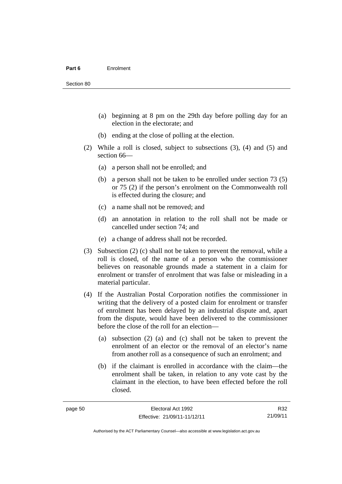- (a) beginning at 8 pm on the 29th day before polling day for an election in the electorate; and
- (b) ending at the close of polling at the election.
- (2) While a roll is closed, subject to subsections (3), (4) and (5) and section 66—
	- (a) a person shall not be enrolled; and
	- (b) a person shall not be taken to be enrolled under section 73 (5) or 75 (2) if the person's enrolment on the Commonwealth roll is effected during the closure; and
	- (c) a name shall not be removed; and
	- (d) an annotation in relation to the roll shall not be made or cancelled under section 74; and
	- (e) a change of address shall not be recorded.
- (3) Subsection (2) (c) shall not be taken to prevent the removal, while a roll is closed, of the name of a person who the commissioner believes on reasonable grounds made a statement in a claim for enrolment or transfer of enrolment that was false or misleading in a material particular.
- (4) If the Australian Postal Corporation notifies the commissioner in writing that the delivery of a posted claim for enrolment or transfer of enrolment has been delayed by an industrial dispute and, apart from the dispute, would have been delivered to the commissioner before the close of the roll for an election—
	- (a) subsection (2) (a) and (c) shall not be taken to prevent the enrolment of an elector or the removal of an elector's name from another roll as a consequence of such an enrolment; and
	- (b) if the claimant is enrolled in accordance with the claim—the enrolment shall be taken, in relation to any vote cast by the claimant in the election, to have been effected before the roll closed.

R32 21/09/11

Authorised by the ACT Parliamentary Counsel—also accessible at www.legislation.act.gov.au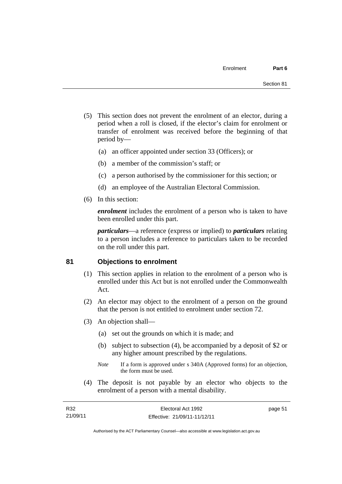- (5) This section does not prevent the enrolment of an elector, during a period when a roll is closed, if the elector's claim for enrolment or transfer of enrolment was received before the beginning of that period by—
	- (a) an officer appointed under section 33 (Officers); or
	- (b) a member of the commission's staff; or
	- (c) a person authorised by the commissioner for this section; or
	- (d) an employee of the Australian Electoral Commission.
- (6) In this section:

*enrolment* includes the enrolment of a person who is taken to have been enrolled under this part.

*particulars*—a reference (express or implied) to *particulars* relating to a person includes a reference to particulars taken to be recorded on the roll under this part.

#### **81 Objections to enrolment**

- (1) This section applies in relation to the enrolment of a person who is enrolled under this Act but is not enrolled under the Commonwealth Act.
- (2) An elector may object to the enrolment of a person on the ground that the person is not entitled to enrolment under section 72.
- (3) An objection shall—
	- (a) set out the grounds on which it is made; and
	- (b) subject to subsection (4), be accompanied by a deposit of \$2 or any higher amount prescribed by the regulations.
	- *Note* If a form is approved under s 340A (Approved forms) for an objection, the form must be used.
- (4) The deposit is not payable by an elector who objects to the enrolment of a person with a mental disability.

| R32      | Electoral Act 1992           | page 51 |
|----------|------------------------------|---------|
| 21/09/11 | Effective: 21/09/11-11/12/11 |         |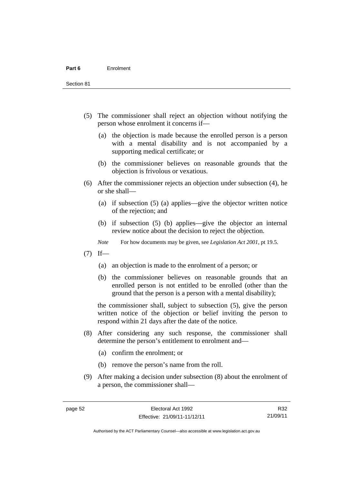Section 81

- (5) The commissioner shall reject an objection without notifying the person whose enrolment it concerns if—
	- (a) the objection is made because the enrolled person is a person with a mental disability and is not accompanied by a supporting medical certificate; or
	- (b) the commissioner believes on reasonable grounds that the objection is frivolous or vexatious.
- (6) After the commissioner rejects an objection under subsection (4), he or she shall—
	- (a) if subsection (5) (a) applies—give the objector written notice of the rejection; and
	- (b) if subsection (5) (b) applies—give the objector an internal review notice about the decision to reject the objection.
	- *Note* For how documents may be given, see *Legislation Act 2001*, pt 19.5.
- $(7)$  If—
	- (a) an objection is made to the enrolment of a person; or
	- (b) the commissioner believes on reasonable grounds that an enrolled person is not entitled to be enrolled (other than the ground that the person is a person with a mental disability);

the commissioner shall, subject to subsection (5), give the person written notice of the objection or belief inviting the person to respond within 21 days after the date of the notice.

- (8) After considering any such response, the commissioner shall determine the person's entitlement to enrolment and—
	- (a) confirm the enrolment; or
	- (b) remove the person's name from the roll.
- (9) After making a decision under subsection (8) about the enrolment of a person, the commissioner shall—

R32 21/09/11

Authorised by the ACT Parliamentary Counsel—also accessible at www.legislation.act.gov.au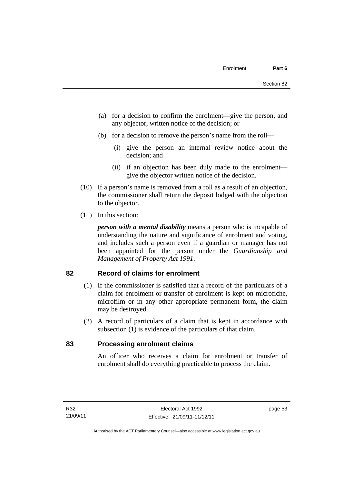- (a) for a decision to confirm the enrolment—give the person, and any objector, written notice of the decision; or
- (b) for a decision to remove the person's name from the roll—
	- (i) give the person an internal review notice about the decision; and
	- (ii) if an objection has been duly made to the enrolment give the objector written notice of the decision.
- (10) If a person's name is removed from a roll as a result of an objection, the commissioner shall return the deposit lodged with the objection to the objector.
- (11) In this section:

*person with a mental disability* means a person who is incapable of understanding the nature and significance of enrolment and voting, and includes such a person even if a guardian or manager has not been appointed for the person under the *Guardianship and Management of Property Act 1991*.

#### **82 Record of claims for enrolment**

- (1) If the commissioner is satisfied that a record of the particulars of a claim for enrolment or transfer of enrolment is kept on microfiche, microfilm or in any other appropriate permanent form, the claim may be destroyed.
- (2) A record of particulars of a claim that is kept in accordance with subsection (1) is evidence of the particulars of that claim.

#### **83 Processing enrolment claims**

An officer who receives a claim for enrolment or transfer of enrolment shall do everything practicable to process the claim.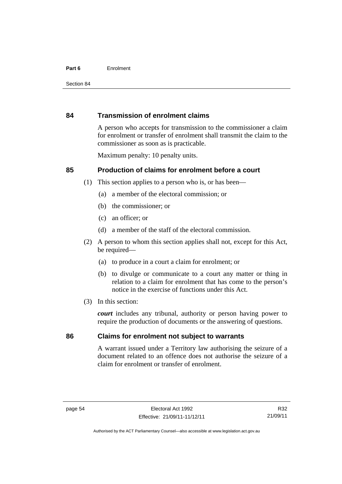#### **Part 6** Enrolment

#### **84 Transmission of enrolment claims**

A person who accepts for transmission to the commissioner a claim for enrolment or transfer of enrolment shall transmit the claim to the commissioner as soon as is practicable.

Maximum penalty: 10 penalty units.

#### **85 Production of claims for enrolment before a court**

- (1) This section applies to a person who is, or has been—
	- (a) a member of the electoral commission; or
	- (b) the commissioner; or
	- (c) an officer; or
	- (d) a member of the staff of the electoral commission.
- (2) A person to whom this section applies shall not, except for this Act, be required-
	- (a) to produce in a court a claim for enrolment; or
	- (b) to divulge or communicate to a court any matter or thing in relation to a claim for enrolment that has come to the person's notice in the exercise of functions under this Act.
- (3) In this section:

*court* includes any tribunal, authority or person having power to require the production of documents or the answering of questions.

# **86 Claims for enrolment not subject to warrants**

A warrant issued under a Territory law authorising the seizure of a document related to an offence does not authorise the seizure of a claim for enrolment or transfer of enrolment.

Authorised by the ACT Parliamentary Counsel—also accessible at www.legislation.act.gov.au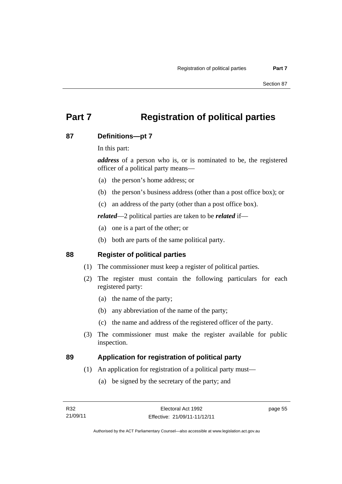# **Part 7 Registration of political parties**

# **87 Definitions—pt 7**

In this part:

*address* of a person who is, or is nominated to be, the registered officer of a political party means—

- (a) the person's home address; or
- (b) the person's business address (other than a post office box); or
- (c) an address of the party (other than a post office box).

*related*—2 political parties are taken to be *related* if—

- (a) one is a part of the other; or
- (b) both are parts of the same political party.

# **88 Register of political parties**

- (1) The commissioner must keep a register of political parties.
- (2) The register must contain the following particulars for each registered party:
	- (a) the name of the party;
	- (b) any abbreviation of the name of the party;
	- (c) the name and address of the registered officer of the party.
- (3) The commissioner must make the register available for public inspection.

# **89 Application for registration of political party**

- (1) An application for registration of a political party must—
	- (a) be signed by the secretary of the party; and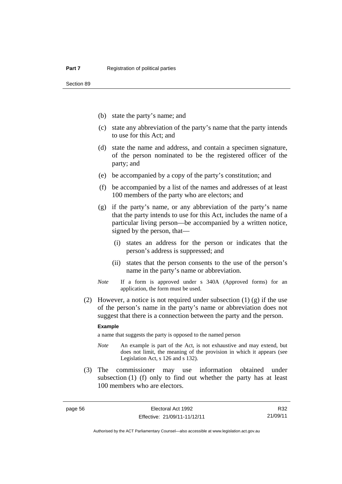Section 89

- (b) state the party's name; and
- (c) state any abbreviation of the party's name that the party intends to use for this Act; and
- (d) state the name and address, and contain a specimen signature, of the person nominated to be the registered officer of the party; and
- (e) be accompanied by a copy of the party's constitution; and
- (f) be accompanied by a list of the names and addresses of at least 100 members of the party who are electors; and
- (g) if the party's name, or any abbreviation of the party's name that the party intends to use for this Act, includes the name of a particular living person—be accompanied by a written notice, signed by the person, that—
	- (i) states an address for the person or indicates that the person's address is suppressed; and
	- (ii) states that the person consents to the use of the person's name in the party's name or abbreviation.
- *Note* If a form is approved under s 340A (Approved forms) for an application, the form must be used.
- (2) However, a notice is not required under subsection  $(1)$  (g) if the use of the person's name in the party's name or abbreviation does not suggest that there is a connection between the party and the person.

#### **Example**

a name that suggests the party is opposed to the named person

- *Note* An example is part of the Act, is not exhaustive and may extend, but does not limit, the meaning of the provision in which it appears (see Legislation Act, s 126 and s 132).
- (3) The commissioner may use information obtained under subsection (1) (f) only to find out whether the party has at least 100 members who are electors.

R32 21/09/11

Authorised by the ACT Parliamentary Counsel—also accessible at www.legislation.act.gov.au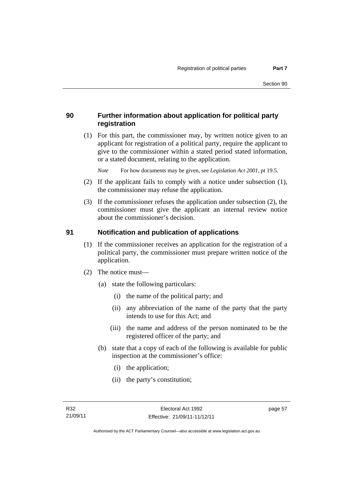# **90 Further information about application for political party registration**

 (1) For this part, the commissioner may, by written notice given to an applicant for registration of a political party, require the applicant to give to the commissioner within a stated period stated information, or a stated document, relating to the application.

*Note* For how documents may be given, see *Legislation Act 2001*, pt 19.5.

- (2) If the applicant fails to comply with a notice under subsection (1), the commissioner may refuse the application.
- (3) If the commissioner refuses the application under subsection (2), the commissioner must give the applicant an internal review notice about the commissioner's decision.

#### **91 Notification and publication of applications**

- (1) If the commissioner receives an application for the registration of a political party, the commissioner must prepare written notice of the application.
- (2) The notice must—
	- (a) state the following particulars:
		- (i) the name of the political party; and
		- (ii) any abbreviation of the name of the party that the party intends to use for this Act; and
		- (iii) the name and address of the person nominated to be the registered officer of the party; and
	- (b) state that a copy of each of the following is available for public inspection at the commissioner's office:
		- (i) the application;
		- (ii) the party's constitution;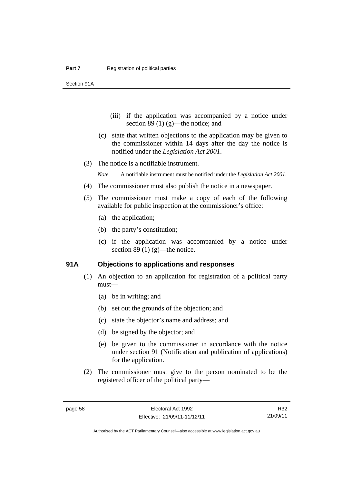Section 91A

- (iii) if the application was accompanied by a notice under section 89 $(1)$  $(g)$ —the notice; and
- (c) state that written objections to the application may be given to the commissioner within 14 days after the day the notice is notified under the *Legislation Act 2001*.
- (3) The notice is a notifiable instrument.

*Note* A notifiable instrument must be notified under the *Legislation Act 2001*.

- (4) The commissioner must also publish the notice in a newspaper.
- (5) The commissioner must make a copy of each of the following available for public inspection at the commissioner's office:
	- (a) the application;
	- (b) the party's constitution;
	- (c) if the application was accompanied by a notice under section 89 (1)  $(g)$ —the notice.

#### **91A Objections to applications and responses**

- (1) An objection to an application for registration of a political party must—
	- (a) be in writing; and
	- (b) set out the grounds of the objection; and
	- (c) state the objector's name and address; and
	- (d) be signed by the objector; and
	- (e) be given to the commissioner in accordance with the notice under section 91 (Notification and publication of applications) for the application.
- (2) The commissioner must give to the person nominated to be the registered officer of the political party—

R32 21/09/11

Authorised by the ACT Parliamentary Counsel—also accessible at www.legislation.act.gov.au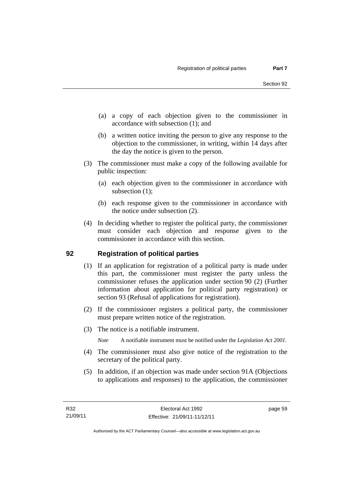- (a) a copy of each objection given to the commissioner in accordance with subsection (1); and
- (b) a written notice inviting the person to give any response to the objection to the commissioner, in writing, within 14 days after the day the notice is given to the person.
- (3) The commissioner must make a copy of the following available for public inspection:
	- (a) each objection given to the commissioner in accordance with subsection  $(1)$ ;
	- (b) each response given to the commissioner in accordance with the notice under subsection (2).
- (4) In deciding whether to register the political party, the commissioner must consider each objection and response given to the commissioner in accordance with this section.

# **92 Registration of political parties**

- (1) If an application for registration of a political party is made under this part, the commissioner must register the party unless the commissioner refuses the application under section 90 (2) (Further information about application for political party registration) or section 93 (Refusal of applications for registration).
- (2) If the commissioner registers a political party, the commissioner must prepare written notice of the registration.
- (3) The notice is a notifiable instrument.

*Note* A notifiable instrument must be notified under the *Legislation Act 2001*.

- (4) The commissioner must also give notice of the registration to the secretary of the political party.
- (5) In addition, if an objection was made under section 91A (Objections to applications and responses) to the application, the commissioner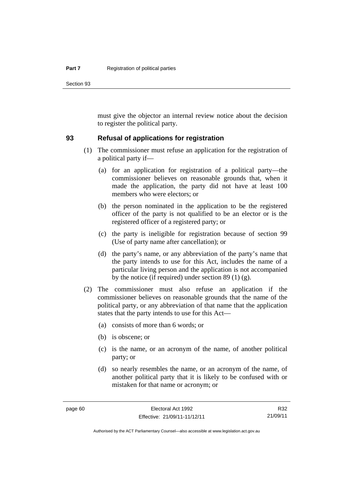Section 93

must give the objector an internal review notice about the decision to register the political party.

#### **93 Refusal of applications for registration**

- (1) The commissioner must refuse an application for the registration of a political party if—
	- (a) for an application for registration of a political party—the commissioner believes on reasonable grounds that, when it made the application, the party did not have at least 100 members who were electors; or
	- (b) the person nominated in the application to be the registered officer of the party is not qualified to be an elector or is the registered officer of a registered party; or
	- (c) the party is ineligible for registration because of section 99 (Use of party name after cancellation); or
	- (d) the party's name, or any abbreviation of the party's name that the party intends to use for this Act, includes the name of a particular living person and the application is not accompanied by the notice (if required) under section 89 (1) (g).
- (2) The commissioner must also refuse an application if the commissioner believes on reasonable grounds that the name of the political party, or any abbreviation of that name that the application states that the party intends to use for this Act—
	- (a) consists of more than 6 words; or
	- (b) is obscene; or
	- (c) is the name, or an acronym of the name, of another political party; or
	- (d) so nearly resembles the name, or an acronym of the name, of another political party that it is likely to be confused with or mistaken for that name or acronym; or

R32 21/09/11

Authorised by the ACT Parliamentary Counsel—also accessible at www.legislation.act.gov.au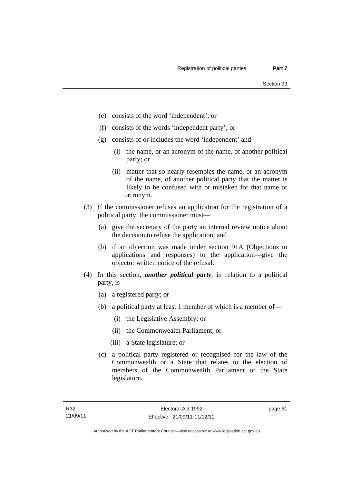- (e) consists of the word 'independent'; or
- (f) consists of the words 'independent party'; or
- (g) consists of or includes the word 'independent' and—
	- (i) the name, or an acronym of the name, of another political party; or
	- (ii) matter that so nearly resembles the name, or an acronym of the name, of another political party that the matter is likely to be confused with or mistaken for that name or acronym.
- (3) If the commissioner refuses an application for the registration of a political party, the commissioner must—
	- (a) give the secretary of the party an internal review notice about the decision to refuse the application; and
	- (b) if an objection was made under section 91A (Objections to applications and responses) to the application—give the objector written notice of the refusal.
- (4) In this section, *another political party*, in relation to a political party, is—
	- (a) a registered party; or
	- (b) a political party at least 1 member of which is a member of—
		- (i) the Legislative Assembly; or
		- (ii) the Commonwealth Parliament; or
		- (iii) a State legislature; or
	- (c) a political party registered or recognised for the law of the Commonwealth or a State that relates to the election of members of the Commonwealth Parliament or the State legislature.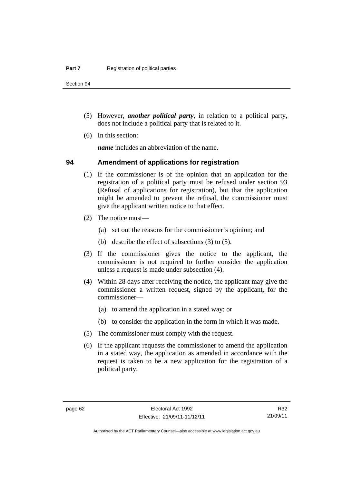Section 94

- (5) However, *another political party*, in relation to a political party, does not include a political party that is related to it.
- (6) In this section:

*name* includes an abbreviation of the name.

### **94 Amendment of applications for registration**

- (1) If the commissioner is of the opinion that an application for the registration of a political party must be refused under section 93 (Refusal of applications for registration), but that the application might be amended to prevent the refusal, the commissioner must give the applicant written notice to that effect.
- (2) The notice must—
	- (a) set out the reasons for the commissioner's opinion; and
	- (b) describe the effect of subsections (3) to (5).
- (3) If the commissioner gives the notice to the applicant, the commissioner is not required to further consider the application unless a request is made under subsection (4).
- (4) Within 28 days after receiving the notice, the applicant may give the commissioner a written request, signed by the applicant, for the commissioner—
	- (a) to amend the application in a stated way; or
	- (b) to consider the application in the form in which it was made.
- (5) The commissioner must comply with the request.
- (6) If the applicant requests the commissioner to amend the application in a stated way, the application as amended in accordance with the request is taken to be a new application for the registration of a political party.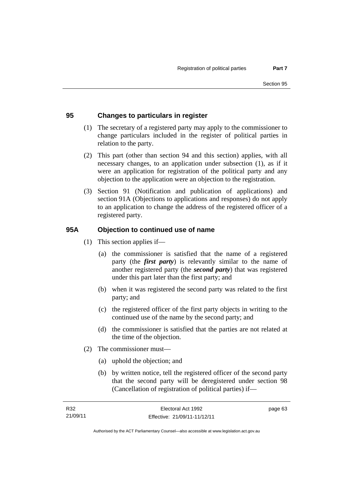# **95 Changes to particulars in register**

- (1) The secretary of a registered party may apply to the commissioner to change particulars included in the register of political parties in relation to the party.
- (2) This part (other than section 94 and this section) applies, with all necessary changes, to an application under subsection (1), as if it were an application for registration of the political party and any objection to the application were an objection to the registration.
- (3) Section 91 (Notification and publication of applications) and section 91A (Objections to applications and responses) do not apply to an application to change the address of the registered officer of a registered party.

### **95A Objection to continued use of name**

- (1) This section applies if—
	- (a) the commissioner is satisfied that the name of a registered party (the *first party*) is relevantly similar to the name of another registered party (the *second party*) that was registered under this part later than the first party; and
	- (b) when it was registered the second party was related to the first party; and
	- (c) the registered officer of the first party objects in writing to the continued use of the name by the second party; and
	- (d) the commissioner is satisfied that the parties are not related at the time of the objection.
- (2) The commissioner must—
	- (a) uphold the objection; and
	- (b) by written notice, tell the registered officer of the second party that the second party will be deregistered under section 98 (Cancellation of registration of political parties) if—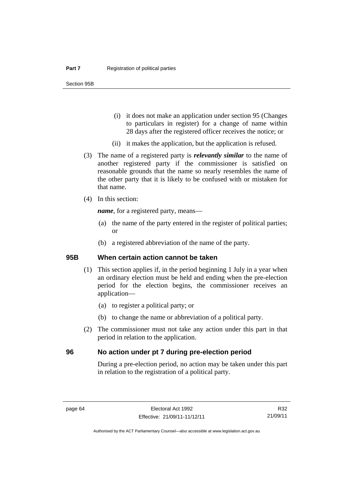- (i) it does not make an application under section 95 (Changes to particulars in register) for a change of name within 28 days after the registered officer receives the notice; or
- (ii) it makes the application, but the application is refused.
- (3) The name of a registered party is *relevantly similar* to the name of another registered party if the commissioner is satisfied on reasonable grounds that the name so nearly resembles the name of the other party that it is likely to be confused with or mistaken for that name.
- (4) In this section:

*name*, for a registered party, means—

- (a) the name of the party entered in the register of political parties; or
- (b) a registered abbreviation of the name of the party.

#### **95B When certain action cannot be taken**

- (1) This section applies if, in the period beginning 1 July in a year when an ordinary election must be held and ending when the pre-election period for the election begins, the commissioner receives an application—
	- (a) to register a political party; or
	- (b) to change the name or abbreviation of a political party.
- (2) The commissioner must not take any action under this part in that period in relation to the application.

#### **96 No action under pt 7 during pre-election period**

During a pre-election period, no action may be taken under this part in relation to the registration of a political party.

R32 21/09/11

Authorised by the ACT Parliamentary Counsel—also accessible at www.legislation.act.gov.au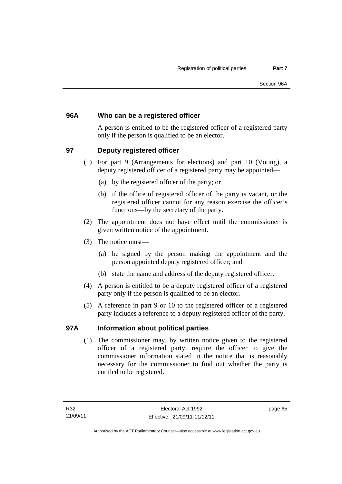# **96A Who can be a registered officer**

A person is entitled to be the registered officer of a registered party only if the person is qualified to be an elector.

# **97 Deputy registered officer**

- (1) For part 9 (Arrangements for elections) and part 10 (Voting), a deputy registered officer of a registered party may be appointed—
	- (a) by the registered officer of the party; or
	- (b) if the office of registered officer of the party is vacant, or the registered officer cannot for any reason exercise the officer's functions—by the secretary of the party.
- (2) The appointment does not have effect until the commissioner is given written notice of the appointment.
- (3) The notice must—
	- (a) be signed by the person making the appointment and the person appointed deputy registered officer; and
	- (b) state the name and address of the deputy registered officer.
- (4) A person is entitled to be a deputy registered officer of a registered party only if the person is qualified to be an elector.
- (5) A reference in part 9 or 10 to the registered officer of a registered party includes a reference to a deputy registered officer of the party.

# **97A Information about political parties**

(1) The commissioner may, by written notice given to the registered officer of a registered party, require the officer to give the commissioner information stated in the notice that is reasonably necessary for the commissioner to find out whether the party is entitled to be registered.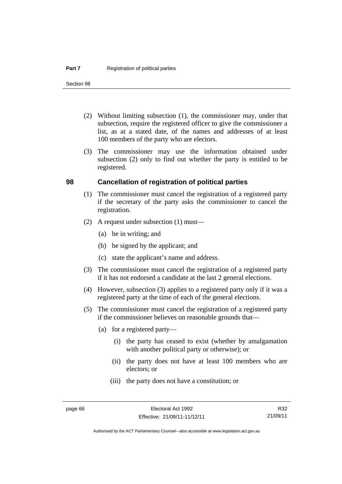Section 98

- (2) Without limiting subsection (1), the commissioner may, under that subsection, require the registered officer to give the commissioner a list, as at a stated date, of the names and addresses of at least 100 members of the party who are electors.
- (3) The commissioner may use the information obtained under subsection (2) only to find out whether the party is entitled to be registered.

#### **98 Cancellation of registration of political parties**

- (1) The commissioner must cancel the registration of a registered party if the secretary of the party asks the commissioner to cancel the registration.
- (2) A request under subsection (1) must—
	- (a) be in writing; and
	- (b) be signed by the applicant; and
	- (c) state the applicant's name and address.
- (3) The commissioner must cancel the registration of a registered party if it has not endorsed a candidate at the last 2 general elections.
- (4) However, subsection (3) applies to a registered party only if it was a registered party at the time of each of the general elections.
- (5) The commissioner must cancel the registration of a registered party if the commissioner believes on reasonable grounds that—
	- (a) for a registered party—
		- (i) the party has ceased to exist (whether by amalgamation with another political party or otherwise); or
		- (ii) the party does not have at least 100 members who are electors; or
		- (iii) the party does not have a constitution; or

R32 21/09/11

Authorised by the ACT Parliamentary Counsel—also accessible at www.legislation.act.gov.au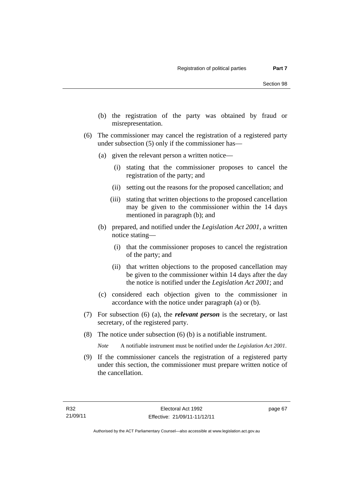- (b) the registration of the party was obtained by fraud or misrepresentation.
- (6) The commissioner may cancel the registration of a registered party under subsection (5) only if the commissioner has—
	- (a) given the relevant person a written notice—
		- (i) stating that the commissioner proposes to cancel the registration of the party; and
		- (ii) setting out the reasons for the proposed cancellation; and
		- (iii) stating that written objections to the proposed cancellation may be given to the commissioner within the 14 days mentioned in paragraph (b); and
	- (b) prepared, and notified under the *Legislation Act 2001*, a written notice stating—
		- (i) that the commissioner proposes to cancel the registration of the party; and
		- (ii) that written objections to the proposed cancellation may be given to the commissioner within 14 days after the day the notice is notified under the *Legislation Act 2001*; and
	- (c) considered each objection given to the commissioner in accordance with the notice under paragraph (a) or (b).
- (7) For subsection (6) (a), the *relevant person* is the secretary, or last secretary, of the registered party.
- (8) The notice under subsection (6) (b) is a notifiable instrument.

*Note* A notifiable instrument must be notified under the *Legislation Act 2001*.

 (9) If the commissioner cancels the registration of a registered party under this section, the commissioner must prepare written notice of the cancellation.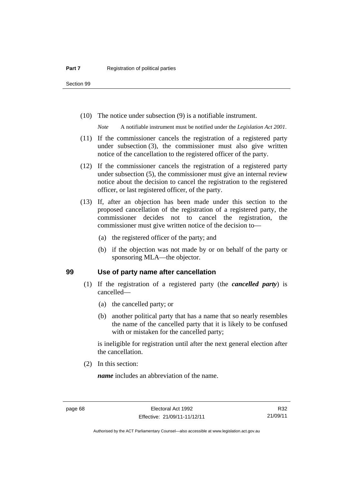Section 99

(10) The notice under subsection (9) is a notifiable instrument.

*Note* A notifiable instrument must be notified under the *Legislation Act 2001*.

- (11) If the commissioner cancels the registration of a registered party under subsection (3), the commissioner must also give written notice of the cancellation to the registered officer of the party.
- (12) If the commissioner cancels the registration of a registered party under subsection (5), the commissioner must give an internal review notice about the decision to cancel the registration to the registered officer, or last registered officer, of the party.
- (13) If, after an objection has been made under this section to the proposed cancellation of the registration of a registered party, the commissioner decides not to cancel the registration, the commissioner must give written notice of the decision to—
	- (a) the registered officer of the party; and
	- (b) if the objection was not made by or on behalf of the party or sponsoring MLA—the objector.

#### **99 Use of party name after cancellation**

- (1) If the registration of a registered party (the *cancelled party*) is cancelled—
	- (a) the cancelled party; or
	- (b) another political party that has a name that so nearly resembles the name of the cancelled party that it is likely to be confused with or mistaken for the cancelled party;

is ineligible for registration until after the next general election after the cancellation.

(2) In this section:

*name* includes an abbreviation of the name.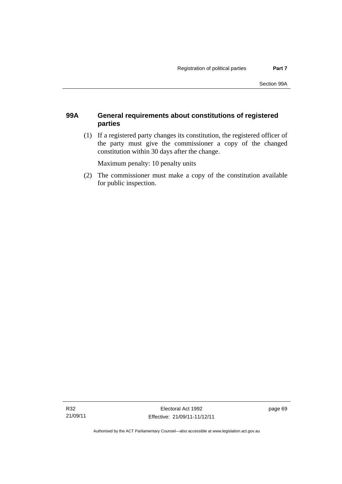# **99A General requirements about constitutions of registered parties**

 (1) If a registered party changes its constitution, the registered officer of the party must give the commissioner a copy of the changed constitution within 30 days after the change.

Maximum penalty: 10 penalty units

 (2) The commissioner must make a copy of the constitution available for public inspection.

page 69

Authorised by the ACT Parliamentary Counsel—also accessible at www.legislation.act.gov.au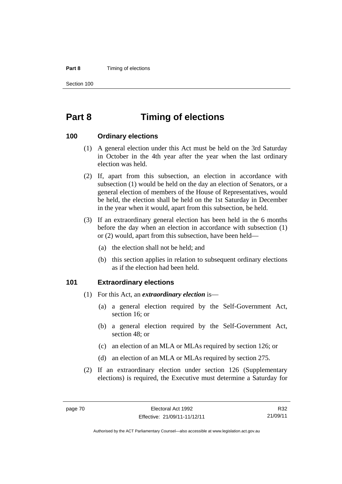#### **Part 8 Timing of elections**

Section 100

# **Part 8 Timing of elections**

#### **100 Ordinary elections**

- (1) A general election under this Act must be held on the 3rd Saturday in October in the 4th year after the year when the last ordinary election was held.
- (2) If, apart from this subsection, an election in accordance with subsection (1) would be held on the day an election of Senators, or a general election of members of the House of Representatives, would be held, the election shall be held on the 1st Saturday in December in the year when it would, apart from this subsection, be held.
- (3) If an extraordinary general election has been held in the 6 months before the day when an election in accordance with subsection (1) or (2) would, apart from this subsection, have been held—
	- (a) the election shall not be held; and
	- (b) this section applies in relation to subsequent ordinary elections as if the election had been held.

#### **101 Extraordinary elections**

- (1) For this Act, an *extraordinary election* is—
	- (a) a general election required by the Self-Government Act, section 16; or
	- (b) a general election required by the Self-Government Act, section 48; or
	- (c) an election of an MLA or MLAs required by section 126; or
	- (d) an election of an MLA or MLAs required by section 275.
- (2) If an extraordinary election under section 126 (Supplementary elections) is required, the Executive must determine a Saturday for

R32 21/09/11

Authorised by the ACT Parliamentary Counsel—also accessible at www.legislation.act.gov.au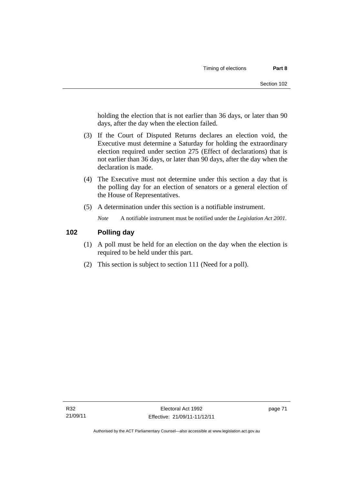holding the election that is not earlier than 36 days, or later than 90 days, after the day when the election failed.

- (3) If the Court of Disputed Returns declares an election void, the Executive must determine a Saturday for holding the extraordinary election required under section 275 (Effect of declarations) that is not earlier than 36 days, or later than 90 days, after the day when the declaration is made.
- (4) The Executive must not determine under this section a day that is the polling day for an election of senators or a general election of the House of Representatives.
- (5) A determination under this section is a notifiable instrument.

*Note* A notifiable instrument must be notified under the *Legislation Act 2001*.

# **102 Polling day**

- (1) A poll must be held for an election on the day when the election is required to be held under this part.
- (2) This section is subject to section 111 (Need for a poll).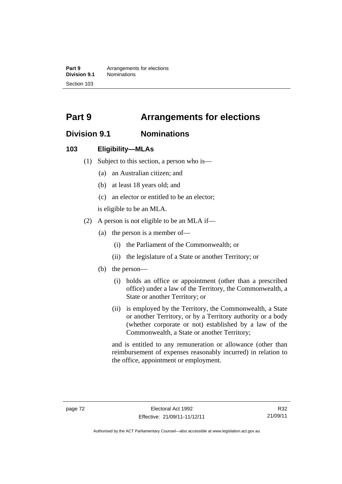**Part 9 Arrangements for elections**<br>**Division 9.1 Nominations Division 9.1** Nominations Section 103

# **Part 9 Arrangements for elections**

# **Division 9.1 Nominations**

### **103 Eligibility—MLAs**

- (1) Subject to this section, a person who is—
	- (a) an Australian citizen; and
	- (b) at least 18 years old; and
	- (c) an elector or entitled to be an elector;

is eligible to be an MLA.

- (2) A person is not eligible to be an MLA if—
	- (a) the person is a member of—
		- (i) the Parliament of the Commonwealth; or
		- (ii) the legislature of a State or another Territory; or
	- (b) the person—
		- (i) holds an office or appointment (other than a prescribed office) under a law of the Territory, the Commonwealth, a State or another Territory; or
		- (ii) is employed by the Territory, the Commonwealth, a State or another Territory, or by a Territory authority or a body (whether corporate or not) established by a law of the Commonwealth, a State or another Territory;

and is entitled to any remuneration or allowance (other than reimbursement of expenses reasonably incurred) in relation to the office, appointment or employment.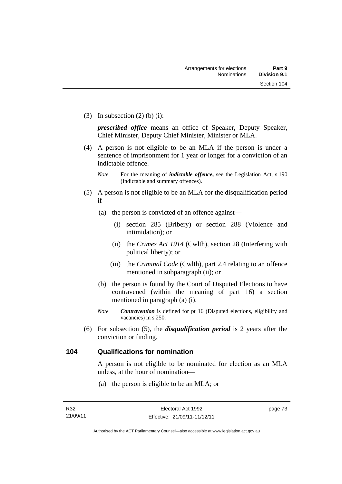(3) In subsection  $(2)$  (b) (i):

*prescribed office* means an office of Speaker, Deputy Speaker, Chief Minister, Deputy Chief Minister, Minister or MLA.

 (4) A person is not eligible to be an MLA if the person is under a sentence of imprisonment for 1 year or longer for a conviction of an indictable offence.

- (5) A person is not eligible to be an MLA for the disqualification period if—
	- (a) the person is convicted of an offence against—
		- (i) section 285 (Bribery) or section 288 (Violence and intimidation); or
		- (ii) the *Crimes Act 1914* (Cwlth), section 28 (Interfering with political liberty); or
		- (iii) the *Criminal Code* (Cwlth), part 2.4 relating to an offence mentioned in subparagraph (ii); or
	- (b) the person is found by the Court of Disputed Elections to have contravened (within the meaning of part 16) a section mentioned in paragraph (a) (i).
	- *Note Contravention* is defined for pt 16 (Disputed elections, eligibility and vacancies) in s 250.
- (6) For subsection (5), the *disqualification period* is 2 years after the conviction or finding.

# **104 Qualifications for nomination**

A person is not eligible to be nominated for election as an MLA unless, at the hour of nomination—

(a) the person is eligible to be an MLA; or

*Note* For the meaning of *indictable offence*, see the Legislation Act, s 190 (Indictable and summary offences).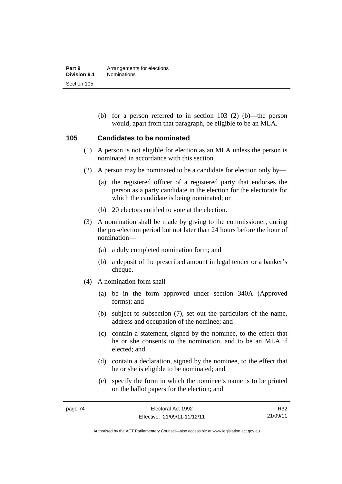(b) for a person referred to in section 103 (2) (b)—the person would, apart from that paragraph, be eligible to be an MLA.

#### **105 Candidates to be nominated**

- (1) A person is not eligible for election as an MLA unless the person is nominated in accordance with this section.
- (2) A person may be nominated to be a candidate for election only by—
	- (a) the registered officer of a registered party that endorses the person as a party candidate in the election for the electorate for which the candidate is being nominated; or
	- (b) 20 electors entitled to vote at the election.
- (3) A nomination shall be made by giving to the commissioner, during the pre-election period but not later than 24 hours before the hour of nomination—
	- (a) a duly completed nomination form; and
	- (b) a deposit of the prescribed amount in legal tender or a banker's cheque.
- (4) A nomination form shall—
	- (a) be in the form approved under section 340A (Approved forms); and
	- (b) subject to subsection (7), set out the particulars of the name, address and occupation of the nominee; and
	- (c) contain a statement, signed by the nominee, to the effect that he or she consents to the nomination, and to be an MLA if elected; and
	- (d) contain a declaration, signed by the nominee, to the effect that he or she is eligible to be nominated; and
	- (e) specify the form in which the nominee's name is to be printed on the ballot papers for the election; and

R32 21/09/11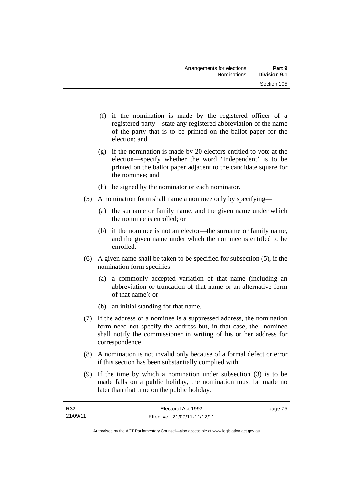- (f) if the nomination is made by the registered officer of a registered party—state any registered abbreviation of the name of the party that is to be printed on the ballot paper for the election; and
- (g) if the nomination is made by 20 electors entitled to vote at the election—specify whether the word 'Independent' is to be printed on the ballot paper adjacent to the candidate square for the nominee; and
- (h) be signed by the nominator or each nominator.
- (5) A nomination form shall name a nominee only by specifying—
	- (a) the surname or family name, and the given name under which the nominee is enrolled; or
	- (b) if the nominee is not an elector—the surname or family name, and the given name under which the nominee is entitled to be enrolled.
- (6) A given name shall be taken to be specified for subsection (5), if the nomination form specifies—
	- (a) a commonly accepted variation of that name (including an abbreviation or truncation of that name or an alternative form of that name); or
	- (b) an initial standing for that name.
- (7) If the address of a nominee is a suppressed address, the nomination form need not specify the address but, in that case, the nominee shall notify the commissioner in writing of his or her address for correspondence.
- (8) A nomination is not invalid only because of a formal defect or error if this section has been substantially complied with.
- (9) If the time by which a nomination under subsection (3) is to be made falls on a public holiday, the nomination must be made no later than that time on the public holiday.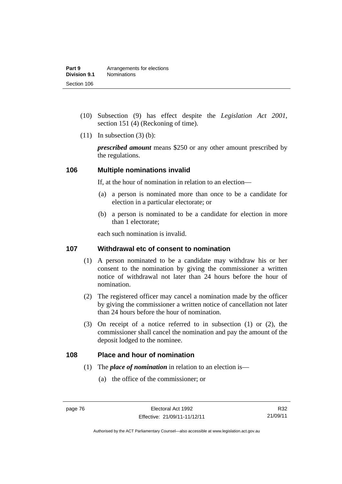- (10) Subsection (9) has effect despite the *Legislation Act 2001*, section 151 (4) (Reckoning of time).
- $(11)$  In subsection  $(3)$  (b):

*prescribed amount* means \$250 or any other amount prescribed by the regulations.

#### **106 Multiple nominations invalid**

If, at the hour of nomination in relation to an election—

- (a) a person is nominated more than once to be a candidate for election in a particular electorate; or
- (b) a person is nominated to be a candidate for election in more than 1 electorate;

each such nomination is invalid.

### **107 Withdrawal etc of consent to nomination**

- (1) A person nominated to be a candidate may withdraw his or her consent to the nomination by giving the commissioner a written notice of withdrawal not later than 24 hours before the hour of nomination.
- (2) The registered officer may cancel a nomination made by the officer by giving the commissioner a written notice of cancellation not later than 24 hours before the hour of nomination.
- (3) On receipt of a notice referred to in subsection (1) or (2), the commissioner shall cancel the nomination and pay the amount of the deposit lodged to the nominee.

#### **108 Place and hour of nomination**

- (1) The *place of nomination* in relation to an election is—
	- (a) the office of the commissioner; or

Authorised by the ACT Parliamentary Counsel—also accessible at www.legislation.act.gov.au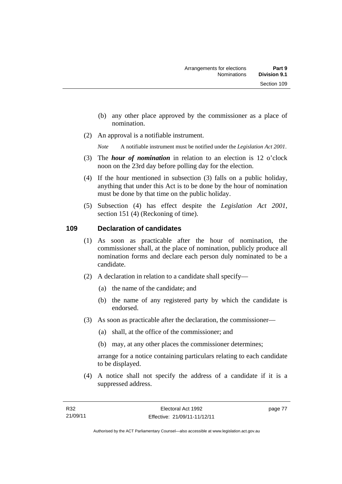- (b) any other place approved by the commissioner as a place of nomination.
- (2) An approval is a notifiable instrument.

*Note* A notifiable instrument must be notified under the *Legislation Act 2001*.

- (3) The *hour of nomination* in relation to an election is 12 o'clock noon on the 23rd day before polling day for the election.
- (4) If the hour mentioned in subsection (3) falls on a public holiday, anything that under this Act is to be done by the hour of nomination must be done by that time on the public holiday.
- (5) Subsection (4) has effect despite the *Legislation Act 2001*, section 151 (4) (Reckoning of time).

#### **109 Declaration of candidates**

- (1) As soon as practicable after the hour of nomination, the commissioner shall, at the place of nomination, publicly produce all nomination forms and declare each person duly nominated to be a candidate.
- (2) A declaration in relation to a candidate shall specify—
	- (a) the name of the candidate; and
	- (b) the name of any registered party by which the candidate is endorsed.
- (3) As soon as practicable after the declaration, the commissioner—
	- (a) shall, at the office of the commissioner; and
	- (b) may, at any other places the commissioner determines;

arrange for a notice containing particulars relating to each candidate to be displayed.

 (4) A notice shall not specify the address of a candidate if it is a suppressed address.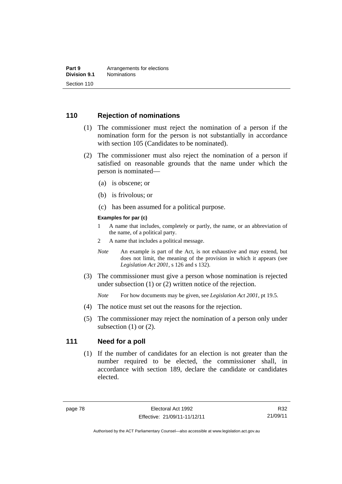### **110 Rejection of nominations**

- (1) The commissioner must reject the nomination of a person if the nomination form for the person is not substantially in accordance with section 105 (Candidates to be nominated).
- (2) The commissioner must also reject the nomination of a person if satisfied on reasonable grounds that the name under which the person is nominated—
	- (a) is obscene; or
	- (b) is frivolous; or
	- (c) has been assumed for a political purpose.

#### **Examples for par (c)**

- 1 A name that includes, completely or partly, the name, or an abbreviation of the name, of a political party.
- 2 A name that includes a political message.
- *Note* An example is part of the Act, is not exhaustive and may extend, but does not limit, the meaning of the provision in which it appears (see *Legislation Act 2001*, s 126 and s 132).
- (3) The commissioner must give a person whose nomination is rejected under subsection (1) or (2) written notice of the rejection.

*Note* For how documents may be given, see *Legislation Act 2001*, pt 19.5.

- (4) The notice must set out the reasons for the rejection.
- (5) The commissioner may reject the nomination of a person only under subsection  $(1)$  or  $(2)$ .

#### **111 Need for a poll**

(1) If the number of candidates for an election is not greater than the number required to be elected, the commissioner shall, in accordance with section 189, declare the candidate or candidates elected.

R32 21/09/11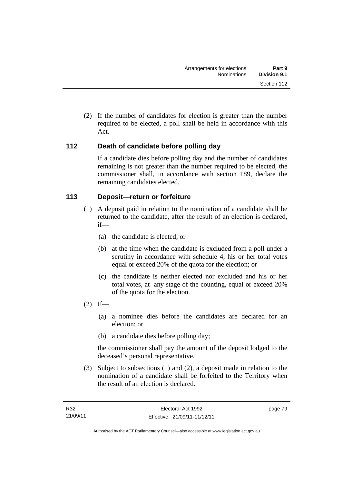(2) If the number of candidates for election is greater than the number required to be elected, a poll shall be held in accordance with this Act.

# **112 Death of candidate before polling day**

If a candidate dies before polling day and the number of candidates remaining is not greater than the number required to be elected, the commissioner shall, in accordance with section 189, declare the remaining candidates elected.

# **113 Deposit—return or forfeiture**

- (1) A deposit paid in relation to the nomination of a candidate shall be returned to the candidate, after the result of an election is declared, if—
	- (a) the candidate is elected; or
	- (b) at the time when the candidate is excluded from a poll under a scrutiny in accordance with schedule 4, his or her total votes equal or exceed 20% of the quota for the election; or
	- (c) the candidate is neither elected nor excluded and his or her total votes, at any stage of the counting, equal or exceed 20% of the quota for the election.
- $(2)$  If—
	- (a) a nominee dies before the candidates are declared for an election; or
	- (b) a candidate dies before polling day;

the commissioner shall pay the amount of the deposit lodged to the deceased's personal representative.

 (3) Subject to subsections (1) and (2), a deposit made in relation to the nomination of a candidate shall be forfeited to the Territory when the result of an election is declared.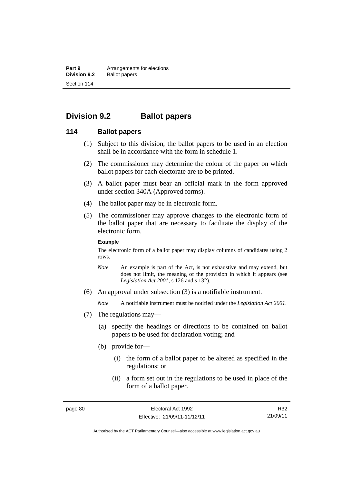**Part 9 Arrangements for elections**<br>**Division 9.2 Ballot papers Ballot papers** Section 114

# **Division 9.2 Ballot papers**

#### **114 Ballot papers**

- (1) Subject to this division, the ballot papers to be used in an election shall be in accordance with the form in schedule 1.
- (2) The commissioner may determine the colour of the paper on which ballot papers for each electorate are to be printed.
- (3) A ballot paper must bear an official mark in the form approved under section 340A (Approved forms).
- (4) The ballot paper may be in electronic form.
- (5) The commissioner may approve changes to the electronic form of the ballot paper that are necessary to facilitate the display of the electronic form.

#### **Example**

The electronic form of a ballot paper may display columns of candidates using 2 rows.

- *Note* An example is part of the Act, is not exhaustive and may extend, but does not limit, the meaning of the provision in which it appears (see *Legislation Act 2001*, s 126 and s 132).
- (6) An approval under subsection (3) is a notifiable instrument.

*Note* A notifiable instrument must be notified under the *Legislation Act 2001*.

- (7) The regulations may—
	- (a) specify the headings or directions to be contained on ballot papers to be used for declaration voting; and
	- (b) provide for—
		- (i) the form of a ballot paper to be altered as specified in the regulations; or
		- (ii) a form set out in the regulations to be used in place of the form of a ballot paper.

R32 21/09/11

Authorised by the ACT Parliamentary Counsel—also accessible at www.legislation.act.gov.au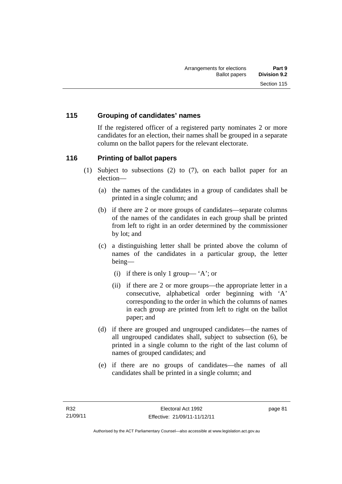## **115 Grouping of candidates' names**

If the registered officer of a registered party nominates 2 or more candidates for an election, their names shall be grouped in a separate column on the ballot papers for the relevant electorate.

### **116 Printing of ballot papers**

- (1) Subject to subsections (2) to (7), on each ballot paper for an election—
	- (a) the names of the candidates in a group of candidates shall be printed in a single column; and
	- (b) if there are 2 or more groups of candidates—separate columns of the names of the candidates in each group shall be printed from left to right in an order determined by the commissioner by lot; and
	- (c) a distinguishing letter shall be printed above the column of names of the candidates in a particular group, the letter being—
		- (i) if there is only 1 group— 'A'; or
		- (ii) if there are 2 or more groups—the appropriate letter in a consecutive, alphabetical order beginning with 'A' corresponding to the order in which the columns of names in each group are printed from left to right on the ballot paper; and
	- (d) if there are grouped and ungrouped candidates—the names of all ungrouped candidates shall, subject to subsection (6), be printed in a single column to the right of the last column of names of grouped candidates; and
	- (e) if there are no groups of candidates—the names of all candidates shall be printed in a single column; and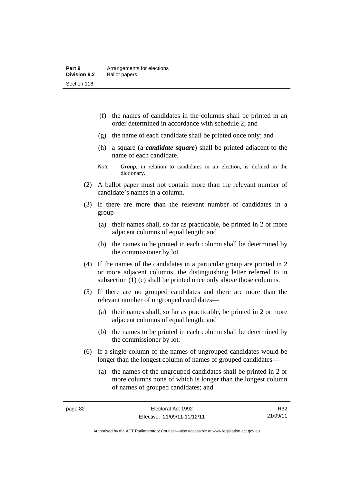- (f) the names of candidates in the columns shall be printed in an order determined in accordance with schedule 2; and
- (g) the name of each candidate shall be printed once only; and
- (h) a square (a *candidate square*) shall be printed adjacent to the name of each candidate.
- *Note Group*, in relation to candidates in an election, is defined in the dictionary.
- (2) A ballot paper must not contain more than the relevant number of candidate's names in a column.
- (3) If there are more than the relevant number of candidates in a group—
	- (a) their names shall, so far as practicable, be printed in 2 or more adjacent columns of equal length; and
	- (b) the names to be printed in each column shall be determined by the commissioner by lot.
- (4) If the names of the candidates in a particular group are printed in 2 or more adjacent columns, the distinguishing letter referred to in subsection (1) (c) shall be printed once only above those columns.
- (5) If there are no grouped candidates and there are more than the relevant number of ungrouped candidates—
	- (a) their names shall, so far as practicable, be printed in 2 or more adjacent columns of equal length; and
	- (b) the names to be printed in each column shall be determined by the commissioner by lot.
- (6) If a single column of the names of ungrouped candidates would be longer than the longest column of names of grouped candidates—
	- (a) the names of the ungrouped candidates shall be printed in 2 or more columns none of which is longer than the longest column of names of grouped candidates; and

R32 21/09/11

Authorised by the ACT Parliamentary Counsel—also accessible at www.legislation.act.gov.au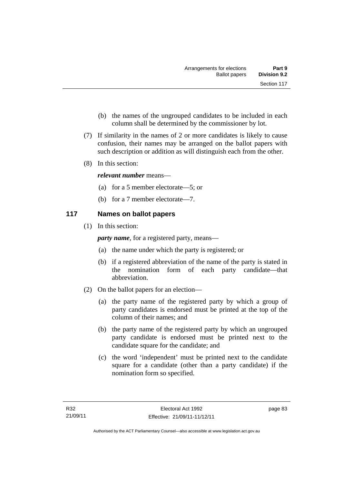- (b) the names of the ungrouped candidates to be included in each column shall be determined by the commissioner by lot.
- (7) If similarity in the names of 2 or more candidates is likely to cause confusion, their names may be arranged on the ballot papers with such description or addition as will distinguish each from the other.
- (8) In this section:

### *relevant number* means—

- (a) for a 5 member electorate—5; or
- (b) for a 7 member electorate—7.

# **117 Names on ballot papers**

(1) In this section:

*party name*, for a registered party, means—

- (a) the name under which the party is registered; or
- (b) if a registered abbreviation of the name of the party is stated in the nomination form of each party candidate—that abbreviation.
- (2) On the ballot papers for an election—
	- (a) the party name of the registered party by which a group of party candidates is endorsed must be printed at the top of the column of their names; and
	- (b) the party name of the registered party by which an ungrouped party candidate is endorsed must be printed next to the candidate square for the candidate; and
	- (c) the word 'independent' must be printed next to the candidate square for a candidate (other than a party candidate) if the nomination form so specified.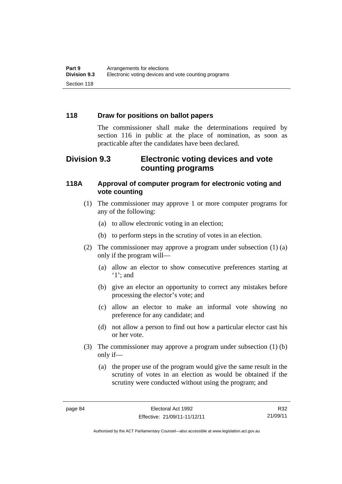## **118 Draw for positions on ballot papers**

The commissioner shall make the determinations required by section 116 in public at the place of nomination, as soon as practicable after the candidates have been declared.

# **Division 9.3 Electronic voting devices and vote counting programs**

## **118A Approval of computer program for electronic voting and vote counting**

- (1) The commissioner may approve 1 or more computer programs for any of the following:
	- (a) to allow electronic voting in an election;
	- (b) to perform steps in the scrutiny of votes in an election.
- (2) The commissioner may approve a program under subsection (1) (a) only if the program will—
	- (a) allow an elector to show consecutive preferences starting at '1'; and
	- (b) give an elector an opportunity to correct any mistakes before processing the elector's vote; and
	- (c) allow an elector to make an informal vote showing no preference for any candidate; and
	- (d) not allow a person to find out how a particular elector cast his or her vote.
- (3) The commissioner may approve a program under subsection (1) (b) only if—
	- (a) the proper use of the program would give the same result in the scrutiny of votes in an election as would be obtained if the scrutiny were conducted without using the program; and

R32 21/09/11

Authorised by the ACT Parliamentary Counsel—also accessible at www.legislation.act.gov.au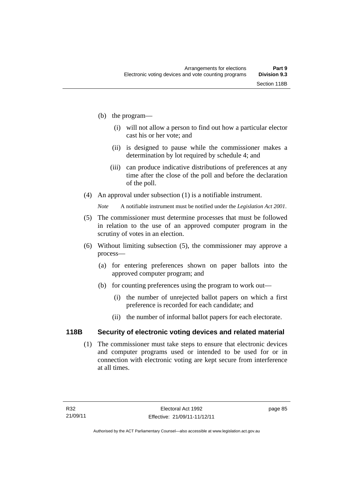- (b) the program—
	- (i) will not allow a person to find out how a particular elector cast his or her vote; and
	- (ii) is designed to pause while the commissioner makes a determination by lot required by schedule 4; and
	- (iii) can produce indicative distributions of preferences at any time after the close of the poll and before the declaration of the poll.
- (4) An approval under subsection (1) is a notifiable instrument.

*Note* A notifiable instrument must be notified under the *Legislation Act 2001*.

- (5) The commissioner must determine processes that must be followed in relation to the use of an approved computer program in the scrutiny of votes in an election.
- (6) Without limiting subsection (5), the commissioner may approve a process—
	- (a) for entering preferences shown on paper ballots into the approved computer program; and
	- (b) for counting preferences using the program to work out—
		- (i) the number of unrejected ballot papers on which a first preference is recorded for each candidate; and
		- (ii) the number of informal ballot papers for each electorate.

# **118B Security of electronic voting devices and related material**

 (1) The commissioner must take steps to ensure that electronic devices and computer programs used or intended to be used for or in connection with electronic voting are kept secure from interference at all times.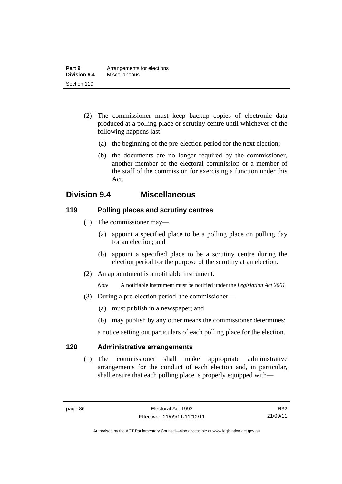- (2) The commissioner must keep backup copies of electronic data produced at a polling place or scrutiny centre until whichever of the following happens last:
	- (a) the beginning of the pre-election period for the next election;
	- (b) the documents are no longer required by the commissioner, another member of the electoral commission or a member of the staff of the commission for exercising a function under this Act.

# **Division 9.4 Miscellaneous**

### **119 Polling places and scrutiny centres**

- (1) The commissioner may—
	- (a) appoint a specified place to be a polling place on polling day for an election; and
	- (b) appoint a specified place to be a scrutiny centre during the election period for the purpose of the scrutiny at an election.
- (2) An appointment is a notifiable instrument.

*Note* A notifiable instrument must be notified under the *Legislation Act 2001*.

- (3) During a pre-election period, the commissioner—
	- (a) must publish in a newspaper; and
	- (b) may publish by any other means the commissioner determines;

a notice setting out particulars of each polling place for the election.

# **120 Administrative arrangements**

(1) The commissioner shall make appropriate administrative arrangements for the conduct of each election and, in particular, shall ensure that each polling place is properly equipped with—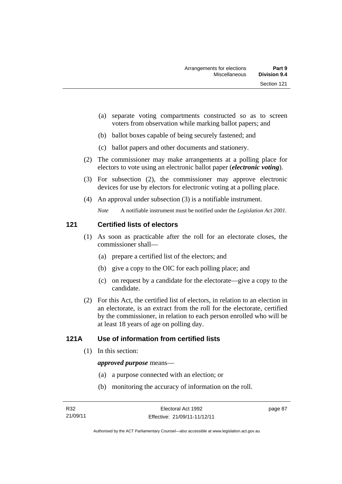- (a) separate voting compartments constructed so as to screen voters from observation while marking ballot papers; and
- (b) ballot boxes capable of being securely fastened; and
- (c) ballot papers and other documents and stationery.
- (2) The commissioner may make arrangements at a polling place for electors to vote using an electronic ballot paper (*electronic voting*).
- (3) For subsection (2), the commissioner may approve electronic devices for use by electors for electronic voting at a polling place.
- (4) An approval under subsection (3) is a notifiable instrument.

*Note* A notifiable instrument must be notified under the *Legislation Act 2001*.

# **121 Certified lists of electors**

- (1) As soon as practicable after the roll for an electorate closes, the commissioner shall—
	- (a) prepare a certified list of the electors; and
	- (b) give a copy to the OIC for each polling place; and
	- (c) on request by a candidate for the electorate—give a copy to the candidate.
- (2) For this Act, the certified list of electors, in relation to an election in an electorate, is an extract from the roll for the electorate, certified by the commissioner, in relation to each person enrolled who will be at least 18 years of age on polling day.

# **121A Use of information from certified lists**

(1) In this section:

#### *approved purpose* means—

- (a) a purpose connected with an election; or
- (b) monitoring the accuracy of information on the roll.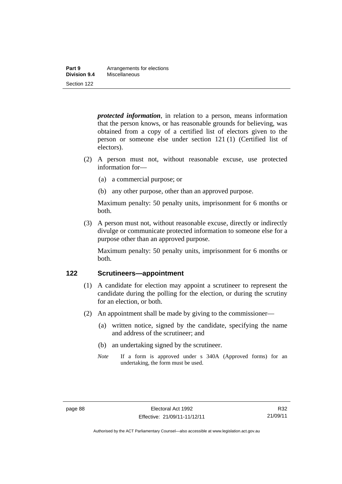| Part 9       | Arrangements for elections |
|--------------|----------------------------|
| Division 9.4 | Miscellaneous              |
| Section 122  |                            |

*protected information*, in relation to a person, means information that the person knows, or has reasonable grounds for believing, was obtained from a copy of a certified list of electors given to the person or someone else under section 121 (1) (Certified list of electors).

- (2) A person must not, without reasonable excuse, use protected information for—
	- (a) a commercial purpose; or
	- (b) any other purpose, other than an approved purpose.

Maximum penalty: 50 penalty units, imprisonment for 6 months or both.

 (3) A person must not, without reasonable excuse, directly or indirectly divulge or communicate protected information to someone else for a purpose other than an approved purpose.

Maximum penalty: 50 penalty units, imprisonment for 6 months or both.

#### **122 Scrutineers—appointment**

- (1) A candidate for election may appoint a scrutineer to represent the candidate during the polling for the election, or during the scrutiny for an election, or both.
- (2) An appointment shall be made by giving to the commissioner—
	- (a) written notice, signed by the candidate, specifying the name and address of the scrutineer; and
	- (b) an undertaking signed by the scrutineer.
	- *Note* If a form is approved under s 340A (Approved forms) for an undertaking, the form must be used.

Authorised by the ACT Parliamentary Counsel—also accessible at www.legislation.act.gov.au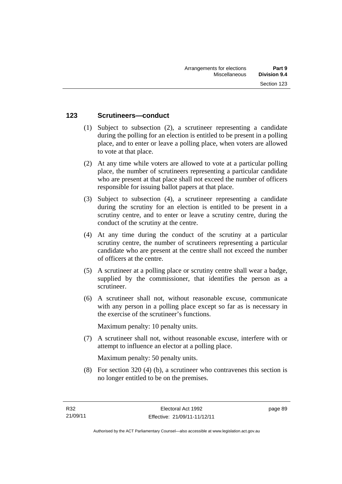### **123 Scrutineers—conduct**

- (1) Subject to subsection (2), a scrutineer representing a candidate during the polling for an election is entitled to be present in a polling place, and to enter or leave a polling place, when voters are allowed to vote at that place.
- (2) At any time while voters are allowed to vote at a particular polling place, the number of scrutineers representing a particular candidate who are present at that place shall not exceed the number of officers responsible for issuing ballot papers at that place.
- (3) Subject to subsection (4), a scrutineer representing a candidate during the scrutiny for an election is entitled to be present in a scrutiny centre, and to enter or leave a scrutiny centre, during the conduct of the scrutiny at the centre.
- (4) At any time during the conduct of the scrutiny at a particular scrutiny centre, the number of scrutineers representing a particular candidate who are present at the centre shall not exceed the number of officers at the centre.
- (5) A scrutineer at a polling place or scrutiny centre shall wear a badge, supplied by the commissioner, that identifies the person as a scrutineer.
- (6) A scrutineer shall not, without reasonable excuse, communicate with any person in a polling place except so far as is necessary in the exercise of the scrutineer's functions.

Maximum penalty: 10 penalty units.

 (7) A scrutineer shall not, without reasonable excuse, interfere with or attempt to influence an elector at a polling place.

Maximum penalty: 50 penalty units.

 (8) For section 320 (4) (b), a scrutineer who contravenes this section is no longer entitled to be on the premises.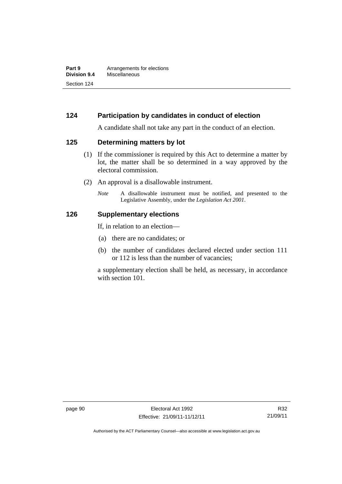# **124 Participation by candidates in conduct of election**

A candidate shall not take any part in the conduct of an election.

#### **125 Determining matters by lot**

- (1) If the commissioner is required by this Act to determine a matter by lot, the matter shall be so determined in a way approved by the electoral commission.
- (2) An approval is a disallowable instrument.
	- *Note* A disallowable instrument must be notified, and presented to the Legislative Assembly, under the *Legislation Act 2001*.

#### **126 Supplementary elections**

If, in relation to an election—

- (a) there are no candidates; or
- (b) the number of candidates declared elected under section 111 or 112 is less than the number of vacancies;

a supplementary election shall be held, as necessary, in accordance with section 101.

Authorised by the ACT Parliamentary Counsel—also accessible at www.legislation.act.gov.au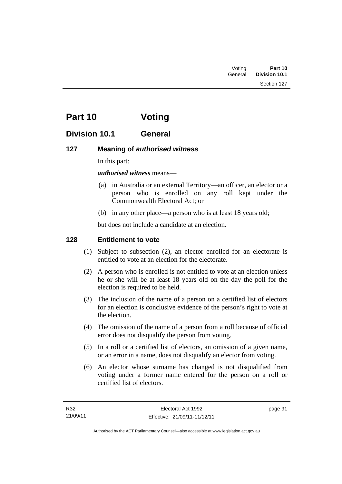| Voting  | Part 10              |
|---------|----------------------|
| General | <b>Division 10.1</b> |

# **Part 10 Voting**

## **Division 10.1 General**

### **127 Meaning of** *authorised witness*

In this part:

*authorised witness* means—

- (a) in Australia or an external Territory—an officer, an elector or a person who is enrolled on any roll kept under the Commonwealth Electoral Act; or
- (b) in any other place—a person who is at least 18 years old;

but does not include a candidate at an election.

### **128 Entitlement to vote**

- (1) Subject to subsection (2), an elector enrolled for an electorate is entitled to vote at an election for the electorate.
- (2) A person who is enrolled is not entitled to vote at an election unless he or she will be at least 18 years old on the day the poll for the election is required to be held.
- (3) The inclusion of the name of a person on a certified list of electors for an election is conclusive evidence of the person's right to vote at the election.
- (4) The omission of the name of a person from a roll because of official error does not disqualify the person from voting.
- (5) In a roll or a certified list of electors, an omission of a given name, or an error in a name, does not disqualify an elector from voting.
- (6) An elector whose surname has changed is not disqualified from voting under a former name entered for the person on a roll or certified list of electors.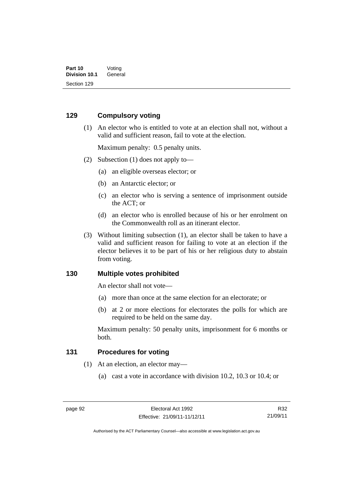#### **129 Compulsory voting**

 (1) An elector who is entitled to vote at an election shall not, without a valid and sufficient reason, fail to vote at the election.

Maximum penalty: 0.5 penalty units.

- (2) Subsection (1) does not apply to—
	- (a) an eligible overseas elector; or
	- (b) an Antarctic elector; or
	- (c) an elector who is serving a sentence of imprisonment outside the ACT; or
	- (d) an elector who is enrolled because of his or her enrolment on the Commonwealth roll as an itinerant elector.
- (3) Without limiting subsection (1), an elector shall be taken to have a valid and sufficient reason for failing to vote at an election if the elector believes it to be part of his or her religious duty to abstain from voting.

#### **130 Multiple votes prohibited**

An elector shall not vote—

- (a) more than once at the same election for an electorate; or
- (b) at 2 or more elections for electorates the polls for which are required to be held on the same day.

Maximum penalty: 50 penalty units, imprisonment for 6 months or both.

#### **131 Procedures for voting**

- (1) At an election, an elector may—
	- (a) cast a vote in accordance with division 10.2, 10.3 or 10.4; or

R32 21/09/11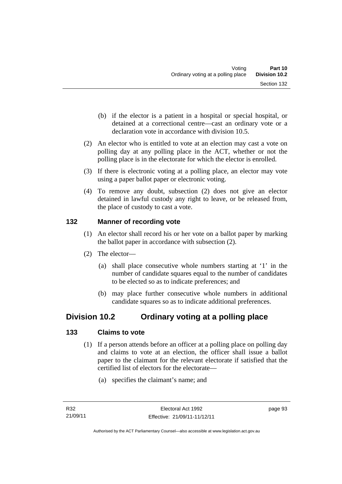- (b) if the elector is a patient in a hospital or special hospital, or detained at a correctional centre—cast an ordinary vote or a declaration vote in accordance with division 10.5.
- (2) An elector who is entitled to vote at an election may cast a vote on polling day at any polling place in the ACT, whether or not the polling place is in the electorate for which the elector is enrolled.
- (3) If there is electronic voting at a polling place, an elector may vote using a paper ballot paper or electronic voting.
- (4) To remove any doubt, subsection (2) does not give an elector detained in lawful custody any right to leave, or be released from, the place of custody to cast a vote.

### **132 Manner of recording vote**

- (1) An elector shall record his or her vote on a ballot paper by marking the ballot paper in accordance with subsection (2).
- (2) The elector—
	- (a) shall place consecutive whole numbers starting at '1' in the number of candidate squares equal to the number of candidates to be elected so as to indicate preferences; and
	- (b) may place further consecutive whole numbers in additional candidate squares so as to indicate additional preferences.

# **Division 10.2 Ordinary voting at a polling place**

## **133 Claims to vote**

- (1) If a person attends before an officer at a polling place on polling day and claims to vote at an election, the officer shall issue a ballot paper to the claimant for the relevant electorate if satisfied that the certified list of electors for the electorate—
	- (a) specifies the claimant's name; and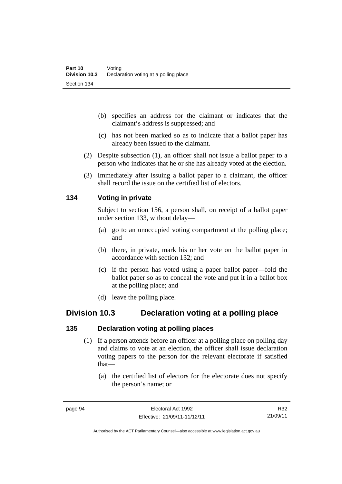- (b) specifies an address for the claimant or indicates that the claimant's address is suppressed; and
- (c) has not been marked so as to indicate that a ballot paper has already been issued to the claimant.
- (2) Despite subsection (1), an officer shall not issue a ballot paper to a person who indicates that he or she has already voted at the election.
- (3) Immediately after issuing a ballot paper to a claimant, the officer shall record the issue on the certified list of electors.

#### **134 Voting in private**

Subject to section 156, a person shall, on receipt of a ballot paper under section 133, without delay—

- (a) go to an unoccupied voting compartment at the polling place; and
- (b) there, in private, mark his or her vote on the ballot paper in accordance with section 132; and
- (c) if the person has voted using a paper ballot paper—fold the ballot paper so as to conceal the vote and put it in a ballot box at the polling place; and
- (d) leave the polling place.

## **Division 10.3 Declaration voting at a polling place**

#### **135 Declaration voting at polling places**

- (1) If a person attends before an officer at a polling place on polling day and claims to vote at an election, the officer shall issue declaration voting papers to the person for the relevant electorate if satisfied that—
	- (a) the certified list of electors for the electorate does not specify the person's name; or

Authorised by the ACT Parliamentary Counsel—also accessible at www.legislation.act.gov.au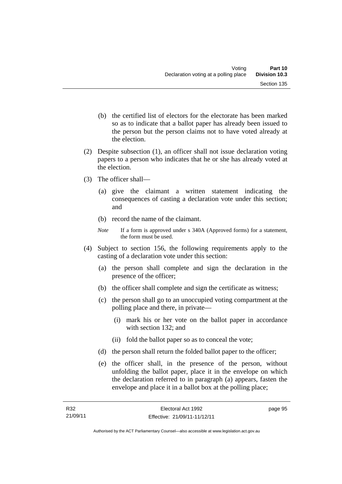- (b) the certified list of electors for the electorate has been marked so as to indicate that a ballot paper has already been issued to the person but the person claims not to have voted already at the election.
- (2) Despite subsection (1), an officer shall not issue declaration voting papers to a person who indicates that he or she has already voted at the election.
- (3) The officer shall—
	- (a) give the claimant a written statement indicating the consequences of casting a declaration vote under this section; and
	- (b) record the name of the claimant.
	- *Note* If a form is approved under s 340A (Approved forms) for a statement, the form must be used.
- (4) Subject to section 156, the following requirements apply to the casting of a declaration vote under this section:
	- (a) the person shall complete and sign the declaration in the presence of the officer;
	- (b) the officer shall complete and sign the certificate as witness;
	- (c) the person shall go to an unoccupied voting compartment at the polling place and there, in private—
		- (i) mark his or her vote on the ballot paper in accordance with section 132; and
		- (ii) fold the ballot paper so as to conceal the vote;
	- (d) the person shall return the folded ballot paper to the officer;
	- (e) the officer shall, in the presence of the person, without unfolding the ballot paper, place it in the envelope on which the declaration referred to in paragraph (a) appears, fasten the envelope and place it in a ballot box at the polling place;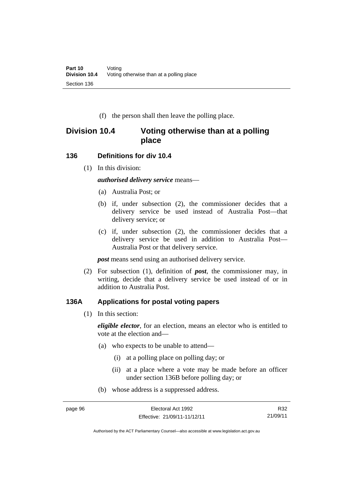(f) the person shall then leave the polling place.

## **Division 10.4 Voting otherwise than at a polling place**

#### **136 Definitions for div 10.4**

(1) In this division:

*authorised delivery service* means—

- (a) Australia Post; or
- (b) if, under subsection (2), the commissioner decides that a delivery service be used instead of Australia Post—that delivery service; or
- (c) if, under subsection (2), the commissioner decides that a delivery service be used in addition to Australia Post— Australia Post or that delivery service.

*post* means send using an authorised delivery service.

 (2) For subsection (1), definition of *post*, the commissioner may, in writing, decide that a delivery service be used instead of or in addition to Australia Post.

#### **136A Applications for postal voting papers**

(1) In this section:

*eligible elector*, for an election, means an elector who is entitled to vote at the election and—

- (a) who expects to be unable to attend—
	- (i) at a polling place on polling day; or
	- (ii) at a place where a vote may be made before an officer under section 136B before polling day; or
- (b) whose address is a suppressed address.

Authorised by the ACT Parliamentary Counsel—also accessible at www.legislation.act.gov.au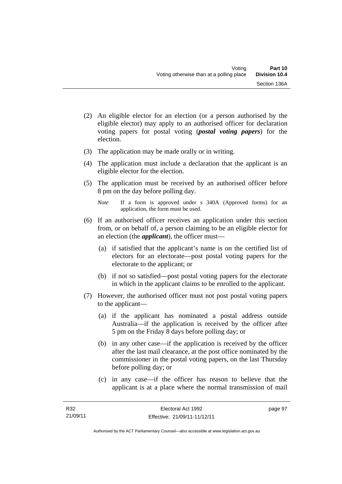- (2) An eligible elector for an election (or a person authorised by the eligible elector) may apply to an authorised officer for declaration voting papers for postal voting (*postal voting papers*) for the election.
- (3) The application may be made orally or in writing.
- (4) The application must include a declaration that the applicant is an eligible elector for the election.
- (5) The application must be received by an authorised officer before 8 pm on the day before polling day.
	- *Note* If a form is approved under s 340A (Approved forms) for an application, the form must be used.
- (6) If an authorised officer receives an application under this section from, or on behalf of, a person claiming to be an eligible elector for an election (the *applicant*), the officer must—
	- (a) if satisfied that the applicant's name is on the certified list of electors for an electorate—post postal voting papers for the electorate to the applicant; or
	- (b) if not so satisfied—post postal voting papers for the electorate in which in the applicant claims to be enrolled to the applicant.
- (7) However, the authorised officer must not post postal voting papers to the applicant—
	- (a) if the applicant has nominated a postal address outside Australia—if the application is received by the officer after 5 pm on the Friday 8 days before polling day; or
	- (b) in any other case—if the application is received by the officer after the last mail clearance, at the post office nominated by the commissioner in the postal voting papers, on the last Thursday before polling day; or
	- (c) in any case—if the officer has reason to believe that the applicant is at a place where the normal transmission of mail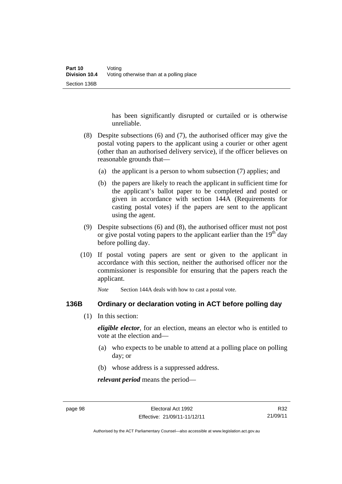has been significantly disrupted or curtailed or is otherwise unreliable.

- (8) Despite subsections (6) and (7), the authorised officer may give the postal voting papers to the applicant using a courier or other agent (other than an authorised delivery service), if the officer believes on reasonable grounds that—
	- (a) the applicant is a person to whom subsection (7) applies; and
	- (b) the papers are likely to reach the applicant in sufficient time for the applicant's ballot paper to be completed and posted or given in accordance with section 144A (Requirements for casting postal votes) if the papers are sent to the applicant using the agent.
- (9) Despite subsections (6) and (8), the authorised officer must not post or give postal voting papers to the applicant earlier than the  $19<sup>th</sup>$  day before polling day.
- (10) If postal voting papers are sent or given to the applicant in accordance with this section, neither the authorised officer nor the commissioner is responsible for ensuring that the papers reach the applicant.

*Note* Section 144A deals with how to cast a postal vote.

#### **136B Ordinary or declaration voting in ACT before polling day**

(1) In this section:

*eligible elector*, for an election, means an elector who is entitled to vote at the election and—

- (a) who expects to be unable to attend at a polling place on polling day; or
- (b) whose address is a suppressed address.

*relevant period* means the period—

R32 21/09/11

Authorised by the ACT Parliamentary Counsel—also accessible at www.legislation.act.gov.au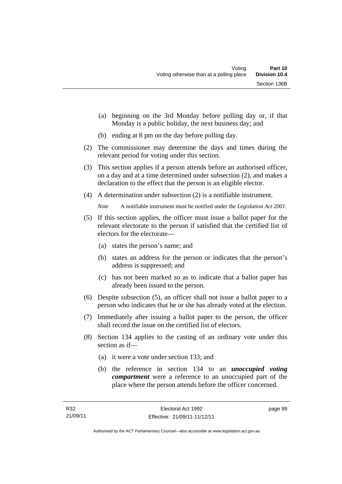- (a) beginning on the 3rd Monday before polling day or, if that Monday is a public holiday, the next business day; and
- (b) ending at 8 pm on the day before polling day.
- (2) The commissioner may determine the days and times during the relevant period for voting under this section.
- (3) This section applies if a person attends before an authorised officer, on a day and at a time determined under subsection (2), and makes a declaration to the effect that the person is an eligible elector.
- (4) A determination under subsection (2) is a notifiable instrument.

*Note* A notifiable instrument must be notified under the *Legislation Act 2001*.

- (5) If this section applies, the officer must issue a ballot paper for the relevant electorate to the person if satisfied that the certified list of electors for the electorate—
	- (a) states the person's name; and
	- (b) states an address for the person or indicates that the person's address is suppressed; and
	- (c) has not been marked so as to indicate that a ballot paper has already been issued to the person.
- (6) Despite subsection (5), an officer shall not issue a ballot paper to a person who indicates that he or she has already voted at the election.
- (7) Immediately after issuing a ballot paper to the person, the officer shall record the issue on the certified list of electors.
- (8) Section 134 applies to the casting of an ordinary vote under this section as if—
	- (a) it were a vote under section 133; and
	- (b) the reference in section 134 to an *unoccupied voting compartment* were a reference to an unoccupied part of the place where the person attends before the officer concerned.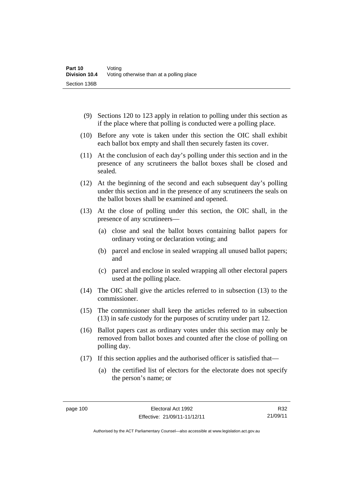- (9) Sections 120 to 123 apply in relation to polling under this section as if the place where that polling is conducted were a polling place.
- (10) Before any vote is taken under this section the OIC shall exhibit each ballot box empty and shall then securely fasten its cover.
- (11) At the conclusion of each day's polling under this section and in the presence of any scrutineers the ballot boxes shall be closed and sealed.
- (12) At the beginning of the second and each subsequent day's polling under this section and in the presence of any scrutineers the seals on the ballot boxes shall be examined and opened.
- (13) At the close of polling under this section, the OIC shall, in the presence of any scrutineers—
	- (a) close and seal the ballot boxes containing ballot papers for ordinary voting or declaration voting; and
	- (b) parcel and enclose in sealed wrapping all unused ballot papers; and
	- (c) parcel and enclose in sealed wrapping all other electoral papers used at the polling place.
- (14) The OIC shall give the articles referred to in subsection (13) to the commissioner.
- (15) The commissioner shall keep the articles referred to in subsection (13) in safe custody for the purposes of scrutiny under part 12.
- (16) Ballot papers cast as ordinary votes under this section may only be removed from ballot boxes and counted after the close of polling on polling day.
- (17) If this section applies and the authorised officer is satisfied that—
	- (a) the certified list of electors for the electorate does not specify the person's name; or

R32 21/09/11

Authorised by the ACT Parliamentary Counsel—also accessible at www.legislation.act.gov.au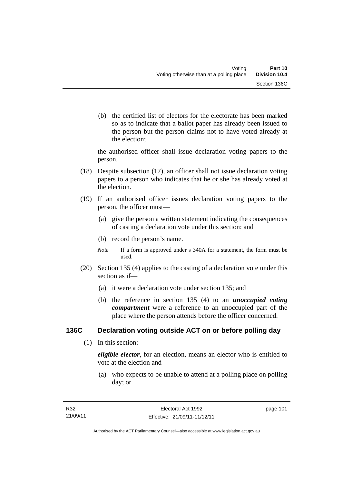(b) the certified list of electors for the electorate has been marked so as to indicate that a ballot paper has already been issued to the person but the person claims not to have voted already at the election;

the authorised officer shall issue declaration voting papers to the person.

- (18) Despite subsection (17), an officer shall not issue declaration voting papers to a person who indicates that he or she has already voted at the election.
- (19) If an authorised officer issues declaration voting papers to the person, the officer must—
	- (a) give the person a written statement indicating the consequences of casting a declaration vote under this section; and
	- (b) record the person's name.
	- *Note* If a form is approved under s 340A for a statement, the form must be used.
- (20) Section 135 (4) applies to the casting of a declaration vote under this section as if—
	- (a) it were a declaration vote under section 135; and
	- (b) the reference in section 135 (4) to an *unoccupied voting compartment* were a reference to an unoccupied part of the place where the person attends before the officer concerned.

## **136C Declaration voting outside ACT on or before polling day**

(1) In this section:

*eligible elector*, for an election, means an elector who is entitled to vote at the election and—

 (a) who expects to be unable to attend at a polling place on polling day; or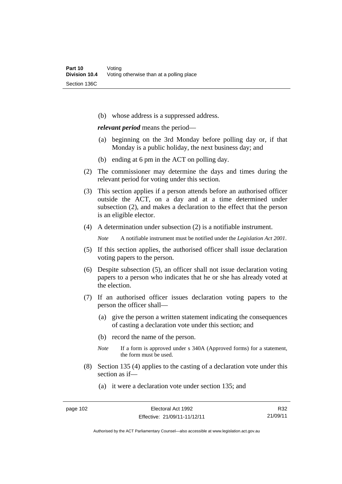(b) whose address is a suppressed address.

*relevant period* means the period—

- (a) beginning on the 3rd Monday before polling day or, if that Monday is a public holiday, the next business day; and
- (b) ending at 6 pm in the ACT on polling day.
- (2) The commissioner may determine the days and times during the relevant period for voting under this section.
- (3) This section applies if a person attends before an authorised officer outside the ACT, on a day and at a time determined under subsection (2), and makes a declaration to the effect that the person is an eligible elector.
- (4) A determination under subsection (2) is a notifiable instrument.

*Note* A notifiable instrument must be notified under the *Legislation Act 2001*.

- (5) If this section applies, the authorised officer shall issue declaration voting papers to the person.
- (6) Despite subsection (5), an officer shall not issue declaration voting papers to a person who indicates that he or she has already voted at the election.
- (7) If an authorised officer issues declaration voting papers to the person the officer shall—
	- (a) give the person a written statement indicating the consequences of casting a declaration vote under this section; and
	- (b) record the name of the person.
	- *Note* If a form is approved under s 340A (Approved forms) for a statement, the form must be used.
- (8) Section 135 (4) applies to the casting of a declaration vote under this section as if—

(a) it were a declaration vote under section 135; and

R32 21/09/11

Authorised by the ACT Parliamentary Counsel—also accessible at www.legislation.act.gov.au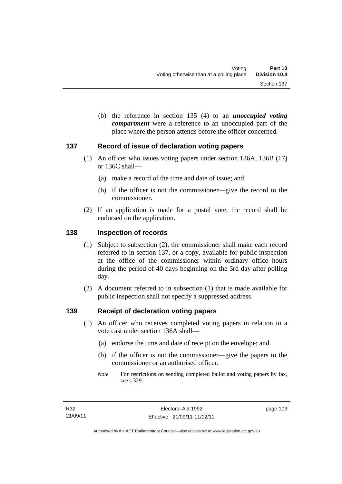(b) the reference in section 135 (4) to an *unoccupied voting compartment* were a reference to an unoccupied part of the place where the person attends before the officer concerned.

#### **137 Record of issue of declaration voting papers**

- (1) An officer who issues voting papers under section 136A, 136B (17) or 136C shall—
	- (a) make a record of the time and date of issue; and
	- (b) if the officer is not the commissioner—give the record to the commissioner.
- (2) If an application is made for a postal vote, the record shall be endorsed on the application.

#### **138 Inspection of records**

- (1) Subject to subsection (2), the commissioner shall make each record referred to in section 137, or a copy, available for public inspection at the office of the commissioner within ordinary office hours during the period of 40 days beginning on the 3rd day after polling day.
- (2) A document referred to in subsection (1) that is made available for public inspection shall not specify a suppressed address.

#### **139 Receipt of declaration voting papers**

- (1) An officer who receives completed voting papers in relation to a vote cast under section 136A shall—
	- (a) endorse the time and date of receipt on the envelope; and
	- (b) if the officer is not the commissioner—give the papers to the commissioner or an authorised officer.
	- *Note* For restrictions on sending completed ballot and voting papers by fax, see s 329.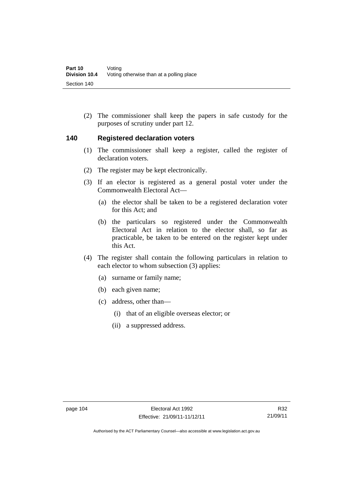(2) The commissioner shall keep the papers in safe custody for the purposes of scrutiny under part 12.

#### **140 Registered declaration voters**

- (1) The commissioner shall keep a register, called the register of declaration voters.
- (2) The register may be kept electronically.
- (3) If an elector is registered as a general postal voter under the Commonwealth Electoral Act—
	- (a) the elector shall be taken to be a registered declaration voter for this Act; and
	- (b) the particulars so registered under the Commonwealth Electoral Act in relation to the elector shall, so far as practicable, be taken to be entered on the register kept under this Act.
- (4) The register shall contain the following particulars in relation to each elector to whom subsection (3) applies:
	- (a) surname or family name;
	- (b) each given name;
	- (c) address, other than—
		- (i) that of an eligible overseas elector; or
		- (ii) a suppressed address.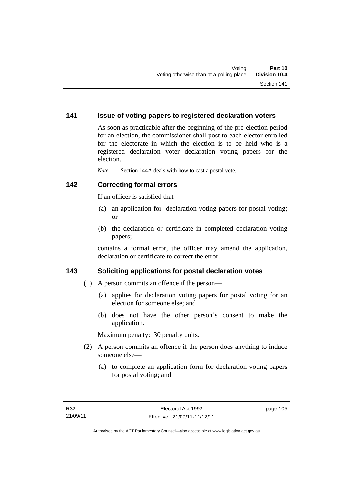#### **141 Issue of voting papers to registered declaration voters**

As soon as practicable after the beginning of the pre-election period for an election, the commissioner shall post to each elector enrolled for the electorate in which the election is to be held who is a registered declaration voter declaration voting papers for the election.

*Note* Section 144A deals with how to cast a postal vote.

#### **142 Correcting formal errors**

If an officer is satisfied that—

- (a) an application for declaration voting papers for postal voting; or
- (b) the declaration or certificate in completed declaration voting papers;

contains a formal error, the officer may amend the application, declaration or certificate to correct the error.

#### **143 Soliciting applications for postal declaration votes**

- (1) A person commits an offence if the person—
	- (a) applies for declaration voting papers for postal voting for an election for someone else; and
	- (b) does not have the other person's consent to make the application.

Maximum penalty: 30 penalty units.

- (2) A person commits an offence if the person does anything to induce someone else—
	- (a) to complete an application form for declaration voting papers for postal voting; and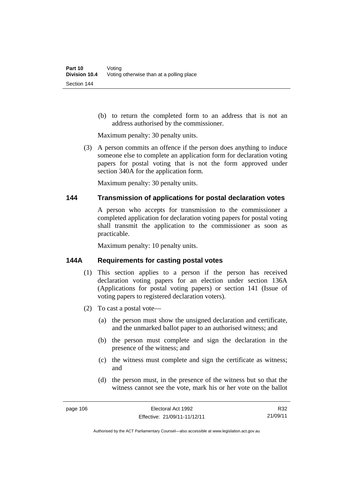(b) to return the completed form to an address that is not an address authorised by the commissioner.

Maximum penalty: 30 penalty units.

 (3) A person commits an offence if the person does anything to induce someone else to complete an application form for declaration voting papers for postal voting that is not the form approved under section 340A for the application form.

Maximum penalty: 30 penalty units.

#### **144 Transmission of applications for postal declaration votes**

A person who accepts for transmission to the commissioner a completed application for declaration voting papers for postal voting shall transmit the application to the commissioner as soon as practicable.

Maximum penalty: 10 penalty units.

#### **144A Requirements for casting postal votes**

- (1) This section applies to a person if the person has received declaration voting papers for an election under section 136A (Applications for postal voting papers) or section 141 (Issue of voting papers to registered declaration voters).
- (2) To cast a postal vote—
	- (a) the person must show the unsigned declaration and certificate, and the unmarked ballot paper to an authorised witness; and
	- (b) the person must complete and sign the declaration in the presence of the witness; and
	- (c) the witness must complete and sign the certificate as witness; and
	- (d) the person must, in the presence of the witness but so that the witness cannot see the vote, mark his or her vote on the ballot

R32 21/09/11

Authorised by the ACT Parliamentary Counsel—also accessible at www.legislation.act.gov.au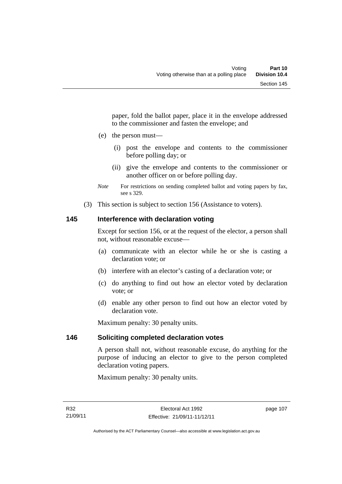paper, fold the ballot paper, place it in the envelope addressed to the commissioner and fasten the envelope; and

- (e) the person must—
	- (i) post the envelope and contents to the commissioner before polling day; or
	- (ii) give the envelope and contents to the commissioner or another officer on or before polling day.
- *Note* For restrictions on sending completed ballot and voting papers by fax, see s 329.
- (3) This section is subject to section 156 (Assistance to voters).

### **145 Interference with declaration voting**

Except for section 156, or at the request of the elector, a person shall not, without reasonable excuse—

- (a) communicate with an elector while he or she is casting a declaration vote; or
- (b) interfere with an elector's casting of a declaration vote; or
- (c) do anything to find out how an elector voted by declaration vote; or
- (d) enable any other person to find out how an elector voted by declaration vote.

Maximum penalty: 30 penalty units.

#### **146 Soliciting completed declaration votes**

A person shall not, without reasonable excuse, do anything for the purpose of inducing an elector to give to the person completed declaration voting papers.

Maximum penalty: 30 penalty units.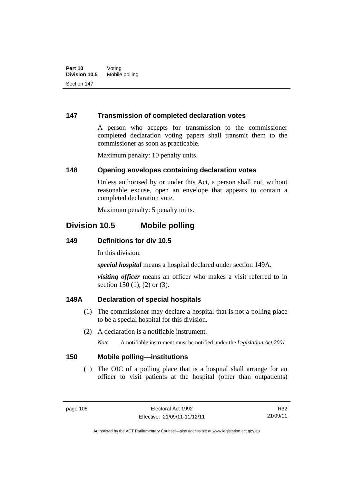#### **147 Transmission of completed declaration votes**

A person who accepts for transmission to the commissioner completed declaration voting papers shall transmit them to the commissioner as soon as practicable.

Maximum penalty: 10 penalty units.

#### **148 Opening envelopes containing declaration votes**

Unless authorised by or under this Act, a person shall not, without reasonable excuse, open an envelope that appears to contain a completed declaration vote.

Maximum penalty: 5 penalty units.

## **Division 10.5 Mobile polling**

#### **149 Definitions for div 10.5**

In this division:

*special hospital* means a hospital declared under section 149A.

*visiting officer* means an officer who makes a visit referred to in section 150 (1), (2) or (3).

#### **149A Declaration of special hospitals**

- (1) The commissioner may declare a hospital that is not a polling place to be a special hospital for this division.
- (2) A declaration is a notifiable instrument.

*Note* A notifiable instrument must be notified under the *Legislation Act 2001*.

#### **150 Mobile polling—institutions**

 (1) The OIC of a polling place that is a hospital shall arrange for an officer to visit patients at the hospital (other than outpatients)

Authorised by the ACT Parliamentary Counsel—also accessible at www.legislation.act.gov.au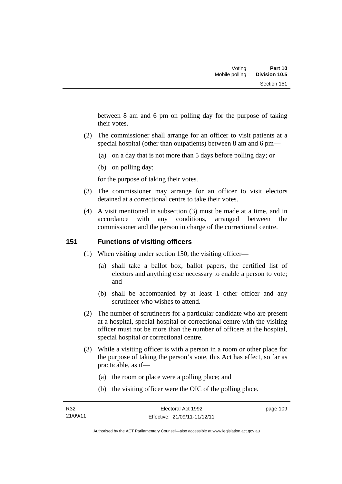between 8 am and 6 pm on polling day for the purpose of taking their votes.

- (2) The commissioner shall arrange for an officer to visit patients at a special hospital (other than outpatients) between 8 am and 6 pm—
	- (a) on a day that is not more than 5 days before polling day; or
	- (b) on polling day;

for the purpose of taking their votes.

- (3) The commissioner may arrange for an officer to visit electors detained at a correctional centre to take their votes.
- (4) A visit mentioned in subsection (3) must be made at a time, and in accordance with any conditions, arranged between the commissioner and the person in charge of the correctional centre.

### **151 Functions of visiting officers**

- (1) When visiting under section 150, the visiting officer—
	- (a) shall take a ballot box, ballot papers, the certified list of electors and anything else necessary to enable a person to vote; and
	- (b) shall be accompanied by at least 1 other officer and any scrutineer who wishes to attend.
- (2) The number of scrutineers for a particular candidate who are present at a hospital, special hospital or correctional centre with the visiting officer must not be more than the number of officers at the hospital, special hospital or correctional centre.
- (3) While a visiting officer is with a person in a room or other place for the purpose of taking the person's vote, this Act has effect, so far as practicable, as if—
	- (a) the room or place were a polling place; and
	- (b) the visiting officer were the OIC of the polling place.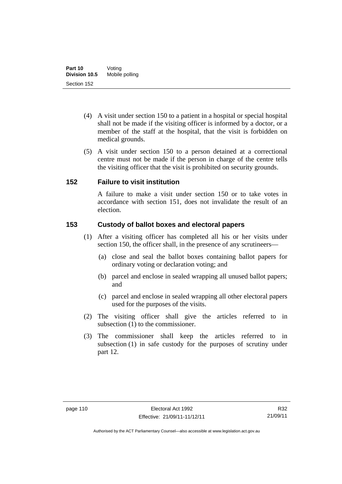- (4) A visit under section 150 to a patient in a hospital or special hospital shall not be made if the visiting officer is informed by a doctor, or a member of the staff at the hospital, that the visit is forbidden on medical grounds.
- (5) A visit under section 150 to a person detained at a correctional centre must not be made if the person in charge of the centre tells the visiting officer that the visit is prohibited on security grounds.

#### **152 Failure to visit institution**

A failure to make a visit under section 150 or to take votes in accordance with section 151, does not invalidate the result of an election.

#### **153 Custody of ballot boxes and electoral papers**

- (1) After a visiting officer has completed all his or her visits under section 150, the officer shall, in the presence of any scrutineers—
	- (a) close and seal the ballot boxes containing ballot papers for ordinary voting or declaration voting; and
	- (b) parcel and enclose in sealed wrapping all unused ballot papers; and
	- (c) parcel and enclose in sealed wrapping all other electoral papers used for the purposes of the visits.
- (2) The visiting officer shall give the articles referred to in subsection (1) to the commissioner.
- (3) The commissioner shall keep the articles referred to in subsection (1) in safe custody for the purposes of scrutiny under part 12.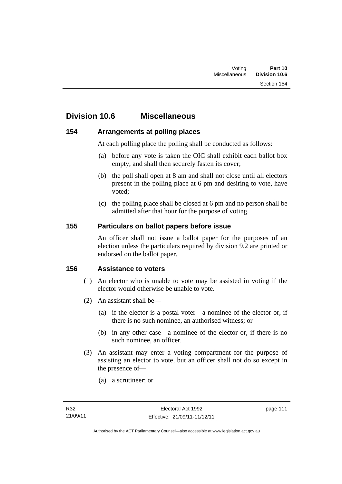## **Division 10.6 Miscellaneous**

#### **154 Arrangements at polling places**

At each polling place the polling shall be conducted as follows:

- (a) before any vote is taken the OIC shall exhibit each ballot box empty, and shall then securely fasten its cover;
- (b) the poll shall open at 8 am and shall not close until all electors present in the polling place at 6 pm and desiring to vote, have voted;
- (c) the polling place shall be closed at 6 pm and no person shall be admitted after that hour for the purpose of voting.

#### **155 Particulars on ballot papers before issue**

An officer shall not issue a ballot paper for the purposes of an election unless the particulars required by division 9.2 are printed or endorsed on the ballot paper.

#### **156 Assistance to voters**

- (1) An elector who is unable to vote may be assisted in voting if the elector would otherwise be unable to vote.
- (2) An assistant shall be—
	- (a) if the elector is a postal voter—a nominee of the elector or, if there is no such nominee, an authorised witness; or
	- (b) in any other case—a nominee of the elector or, if there is no such nominee, an officer.
- (3) An assistant may enter a voting compartment for the purpose of assisting an elector to vote, but an officer shall not do so except in the presence of—
	- (a) a scrutineer; or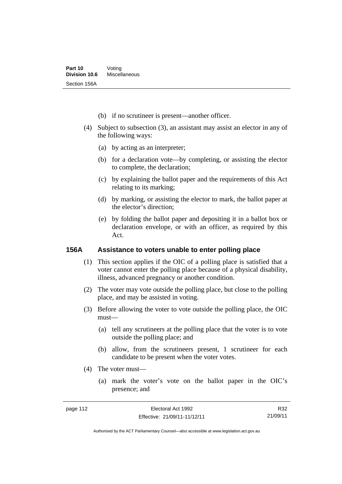- (b) if no scrutineer is present—another officer.
- (4) Subject to subsection (3), an assistant may assist an elector in any of the following ways:
	- (a) by acting as an interpreter;
	- (b) for a declaration vote—by completing, or assisting the elector to complete, the declaration;
	- (c) by explaining the ballot paper and the requirements of this Act relating to its marking;
	- (d) by marking, or assisting the elector to mark, the ballot paper at the elector's direction;
	- (e) by folding the ballot paper and depositing it in a ballot box or declaration envelope, or with an officer, as required by this Act.

#### **156A Assistance to voters unable to enter polling place**

- (1) This section applies if the OIC of a polling place is satisfied that a voter cannot enter the polling place because of a physical disability, illness, advanced pregnancy or another condition.
- (2) The voter may vote outside the polling place, but close to the polling place, and may be assisted in voting.
- (3) Before allowing the voter to vote outside the polling place, the OIC must—
	- (a) tell any scrutineers at the polling place that the voter is to vote outside the polling place; and
	- (b) allow, from the scrutineers present, 1 scrutineer for each candidate to be present when the voter votes.
- (4) The voter must—
	- (a) mark the voter's vote on the ballot paper in the OIC's presence; and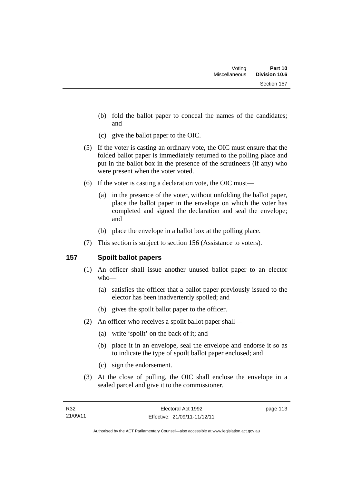- (b) fold the ballot paper to conceal the names of the candidates; and
- (c) give the ballot paper to the OIC.
- (5) If the voter is casting an ordinary vote, the OIC must ensure that the folded ballot paper is immediately returned to the polling place and put in the ballot box in the presence of the scrutineers (if any) who were present when the voter voted.
- (6) If the voter is casting a declaration vote, the OIC must—
	- (a) in the presence of the voter, without unfolding the ballot paper, place the ballot paper in the envelope on which the voter has completed and signed the declaration and seal the envelope; and
	- (b) place the envelope in a ballot box at the polling place.
- (7) This section is subject to section 156 (Assistance to voters).

## **157 Spoilt ballot papers**

- (1) An officer shall issue another unused ballot paper to an elector who—
	- (a) satisfies the officer that a ballot paper previously issued to the elector has been inadvertently spoiled; and
	- (b) gives the spoilt ballot paper to the officer.
- (2) An officer who receives a spoilt ballot paper shall—
	- (a) write 'spoilt' on the back of it; and
	- (b) place it in an envelope, seal the envelope and endorse it so as to indicate the type of spoilt ballot paper enclosed; and
	- (c) sign the endorsement.
- (3) At the close of polling, the OIC shall enclose the envelope in a sealed parcel and give it to the commissioner.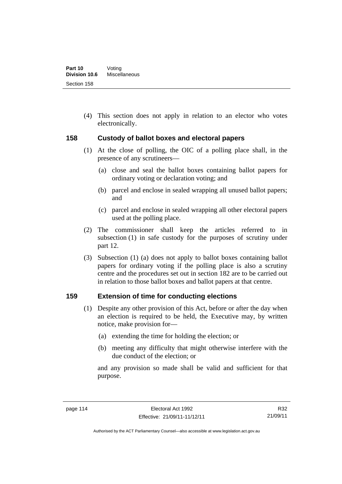(4) This section does not apply in relation to an elector who votes electronically.

#### **158 Custody of ballot boxes and electoral papers**

- (1) At the close of polling, the OIC of a polling place shall, in the presence of any scrutineers—
	- (a) close and seal the ballot boxes containing ballot papers for ordinary voting or declaration voting; and
	- (b) parcel and enclose in sealed wrapping all unused ballot papers; and
	- (c) parcel and enclose in sealed wrapping all other electoral papers used at the polling place.
- (2) The commissioner shall keep the articles referred to in subsection (1) in safe custody for the purposes of scrutiny under part 12.
- (3) Subsection (1) (a) does not apply to ballot boxes containing ballot papers for ordinary voting if the polling place is also a scrutiny centre and the procedures set out in section 182 are to be carried out in relation to those ballot boxes and ballot papers at that centre.

#### **159 Extension of time for conducting elections**

- (1) Despite any other provision of this Act, before or after the day when an election is required to be held, the Executive may, by written notice, make provision for—
	- (a) extending the time for holding the election; or
	- (b) meeting any difficulty that might otherwise interfere with the due conduct of the election; or

and any provision so made shall be valid and sufficient for that purpose.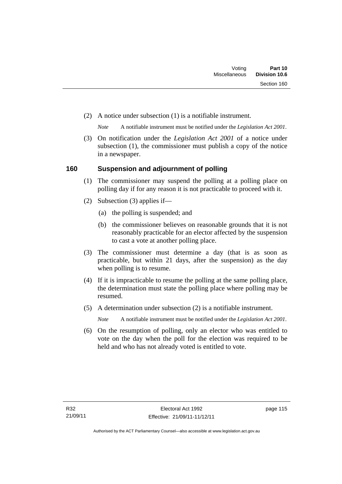(2) A notice under subsection (1) is a notifiable instrument.

*Note* A notifiable instrument must be notified under the *Legislation Act 2001*.

 (3) On notification under the *Legislation Act 2001* of a notice under subsection (1), the commissioner must publish a copy of the notice in a newspaper.

#### **160 Suspension and adjournment of polling**

- (1) The commissioner may suspend the polling at a polling place on polling day if for any reason it is not practicable to proceed with it.
- (2) Subsection (3) applies if—
	- (a) the polling is suspended; and
	- (b) the commissioner believes on reasonable grounds that it is not reasonably practicable for an elector affected by the suspension to cast a vote at another polling place.
- (3) The commissioner must determine a day (that is as soon as practicable, but within 21 days, after the suspension) as the day when polling is to resume.
- (4) If it is impracticable to resume the polling at the same polling place, the determination must state the polling place where polling may be resumed.
- (5) A determination under subsection (2) is a notifiable instrument.

*Note* A notifiable instrument must be notified under the *Legislation Act 2001*.

 (6) On the resumption of polling, only an elector who was entitled to vote on the day when the poll for the election was required to be held and who has not already voted is entitled to vote.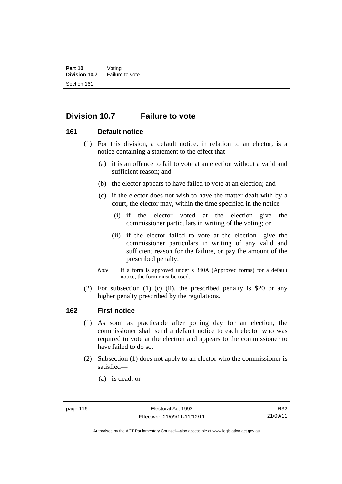## **Division 10.7 Failure to vote**

#### **161 Default notice**

- (1) For this division, a default notice, in relation to an elector, is a notice containing a statement to the effect that—
	- (a) it is an offence to fail to vote at an election without a valid and sufficient reason; and
	- (b) the elector appears to have failed to vote at an election; and
	- (c) if the elector does not wish to have the matter dealt with by a court, the elector may, within the time specified in the notice—
		- (i) if the elector voted at the election—give the commissioner particulars in writing of the voting; or
		- (ii) if the elector failed to vote at the election—give the commissioner particulars in writing of any valid and sufficient reason for the failure, or pay the amount of the prescribed penalty.
	- *Note* If a form is approved under s 340A (Approved forms) for a default notice, the form must be used.
- (2) For subsection (1) (c) (ii), the prescribed penalty is \$20 or any higher penalty prescribed by the regulations.

#### **162 First notice**

- (1) As soon as practicable after polling day for an election, the commissioner shall send a default notice to each elector who was required to vote at the election and appears to the commissioner to have failed to do so.
- (2) Subsection (1) does not apply to an elector who the commissioner is satisfied—
	- (a) is dead; or

Authorised by the ACT Parliamentary Counsel—also accessible at www.legislation.act.gov.au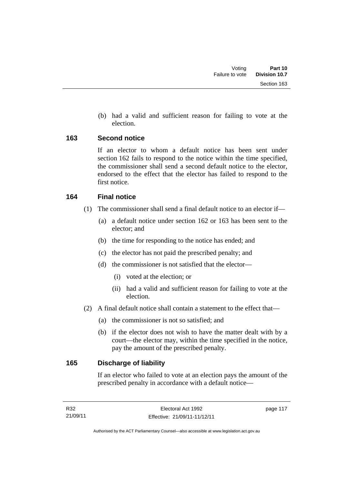(b) had a valid and sufficient reason for failing to vote at the election.

#### **163 Second notice**

If an elector to whom a default notice has been sent under section 162 fails to respond to the notice within the time specified, the commissioner shall send a second default notice to the elector, endorsed to the effect that the elector has failed to respond to the first notice.

#### **164 Final notice**

- (1) The commissioner shall send a final default notice to an elector if—
	- (a) a default notice under section 162 or 163 has been sent to the elector; and
	- (b) the time for responding to the notice has ended; and
	- (c) the elector has not paid the prescribed penalty; and
	- (d) the commissioner is not satisfied that the elector—
		- (i) voted at the election; or
		- (ii) had a valid and sufficient reason for failing to vote at the election.
- (2) A final default notice shall contain a statement to the effect that—
	- (a) the commissioner is not so satisfied; and
	- (b) if the elector does not wish to have the matter dealt with by a court—the elector may, within the time specified in the notice, pay the amount of the prescribed penalty.

#### **165 Discharge of liability**

If an elector who failed to vote at an election pays the amount of the prescribed penalty in accordance with a default notice—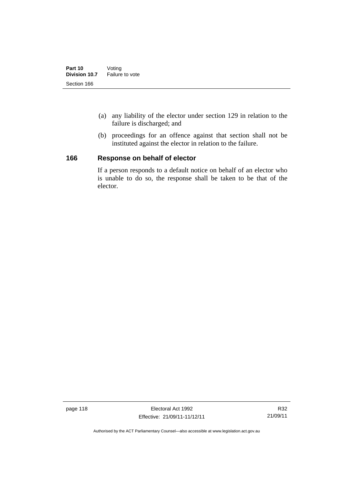- (a) any liability of the elector under section 129 in relation to the failure is discharged; and
- (b) proceedings for an offence against that section shall not be instituted against the elector in relation to the failure.

#### **166 Response on behalf of elector**

If a person responds to a default notice on behalf of an elector who is unable to do so, the response shall be taken to be that of the elector.

page 118 **Electoral Act 1992** Effective: 21/09/11-11/12/11

Authorised by the ACT Parliamentary Counsel—also accessible at www.legislation.act.gov.au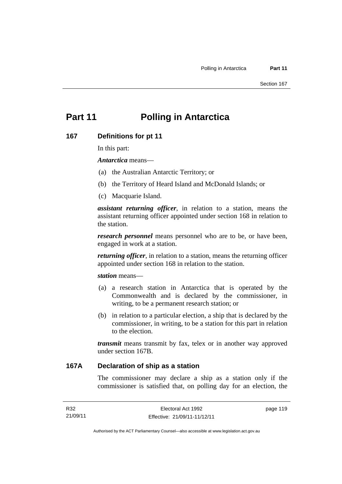# **Part 11 Polling in Antarctica**

#### **167 Definitions for pt 11**

In this part:

*Antarctica* means—

- (a) the Australian Antarctic Territory; or
- (b) the Territory of Heard Island and McDonald Islands; or
- (c) Macquarie Island.

*assistant returning officer*, in relation to a station, means the assistant returning officer appointed under section 168 in relation to the station.

*research personnel* means personnel who are to be, or have been, engaged in work at a station.

*returning officer*, in relation to a station, means the returning officer appointed under section 168 in relation to the station.

*station* means—

- (a) a research station in Antarctica that is operated by the Commonwealth and is declared by the commissioner, in writing, to be a permanent research station; or
- (b) in relation to a particular election, a ship that is declared by the commissioner, in writing, to be a station for this part in relation to the election.

*transmit* means transmit by fax, telex or in another way approved under section 167B.

#### **167A Declaration of ship as a station**

The commissioner may declare a ship as a station only if the commissioner is satisfied that, on polling day for an election, the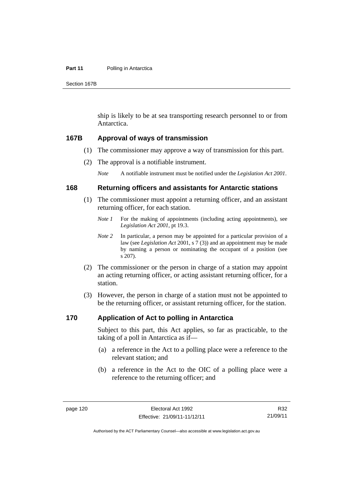#### **Part 11** Polling in Antarctica

Section 167B

ship is likely to be at sea transporting research personnel to or from Antarctica.

#### **167B Approval of ways of transmission**

- (1) The commissioner may approve a way of transmission for this part.
- (2) The approval is a notifiable instrument.

*Note* A notifiable instrument must be notified under the *Legislation Act 2001*.

#### **168 Returning officers and assistants for Antarctic stations**

- (1) The commissioner must appoint a returning officer, and an assistant returning officer, for each station.
	- *Note 1* For the making of appointments (including acting appointments), see *Legislation Act 2001*, pt 19.3.
	- *Note 2* In particular, a person may be appointed for a particular provision of a law (see *Legislation Act* 2001, s 7 (3)) and an appointment may be made by naming a person or nominating the occupant of a position (see s 207).
- (2) The commissioner or the person in charge of a station may appoint an acting returning officer, or acting assistant returning officer, for a station.
- (3) However, the person in charge of a station must not be appointed to be the returning officer, or assistant returning officer, for the station.

#### **170 Application of Act to polling in Antarctica**

Subject to this part, this Act applies, so far as practicable, to the taking of a poll in Antarctica as if—

- (a) a reference in the Act to a polling place were a reference to the relevant station; and
- (b) a reference in the Act to the OIC of a polling place were a reference to the returning officer; and

Authorised by the ACT Parliamentary Counsel—also accessible at www.legislation.act.gov.au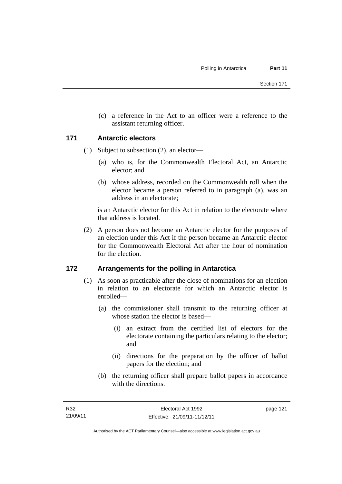(c) a reference in the Act to an officer were a reference to the assistant returning officer.

#### **171 Antarctic electors**

- (1) Subject to subsection (2), an elector—
	- (a) who is, for the Commonwealth Electoral Act, an Antarctic elector; and
	- (b) whose address, recorded on the Commonwealth roll when the elector became a person referred to in paragraph (a), was an address in an electorate;

is an Antarctic elector for this Act in relation to the electorate where that address is located.

 (2) A person does not become an Antarctic elector for the purposes of an election under this Act if the person became an Antarctic elector for the Commonwealth Electoral Act after the hour of nomination for the election.

#### **172 Arrangements for the polling in Antarctica**

- (1) As soon as practicable after the close of nominations for an election in relation to an electorate for which an Antarctic elector is enrolled—
	- (a) the commissioner shall transmit to the returning officer at whose station the elector is based—
		- (i) an extract from the certified list of electors for the electorate containing the particulars relating to the elector; and
		- (ii) directions for the preparation by the officer of ballot papers for the election; and
	- (b) the returning officer shall prepare ballot papers in accordance with the directions.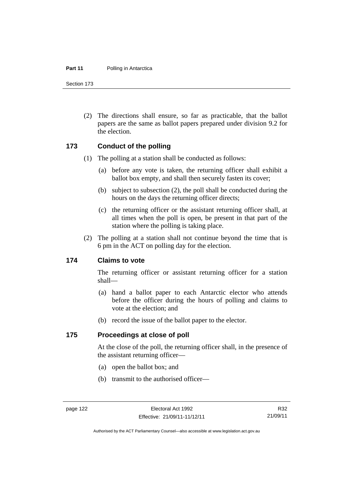#### **Part 11** Polling in Antarctica

Section 173

 (2) The directions shall ensure, so far as practicable, that the ballot papers are the same as ballot papers prepared under division 9.2 for the election.

#### **173 Conduct of the polling**

- (1) The polling at a station shall be conducted as follows:
	- (a) before any vote is taken, the returning officer shall exhibit a ballot box empty, and shall then securely fasten its cover;
	- (b) subject to subsection (2), the poll shall be conducted during the hours on the days the returning officer directs;
	- (c) the returning officer or the assistant returning officer shall, at all times when the poll is open, be present in that part of the station where the polling is taking place.
- (2) The polling at a station shall not continue beyond the time that is 6 pm in the ACT on polling day for the election.

#### **174 Claims to vote**

The returning officer or assistant returning officer for a station shall—

- (a) hand a ballot paper to each Antarctic elector who attends before the officer during the hours of polling and claims to vote at the election; and
- (b) record the issue of the ballot paper to the elector.

#### **175 Proceedings at close of poll**

At the close of the poll, the returning officer shall, in the presence of the assistant returning officer—

- (a) open the ballot box; and
- (b) transmit to the authorised officer—

Authorised by the ACT Parliamentary Counsel—also accessible at www.legislation.act.gov.au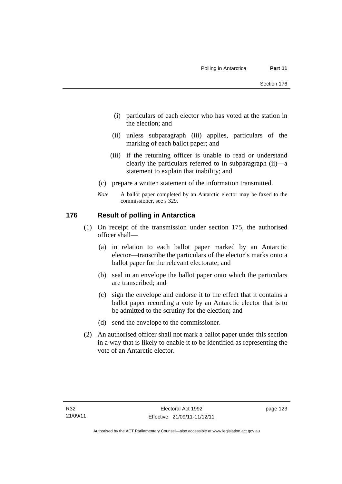- (i) particulars of each elector who has voted at the station in the election; and
- (ii) unless subparagraph (iii) applies, particulars of the marking of each ballot paper; and
- (iii) if the returning officer is unable to read or understand clearly the particulars referred to in subparagraph (ii)—a statement to explain that inability; and
- (c) prepare a written statement of the information transmitted.
- *Note* A ballot paper completed by an Antarctic elector may be faxed to the commissioner, see s 329.

#### **176 Result of polling in Antarctica**

- (1) On receipt of the transmission under section 175, the authorised officer shall—
	- (a) in relation to each ballot paper marked by an Antarctic elector—transcribe the particulars of the elector's marks onto a ballot paper for the relevant electorate; and
	- (b) seal in an envelope the ballot paper onto which the particulars are transcribed; and
	- (c) sign the envelope and endorse it to the effect that it contains a ballot paper recording a vote by an Antarctic elector that is to be admitted to the scrutiny for the election; and
	- (d) send the envelope to the commissioner.
- (2) An authorised officer shall not mark a ballot paper under this section in a way that is likely to enable it to be identified as representing the vote of an Antarctic elector.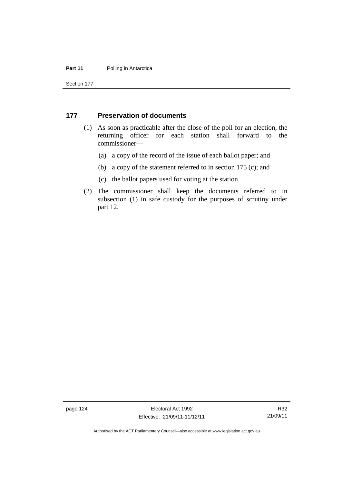#### **Part 11** Polling in Antarctica

Section 177

#### **177 Preservation of documents**

- (1) As soon as practicable after the close of the poll for an election, the returning officer for each station shall forward to the commissioner—
	- (a) a copy of the record of the issue of each ballot paper; and
	- (b) a copy of the statement referred to in section 175 (c); and
	- (c) the ballot papers used for voting at the station.
- (2) The commissioner shall keep the documents referred to in subsection (1) in safe custody for the purposes of scrutiny under part 12.

page 124 Electoral Act 1992 Effective: 21/09/11-11/12/11

Authorised by the ACT Parliamentary Counsel—also accessible at www.legislation.act.gov.au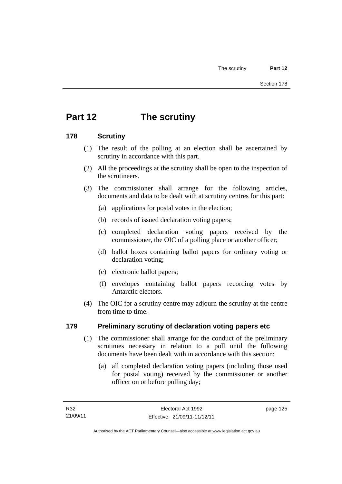# **Part 12 The scrutiny**

#### **178 Scrutiny**

- (1) The result of the polling at an election shall be ascertained by scrutiny in accordance with this part.
- (2) All the proceedings at the scrutiny shall be open to the inspection of the scrutineers.
- (3) The commissioner shall arrange for the following articles, documents and data to be dealt with at scrutiny centres for this part:
	- (a) applications for postal votes in the election;
	- (b) records of issued declaration voting papers;
	- (c) completed declaration voting papers received by the commissioner, the OIC of a polling place or another officer;
	- (d) ballot boxes containing ballot papers for ordinary voting or declaration voting;
	- (e) electronic ballot papers;
	- (f) envelopes containing ballot papers recording votes by Antarctic electors.
- (4) The OIC for a scrutiny centre may adjourn the scrutiny at the centre from time to time.

#### **179 Preliminary scrutiny of declaration voting papers etc**

- (1) The commissioner shall arrange for the conduct of the preliminary scrutinies necessary in relation to a poll until the following documents have been dealt with in accordance with this section:
	- (a) all completed declaration voting papers (including those used for postal voting) received by the commissioner or another officer on or before polling day;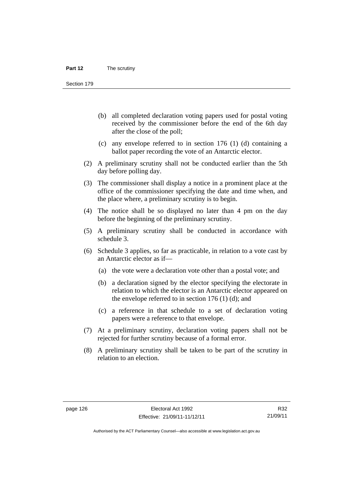Section 179

- (b) all completed declaration voting papers used for postal voting received by the commissioner before the end of the 6th day after the close of the poll;
- (c) any envelope referred to in section 176 (1) (d) containing a ballot paper recording the vote of an Antarctic elector.
- (2) A preliminary scrutiny shall not be conducted earlier than the 5th day before polling day.
- (3) The commissioner shall display a notice in a prominent place at the office of the commissioner specifying the date and time when, and the place where, a preliminary scrutiny is to begin.
- (4) The notice shall be so displayed no later than 4 pm on the day before the beginning of the preliminary scrutiny.
- (5) A preliminary scrutiny shall be conducted in accordance with schedule 3.
- (6) Schedule 3 applies, so far as practicable, in relation to a vote cast by an Antarctic elector as if—
	- (a) the vote were a declaration vote other than a postal vote; and
	- (b) a declaration signed by the elector specifying the electorate in relation to which the elector is an Antarctic elector appeared on the envelope referred to in section  $176$  (1) (d); and
	- (c) a reference in that schedule to a set of declaration voting papers were a reference to that envelope.
- (7) At a preliminary scrutiny, declaration voting papers shall not be rejected for further scrutiny because of a formal error.
- (8) A preliminary scrutiny shall be taken to be part of the scrutiny in relation to an election.

Authorised by the ACT Parliamentary Counsel—also accessible at www.legislation.act.gov.au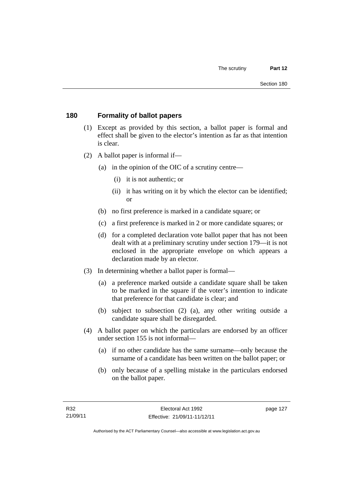# **180 Formality of ballot papers**

- (1) Except as provided by this section, a ballot paper is formal and effect shall be given to the elector's intention as far as that intention is clear.
- (2) A ballot paper is informal if—
	- (a) in the opinion of the OIC of a scrutiny centre—
		- (i) it is not authentic; or
		- (ii) it has writing on it by which the elector can be identified; or
	- (b) no first preference is marked in a candidate square; or
	- (c) a first preference is marked in 2 or more candidate squares; or
	- (d) for a completed declaration vote ballot paper that has not been dealt with at a preliminary scrutiny under section 179—it is not enclosed in the appropriate envelope on which appears a declaration made by an elector.
- (3) In determining whether a ballot paper is formal—
	- (a) a preference marked outside a candidate square shall be taken to be marked in the square if the voter's intention to indicate that preference for that candidate is clear; and
	- (b) subject to subsection (2) (a), any other writing outside a candidate square shall be disregarded.
- (4) A ballot paper on which the particulars are endorsed by an officer under section 155 is not informal—
	- (a) if no other candidate has the same surname—only because the surname of a candidate has been written on the ballot paper; or
	- (b) only because of a spelling mistake in the particulars endorsed on the ballot paper.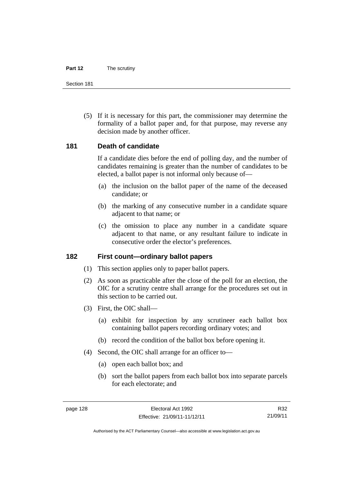#### **Part 12** The scrutiny

Section 181

 (5) If it is necessary for this part, the commissioner may determine the formality of a ballot paper and, for that purpose, may reverse any decision made by another officer.

## **181 Death of candidate**

If a candidate dies before the end of polling day, and the number of candidates remaining is greater than the number of candidates to be elected, a ballot paper is not informal only because of—

- (a) the inclusion on the ballot paper of the name of the deceased candidate; or
- (b) the marking of any consecutive number in a candidate square adjacent to that name; or
- (c) the omission to place any number in a candidate square adjacent to that name, or any resultant failure to indicate in consecutive order the elector's preferences.

#### **182 First count—ordinary ballot papers**

- (1) This section applies only to paper ballot papers.
- (2) As soon as practicable after the close of the poll for an election, the OIC for a scrutiny centre shall arrange for the procedures set out in this section to be carried out.
- (3) First, the OIC shall—
	- (a) exhibit for inspection by any scrutineer each ballot box containing ballot papers recording ordinary votes; and
	- (b) record the condition of the ballot box before opening it.
- (4) Second, the OIC shall arrange for an officer to—
	- (a) open each ballot box; and
	- (b) sort the ballot papers from each ballot box into separate parcels for each electorate; and

R32 21/09/11

Authorised by the ACT Parliamentary Counsel—also accessible at www.legislation.act.gov.au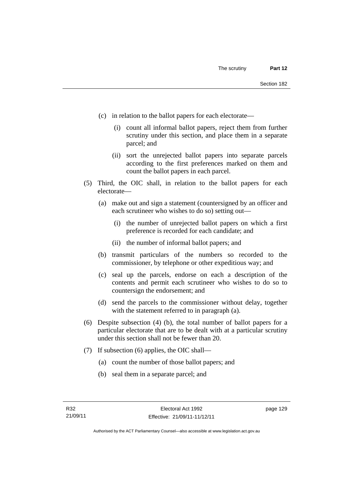- (c) in relation to the ballot papers for each electorate—
	- (i) count all informal ballot papers, reject them from further scrutiny under this section, and place them in a separate parcel; and
	- (ii) sort the unrejected ballot papers into separate parcels according to the first preferences marked on them and count the ballot papers in each parcel.
- (5) Third, the OIC shall, in relation to the ballot papers for each electorate—
	- (a) make out and sign a statement (countersigned by an officer and each scrutineer who wishes to do so) setting out—
		- (i) the number of unrejected ballot papers on which a first preference is recorded for each candidate; and
		- (ii) the number of informal ballot papers; and
	- (b) transmit particulars of the numbers so recorded to the commissioner, by telephone or other expeditious way; and
	- (c) seal up the parcels, endorse on each a description of the contents and permit each scrutineer who wishes to do so to countersign the endorsement; and
	- (d) send the parcels to the commissioner without delay, together with the statement referred to in paragraph (a).
- (6) Despite subsection (4) (b), the total number of ballot papers for a particular electorate that are to be dealt with at a particular scrutiny under this section shall not be fewer than 20.
- (7) If subsection (6) applies, the OIC shall—
	- (a) count the number of those ballot papers; and
	- (b) seal them in a separate parcel; and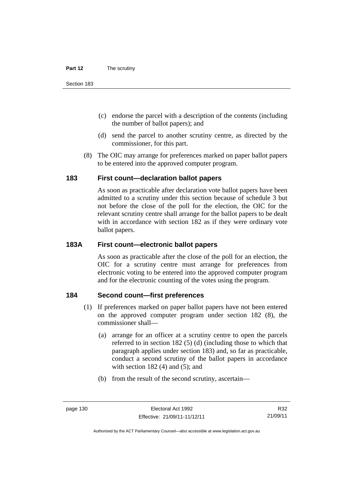- (c) endorse the parcel with a description of the contents (including the number of ballot papers); and
- (d) send the parcel to another scrutiny centre, as directed by the commissioner, for this part.
- (8) The OIC may arrange for preferences marked on paper ballot papers to be entered into the approved computer program.

# **183 First count—declaration ballot papers**

As soon as practicable after declaration vote ballot papers have been admitted to a scrutiny under this section because of schedule 3 but not before the close of the poll for the election, the OIC for the relevant scrutiny centre shall arrange for the ballot papers to be dealt with in accordance with section 182 as if they were ordinary vote ballot papers.

# **183A First count—electronic ballot papers**

As soon as practicable after the close of the poll for an election, the OIC for a scrutiny centre must arrange for preferences from electronic voting to be entered into the approved computer program and for the electronic counting of the votes using the program.

# **184 Second count—first preferences**

- (1) If preferences marked on paper ballot papers have not been entered on the approved computer program under section 182 (8), the commissioner shall—
	- (a) arrange for an officer at a scrutiny centre to open the parcels referred to in section 182 (5) (d) (including those to which that paragraph applies under section 183) and, so far as practicable, conduct a second scrutiny of the ballot papers in accordance with section  $182(4)$  and  $(5)$ ; and
	- (b) from the result of the second scrutiny, ascertain—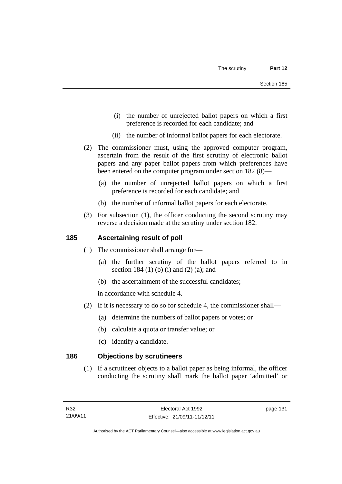- (i) the number of unrejected ballot papers on which a first preference is recorded for each candidate; and
- (ii) the number of informal ballot papers for each electorate.
- (2) The commissioner must, using the approved computer program, ascertain from the result of the first scrutiny of electronic ballot papers and any paper ballot papers from which preferences have been entered on the computer program under section 182 (8)—
	- (a) the number of unrejected ballot papers on which a first preference is recorded for each candidate; and
	- (b) the number of informal ballot papers for each electorate.
- (3) For subsection (1), the officer conducting the second scrutiny may reverse a decision made at the scrutiny under section 182.

# **185 Ascertaining result of poll**

- (1) The commissioner shall arrange for—
	- (a) the further scrutiny of the ballot papers referred to in section 184 (1) (b) (i) and (2) (a); and
	- (b) the ascertainment of the successful candidates;

in accordance with schedule 4.

- (2) If it is necessary to do so for schedule 4, the commissioner shall—
	- (a) determine the numbers of ballot papers or votes; or
	- (b) calculate a quota or transfer value; or
	- (c) identify a candidate.

# **186 Objections by scrutineers**

(1) If a scrutineer objects to a ballot paper as being informal, the officer conducting the scrutiny shall mark the ballot paper 'admitted' or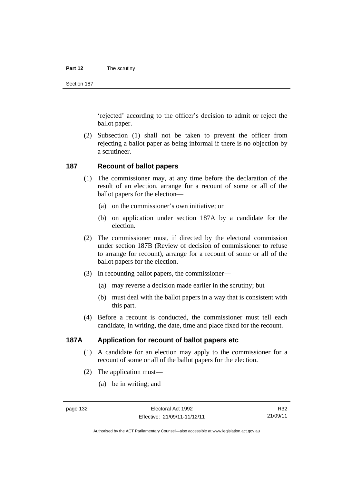#### **Part 12** The scrutiny

Section 187

'rejected' according to the officer's decision to admit or reject the ballot paper.

 (2) Subsection (1) shall not be taken to prevent the officer from rejecting a ballot paper as being informal if there is no objection by a scrutineer.

#### **187 Recount of ballot papers**

- (1) The commissioner may, at any time before the declaration of the result of an election, arrange for a recount of some or all of the ballot papers for the election—
	- (a) on the commissioner's own initiative; or
	- (b) on application under section 187A by a candidate for the election.
- (2) The commissioner must, if directed by the electoral commission under section 187B (Review of decision of commissioner to refuse to arrange for recount), arrange for a recount of some or all of the ballot papers for the election.
- (3) In recounting ballot papers, the commissioner—
	- (a) may reverse a decision made earlier in the scrutiny; but
	- (b) must deal with the ballot papers in a way that is consistent with this part.
- (4) Before a recount is conducted, the commissioner must tell each candidate, in writing, the date, time and place fixed for the recount.

# **187A Application for recount of ballot papers etc**

- (1) A candidate for an election may apply to the commissioner for a recount of some or all of the ballot papers for the election.
- (2) The application must—
	- (a) be in writing; and

R32 21/09/11

Authorised by the ACT Parliamentary Counsel—also accessible at www.legislation.act.gov.au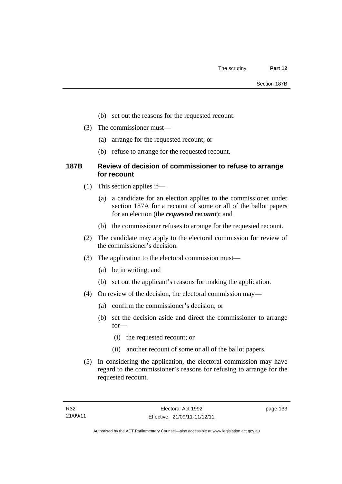- (b) set out the reasons for the requested recount.
- (3) The commissioner must—
	- (a) arrange for the requested recount; or
	- (b) refuse to arrange for the requested recount.

# **187B Review of decision of commissioner to refuse to arrange for recount**

- (1) This section applies if—
	- (a) a candidate for an election applies to the commissioner under section 187A for a recount of some or all of the ballot papers for an election (the *requested recount*); and
	- (b) the commissioner refuses to arrange for the requested recount.
- (2) The candidate may apply to the electoral commission for review of the commissioner's decision.
- (3) The application to the electoral commission must—
	- (a) be in writing; and
	- (b) set out the applicant's reasons for making the application.
- (4) On review of the decision, the electoral commission may—
	- (a) confirm the commissioner's decision; or
	- (b) set the decision aside and direct the commissioner to arrange for—
		- (i) the requested recount; or
		- (ii) another recount of some or all of the ballot papers.
- (5) In considering the application, the electoral commission may have regard to the commissioner's reasons for refusing to arrange for the requested recount.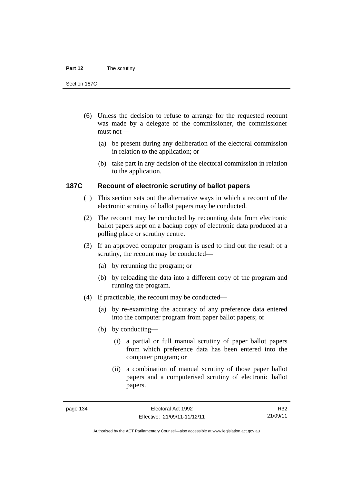#### **Part 12** The scrutiny

Section 187C

- (6) Unless the decision to refuse to arrange for the requested recount was made by a delegate of the commissioner, the commissioner must not—
	- (a) be present during any deliberation of the electoral commission in relation to the application; or
	- (b) take part in any decision of the electoral commission in relation to the application.

# **187C Recount of electronic scrutiny of ballot papers**

- (1) This section sets out the alternative ways in which a recount of the electronic scrutiny of ballot papers may be conducted.
- (2) The recount may be conducted by recounting data from electronic ballot papers kept on a backup copy of electronic data produced at a polling place or scrutiny centre.
- (3) If an approved computer program is used to find out the result of a scrutiny, the recount may be conducted—
	- (a) by rerunning the program; or
	- (b) by reloading the data into a different copy of the program and running the program.
- (4) If practicable, the recount may be conducted—
	- (a) by re-examining the accuracy of any preference data entered into the computer program from paper ballot papers; or
	- (b) by conducting—
		- (i) a partial or full manual scrutiny of paper ballot papers from which preference data has been entered into the computer program; or
		- (ii) a combination of manual scrutiny of those paper ballot papers and a computerised scrutiny of electronic ballot papers.

R32 21/09/11

Authorised by the ACT Parliamentary Counsel—also accessible at www.legislation.act.gov.au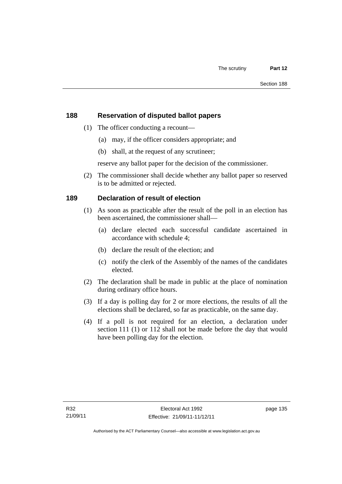# **188 Reservation of disputed ballot papers**

- (1) The officer conducting a recount—
	- (a) may, if the officer considers appropriate; and
	- (b) shall, at the request of any scrutineer;

reserve any ballot paper for the decision of the commissioner.

 (2) The commissioner shall decide whether any ballot paper so reserved is to be admitted or rejected.

# **189 Declaration of result of election**

- (1) As soon as practicable after the result of the poll in an election has been ascertained, the commissioner shall—
	- (a) declare elected each successful candidate ascertained in accordance with schedule 4;
	- (b) declare the result of the election; and
	- (c) notify the clerk of the Assembly of the names of the candidates elected.
- (2) The declaration shall be made in public at the place of nomination during ordinary office hours.
- (3) If a day is polling day for 2 or more elections, the results of all the elections shall be declared, so far as practicable, on the same day.
- (4) If a poll is not required for an election, a declaration under section 111 (1) or 112 shall not be made before the day that would have been polling day for the election.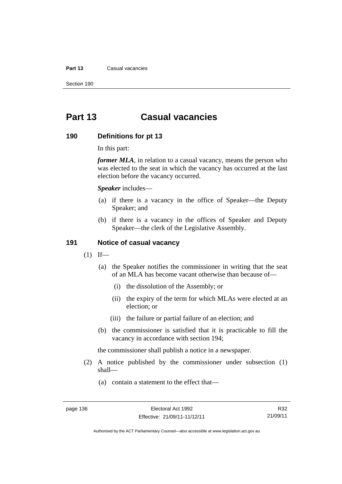#### **Part 13** Casual vacancies

Section 190

# **Part 13 Casual vacancies**

#### **190 Definitions for pt 13**

In this part:

*former MLA*, in relation to a casual vacancy, means the person who was elected to the seat in which the vacancy has occurred at the last election before the vacancy occurred.

*Speaker* includes—

- (a) if there is a vacancy in the office of Speaker—the Deputy Speaker; and
- (b) if there is a vacancy in the offices of Speaker and Deputy Speaker—the clerk of the Legislative Assembly.

# **191 Notice of casual vacancy**

- $(1)$  If—
	- (a) the Speaker notifies the commissioner in writing that the seat of an MLA has become vacant otherwise than because of—
		- (i) the dissolution of the Assembly; or
		- (ii) the expiry of the term for which MLAs were elected at an election; or
		- (iii) the failure or partial failure of an election; and
	- (b) the commissioner is satisfied that it is practicable to fill the vacancy in accordance with section 194;

the commissioner shall publish a notice in a newspaper.

- (2) A notice published by the commissioner under subsection (1) shall—
	- (a) contain a statement to the effect that—

Authorised by the ACT Parliamentary Counsel—also accessible at www.legislation.act.gov.au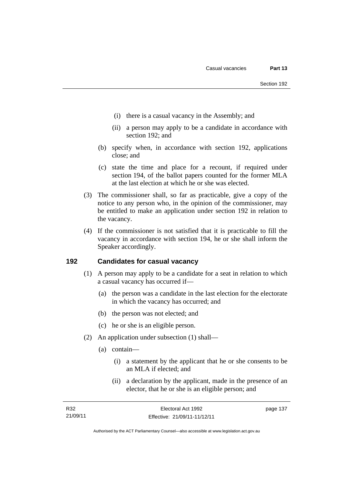- (i) there is a casual vacancy in the Assembly; and
- (ii) a person may apply to be a candidate in accordance with section 192; and
- (b) specify when, in accordance with section 192, applications close; and
- (c) state the time and place for a recount, if required under section 194, of the ballot papers counted for the former MLA at the last election at which he or she was elected.
- (3) The commissioner shall, so far as practicable, give a copy of the notice to any person who, in the opinion of the commissioner, may be entitled to make an application under section 192 in relation to the vacancy.
- (4) If the commissioner is not satisfied that it is practicable to fill the vacancy in accordance with section 194, he or she shall inform the Speaker accordingly.

# **192 Candidates for casual vacancy**

- (1) A person may apply to be a candidate for a seat in relation to which a casual vacancy has occurred if—
	- (a) the person was a candidate in the last election for the electorate in which the vacancy has occurred; and
	- (b) the person was not elected; and
	- (c) he or she is an eligible person.
- (2) An application under subsection (1) shall—
	- (a) contain—
		- (i) a statement by the applicant that he or she consents to be an MLA if elected; and
		- (ii) a declaration by the applicant, made in the presence of an elector, that he or she is an eligible person; and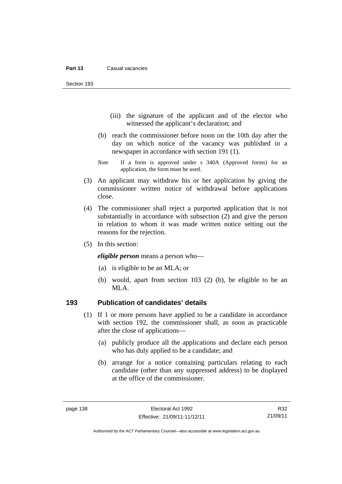Section 193

- (iii) the signature of the applicant and of the elector who witnessed the applicant's declaration; and
- (b) reach the commissioner before noon on the 10th day after the day on which notice of the vacancy was published in a newspaper in accordance with section 191 (1).
- *Note* If a form is approved under s 340A (Approved forms) for an application, the form must be used.
- (3) An applicant may withdraw his or her application by giving the commissioner written notice of withdrawal before applications close.
- (4) The commissioner shall reject a purported application that is not substantially in accordance with subsection (2) and give the person in relation to whom it was made written notice setting out the reasons for the rejection.
- (5) In this section:

*eligible person* means a person who—

- (a) is eligible to be an MLA; or
- (b) would, apart from section 103 (2) (b), be eligible to be an MLA.

## **193 Publication of candidates' details**

- (1) If 1 or more persons have applied to be a candidate in accordance with section 192, the commissioner shall, as soon as practicable after the close of applications—
	- (a) publicly produce all the applications and declare each person who has duly applied to be a candidate; and
	- (b) arrange for a notice containing particulars relating to each candidate (other than any suppressed address) to be displayed at the office of the commissioner.

R32 21/09/11

Authorised by the ACT Parliamentary Counsel—also accessible at www.legislation.act.gov.au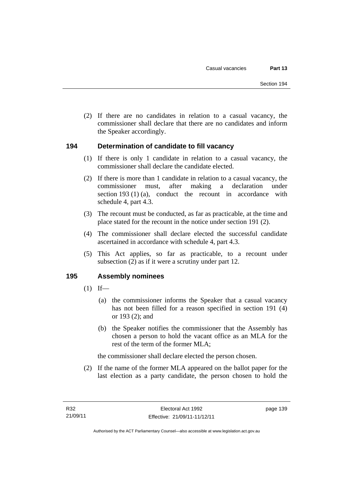(2) If there are no candidates in relation to a casual vacancy, the commissioner shall declare that there are no candidates and inform the Speaker accordingly.

## **194 Determination of candidate to fill vacancy**

- (1) If there is only 1 candidate in relation to a casual vacancy, the commissioner shall declare the candidate elected.
- (2) If there is more than 1 candidate in relation to a casual vacancy, the commissioner must, after making a declaration under section 193 (1) (a), conduct the recount in accordance with schedule 4, part 4.3.
- (3) The recount must be conducted, as far as practicable, at the time and place stated for the recount in the notice under section 191 (2).
- (4) The commissioner shall declare elected the successful candidate ascertained in accordance with schedule 4, part 4.3.
- (5) This Act applies, so far as practicable, to a recount under subsection (2) as if it were a scrutiny under part 12.

## **195 Assembly nominees**

- $(1)$  If—
	- (a) the commissioner informs the Speaker that a casual vacancy has not been filled for a reason specified in section 191 (4) or 193 (2); and
	- (b) the Speaker notifies the commissioner that the Assembly has chosen a person to hold the vacant office as an MLA for the rest of the term of the former MLA;

the commissioner shall declare elected the person chosen.

 (2) If the name of the former MLA appeared on the ballot paper for the last election as a party candidate, the person chosen to hold the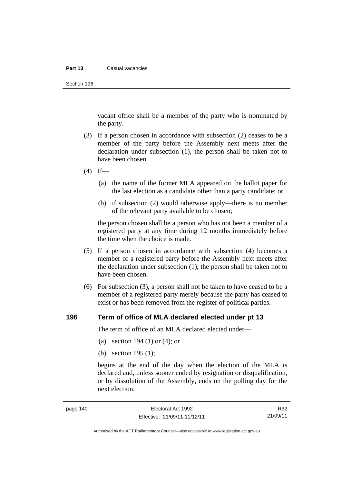#### **Part 13** Casual vacancies

Section 196

vacant office shall be a member of the party who is nominated by the party.

- (3) If a person chosen in accordance with subsection (2) ceases to be a member of the party before the Assembly next meets after the declaration under subsection (1), the person shall be taken not to have been chosen.
- $(4)$  If—
	- (a) the name of the former MLA appeared on the ballot paper for the last election as a candidate other than a party candidate; or
	- (b) if subsection (2) would otherwise apply—there is no member of the relevant party available to be chosen;

the person chosen shall be a person who has not been a member of a registered party at any time during 12 months immediately before the time when the choice is made.

- (5) If a person chosen in accordance with subsection (4) becomes a member of a registered party before the Assembly next meets after the declaration under subsection (1), the person shall be taken not to have been chosen.
- (6) For subsection (3), a person shall not be taken to have ceased to be a member of a registered party merely because the party has ceased to exist or has been removed from the register of political parties.

#### **196 Term of office of MLA declared elected under pt 13**

The term of office of an MLA declared elected under—

- (a) section 194 (1) or (4); or
- (b) section 195 (1);

begins at the end of the day when the election of the MLA is declared and, unless sooner ended by resignation or disqualification, or by dissolution of the Assembly, ends on the polling day for the next election.

R32 21/09/11

Authorised by the ACT Parliamentary Counsel—also accessible at www.legislation.act.gov.au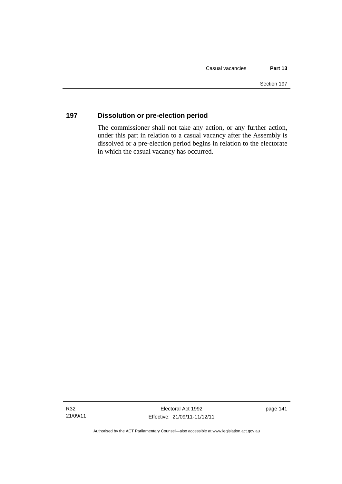# **197 Dissolution or pre-election period**

The commissioner shall not take any action, or any further action, under this part in relation to a casual vacancy after the Assembly is dissolved or a pre-election period begins in relation to the electorate in which the casual vacancy has occurred.

Authorised by the ACT Parliamentary Counsel—also accessible at www.legislation.act.gov.au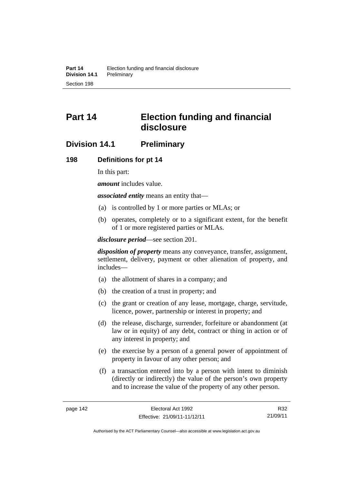# **Part 14 Election funding and financial disclosure**

# **Division 14.1 Preliminary**

#### **198 Definitions for pt 14**

In this part:

*amount* includes value.

*associated entity* means an entity that—

- (a) is controlled by 1 or more parties or MLAs; or
- (b) operates, completely or to a significant extent, for the benefit of 1 or more registered parties or MLAs.

*disclosure period*—see section 201.

*disposition of property* means any conveyance, transfer, assignment, settlement, delivery, payment or other alienation of property, and includes—

- (a) the allotment of shares in a company; and
- (b) the creation of a trust in property; and
- (c) the grant or creation of any lease, mortgage, charge, servitude, licence, power, partnership or interest in property; and
- (d) the release, discharge, surrender, forfeiture or abandonment (at law or in equity) of any debt, contract or thing in action or of any interest in property; and
- (e) the exercise by a person of a general power of appointment of property in favour of any other person; and
- (f) a transaction entered into by a person with intent to diminish (directly or indirectly) the value of the person's own property and to increase the value of the property of any other person.

R32 21/09/11

Authorised by the ACT Parliamentary Counsel—also accessible at www.legislation.act.gov.au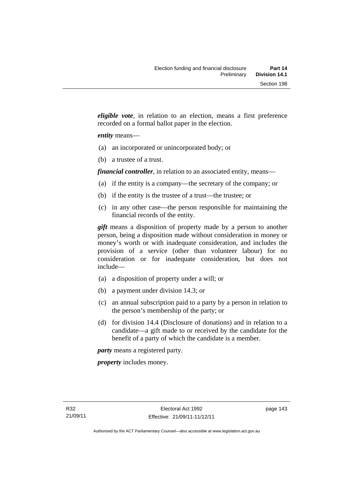*eligible vote*, in relation to an election, means a first preference recorded on a formal ballot paper in the election.

#### *entity* means—

- (a) an incorporated or unincorporated body; or
- (b) a trustee of a trust.

*financial controller*, in relation to an associated entity, means—

- (a) if the entity is a company—the secretary of the company; or
- (b) if the entity is the trustee of a trust—the trustee; or
- (c) in any other case—the person responsible for maintaining the financial records of the entity.

*gift* means a disposition of property made by a person to another person, being a disposition made without consideration in money or money's worth or with inadequate consideration, and includes the provision of a service (other than volunteer labour) for no consideration or for inadequate consideration, but does not include—

- (a) a disposition of property under a will; or
- (b) a payment under division 14.3; or
- (c) an annual subscription paid to a party by a person in relation to the person's membership of the party; or
- (d) for division 14.4 (Disclosure of donations) and in relation to a candidate—a gift made to or received by the candidate for the benefit of a party of which the candidate is a member.

*party* means a registered party.

*property* includes money.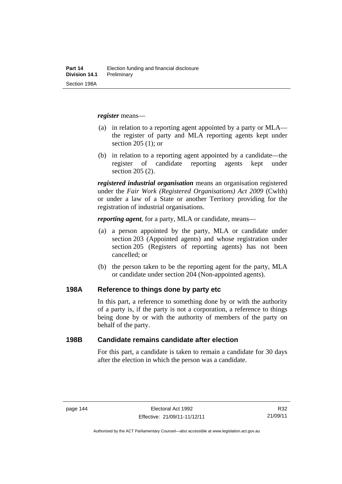*register* means—

- (a) in relation to a reporting agent appointed by a party or MLA the register of party and MLA reporting agents kept under section 205 (1); or
- (b) in relation to a reporting agent appointed by a candidate—the register of candidate reporting agents kept under section 205 (2).

*registered industrial organisation* means an organisation registered under the *Fair Work (Registered Organisations) Act 2009* (Cwlth) or under a law of a State or another Territory providing for the registration of industrial organisations.

*reporting agent*, for a party, MLA or candidate, means—

- (a) a person appointed by the party, MLA or candidate under section 203 (Appointed agents) and whose registration under section 205 (Registers of reporting agents) has not been cancelled; or
- (b) the person taken to be the reporting agent for the party, MLA or candidate under section 204 (Non-appointed agents).

#### **198A Reference to things done by party etc**

In this part, a reference to something done by or with the authority of a party is, if the party is not a corporation, a reference to things being done by or with the authority of members of the party on behalf of the party.

#### **198B Candidate remains candidate after election**

For this part, a candidate is taken to remain a candidate for 30 days after the election in which the person was a candidate.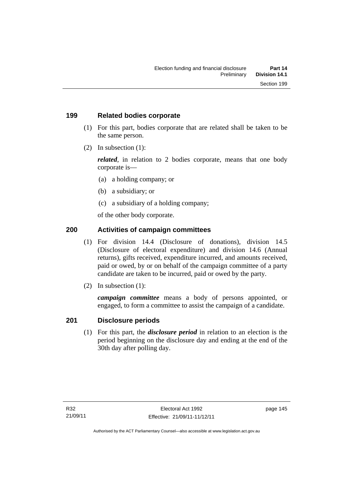## **199 Related bodies corporate**

- (1) For this part, bodies corporate that are related shall be taken to be the same person.
- (2) In subsection (1):

*related*, in relation to 2 bodies corporate, means that one body corporate is—

- (a) a holding company; or
- (b) a subsidiary; or
- (c) a subsidiary of a holding company;

of the other body corporate.

# **200 Activities of campaign committees**

- (1) For division 14.4 (Disclosure of donations), division 14.5 (Disclosure of electoral expenditure) and division 14.6 (Annual returns), gifts received, expenditure incurred, and amounts received, paid or owed, by or on behalf of the campaign committee of a party candidate are taken to be incurred, paid or owed by the party.
- (2) In subsection (1):

*campaign committee* means a body of persons appointed, or engaged, to form a committee to assist the campaign of a candidate.

# **201 Disclosure periods**

(1) For this part, the *disclosure period* in relation to an election is the period beginning on the disclosure day and ending at the end of the 30th day after polling day.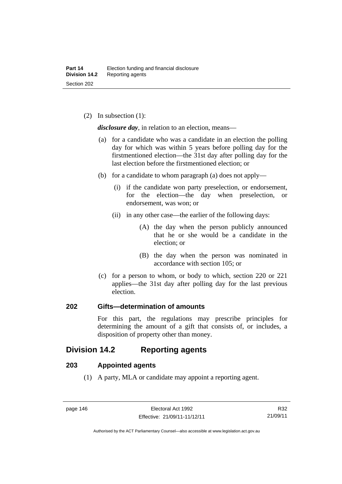(2) In subsection (1):

*disclosure day*, in relation to an election, means—

- (a) for a candidate who was a candidate in an election the polling day for which was within 5 years before polling day for the firstmentioned election—the 31st day after polling day for the last election before the firstmentioned election; or
- (b) for a candidate to whom paragraph (a) does not apply—
	- (i) if the candidate won party preselection, or endorsement, for the election—the day when preselection, or endorsement, was won; or
	- (ii) in any other case—the earlier of the following days:
		- (A) the day when the person publicly announced that he or she would be a candidate in the election; or
		- (B) the day when the person was nominated in accordance with section 105; or
- (c) for a person to whom, or body to which, section 220 or 221 applies—the 31st day after polling day for the last previous election.

## **202 Gifts—determination of amounts**

For this part, the regulations may prescribe principles for determining the amount of a gift that consists of, or includes, a disposition of property other than money.

# **Division 14.2 Reporting agents**

## **203 Appointed agents**

(1) A party, MLA or candidate may appoint a reporting agent.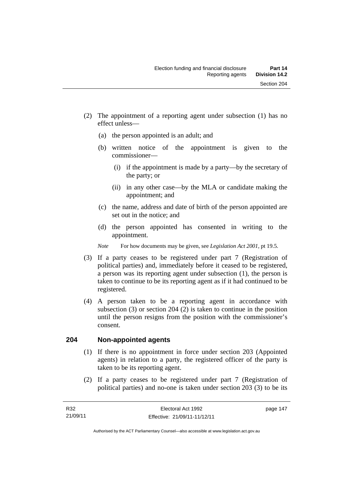- (a) the person appointed is an adult; and
- (b) written notice of the appointment is given to the commissioner—
	- (i) if the appointment is made by a party—by the secretary of the party; or
	- (ii) in any other case—by the MLA or candidate making the appointment; and
- (c) the name, address and date of birth of the person appointed are set out in the notice; and
- (d) the person appointed has consented in writing to the appointment.
- *Note* For how documents may be given, see *Legislation Act 2001*, pt 19.5.
- (3) If a party ceases to be registered under part 7 (Registration of political parties) and, immediately before it ceased to be registered, a person was its reporting agent under subsection (1), the person is taken to continue to be its reporting agent as if it had continued to be registered.
- (4) A person taken to be a reporting agent in accordance with subsection (3) or section 204 (2) is taken to continue in the position until the person resigns from the position with the commissioner's consent.

# **204 Non-appointed agents**

- (1) If there is no appointment in force under section 203 (Appointed agents) in relation to a party, the registered officer of the party is taken to be its reporting agent.
- (2) If a party ceases to be registered under part 7 (Registration of political parties) and no-one is taken under section 203 (3) to be its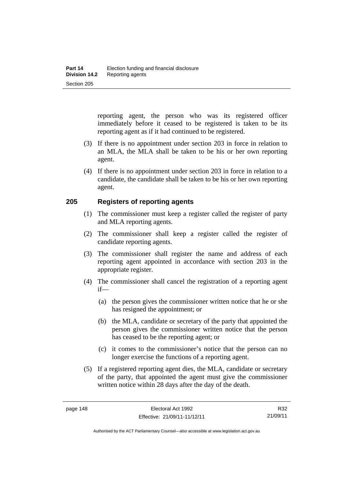reporting agent, the person who was its registered officer immediately before it ceased to be registered is taken to be its reporting agent as if it had continued to be registered.

- (3) If there is no appointment under section 203 in force in relation to an MLA, the MLA shall be taken to be his or her own reporting agent.
- (4) If there is no appointment under section 203 in force in relation to a candidate, the candidate shall be taken to be his or her own reporting agent.

## **205 Registers of reporting agents**

- (1) The commissioner must keep a register called the register of party and MLA reporting agents.
- (2) The commissioner shall keep a register called the register of candidate reporting agents.
- (3) The commissioner shall register the name and address of each reporting agent appointed in accordance with section 203 in the appropriate register.
- (4) The commissioner shall cancel the registration of a reporting agent if—
	- (a) the person gives the commissioner written notice that he or she has resigned the appointment; or
	- (b) the MLA, candidate or secretary of the party that appointed the person gives the commissioner written notice that the person has ceased to be the reporting agent; or
	- (c) it comes to the commissioner's notice that the person can no longer exercise the functions of a reporting agent.
- (5) If a registered reporting agent dies, the MLA, candidate or secretary of the party, that appointed the agent must give the commissioner written notice within 28 days after the day of the death.

R32 21/09/11

Authorised by the ACT Parliamentary Counsel—also accessible at www.legislation.act.gov.au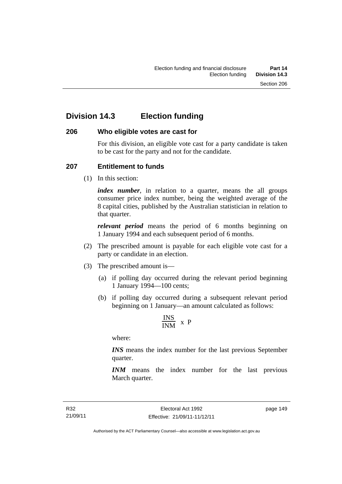# **Division 14.3 Election funding**

## **206 Who eligible votes are cast for**

For this division, an eligible vote cast for a party candidate is taken to be cast for the party and not for the candidate.

# **207 Entitlement to funds**

(1) In this section:

*index number*, in relation to a quarter, means the all groups consumer price index number, being the weighted average of the 8 capital cities, published by the Australian statistician in relation to that quarter.

*relevant period* means the period of 6 months beginning on 1 January 1994 and each subsequent period of 6 months.

- (2) The prescribed amount is payable for each eligible vote cast for a party or candidate in an election.
- (3) The prescribed amount is—
	- (a) if polling day occurred during the relevant period beginning 1 January 1994—100 cents;
	- (b) if polling day occurred during a subsequent relevant period beginning on 1 January—an amount calculated as follows:

$$
\frac{INS}{INM} \times P
$$

where:

*INS* means the index number for the last previous September quarter.

*INM* means the index number for the last previous March quarter.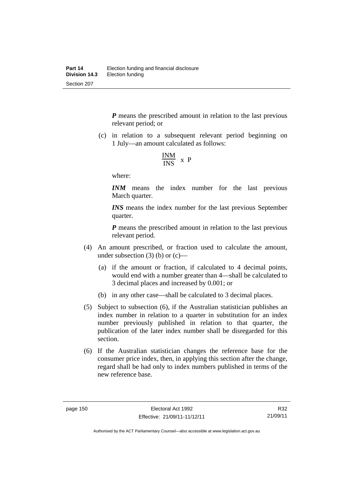*P* means the prescribed amount in relation to the last previous relevant period; or

 (c) in relation to a subsequent relevant period beginning on 1 July—an amount calculated as follows:

$$
\frac{INM}{INS} \times P
$$

where:

*INM* means the index number for the last previous March quarter.

*INS* means the index number for the last previous September quarter.

*P* means the prescribed amount in relation to the last previous relevant period.

- (4) An amount prescribed, or fraction used to calculate the amount, under subsection  $(3)$  (b) or  $(c)$ —
	- (a) if the amount or fraction, if calculated to 4 decimal points, would end with a number greater than 4—shall be calculated to 3 decimal places and increased by 0.001; or
	- (b) in any other case—shall be calculated to 3 decimal places.
- (5) Subject to subsection (6), if the Australian statistician publishes an index number in relation to a quarter in substitution for an index number previously published in relation to that quarter, the publication of the later index number shall be disregarded for this section.
- (6) If the Australian statistician changes the reference base for the consumer price index, then, in applying this section after the change, regard shall be had only to index numbers published in terms of the new reference base.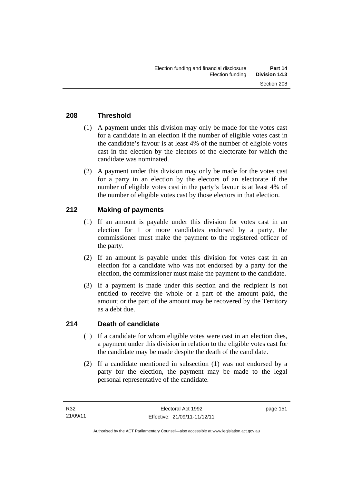# **208 Threshold**

- (1) A payment under this division may only be made for the votes cast for a candidate in an election if the number of eligible votes cast in the candidate's favour is at least 4% of the number of eligible votes cast in the election by the electors of the electorate for which the candidate was nominated.
- (2) A payment under this division may only be made for the votes cast for a party in an election by the electors of an electorate if the number of eligible votes cast in the party's favour is at least 4% of the number of eligible votes cast by those electors in that election.

# **212 Making of payments**

- (1) If an amount is payable under this division for votes cast in an election for 1 or more candidates endorsed by a party, the commissioner must make the payment to the registered officer of the party.
- (2) If an amount is payable under this division for votes cast in an election for a candidate who was not endorsed by a party for the election, the commissioner must make the payment to the candidate.
- (3) If a payment is made under this section and the recipient is not entitled to receive the whole or a part of the amount paid, the amount or the part of the amount may be recovered by the Territory as a debt due.

## **214 Death of candidate**

- (1) If a candidate for whom eligible votes were cast in an election dies, a payment under this division in relation to the eligible votes cast for the candidate may be made despite the death of the candidate.
- (2) If a candidate mentioned in subsection (1) was not endorsed by a party for the election, the payment may be made to the legal personal representative of the candidate.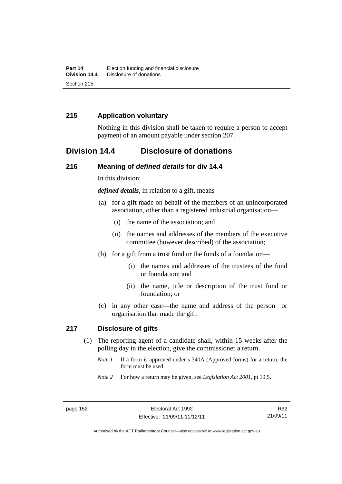# **215 Application voluntary**

Nothing in this division shall be taken to require a person to accept payment of an amount payable under section 207.

# **Division 14.4 Disclosure of donations**

#### **216 Meaning of** *defined details* **for div 14.4**

In this division:

*defined details*, in relation to a gift, means—

- (a) for a gift made on behalf of the members of an unincorporated association, other than a registered industrial organisation—
	- (i) the name of the association; and
	- (ii) the names and addresses of the members of the executive committee (however described) of the association;
- (b) for a gift from a trust fund or the funds of a foundation—
	- (i) the names and addresses of the trustees of the fund or foundation; and
	- (ii) the name, title or description of the trust fund or foundation; or
- (c) in any other case—the name and address of the person or organisation that made the gift.

#### **217 Disclosure of gifts**

- (1) The reporting agent of a candidate shall, within 15 weeks after the polling day in the election, give the commissioner a return.
	- *Note 1* If a form is approved under s 340A (Approved forms) for a return, the form must be used.
	- *Note 2* For how a return may be given, see *Legislation Act 2001*, pt 19.5.

R32 21/09/11

Authorised by the ACT Parliamentary Counsel—also accessible at www.legislation.act.gov.au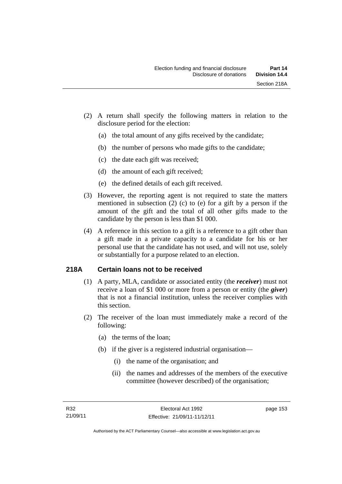- (2) A return shall specify the following matters in relation to the disclosure period for the election:
	- (a) the total amount of any gifts received by the candidate;
	- (b) the number of persons who made gifts to the candidate;
	- (c) the date each gift was received;
	- (d) the amount of each gift received;
	- (e) the defined details of each gift received.
- (3) However, the reporting agent is not required to state the matters mentioned in subsection (2) (c) to (e) for a gift by a person if the amount of the gift and the total of all other gifts made to the candidate by the person is less than \$1 000.
- (4) A reference in this section to a gift is a reference to a gift other than a gift made in a private capacity to a candidate for his or her personal use that the candidate has not used, and will not use, solely or substantially for a purpose related to an election.

# **218A Certain loans not to be received**

- (1) A party, MLA, candidate or associated entity (the *receiver*) must not receive a loan of \$1 000 or more from a person or entity (the *giver*) that is not a financial institution, unless the receiver complies with this section.
- (2) The receiver of the loan must immediately make a record of the following:
	- (a) the terms of the loan;
	- (b) if the giver is a registered industrial organisation—
		- (i) the name of the organisation; and
		- (ii) the names and addresses of the members of the executive committee (however described) of the organisation;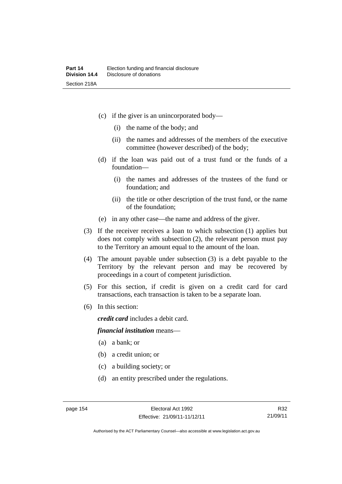- (c) if the giver is an unincorporated body—
	- (i) the name of the body; and
	- (ii) the names and addresses of the members of the executive committee (however described) of the body;
- (d) if the loan was paid out of a trust fund or the funds of a foundation—
	- (i) the names and addresses of the trustees of the fund or foundation; and
	- (ii) the title or other description of the trust fund, or the name of the foundation;
- (e) in any other case—the name and address of the giver.
- (3) If the receiver receives a loan to which subsection (1) applies but does not comply with subsection (2), the relevant person must pay to the Territory an amount equal to the amount of the loan.
- (4) The amount payable under subsection (3) is a debt payable to the Territory by the relevant person and may be recovered by proceedings in a court of competent jurisdiction.
- (5) For this section, if credit is given on a credit card for card transactions, each transaction is taken to be a separate loan.
- (6) In this section:

*credit card* includes a debit card.

#### *financial institution* means—

- (a) a bank; or
- (b) a credit union; or
- (c) a building society; or
- (d) an entity prescribed under the regulations.

R32 21/09/11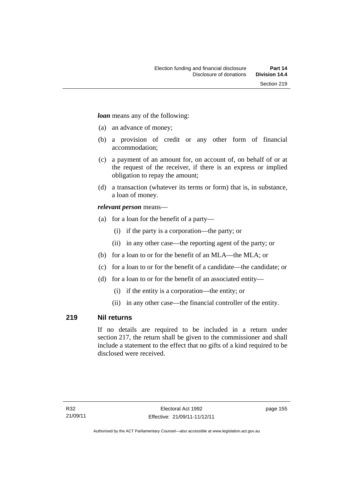*loan* means any of the following:

- (a) an advance of money;
- (b) a provision of credit or any other form of financial accommodation;
- (c) a payment of an amount for, on account of, on behalf of or at the request of the receiver, if there is an express or implied obligation to repay the amount;
- (d) a transaction (whatever its terms or form) that is, in substance, a loan of money.

## *relevant person* means—

- (a) for a loan for the benefit of a party—
	- (i) if the party is a corporation—the party; or
	- (ii) in any other case—the reporting agent of the party; or
- (b) for a loan to or for the benefit of an MLA—the MLA; or
- (c) for a loan to or for the benefit of a candidate—the candidate; or
- (d) for a loan to or for the benefit of an associated entity—
	- (i) if the entity is a corporation—the entity; or
	- (ii) in any other case—the financial controller of the entity.

# **219 Nil returns**

If no details are required to be included in a return under section 217, the return shall be given to the commissioner and shall include a statement to the effect that no gifts of a kind required to be disclosed were received.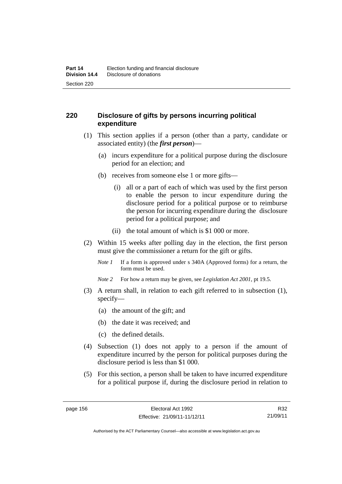# **220 Disclosure of gifts by persons incurring political expenditure**

- (1) This section applies if a person (other than a party, candidate or associated entity) (the *first person*)—
	- (a) incurs expenditure for a political purpose during the disclosure period for an election; and
	- (b) receives from someone else 1 or more gifts—
		- (i) all or a part of each of which was used by the first person to enable the person to incur expenditure during the disclosure period for a political purpose or to reimburse the person for incurring expenditure during the disclosure period for a political purpose; and
		- (ii) the total amount of which is \$1 000 or more.
- (2) Within 15 weeks after polling day in the election, the first person must give the commissioner a return for the gift or gifts.
	- *Note 1* If a form is approved under s 340A (Approved forms) for a return, the form must be used.
	- *Note 2* For how a return may be given, see *Legislation Act 2001*, pt 19.5.
- (3) A return shall, in relation to each gift referred to in subsection (1), specify—
	- (a) the amount of the gift; and
	- (b) the date it was received; and
	- (c) the defined details.
- (4) Subsection (1) does not apply to a person if the amount of expenditure incurred by the person for political purposes during the disclosure period is less than \$1 000.
- (5) For this section, a person shall be taken to have incurred expenditure for a political purpose if, during the disclosure period in relation to

R32 21/09/11

Authorised by the ACT Parliamentary Counsel—also accessible at www.legislation.act.gov.au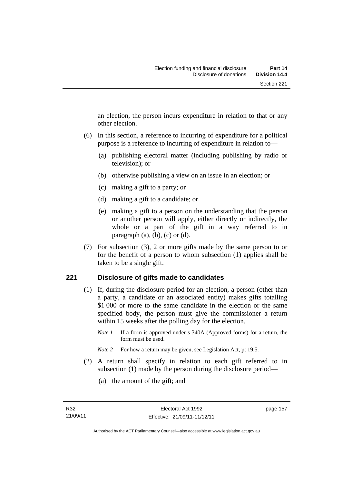an election, the person incurs expenditure in relation to that or any other election.

- (6) In this section, a reference to incurring of expenditure for a political purpose is a reference to incurring of expenditure in relation to—
	- (a) publishing electoral matter (including publishing by radio or television); or
	- (b) otherwise publishing a view on an issue in an election; or
	- (c) making a gift to a party; or
	- (d) making a gift to a candidate; or
	- (e) making a gift to a person on the understanding that the person or another person will apply, either directly or indirectly, the whole or a part of the gift in a way referred to in paragraph  $(a)$ ,  $(b)$ ,  $(c)$  or  $(d)$ .
- (7) For subsection (3), 2 or more gifts made by the same person to or for the benefit of a person to whom subsection (1) applies shall be taken to be a single gift.

## **221 Disclosure of gifts made to candidates**

- (1) If, during the disclosure period for an election, a person (other than a party, a candidate or an associated entity) makes gifts totalling \$1 000 or more to the same candidate in the election or the same specified body, the person must give the commissioner a return within 15 weeks after the polling day for the election.
	- *Note 1* If a form is approved under s 340A (Approved forms) for a return, the form must be used.
	- *Note* 2 For how a return may be given, see Legislation Act, pt 19.5.
- (2) A return shall specify in relation to each gift referred to in subsection (1) made by the person during the disclosure period—
	- (a) the amount of the gift; and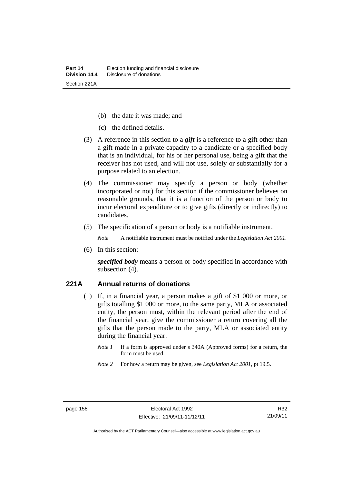- (b) the date it was made; and
- (c) the defined details.
- (3) A reference in this section to a *gift* is a reference to a gift other than a gift made in a private capacity to a candidate or a specified body that is an individual, for his or her personal use, being a gift that the receiver has not used, and will not use, solely or substantially for a purpose related to an election.
- (4) The commissioner may specify a person or body (whether incorporated or not) for this section if the commissioner believes on reasonable grounds, that it is a function of the person or body to incur electoral expenditure or to give gifts (directly or indirectly) to candidates.
- (5) The specification of a person or body is a notifiable instrument.

*Note* A notifiable instrument must be notified under the *Legislation Act 2001*.

(6) In this section:

*specified body* means a person or body specified in accordance with subsection (4).

#### **221A Annual returns of donations**

- (1) If, in a financial year, a person makes a gift of \$1 000 or more, or gifts totalling \$1 000 or more, to the same party, MLA or associated entity, the person must, within the relevant period after the end of the financial year, give the commissioner a return covering all the gifts that the person made to the party, MLA or associated entity during the financial year.
	- *Note 1* If a form is approved under s 340A (Approved forms) for a return, the form must be used.
	- *Note 2* For how a return may be given, see *Legislation Act 2001*, pt 19.5.

Authorised by the ACT Parliamentary Counsel—also accessible at www.legislation.act.gov.au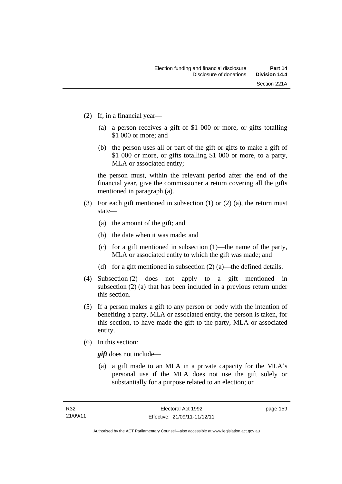- (2) If, in a financial year—
	- (a) a person receives a gift of \$1 000 or more, or gifts totalling \$1 000 or more; and
	- (b) the person uses all or part of the gift or gifts to make a gift of \$1 000 or more, or gifts totalling \$1 000 or more, to a party, MLA or associated entity;

the person must, within the relevant period after the end of the financial year, give the commissioner a return covering all the gifts mentioned in paragraph (a).

- (3) For each gift mentioned in subsection (1) or (2) (a), the return must state—
	- (a) the amount of the gift; and
	- (b) the date when it was made; and
	- (c) for a gift mentioned in subsection (1)—the name of the party, MLA or associated entity to which the gift was made; and
	- (d) for a gift mentioned in subsection (2) (a)—the defined details.
- (4) Subsection (2) does not apply to a gift mentioned in subsection (2) (a) that has been included in a previous return under this section.
- (5) If a person makes a gift to any person or body with the intention of benefiting a party, MLA or associated entity, the person is taken, for this section, to have made the gift to the party, MLA or associated entity.
- (6) In this section:

*gift* does not include—

 (a) a gift made to an MLA in a private capacity for the MLA's personal use if the MLA does not use the gift solely or substantially for a purpose related to an election; or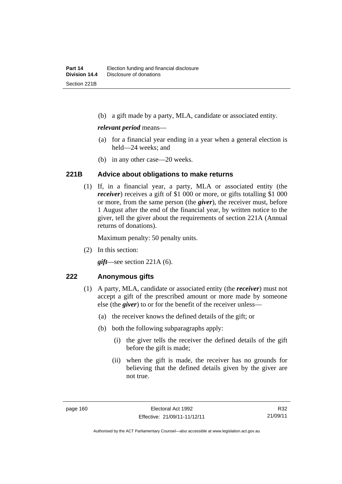(b) a gift made by a party, MLA, candidate or associated entity.

#### *relevant period* means—

- (a) for a financial year ending in a year when a general election is held—24 weeks; and
- (b) in any other case—20 weeks.

#### **221B Advice about obligations to make returns**

(1) If, in a financial year, a party, MLA or associated entity (the *receiver*) receives a gift of \$1 000 or more, or gifts totalling \$1 000 or more, from the same person (the *giver*), the receiver must, before 1 August after the end of the financial year, by written notice to the giver, tell the giver about the requirements of section 221A (Annual returns of donations).

Maximum penalty: 50 penalty units.

(2) In this section:

*gift*—see section 221A (6).

#### **222 Anonymous gifts**

- (1) A party, MLA, candidate or associated entity (the *receiver*) must not accept a gift of the prescribed amount or more made by someone else (the *giver*) to or for the benefit of the receiver unless—
	- (a) the receiver knows the defined details of the gift; or
	- (b) both the following subparagraphs apply:
		- (i) the giver tells the receiver the defined details of the gift before the gift is made;
		- (ii) when the gift is made, the receiver has no grounds for believing that the defined details given by the giver are not true.

Authorised by the ACT Parliamentary Counsel—also accessible at www.legislation.act.gov.au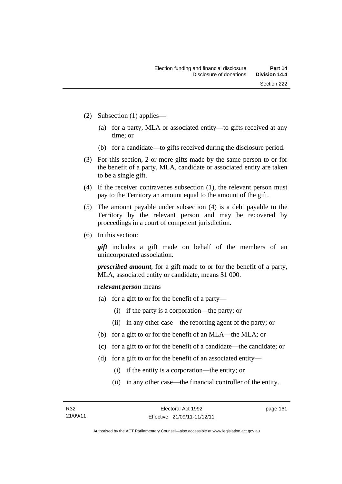- (2) Subsection (1) applies—
	- (a) for a party, MLA or associated entity—to gifts received at any time; or
	- (b) for a candidate—to gifts received during the disclosure period.
- (3) For this section, 2 or more gifts made by the same person to or for the benefit of a party, MLA, candidate or associated entity are taken to be a single gift.
- (4) If the receiver contravenes subsection (1), the relevant person must pay to the Territory an amount equal to the amount of the gift.
- (5) The amount payable under subsection (4) is a debt payable to the Territory by the relevant person and may be recovered by proceedings in a court of competent jurisdiction.
- (6) In this section:

*gift* includes a gift made on behalf of the members of an unincorporated association.

*prescribed amount*, for a gift made to or for the benefit of a party, MLA, associated entity or candidate, means \$1 000.

#### *relevant person* means

- (a) for a gift to or for the benefit of a party—
	- (i) if the party is a corporation—the party; or
	- (ii) in any other case—the reporting agent of the party; or
- (b) for a gift to or for the benefit of an MLA—the MLA; or
- (c) for a gift to or for the benefit of a candidate—the candidate; or
- (d) for a gift to or for the benefit of an associated entity—
	- (i) if the entity is a corporation—the entity; or
	- (ii) in any other case—the financial controller of the entity.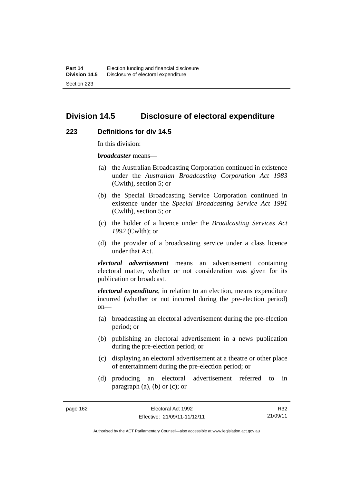# **Division 14.5 Disclosure of electoral expenditure**

#### **223 Definitions for div 14.5**

In this division:

*broadcaster* means—

- (a) the Australian Broadcasting Corporation continued in existence under the *Australian Broadcasting Corporation Act 1983* (Cwlth), section 5; or
- (b) the Special Broadcasting Service Corporation continued in existence under the *Special Broadcasting Service Act 1991*  (Cwlth), section 5; or
- (c) the holder of a licence under the *Broadcasting Services Act 1992* (Cwlth); or
- (d) the provider of a broadcasting service under a class licence under that Act.

*electoral advertisement* means an advertisement containing electoral matter, whether or not consideration was given for its publication or broadcast.

*electoral expenditure*, in relation to an election, means expenditure incurred (whether or not incurred during the pre-election period)  $on$ —

- (a) broadcasting an electoral advertisement during the pre-election period; or
- (b) publishing an electoral advertisement in a news publication during the pre-election period; or
- (c) displaying an electoral advertisement at a theatre or other place of entertainment during the pre-election period; or
- (d) producing an electoral advertisement referred to in paragraph  $(a)$ ,  $(b)$  or  $(c)$ ; or

R32 21/09/11

Authorised by the ACT Parliamentary Counsel—also accessible at www.legislation.act.gov.au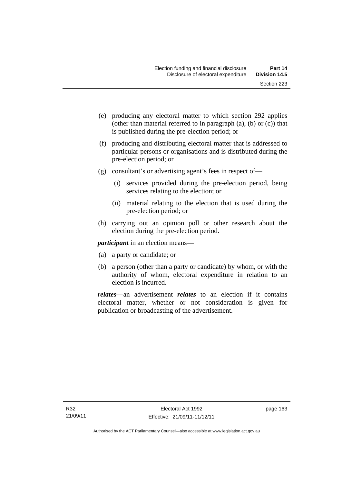- (e) producing any electoral matter to which section 292 applies (other than material referred to in paragraph (a), (b) or (c)) that is published during the pre-election period; or
- (f) producing and distributing electoral matter that is addressed to particular persons or organisations and is distributed during the pre-election period; or
- (g) consultant's or advertising agent's fees in respect of—
	- (i) services provided during the pre-election period, being services relating to the election; or
	- (ii) material relating to the election that is used during the pre-election period; or
- (h) carrying out an opinion poll or other research about the election during the pre-election period.

*participant* in an election means—

- (a) a party or candidate; or
- (b) a person (other than a party or candidate) by whom, or with the authority of whom, electoral expenditure in relation to an election is incurred.

*relates*—an advertisement *relates* to an election if it contains electoral matter, whether or not consideration is given for publication or broadcasting of the advertisement.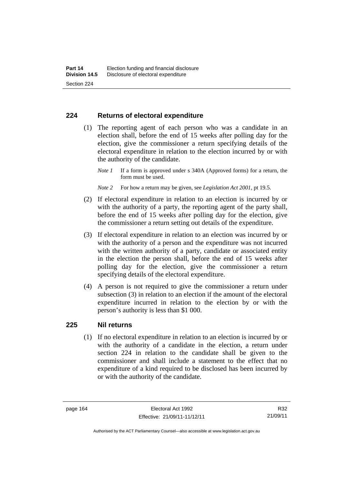## **224 Returns of electoral expenditure**

 (1) The reporting agent of each person who was a candidate in an election shall, before the end of 15 weeks after polling day for the election, give the commissioner a return specifying details of the electoral expenditure in relation to the election incurred by or with the authority of the candidate.

- *Note 2* For how a return may be given, see *Legislation Act 2001*, pt 19.5.
- (2) If electoral expenditure in relation to an election is incurred by or with the authority of a party, the reporting agent of the party shall, before the end of 15 weeks after polling day for the election, give the commissioner a return setting out details of the expenditure.
- (3) If electoral expenditure in relation to an election was incurred by or with the authority of a person and the expenditure was not incurred with the written authority of a party, candidate or associated entity in the election the person shall, before the end of 15 weeks after polling day for the election, give the commissioner a return specifying details of the electoral expenditure.
- (4) A person is not required to give the commissioner a return under subsection (3) in relation to an election if the amount of the electoral expenditure incurred in relation to the election by or with the person's authority is less than \$1 000.

## **225 Nil returns**

(1) If no electoral expenditure in relation to an election is incurred by or with the authority of a candidate in the election, a return under section 224 in relation to the candidate shall be given to the commissioner and shall include a statement to the effect that no expenditure of a kind required to be disclosed has been incurred by or with the authority of the candidate.

*Note 1* If a form is approved under s 340A (Approved forms) for a return, the form must be used.

R32 21/09/11

Authorised by the ACT Parliamentary Counsel—also accessible at www.legislation.act.gov.au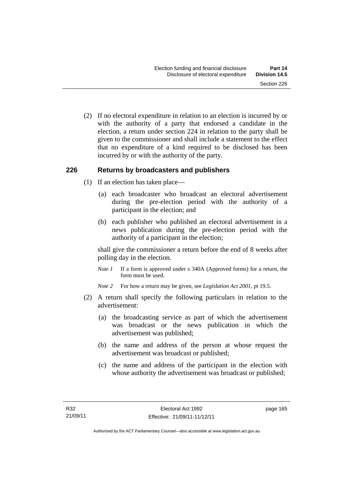(2) If no electoral expenditure in relation to an election is incurred by or with the authority of a party that endorsed a candidate in the election, a return under section 224 in relation to the party shall be given to the commissioner and shall include a statement to the effect that no expenditure of a kind required to be disclosed has been incurred by or with the authority of the party.

## **226 Returns by broadcasters and publishers**

- (1) If an election has taken place—
	- (a) each broadcaster who broadcast an electoral advertisement during the pre-election period with the authority of a participant in the election; and
	- (b) each publisher who published an electoral advertisement in a news publication during the pre-election period with the authority of a participant in the election;

shall give the commissioner a return before the end of 8 weeks after polling day in the election.

*Note 1* If a form is approved under s 340A (Approved forms) for a return, the form must be used.

*Note 2* For how a return may be given, see *Legislation Act 2001*, pt 19.5.

- (2) A return shall specify the following particulars in relation to the advertisement:
	- (a) the broadcasting service as part of which the advertisement was broadcast or the news publication in which the advertisement was published;
	- (b) the name and address of the person at whose request the advertisement was broadcast or published;
	- (c) the name and address of the participant in the election with whose authority the advertisement was broadcast or published;

page 165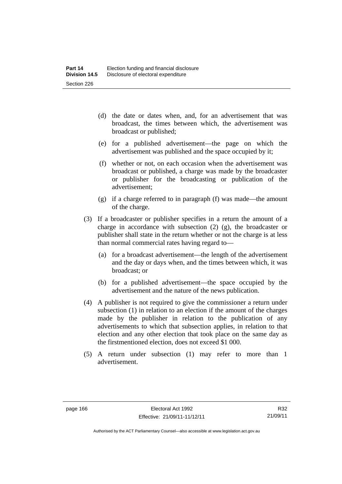- (d) the date or dates when, and, for an advertisement that was broadcast, the times between which, the advertisement was broadcast or published;
- (e) for a published advertisement—the page on which the advertisement was published and the space occupied by it;
- (f) whether or not, on each occasion when the advertisement was broadcast or published, a charge was made by the broadcaster or publisher for the broadcasting or publication of the advertisement;
- (g) if a charge referred to in paragraph (f) was made—the amount of the charge.
- (3) If a broadcaster or publisher specifies in a return the amount of a charge in accordance with subsection (2) (g), the broadcaster or publisher shall state in the return whether or not the charge is at less than normal commercial rates having regard to—
	- (a) for a broadcast advertisement—the length of the advertisement and the day or days when, and the times between which, it was broadcast; or
	- (b) for a published advertisement—the space occupied by the advertisement and the nature of the news publication.
- (4) A publisher is not required to give the commissioner a return under subsection (1) in relation to an election if the amount of the charges made by the publisher in relation to the publication of any advertisements to which that subsection applies, in relation to that election and any other election that took place on the same day as the firstmentioned election, does not exceed \$1 000.
- (5) A return under subsection (1) may refer to more than 1 advertisement.

Authorised by the ACT Parliamentary Counsel—also accessible at www.legislation.act.gov.au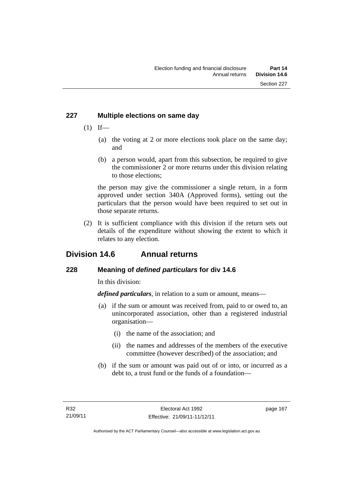# **227 Multiple elections on same day**

- $(1)$  If—
	- (a) the voting at 2 or more elections took place on the same day; and
	- (b) a person would, apart from this subsection, be required to give the commissioner 2 or more returns under this division relating to those elections;

the person may give the commissioner a single return, in a form approved under section 340A (Approved forms), setting out the particulars that the person would have been required to set out in those separate returns.

 (2) It is sufficient compliance with this division if the return sets out details of the expenditure without showing the extent to which it relates to any election.

# **Division 14.6 Annual returns**

# **228 Meaning of** *defined particulars* **for div 14.6**

In this division:

*defined particulars*, in relation to a sum or amount, means—

- (a) if the sum or amount was received from, paid to or owed to, an unincorporated association, other than a registered industrial organisation—
	- (i) the name of the association; and
	- (ii) the names and addresses of the members of the executive committee (however described) of the association; and
- (b) if the sum or amount was paid out of or into, or incurred as a debt to, a trust fund or the funds of a foundation—

page 167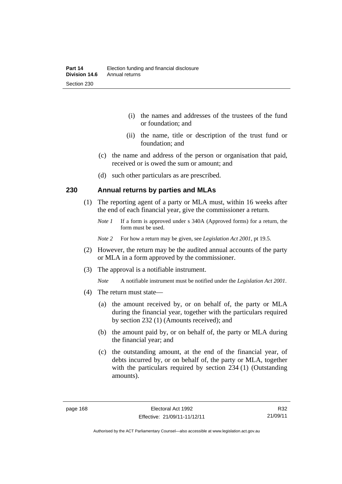- (i) the names and addresses of the trustees of the fund or foundation; and
- (ii) the name, title or description of the trust fund or foundation; and
- (c) the name and address of the person or organisation that paid, received or is owed the sum or amount; and
- (d) such other particulars as are prescribed.

## **230 Annual returns by parties and MLAs**

- (1) The reporting agent of a party or MLA must, within 16 weeks after the end of each financial year, give the commissioner a return.
	- *Note 1* If a form is approved under s 340A (Approved forms) for a return, the form must be used.
	- *Note 2* For how a return may be given, see *Legislation Act 2001*, pt 19.5.
- (2) However, the return may be the audited annual accounts of the party or MLA in a form approved by the commissioner.
- (3) The approval is a notifiable instrument.
	- *Note* A notifiable instrument must be notified under the *Legislation Act 2001*.
- (4) The return must state—
	- (a) the amount received by, or on behalf of, the party or MLA during the financial year, together with the particulars required by section 232 (1) (Amounts received); and
	- (b) the amount paid by, or on behalf of, the party or MLA during the financial year; and
	- (c) the outstanding amount, at the end of the financial year, of debts incurred by, or on behalf of, the party or MLA, together with the particulars required by section 234 (1) (Outstanding amounts).

R32 21/09/11

Authorised by the ACT Parliamentary Counsel—also accessible at www.legislation.act.gov.au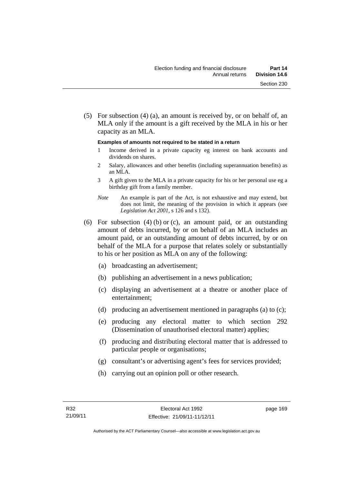(5) For subsection (4) (a), an amount is received by, or on behalf of, an MLA only if the amount is a gift received by the MLA in his or her capacity as an MLA.

#### **Examples of amounts not required to be stated in a return**

- 1 Income derived in a private capacity eg interest on bank accounts and dividends on shares.
- 2 Salary, allowances and other benefits (including superannuation benefits) as an MLA.
- 3 A gift given to the MLA in a private capacity for his or her personal use eg a birthday gift from a family member.
- *Note* An example is part of the Act, is not exhaustive and may extend, but does not limit, the meaning of the provision in which it appears (see *Legislation Act 2001*, s 126 and s 132).
- (6) For subsection (4) (b) or (c), an amount paid, or an outstanding amount of debts incurred, by or on behalf of an MLA includes an amount paid, or an outstanding amount of debts incurred, by or on behalf of the MLA for a purpose that relates solely or substantially to his or her position as MLA on any of the following:
	- (a) broadcasting an advertisement;
	- (b) publishing an advertisement in a news publication;
	- (c) displaying an advertisement at a theatre or another place of entertainment;
	- (d) producing an advertisement mentioned in paragraphs (a) to (c);
	- (e) producing any electoral matter to which section 292 (Dissemination of unauthorised electoral matter) applies;
	- (f) producing and distributing electoral matter that is addressed to particular people or organisations;
	- (g) consultant's or advertising agent's fees for services provided;
	- (h) carrying out an opinion poll or other research.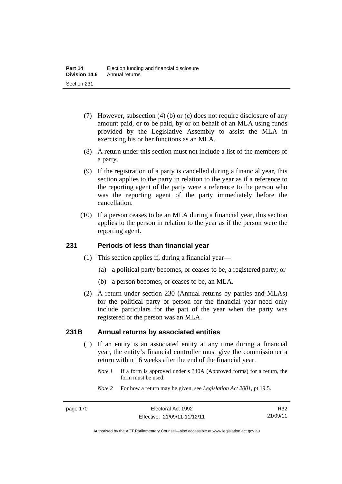- (7) However, subsection (4) (b) or (c) does not require disclosure of any amount paid, or to be paid, by or on behalf of an MLA using funds provided by the Legislative Assembly to assist the MLA in exercising his or her functions as an MLA.
- (8) A return under this section must not include a list of the members of a party.
- (9) If the registration of a party is cancelled during a financial year, this section applies to the party in relation to the year as if a reference to the reporting agent of the party were a reference to the person who was the reporting agent of the party immediately before the cancellation.
- (10) If a person ceases to be an MLA during a financial year, this section applies to the person in relation to the year as if the person were the reporting agent.

## **231 Periods of less than financial year**

- (1) This section applies if, during a financial year—
	- (a) a political party becomes, or ceases to be, a registered party; or
	- (b) a person becomes, or ceases to be, an MLA.
- (2) A return under section 230 (Annual returns by parties and MLAs) for the political party or person for the financial year need only include particulars for the part of the year when the party was registered or the person was an MLA.

## **231B Annual returns by associated entities**

- (1) If an entity is an associated entity at any time during a financial year, the entity's financial controller must give the commissioner a return within 16 weeks after the end of the financial year.
	- *Note 1* If a form is approved under s 340A (Approved forms) for a return, the form must be used.
	- *Note 2* For how a return may be given, see *Legislation Act 2001*, pt 19.5.

R32 21/09/11

Authorised by the ACT Parliamentary Counsel—also accessible at www.legislation.act.gov.au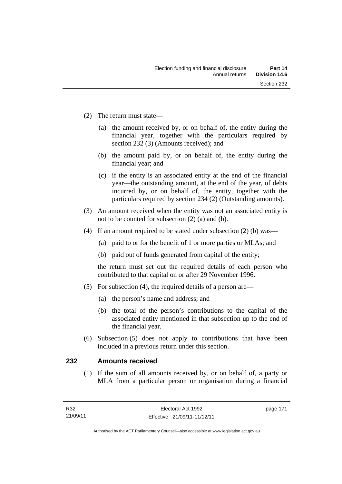- (2) The return must state—
	- (a) the amount received by, or on behalf of, the entity during the financial year, together with the particulars required by section 232 (3) (Amounts received); and
	- (b) the amount paid by, or on behalf of, the entity during the financial year; and
	- (c) if the entity is an associated entity at the end of the financial year—the outstanding amount, at the end of the year, of debts incurred by, or on behalf of, the entity, together with the particulars required by section 234 (2) (Outstanding amounts).
- (3) An amount received when the entity was not an associated entity is not to be counted for subsection (2) (a) and (b).
- (4) If an amount required to be stated under subsection (2) (b) was—
	- (a) paid to or for the benefit of 1 or more parties or MLAs; and
	- (b) paid out of funds generated from capital of the entity;

the return must set out the required details of each person who contributed to that capital on or after 29 November 1996.

- (5) For subsection (4), the required details of a person are—
	- (a) the person's name and address; and
	- (b) the total of the person's contributions to the capital of the associated entity mentioned in that subsection up to the end of the financial year.
- (6) Subsection (5) does not apply to contributions that have been included in a previous return under this section.

## **232 Amounts received**

(1) If the sum of all amounts received by, or on behalf of, a party or MLA from a particular person or organisation during a financial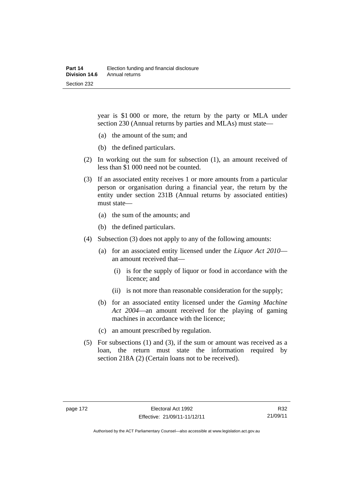year is \$1 000 or more, the return by the party or MLA under section 230 (Annual returns by parties and MLAs) must state—

- (a) the amount of the sum; and
- (b) the defined particulars.
- (2) In working out the sum for subsection (1), an amount received of less than \$1 000 need not be counted.
- (3) If an associated entity receives 1 or more amounts from a particular person or organisation during a financial year, the return by the entity under section 231B (Annual returns by associated entities) must state—
	- (a) the sum of the amounts; and
	- (b) the defined particulars.
- (4) Subsection (3) does not apply to any of the following amounts:
	- (a) for an associated entity licensed under the *Liquor Act 2010* an amount received that—
		- (i) is for the supply of liquor or food in accordance with the licence; and
		- (ii) is not more than reasonable consideration for the supply;
	- (b) for an associated entity licensed under the *Gaming Machine Act 2004*—an amount received for the playing of gaming machines in accordance with the licence;
	- (c) an amount prescribed by regulation.
- (5) For subsections (1) and (3), if the sum or amount was received as a loan, the return must state the information required by section 218A (2) (Certain loans not to be received).

Authorised by the ACT Parliamentary Counsel—also accessible at www.legislation.act.gov.au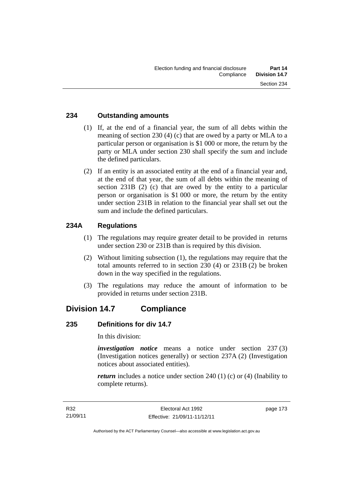## **234 Outstanding amounts**

- (1) If, at the end of a financial year, the sum of all debts within the meaning of section 230 (4) (c) that are owed by a party or MLA to a particular person or organisation is \$1 000 or more, the return by the party or MLA under section 230 shall specify the sum and include the defined particulars.
- (2) If an entity is an associated entity at the end of a financial year and, at the end of that year, the sum of all debts within the meaning of section 231B (2) (c) that are owed by the entity to a particular person or organisation is \$1 000 or more, the return by the entity under section 231B in relation to the financial year shall set out the sum and include the defined particulars.

## **234A Regulations**

- (1) The regulations may require greater detail to be provided in returns under section 230 or 231B than is required by this division.
- (2) Without limiting subsection (1), the regulations may require that the total amounts referred to in section 230 (4) or 231B (2) be broken down in the way specified in the regulations.
- (3) The regulations may reduce the amount of information to be provided in returns under section 231B.

# **Division 14.7 Compliance**

## **235 Definitions for div 14.7**

In this division:

*investigation notice* means a notice under section 237 (3) (Investigation notices generally) or section 237A (2) (Investigation notices about associated entities).

*return* includes a notice under section 240 (1) (c) or (4) (Inability to complete returns).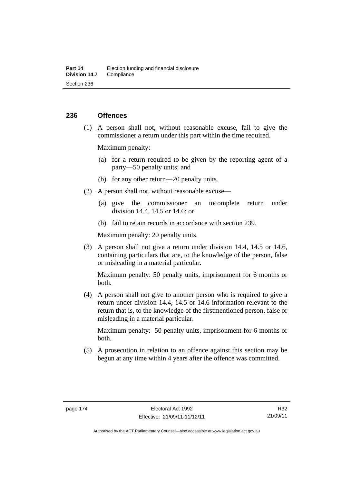## **236 Offences**

 (1) A person shall not, without reasonable excuse, fail to give the commissioner a return under this part within the time required.

Maximum penalty:

- (a) for a return required to be given by the reporting agent of a party—50 penalty units; and
- (b) for any other return—20 penalty units.
- (2) A person shall not, without reasonable excuse—
	- (a) give the commissioner an incomplete return under division 14.4, 14.5 or 14.6; or
	- (b) fail to retain records in accordance with section 239.

Maximum penalty: 20 penalty units.

 (3) A person shall not give a return under division 14.4, 14.5 or 14.6, containing particulars that are, to the knowledge of the person, false or misleading in a material particular.

Maximum penalty: 50 penalty units, imprisonment for 6 months or both.

 (4) A person shall not give to another person who is required to give a return under division 14.4, 14.5 or 14.6 information relevant to the return that is, to the knowledge of the firstmentioned person, false or misleading in a material particular.

Maximum penalty: 50 penalty units, imprisonment for 6 months or both.

 (5) A prosecution in relation to an offence against this section may be begun at any time within 4 years after the offence was committed.

Authorised by the ACT Parliamentary Counsel—also accessible at www.legislation.act.gov.au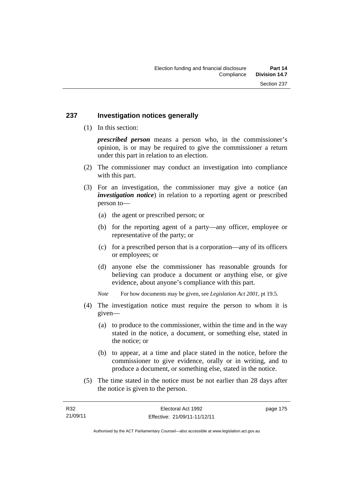## **237 Investigation notices generally**

(1) In this section:

*prescribed person* means a person who, in the commissioner's opinion, is or may be required to give the commissioner a return under this part in relation to an election.

- (2) The commissioner may conduct an investigation into compliance with this part.
- (3) For an investigation, the commissioner may give a notice (an *investigation notice*) in relation to a reporting agent or prescribed person to—
	- (a) the agent or prescribed person; or
	- (b) for the reporting agent of a party—any officer, employee or representative of the party; or
	- (c) for a prescribed person that is a corporation—any of its officers or employees; or
	- (d) anyone else the commissioner has reasonable grounds for believing can produce a document or anything else, or give evidence, about anyone's compliance with this part.
	- *Note* For how documents may be given, see *Legislation Act 2001*, pt 19.5.
- (4) The investigation notice must require the person to whom it is given—
	- (a) to produce to the commissioner, within the time and in the way stated in the notice, a document, or something else, stated in the notice; or
	- (b) to appear, at a time and place stated in the notice, before the commissioner to give evidence, orally or in writing, and to produce a document, or something else, stated in the notice.
- (5) The time stated in the notice must be not earlier than 28 days after the notice is given to the person.

page 175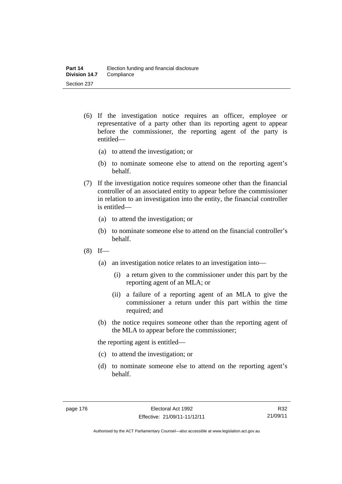- (6) If the investigation notice requires an officer, employee or representative of a party other than its reporting agent to appear before the commissioner, the reporting agent of the party is entitled—
	- (a) to attend the investigation; or
	- (b) to nominate someone else to attend on the reporting agent's behalf.
- (7) If the investigation notice requires someone other than the financial controller of an associated entity to appear before the commissioner in relation to an investigation into the entity, the financial controller is entitled—
	- (a) to attend the investigation; or
	- (b) to nominate someone else to attend on the financial controller's behalf.
- $(8)$  If—
	- (a) an investigation notice relates to an investigation into—
		- (i) a return given to the commissioner under this part by the reporting agent of an MLA; or
		- (ii) a failure of a reporting agent of an MLA to give the commissioner a return under this part within the time required; and
	- (b) the notice requires someone other than the reporting agent of the MLA to appear before the commissioner;

the reporting agent is entitled—

- (c) to attend the investigation; or
- (d) to nominate someone else to attend on the reporting agent's behalf.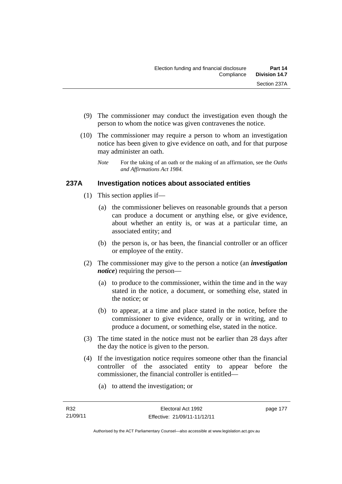- (9) The commissioner may conduct the investigation even though the person to whom the notice was given contravenes the notice.
- (10) The commissioner may require a person to whom an investigation notice has been given to give evidence on oath, and for that purpose may administer an oath.
	- *Note* For the taking of an oath or the making of an affirmation, see the *Oaths and Affirmations Act 1984.*

# **237A Investigation notices about associated entities**

- (1) This section applies if—
	- (a) the commissioner believes on reasonable grounds that a person can produce a document or anything else, or give evidence, about whether an entity is, or was at a particular time, an associated entity; and
	- (b) the person is, or has been, the financial controller or an officer or employee of the entity.
- (2) The commissioner may give to the person a notice (an *investigation notice*) requiring the person—
	- (a) to produce to the commissioner, within the time and in the way stated in the notice, a document, or something else, stated in the notice; or
	- (b) to appear, at a time and place stated in the notice, before the commissioner to give evidence, orally or in writing, and to produce a document, or something else, stated in the notice.
- (3) The time stated in the notice must not be earlier than 28 days after the day the notice is given to the person.
- (4) If the investigation notice requires someone other than the financial controller of the associated entity to appear before the commissioner, the financial controller is entitled—
	- (a) to attend the investigation; or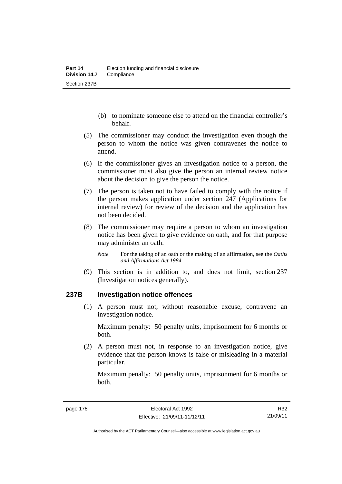- (b) to nominate someone else to attend on the financial controller's behalf.
- (5) The commissioner may conduct the investigation even though the person to whom the notice was given contravenes the notice to attend.
- (6) If the commissioner gives an investigation notice to a person, the commissioner must also give the person an internal review notice about the decision to give the person the notice.
- (7) The person is taken not to have failed to comply with the notice if the person makes application under section 247 (Applications for internal review) for review of the decision and the application has not been decided.
- (8) The commissioner may require a person to whom an investigation notice has been given to give evidence on oath, and for that purpose may administer an oath.
	- *Note* For the taking of an oath or the making of an affirmation, see the *Oaths and Affirmations Act 1984.*
- (9) This section is in addition to, and does not limit, section 237 (Investigation notices generally).

## **237B Investigation notice offences**

(1) A person must not, without reasonable excuse, contravene an investigation notice.

Maximum penalty: 50 penalty units, imprisonment for 6 months or both.

 (2) A person must not, in response to an investigation notice, give evidence that the person knows is false or misleading in a material particular.

Maximum penalty: 50 penalty units, imprisonment for 6 months or both.

R32 21/09/11

Authorised by the ACT Parliamentary Counsel—also accessible at www.legislation.act.gov.au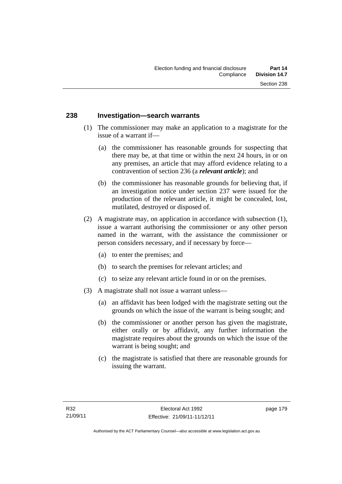## **238 Investigation—search warrants**

- (1) The commissioner may make an application to a magistrate for the issue of a warrant if—
	- (a) the commissioner has reasonable grounds for suspecting that there may be, at that time or within the next 24 hours, in or on any premises, an article that may afford evidence relating to a contravention of section 236 (a *relevant article*); and
	- (b) the commissioner has reasonable grounds for believing that, if an investigation notice under section 237 were issued for the production of the relevant article, it might be concealed, lost, mutilated, destroyed or disposed of.
- (2) A magistrate may, on application in accordance with subsection (1), issue a warrant authorising the commissioner or any other person named in the warrant, with the assistance the commissioner or person considers necessary, and if necessary by force—
	- (a) to enter the premises; and
	- (b) to search the premises for relevant articles; and
	- (c) to seize any relevant article found in or on the premises.
- (3) A magistrate shall not issue a warrant unless—
	- (a) an affidavit has been lodged with the magistrate setting out the grounds on which the issue of the warrant is being sought; and
	- (b) the commissioner or another person has given the magistrate, either orally or by affidavit, any further information the magistrate requires about the grounds on which the issue of the warrant is being sought; and
	- (c) the magistrate is satisfied that there are reasonable grounds for issuing the warrant.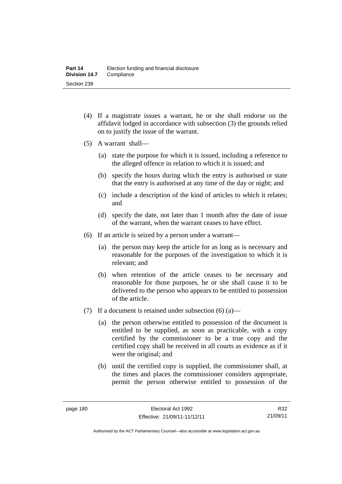- (4) If a magistrate issues a warrant, he or she shall endorse on the affidavit lodged in accordance with subsection (3) the grounds relied on to justify the issue of the warrant.
- (5) A warrant shall—
	- (a) state the purpose for which it is issued, including a reference to the alleged offence in relation to which it is issued; and
	- (b) specify the hours during which the entry is authorised or state that the entry is authorised at any time of the day or night; and
	- (c) include a description of the kind of articles to which it relates; and
	- (d) specify the date, not later than 1 month after the date of issue of the warrant, when the warrant ceases to have effect.
- (6) If an article is seized by a person under a warrant—
	- (a) the person may keep the article for as long as is necessary and reasonable for the purposes of the investigation to which it is relevant; and
	- (b) when retention of the article ceases to be necessary and reasonable for those purposes, he or she shall cause it to be delivered to the person who appears to be entitled to possession of the article.
- (7) If a document is retained under subsection  $(6)$  (a)—
	- (a) the person otherwise entitled to possession of the document is entitled to be supplied, as soon as practicable, with a copy certified by the commissioner to be a true copy and the certified copy shall be received in all courts as evidence as if it were the original; and
	- (b) until the certified copy is supplied, the commissioner shall, at the times and places the commissioner considers appropriate, permit the person otherwise entitled to possession of the

R32 21/09/11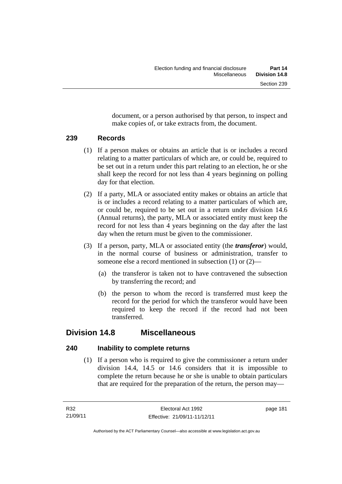document, or a person authorised by that person, to inspect and make copies of, or take extracts from, the document.

## **239 Records**

- (1) If a person makes or obtains an article that is or includes a record relating to a matter particulars of which are, or could be, required to be set out in a return under this part relating to an election, he or she shall keep the record for not less than 4 years beginning on polling day for that election.
- (2) If a party, MLA or associated entity makes or obtains an article that is or includes a record relating to a matter particulars of which are, or could be, required to be set out in a return under division 14.6 (Annual returns), the party, MLA or associated entity must keep the record for not less than 4 years beginning on the day after the last day when the return must be given to the commissioner.
- (3) If a person, party, MLA or associated entity (the *transferor*) would, in the normal course of business or administration, transfer to someone else a record mentioned in subsection (1) or (2)—
	- (a) the transferor is taken not to have contravened the subsection by transferring the record; and
	- (b) the person to whom the record is transferred must keep the record for the period for which the transferor would have been required to keep the record if the record had not been transferred.

# **Division 14.8 Miscellaneous**

## **240 Inability to complete returns**

 (1) If a person who is required to give the commissioner a return under division 14.4, 14.5 or 14.6 considers that it is impossible to complete the return because he or she is unable to obtain particulars that are required for the preparation of the return, the person may—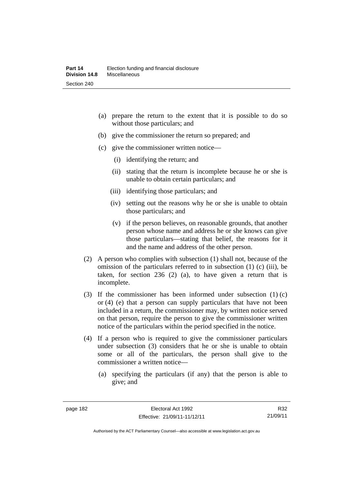- (a) prepare the return to the extent that it is possible to do so without those particulars; and
- (b) give the commissioner the return so prepared; and
- (c) give the commissioner written notice—
	- (i) identifying the return; and
	- (ii) stating that the return is incomplete because he or she is unable to obtain certain particulars; and
	- (iii) identifying those particulars; and
	- (iv) setting out the reasons why he or she is unable to obtain those particulars; and
	- (v) if the person believes, on reasonable grounds, that another person whose name and address he or she knows can give those particulars—stating that belief, the reasons for it and the name and address of the other person.
- (2) A person who complies with subsection (1) shall not, because of the omission of the particulars referred to in subsection (1) (c) (iii), be taken, for section 236 (2) (a), to have given a return that is incomplete.
- (3) If the commissioner has been informed under subsection (1) (c) or (4) (e) that a person can supply particulars that have not been included in a return, the commissioner may, by written notice served on that person, require the person to give the commissioner written notice of the particulars within the period specified in the notice.
- (4) If a person who is required to give the commissioner particulars under subsection (3) considers that he or she is unable to obtain some or all of the particulars, the person shall give to the commissioner a written notice—
	- (a) specifying the particulars (if any) that the person is able to give; and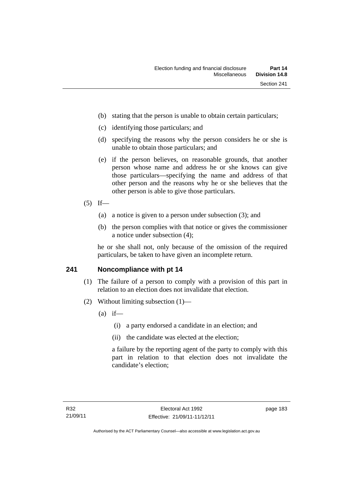- (b) stating that the person is unable to obtain certain particulars;
- (c) identifying those particulars; and
- (d) specifying the reasons why the person considers he or she is unable to obtain those particulars; and
- (e) if the person believes, on reasonable grounds, that another person whose name and address he or she knows can give those particulars—specifying the name and address of that other person and the reasons why he or she believes that the other person is able to give those particulars.
- $(5)$  If—
	- (a) a notice is given to a person under subsection (3); and
	- (b) the person complies with that notice or gives the commissioner a notice under subsection (4);

he or she shall not, only because of the omission of the required particulars, be taken to have given an incomplete return.

## **241 Noncompliance with pt 14**

- (1) The failure of a person to comply with a provision of this part in relation to an election does not invalidate that election.
- (2) Without limiting subsection (1)—
	- $(a)$  if—
		- (i) a party endorsed a candidate in an election; and
		- (ii) the candidate was elected at the election;

a failure by the reporting agent of the party to comply with this part in relation to that election does not invalidate the candidate's election;

page 183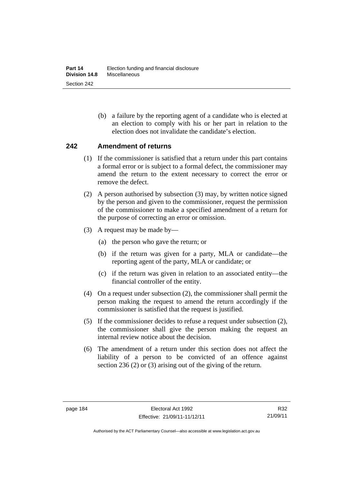(b) a failure by the reporting agent of a candidate who is elected at an election to comply with his or her part in relation to the election does not invalidate the candidate's election.

## **242 Amendment of returns**

- (1) If the commissioner is satisfied that a return under this part contains a formal error or is subject to a formal defect, the commissioner may amend the return to the extent necessary to correct the error or remove the defect.
- (2) A person authorised by subsection (3) may, by written notice signed by the person and given to the commissioner, request the permission of the commissioner to make a specified amendment of a return for the purpose of correcting an error or omission.
- (3) A request may be made by—
	- (a) the person who gave the return; or
	- (b) if the return was given for a party, MLA or candidate—the reporting agent of the party, MLA or candidate; or
	- (c) if the return was given in relation to an associated entity—the financial controller of the entity.
- (4) On a request under subsection (2), the commissioner shall permit the person making the request to amend the return accordingly if the commissioner is satisfied that the request is justified.
- (5) If the commissioner decides to refuse a request under subsection (2), the commissioner shall give the person making the request an internal review notice about the decision.
- (6) The amendment of a return under this section does not affect the liability of a person to be convicted of an offence against section 236 (2) or (3) arising out of the giving of the return.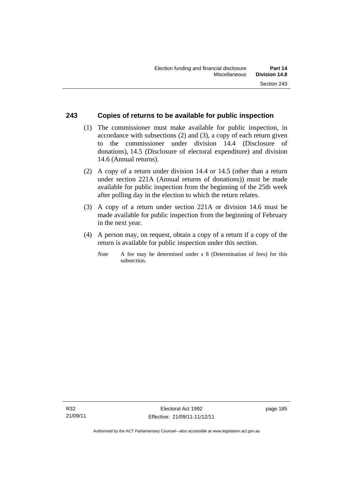## **243 Copies of returns to be available for public inspection**

- (1) The commissioner must make available for public inspection, in accordance with subsections (2) and (3), a copy of each return given to the commissioner under division 14.4 (Disclosure of donations), 14.5 (Disclosure of electoral expenditure) and division 14.6 (Annual returns).
- (2) A copy of a return under division 14.4 or 14.5 (other than a return under section 221A (Annual returns of donations)) must be made available for public inspection from the beginning of the 25th week after polling day in the election to which the return relates.
- (3) A copy of a return under section 221A or division 14.6 must be made available for public inspection from the beginning of February in the next year.
- (4) A person may, on request, obtain a copy of a return if a copy of the return is available for public inspection under this section.
	- *Note* A fee may be determined under s 8 (Determination of fees) for this subsection.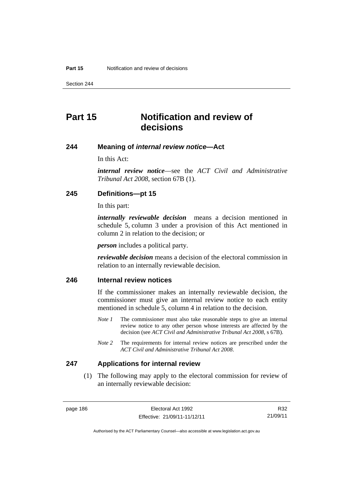Section 244

# **Part 15 Notification and review of decisions**

#### **244 Meaning of** *internal review notice***—Act**

In this Act:

*internal review notice*—see the *ACT Civil and Administrative Tribunal Act 2008*, section 67B (1).

## **245 Definitions—pt 15**

In this part:

*internally reviewable decision* means a decision mentioned in schedule 5, column 3 under a provision of this Act mentioned in column 2 in relation to the decision; or

*person* includes a political party.

*reviewable decision* means a decision of the electoral commission in relation to an internally reviewable decision.

# **246 Internal review notices**

If the commissioner makes an internally reviewable decision, the commissioner must give an internal review notice to each entity mentioned in schedule 5, column 4 in relation to the decision.

- *Note 1* The commissioner must also take reasonable steps to give an internal review notice to any other person whose interests are affected by the decision (see *ACT Civil and Administrative Tribunal Act 2008*, s 67B).
- *Note* 2 The requirements for internal review notices are prescribed under the *ACT Civil and Administrative Tribunal Act 2008*.

#### **247 Applications for internal review**

 (1) The following may apply to the electoral commission for review of an internally reviewable decision:

Authorised by the ACT Parliamentary Counsel—also accessible at www.legislation.act.gov.au

R32 21/09/11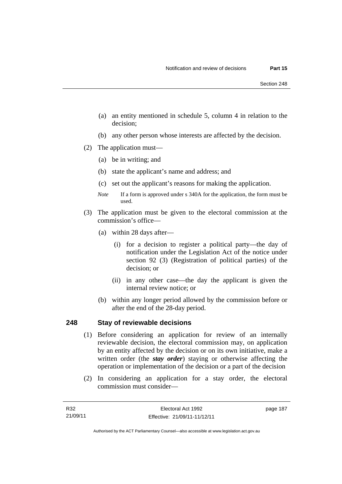- (a) an entity mentioned in schedule 5, column 4 in relation to the decision;
- (b) any other person whose interests are affected by the decision.
- (2) The application must—
	- (a) be in writing; and
	- (b) state the applicant's name and address; and
	- (c) set out the applicant's reasons for making the application.
	- *Note* If a form is approved under s 340A for the application, the form must be used.
- (3) The application must be given to the electoral commission at the commission's office—
	- (a) within 28 days after—
		- (i) for a decision to register a political party—the day of notification under the Legislation Act of the notice under section 92 (3) (Registration of political parties) of the decision; or
		- (ii) in any other case—the day the applicant is given the internal review notice; or
	- (b) within any longer period allowed by the commission before or after the end of the 28-day period.

## **248 Stay of reviewable decisions**

- (1) Before considering an application for review of an internally reviewable decision, the electoral commission may, on application by an entity affected by the decision or on its own initiative, make a written order (the *stay order*) staying or otherwise affecting the operation or implementation of the decision or a part of the decision
- (2) In considering an application for a stay order, the electoral commission must consider—

page 187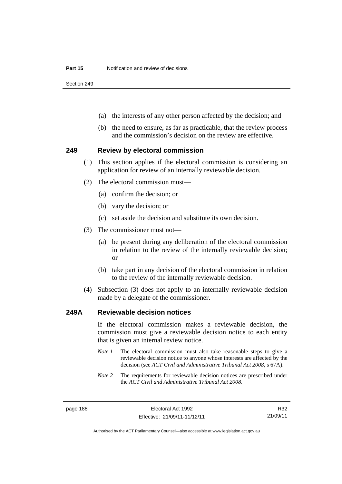Section 249

- (a) the interests of any other person affected by the decision; and
- (b) the need to ensure, as far as practicable, that the review process and the commission's decision on the review are effective.

#### **249 Review by electoral commission**

- (1) This section applies if the electoral commission is considering an application for review of an internally reviewable decision.
- (2) The electoral commission must—
	- (a) confirm the decision; or
	- (b) vary the decision; or
	- (c) set aside the decision and substitute its own decision.
- (3) The commissioner must not—
	- (a) be present during any deliberation of the electoral commission in relation to the review of the internally reviewable decision; or
	- (b) take part in any decision of the electoral commission in relation to the review of the internally reviewable decision.
- (4) Subsection (3) does not apply to an internally reviewable decision made by a delegate of the commissioner.

#### **249A Reviewable decision notices**

If the electoral commission makes a reviewable decision, the commission must give a reviewable decision notice to each entity that is given an internal review notice.

- *Note 1* The electoral commission must also take reasonable steps to give a reviewable decision notice to anyone whose interests are affected by the decision (see *ACT Civil and Administrative Tribunal Act 2008*, s 67A).
- *Note 2* The requirements for reviewable decision notices are prescribed under the *ACT Civil and Administrative Tribunal Act 2008*.

R32 21/09/11

Authorised by the ACT Parliamentary Counsel—also accessible at www.legislation.act.gov.au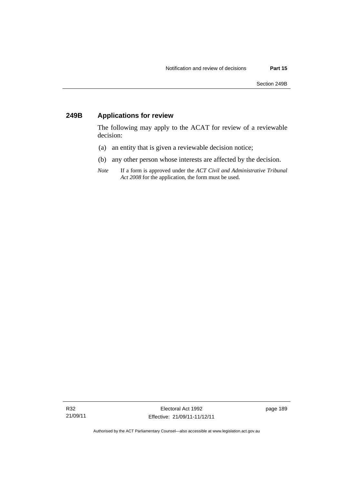# **249B Applications for review**

The following may apply to the ACAT for review of a reviewable decision:

- (a) an entity that is given a reviewable decision notice;
- (b) any other person whose interests are affected by the decision.
- *Note* If a form is approved under the *ACT Civil and Administrative Tribunal Act 2008* for the application, the form must be used.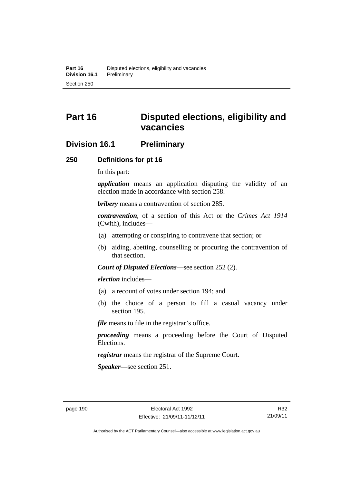# **Part 16 Disputed elections, eligibility and vacancies**

# **Division 16.1 Preliminary**

#### **250 Definitions for pt 16**

In this part:

*application* means an application disputing the validity of an election made in accordance with section 258.

*bribery* means a contravention of section 285.

*contravention*, of a section of this Act or the *Crimes Act 1914* (Cwlth), includes—

- (a) attempting or conspiring to contravene that section; or
- (b) aiding, abetting, counselling or procuring the contravention of that section.

*Court of Disputed Elections*—see section 252 (2).

*election* includes—

- (a) a recount of votes under section 194; and
- (b) the choice of a person to fill a casual vacancy under section 195.

*file* means to file in the registrar's office.

*proceeding* means a proceeding before the Court of Disputed Elections.

*registrar* means the registrar of the Supreme Court.

*Speaker*—see section 251.

Authorised by the ACT Parliamentary Counsel—also accessible at www.legislation.act.gov.au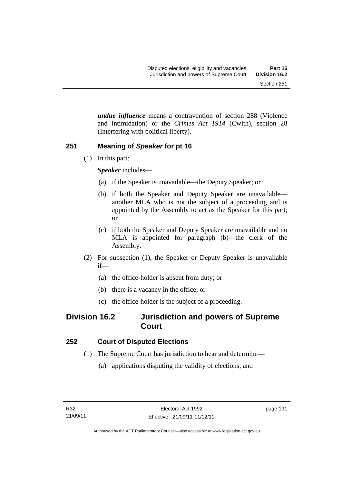*undue influence* means a contravention of section 288 (Violence and intimidation) or the *Crimes Act 1914* (Cwlth), section 28 (Interfering with political liberty).

# **251 Meaning of** *Speaker* **for pt 16**

(1) In this part:

*Speaker* includes—

- (a) if the Speaker is unavailable—the Deputy Speaker; or
- (b) if both the Speaker and Deputy Speaker are unavailable another MLA who is not the subject of a proceeding and is appointed by the Assembly to act as the Speaker for this part; or
- (c) if both the Speaker and Deputy Speaker are unavailable and no MLA is appointed for paragraph (b)—the clerk of the Assembly.
- (2) For subsection (1), the Speaker or Deputy Speaker is unavailable if—
	- (a) the office-holder is absent from duty; or
	- (b) there is a vacancy in the office; or
	- (c) the office-holder is the subject of a proceeding.

# **Division 16.2 Jurisdiction and powers of Supreme Court**

# **252 Court of Disputed Elections**

- (1) The Supreme Court has jurisdiction to hear and determine—
	- (a) applications disputing the validity of elections; and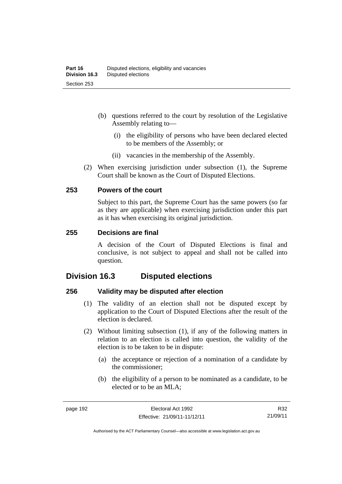- (b) questions referred to the court by resolution of the Legislative Assembly relating to—
	- (i) the eligibility of persons who have been declared elected to be members of the Assembly; or
	- (ii) vacancies in the membership of the Assembly.
- (2) When exercising jurisdiction under subsection (1), the Supreme Court shall be known as the Court of Disputed Elections.

## **253 Powers of the court**

Subject to this part, the Supreme Court has the same powers (so far as they are applicable) when exercising jurisdiction under this part as it has when exercising its original jurisdiction.

#### **255 Decisions are final**

A decision of the Court of Disputed Elections is final and conclusive, is not subject to appeal and shall not be called into question.

# **Division 16.3 Disputed elections**

## **256 Validity may be disputed after election**

- (1) The validity of an election shall not be disputed except by application to the Court of Disputed Elections after the result of the election is declared.
- (2) Without limiting subsection (1), if any of the following matters in relation to an election is called into question, the validity of the election is to be taken to be in dispute:
	- (a) the acceptance or rejection of a nomination of a candidate by the commissioner;
	- (b) the eligibility of a person to be nominated as a candidate, to be elected or to be an MLA;

R32 21/09/11

Authorised by the ACT Parliamentary Counsel—also accessible at www.legislation.act.gov.au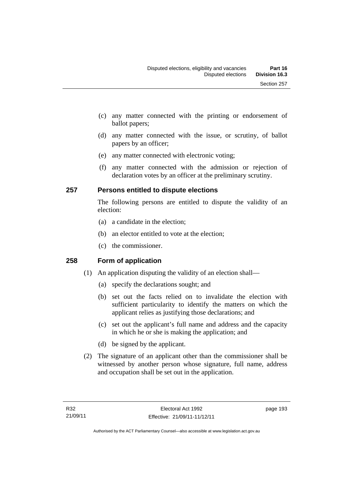- (c) any matter connected with the printing or endorsement of ballot papers;
- (d) any matter connected with the issue, or scrutiny, of ballot papers by an officer;
- (e) any matter connected with electronic voting;
- (f) any matter connected with the admission or rejection of declaration votes by an officer at the preliminary scrutiny.

## **257 Persons entitled to dispute elections**

The following persons are entitled to dispute the validity of an election:

- (a) a candidate in the election;
- (b) an elector entitled to vote at the election;
- (c) the commissioner.

## **258 Form of application**

- (1) An application disputing the validity of an election shall—
	- (a) specify the declarations sought; and
	- (b) set out the facts relied on to invalidate the election with sufficient particularity to identify the matters on which the applicant relies as justifying those declarations; and
	- (c) set out the applicant's full name and address and the capacity in which he or she is making the application; and
	- (d) be signed by the applicant.
- (2) The signature of an applicant other than the commissioner shall be witnessed by another person whose signature, full name, address and occupation shall be set out in the application.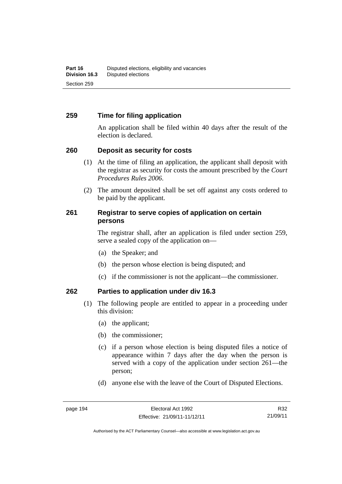## **259 Time for filing application**

An application shall be filed within 40 days after the result of the election is declared.

## **260 Deposit as security for costs**

- (1) At the time of filing an application, the applicant shall deposit with the registrar as security for costs the amount prescribed by the *Court Procedures Rules 2006*.
- (2) The amount deposited shall be set off against any costs ordered to be paid by the applicant.

## **261 Registrar to serve copies of application on certain persons**

The registrar shall, after an application is filed under section 259, serve a sealed copy of the application on—

- (a) the Speaker; and
- (b) the person whose election is being disputed; and
- (c) if the commissioner is not the applicant—the commissioner.

## **262 Parties to application under div 16.3**

- (1) The following people are entitled to appear in a proceeding under this division:
	- (a) the applicant;
	- (b) the commissioner;
	- (c) if a person whose election is being disputed files a notice of appearance within 7 days after the day when the person is served with a copy of the application under section 261—the person;
	- (d) anyone else with the leave of the Court of Disputed Elections.

Authorised by the ACT Parliamentary Counsel—also accessible at www.legislation.act.gov.au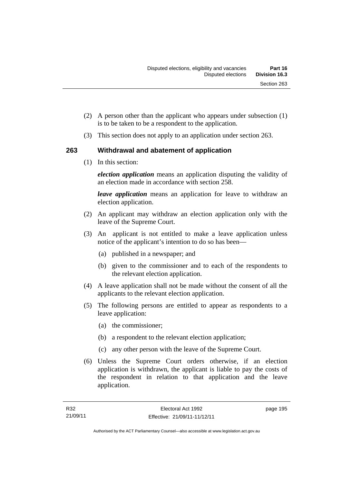- (2) A person other than the applicant who appears under subsection (1) is to be taken to be a respondent to the application.
- (3) This section does not apply to an application under section 263.

## **263 Withdrawal and abatement of application**

(1) In this section:

*election application* means an application disputing the validity of an election made in accordance with section 258.

*leave application* means an application for leave to withdraw an election application.

- (2) An applicant may withdraw an election application only with the leave of the Supreme Court.
- (3) An applicant is not entitled to make a leave application unless notice of the applicant's intention to do so has been—
	- (a) published in a newspaper; and
	- (b) given to the commissioner and to each of the respondents to the relevant election application.
- (4) A leave application shall not be made without the consent of all the applicants to the relevant election application.
- (5) The following persons are entitled to appear as respondents to a leave application:
	- (a) the commissioner;
	- (b) a respondent to the relevant election application;
	- (c) any other person with the leave of the Supreme Court.
- (6) Unless the Supreme Court orders otherwise, if an election application is withdrawn, the applicant is liable to pay the costs of the respondent in relation to that application and the leave application.

page 195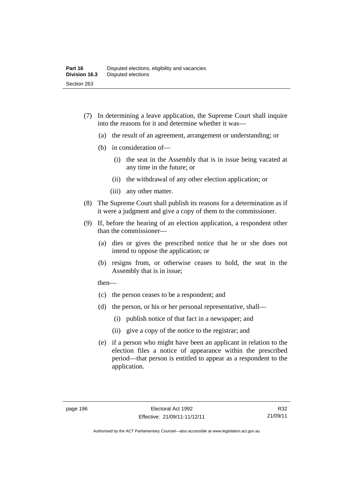- (7) In determining a leave application, the Supreme Court shall inquire into the reasons for it and determine whether it was—
	- (a) the result of an agreement, arrangement or understanding; or
	- (b) in consideration of—
		- (i) the seat in the Assembly that is in issue being vacated at any time in the future; or
		- (ii) the withdrawal of any other election application; or
		- (iii) any other matter.
- (8) The Supreme Court shall publish its reasons for a determination as if it were a judgment and give a copy of them to the commissioner.
- (9) If, before the hearing of an election application, a respondent other than the commissioner—
	- (a) dies or gives the prescribed notice that he or she does not intend to oppose the application; or
	- (b) resigns from, or otherwise ceases to hold, the seat in the Assembly that is in issue;

then—

- (c) the person ceases to be a respondent; and
- (d) the person, or his or her personal representative, shall—
	- (i) publish notice of that fact in a newspaper; and
	- (ii) give a copy of the notice to the registrar; and
- (e) if a person who might have been an applicant in relation to the election files a notice of appearance within the prescribed period—that person is entitled to appear as a respondent to the application.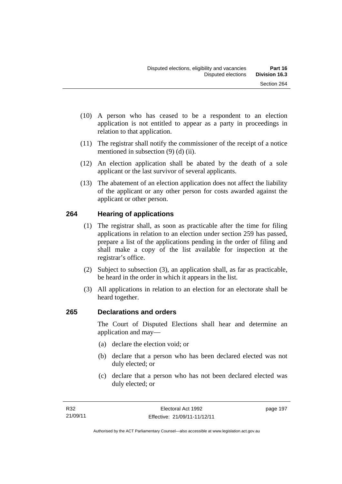- (10) A person who has ceased to be a respondent to an election application is not entitled to appear as a party in proceedings in relation to that application.
- (11) The registrar shall notify the commissioner of the receipt of a notice mentioned in subsection (9) (d) (ii).
- (12) An election application shall be abated by the death of a sole applicant or the last survivor of several applicants.
- (13) The abatement of an election application does not affect the liability of the applicant or any other person for costs awarded against the applicant or other person.

# **264 Hearing of applications**

- (1) The registrar shall, as soon as practicable after the time for filing applications in relation to an election under section 259 has passed, prepare a list of the applications pending in the order of filing and shall make a copy of the list available for inspection at the registrar's office.
- (2) Subject to subsection (3), an application shall, as far as practicable, be heard in the order in which it appears in the list.
- (3) All applications in relation to an election for an electorate shall be heard together.

# **265 Declarations and orders**

The Court of Disputed Elections shall hear and determine an application and may—

- (a) declare the election void; or
- (b) declare that a person who has been declared elected was not duly elected; or
- (c) declare that a person who has not been declared elected was duly elected; or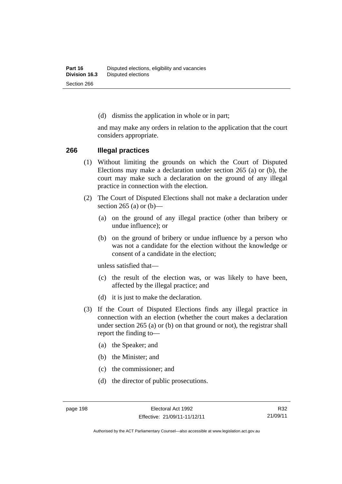(d) dismiss the application in whole or in part;

and may make any orders in relation to the application that the court considers appropriate.

#### **266 Illegal practices**

- (1) Without limiting the grounds on which the Court of Disputed Elections may make a declaration under section 265 (a) or (b), the court may make such a declaration on the ground of any illegal practice in connection with the election.
- (2) The Court of Disputed Elections shall not make a declaration under section 265 (a) or  $(b)$ —
	- (a) on the ground of any illegal practice (other than bribery or undue influence); or
	- (b) on the ground of bribery or undue influence by a person who was not a candidate for the election without the knowledge or consent of a candidate in the election;

unless satisfied that—

- (c) the result of the election was, or was likely to have been, affected by the illegal practice; and
- (d) it is just to make the declaration.
- (3) If the Court of Disputed Elections finds any illegal practice in connection with an election (whether the court makes a declaration under section 265 (a) or (b) on that ground or not), the registrar shall report the finding to—
	- (a) the Speaker; and
	- (b) the Minister; and
	- (c) the commissioner; and
	- (d) the director of public prosecutions.

R32 21/09/11

Authorised by the ACT Parliamentary Counsel—also accessible at www.legislation.act.gov.au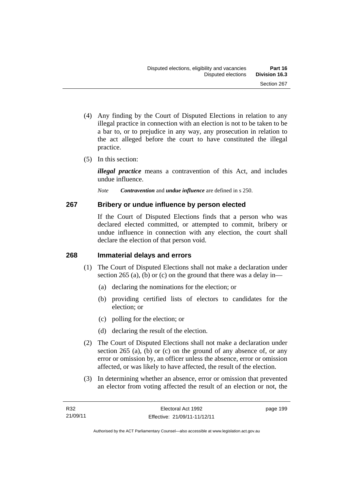- (4) Any finding by the Court of Disputed Elections in relation to any illegal practice in connection with an election is not to be taken to be a bar to, or to prejudice in any way, any prosecution in relation to the act alleged before the court to have constituted the illegal practice.
- (5) In this section:

*illegal practice* means a contravention of this Act, and includes undue influence.

*Note Contravention* and *undue influence* are defined in s 250.

# **267 Bribery or undue influence by person elected**

If the Court of Disputed Elections finds that a person who was declared elected committed, or attempted to commit, bribery or undue influence in connection with any election, the court shall declare the election of that person void.

# **268 Immaterial delays and errors**

- (1) The Court of Disputed Elections shall not make a declaration under section 265 (a), (b) or (c) on the ground that there was a delay in—
	- (a) declaring the nominations for the election; or
	- (b) providing certified lists of electors to candidates for the election; or
	- (c) polling for the election; or
	- (d) declaring the result of the election.
- (2) The Court of Disputed Elections shall not make a declaration under section 265 (a), (b) or (c) on the ground of any absence of, or any error or omission by, an officer unless the absence, error or omission affected, or was likely to have affected, the result of the election.
- (3) In determining whether an absence, error or omission that prevented an elector from voting affected the result of an election or not, the

page 199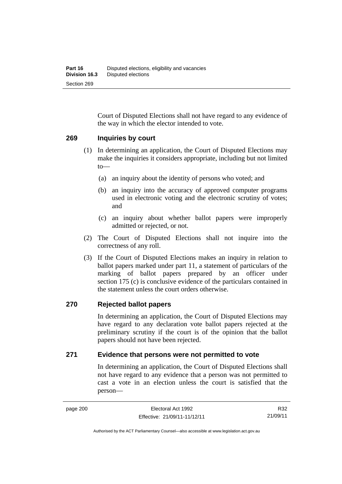Court of Disputed Elections shall not have regard to any evidence of the way in which the elector intended to vote.

### **269 Inquiries by court**

- (1) In determining an application, the Court of Disputed Elections may make the inquiries it considers appropriate, including but not limited to—
	- (a) an inquiry about the identity of persons who voted; and
	- (b) an inquiry into the accuracy of approved computer programs used in electronic voting and the electronic scrutiny of votes; and
	- (c) an inquiry about whether ballot papers were improperly admitted or rejected, or not.
- (2) The Court of Disputed Elections shall not inquire into the correctness of any roll.
- (3) If the Court of Disputed Elections makes an inquiry in relation to ballot papers marked under part 11, a statement of particulars of the marking of ballot papers prepared by an officer under section 175 (c) is conclusive evidence of the particulars contained in the statement unless the court orders otherwise.

### **270 Rejected ballot papers**

In determining an application, the Court of Disputed Elections may have regard to any declaration vote ballot papers rejected at the preliminary scrutiny if the court is of the opinion that the ballot papers should not have been rejected.

### **271 Evidence that persons were not permitted to vote**

In determining an application, the Court of Disputed Elections shall not have regard to any evidence that a person was not permitted to cast a vote in an election unless the court is satisfied that the person—

R32 21/09/11

Authorised by the ACT Parliamentary Counsel—also accessible at www.legislation.act.gov.au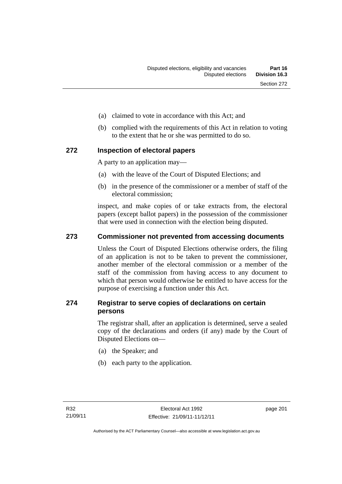- (a) claimed to vote in accordance with this Act; and
- (b) complied with the requirements of this Act in relation to voting to the extent that he or she was permitted to do so.

### **272 Inspection of electoral papers**

A party to an application may—

- (a) with the leave of the Court of Disputed Elections; and
- (b) in the presence of the commissioner or a member of staff of the electoral commission;

inspect, and make copies of or take extracts from, the electoral papers (except ballot papers) in the possession of the commissioner that were used in connection with the election being disputed.

### **273 Commissioner not prevented from accessing documents**

Unless the Court of Disputed Elections otherwise orders, the filing of an application is not to be taken to prevent the commissioner, another member of the electoral commission or a member of the staff of the commission from having access to any document to which that person would otherwise be entitled to have access for the purpose of exercising a function under this Act.

### **274 Registrar to serve copies of declarations on certain persons**

The registrar shall, after an application is determined, serve a sealed copy of the declarations and orders (if any) made by the Court of Disputed Elections on—

- (a) the Speaker; and
- (b) each party to the application.

page 201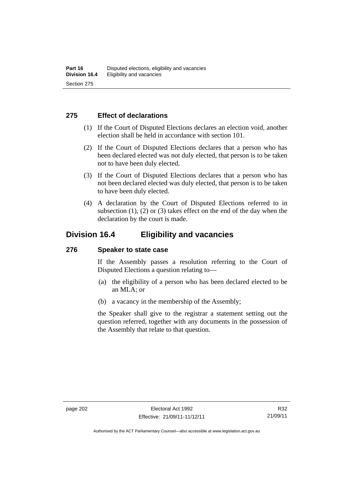### **275 Effect of declarations**

- (1) If the Court of Disputed Elections declares an election void, another election shall be held in accordance with section 101.
- (2) If the Court of Disputed Elections declares that a person who has been declared elected was not duly elected, that person is to be taken not to have been duly elected.
- (3) If the Court of Disputed Elections declares that a person who has not been declared elected was duly elected, that person is to be taken to have been duly elected.
- (4) A declaration by the Court of Disputed Elections referred to in subsection  $(1)$ ,  $(2)$  or  $(3)$  takes effect on the end of the day when the declaration by the court is made.

# **Division 16.4 Eligibility and vacancies**

### **276 Speaker to state case**

If the Assembly passes a resolution referring to the Court of Disputed Elections a question relating to—

- (a) the eligibility of a person who has been declared elected to be an MLA; or
- (b) a vacancy in the membership of the Assembly;

the Speaker shall give to the registrar a statement setting out the question referred, together with any documents in the possession of the Assembly that relate to that question.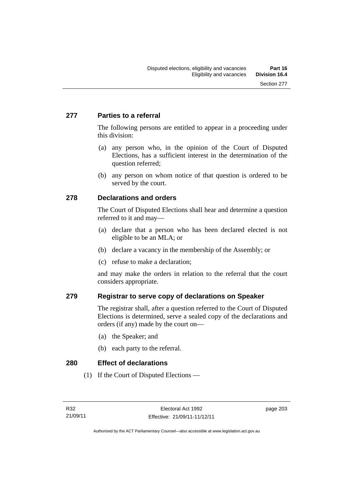# **277 Parties to a referral**

The following persons are entitled to appear in a proceeding under this division:

- (a) any person who, in the opinion of the Court of Disputed Elections, has a sufficient interest in the determination of the question referred;
- (b) any person on whom notice of that question is ordered to be served by the court.

# **278 Declarations and orders**

The Court of Disputed Elections shall hear and determine a question referred to it and may—

- (a) declare that a person who has been declared elected is not eligible to be an MLA; or
- (b) declare a vacancy in the membership of the Assembly; or
- (c) refuse to make a declaration;

and may make the orders in relation to the referral that the court considers appropriate.

# **279 Registrar to serve copy of declarations on Speaker**

The registrar shall, after a question referred to the Court of Disputed Elections is determined, serve a sealed copy of the declarations and orders (if any) made by the court on—

- (a) the Speaker; and
- (b) each party to the referral.

**280 Effect of declarations** 

(1) If the Court of Disputed Elections —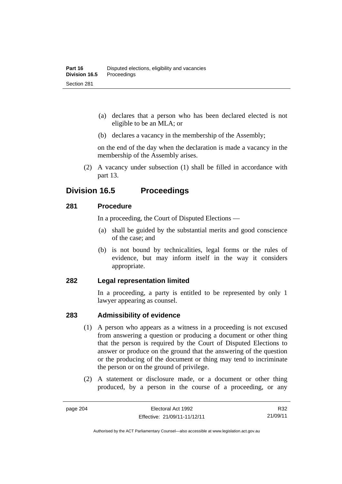- (a) declares that a person who has been declared elected is not eligible to be an MLA; or
- (b) declares a vacancy in the membership of the Assembly;

on the end of the day when the declaration is made a vacancy in the membership of the Assembly arises.

 (2) A vacancy under subsection (1) shall be filled in accordance with part 13.

# **Division 16.5 Proceedings**

### **281 Procedure**

In a proceeding, the Court of Disputed Elections —

- (a) shall be guided by the substantial merits and good conscience of the case; and
- (b) is not bound by technicalities, legal forms or the rules of evidence, but may inform itself in the way it considers appropriate.

### **282 Legal representation limited**

In a proceeding, a party is entitled to be represented by only 1 lawyer appearing as counsel.

# **283 Admissibility of evidence**

- (1) A person who appears as a witness in a proceeding is not excused from answering a question or producing a document or other thing that the person is required by the Court of Disputed Elections to answer or produce on the ground that the answering of the question or the producing of the document or thing may tend to incriminate the person or on the ground of privilege.
- (2) A statement or disclosure made, or a document or other thing produced, by a person in the course of a proceeding, or any

R32 21/09/11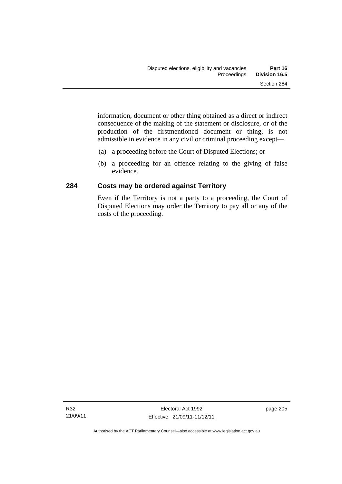information, document or other thing obtained as a direct or indirect consequence of the making of the statement or disclosure, or of the production of the firstmentioned document or thing, is not admissible in evidence in any civil or criminal proceeding except—

- (a) a proceeding before the Court of Disputed Elections; or
- (b) a proceeding for an offence relating to the giving of false evidence.

# **284 Costs may be ordered against Territory**

Even if the Territory is not a party to a proceeding, the Court of Disputed Elections may order the Territory to pay all or any of the costs of the proceeding.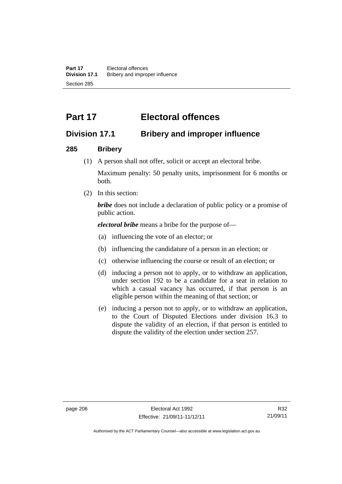# **Part 17 Electoral offences**

# **Division 17.1 Bribery and improper influence**

### **285 Bribery**

(1) A person shall not offer, solicit or accept an electoral bribe.

Maximum penalty: 50 penalty units, imprisonment for 6 months or both.

(2) In this section:

*bribe* does not include a declaration of public policy or a promise of public action.

*electoral bribe* means a bribe for the purpose of—

- (a) influencing the vote of an elector; or
- (b) influencing the candidature of a person in an election; or
- (c) otherwise influencing the course or result of an election; or
- (d) inducing a person not to apply, or to withdraw an application, under section 192 to be a candidate for a seat in relation to which a casual vacancy has occurred, if that person is an eligible person within the meaning of that section; or
- (e) inducing a person not to apply, or to withdraw an application, to the Court of Disputed Elections under division 16.3 to dispute the validity of an election, if that person is entitled to dispute the validity of the election under section 257.

Authorised by the ACT Parliamentary Counsel—also accessible at www.legislation.act.gov.au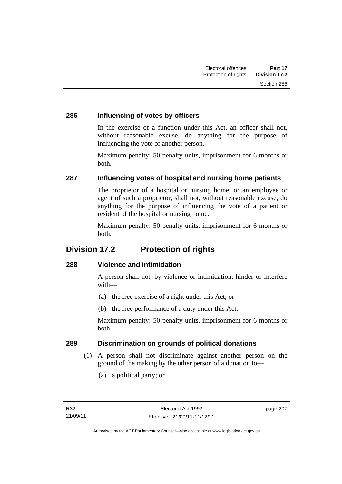### **286 Influencing of votes by officers**

In the exercise of a function under this Act, an officer shall not, without reasonable excuse, do anything for the purpose of influencing the vote of another person.

Maximum penalty: 50 penalty units, imprisonment for 6 months or both.

# **287 Influencing votes of hospital and nursing home patients**

The proprietor of a hospital or nursing home, or an employee or agent of such a proprietor, shall not, without reasonable excuse, do anything for the purpose of influencing the vote of a patient or resident of the hospital or nursing home.

Maximum penalty: 50 penalty units, imprisonment for 6 months or both.

# **Division 17.2 Protection of rights**

# **288 Violence and intimidation**

A person shall not, by violence or intimidation, hinder or interfere with—

- (a) the free exercise of a right under this Act; or
- (b) the free performance of a duty under this Act.

Maximum penalty: 50 penalty units, imprisonment for 6 months or both.

# **289 Discrimination on grounds of political donations**

- (1) A person shall not discriminate against another person on the ground of the making by the other person of a donation to—
	- (a) a political party; or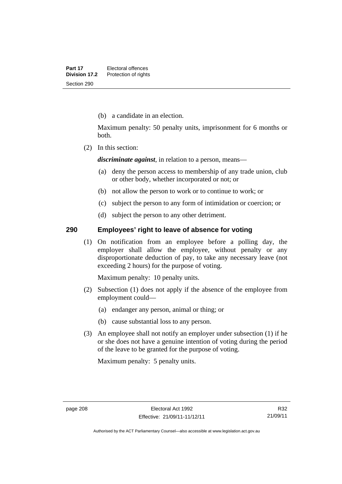(b) a candidate in an election.

Maximum penalty: 50 penalty units, imprisonment for 6 months or both.

(2) In this section:

*discriminate against*, in relation to a person, means—

- (a) deny the person access to membership of any trade union, club or other body, whether incorporated or not; or
- (b) not allow the person to work or to continue to work; or
- (c) subject the person to any form of intimidation or coercion; or
- (d) subject the person to any other detriment.

### **290 Employees' right to leave of absence for voting**

(1) On notification from an employee before a polling day, the employer shall allow the employee, without penalty or any disproportionate deduction of pay, to take any necessary leave (not exceeding 2 hours) for the purpose of voting.

Maximum penalty: 10 penalty units.

- (2) Subsection (1) does not apply if the absence of the employee from employment could—
	- (a) endanger any person, animal or thing; or
	- (b) cause substantial loss to any person.
- (3) An employee shall not notify an employer under subsection (1) if he or she does not have a genuine intention of voting during the period of the leave to be granted for the purpose of voting.

Maximum penalty: 5 penalty units.

Authorised by the ACT Parliamentary Counsel—also accessible at www.legislation.act.gov.au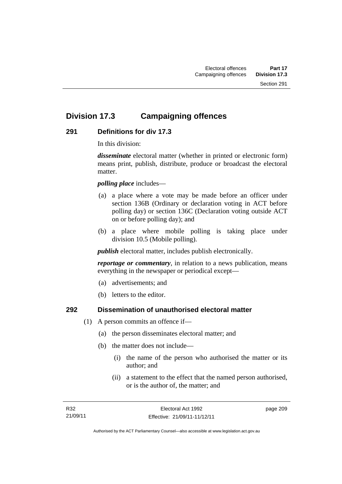# **Division 17.3 Campaigning offences**

# **291 Definitions for div 17.3**

In this division:

*disseminate* electoral matter (whether in printed or electronic form) means print, publish, distribute, produce or broadcast the electoral matter.

*polling place* includes—

- (a) a place where a vote may be made before an officer under section 136B (Ordinary or declaration voting in ACT before polling day) or section 136C (Declaration voting outside ACT on or before polling day); and
- (b) a place where mobile polling is taking place under division 10.5 (Mobile polling).

*publish* electoral matter, includes publish electronically.

*reportage or commentary*, in relation to a news publication, means everything in the newspaper or periodical except—

- (a) advertisements; and
- (b) letters to the editor.

### **292 Dissemination of unauthorised electoral matter**

- (1) A person commits an offence if—
	- (a) the person disseminates electoral matter; and
	- (b) the matter does not include—
		- (i) the name of the person who authorised the matter or its author; and
		- (ii) a statement to the effect that the named person authorised, or is the author of, the matter; and

page 209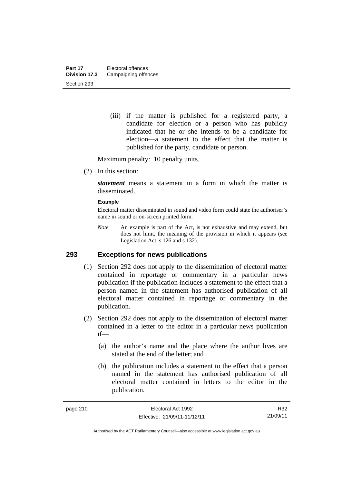(iii) if the matter is published for a registered party, a candidate for election or a person who has publicly indicated that he or she intends to be a candidate for election—a statement to the effect that the matter is published for the party, candidate or person.

Maximum penalty: 10 penalty units.

(2) In this section:

*statement* means a statement in a form in which the matter is disseminated.

#### **Example**

Electoral matter disseminated in sound and video form could state the authoriser's name in sound or on-screen printed form.

*Note* An example is part of the Act, is not exhaustive and may extend, but does not limit, the meaning of the provision in which it appears (see Legislation Act, s 126 and s 132).

### **293 Exceptions for news publications**

- (1) Section 292 does not apply to the dissemination of electoral matter contained in reportage or commentary in a particular news publication if the publication includes a statement to the effect that a person named in the statement has authorised publication of all electoral matter contained in reportage or commentary in the publication.
- (2) Section 292 does not apply to the dissemination of electoral matter contained in a letter to the editor in a particular news publication if—
	- (a) the author's name and the place where the author lives are stated at the end of the letter; and
	- (b) the publication includes a statement to the effect that a person named in the statement has authorised publication of all electoral matter contained in letters to the editor in the publication.

R32 21/09/11

Authorised by the ACT Parliamentary Counsel—also accessible at www.legislation.act.gov.au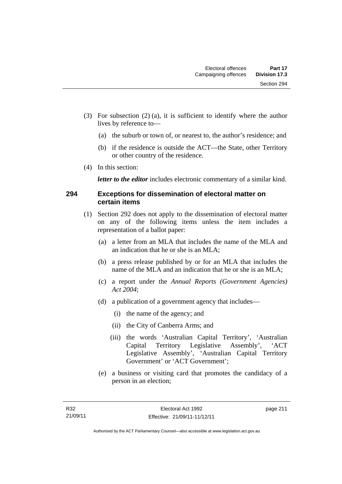- (3) For subsection (2) (a), it is sufficient to identify where the author lives by reference to—
	- (a) the suburb or town of, or nearest to, the author's residence; and
	- (b) if the residence is outside the ACT—the State, other Territory or other country of the residence.
- (4) In this section:

*letter to the editor* includes electronic commentary of a similar kind.

### **294 Exceptions for dissemination of electoral matter on certain items**

- (1) Section 292 does not apply to the dissemination of electoral matter on any of the following items unless the item includes a representation of a ballot paper:
	- (a) a letter from an MLA that includes the name of the MLA and an indication that he or she is an MLA;
	- (b) a press release published by or for an MLA that includes the name of the MLA and an indication that he or she is an MLA;
	- (c) a report under the *Annual Reports (Government Agencies) Act 2004*;
	- (d) a publication of a government agency that includes—
		- (i) the name of the agency; and
		- (ii) the City of Canberra Arms; and
		- (iii) the words 'Australian Capital Territory', 'Australian Capital Territory Legislative Assembly', 'ACT Legislative Assembly', 'Australian Capital Territory Government' or 'ACT Government';
	- (e) a business or visiting card that promotes the candidacy of a person in an election;

page 211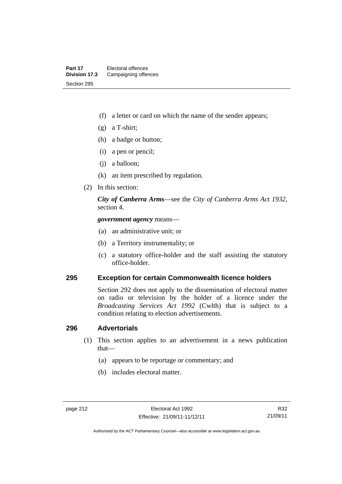- (f) a letter or card on which the name of the sender appears;
- (g) a T-shirt;
- (h) a badge or button;
- (i) a pen or pencil;
- (j) a balloon;
- (k) an item prescribed by regulation.
- (2) In this section:

*City of Canberra Arms*—see the *City of Canberra Arms Act 1932*, section 4.

*government agency* means—

- (a) an administrative unit; or
- (b) a Territory instrumentality; or
- (c) a statutory office-holder and the staff assisting the statutory office-holder.

### **295 Exception for certain Commonwealth licence holders**

Section 292 does not apply to the dissemination of electoral matter on radio or television by the holder of a licence under the *Broadcasting Services Act 1992* (Cwlth) that is subject to a condition relating to election advertisements.

#### **296 Advertorials**

- (1) This section applies to an advertisement in a news publication that—
	- (a) appears to be reportage or commentary; and
	- (b) includes electoral matter.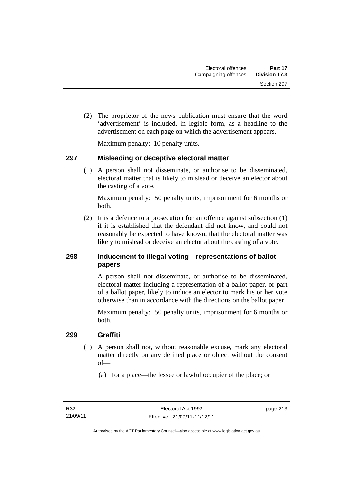(2) The proprietor of the news publication must ensure that the word 'advertisement' is included, in legible form, as a headline to the advertisement on each page on which the advertisement appears.

Maximum penalty: 10 penalty units.

# **297 Misleading or deceptive electoral matter**

(1) A person shall not disseminate, or authorise to be disseminated, electoral matter that is likely to mislead or deceive an elector about the casting of a vote.

Maximum penalty: 50 penalty units, imprisonment for 6 months or both.

 (2) It is a defence to a prosecution for an offence against subsection (1) if it is established that the defendant did not know, and could not reasonably be expected to have known, that the electoral matter was likely to mislead or deceive an elector about the casting of a vote.

# **298 Inducement to illegal voting—representations of ballot papers**

A person shall not disseminate, or authorise to be disseminated, electoral matter including a representation of a ballot paper, or part of a ballot paper, likely to induce an elector to mark his or her vote otherwise than in accordance with the directions on the ballot paper.

Maximum penalty: 50 penalty units, imprisonment for 6 months or both.

# **299 Graffiti**

- (1) A person shall not, without reasonable excuse, mark any electoral matter directly on any defined place or object without the consent of—
	- (a) for a place—the lessee or lawful occupier of the place; or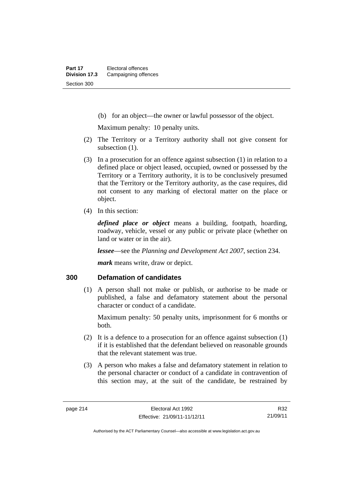(b) for an object—the owner or lawful possessor of the object.

Maximum penalty: 10 penalty units.

- (2) The Territory or a Territory authority shall not give consent for subsection  $(1)$ .
- (3) In a prosecution for an offence against subsection (1) in relation to a defined place or object leased, occupied, owned or possessed by the Territory or a Territory authority, it is to be conclusively presumed that the Territory or the Territory authority, as the case requires, did not consent to any marking of electoral matter on the place or object.
- (4) In this section:

*defined place or object* means a building, footpath, hoarding, roadway, vehicle, vessel or any public or private place (whether on land or water or in the air).

*lessee*—see the *Planning and Development Act 2007*, section 234.

*mark* means write, draw or depict.

### **300 Defamation of candidates**

(1) A person shall not make or publish, or authorise to be made or published, a false and defamatory statement about the personal character or conduct of a candidate.

Maximum penalty: 50 penalty units, imprisonment for 6 months or both.

- (2) It is a defence to a prosecution for an offence against subsection (1) if it is established that the defendant believed on reasonable grounds that the relevant statement was true.
- (3) A person who makes a false and defamatory statement in relation to the personal character or conduct of a candidate in contravention of this section may, at the suit of the candidate, be restrained by

R32 21/09/11

Authorised by the ACT Parliamentary Counsel—also accessible at www.legislation.act.gov.au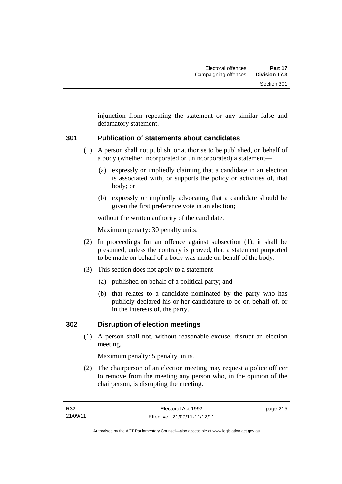injunction from repeating the statement or any similar false and defamatory statement.

# **301 Publication of statements about candidates**

- (1) A person shall not publish, or authorise to be published, on behalf of a body (whether incorporated or unincorporated) a statement—
	- (a) expressly or impliedly claiming that a candidate in an election is associated with, or supports the policy or activities of, that body; or
	- (b) expressly or impliedly advocating that a candidate should be given the first preference vote in an election;

without the written authority of the candidate.

Maximum penalty: 30 penalty units.

- (2) In proceedings for an offence against subsection (1), it shall be presumed, unless the contrary is proved, that a statement purported to be made on behalf of a body was made on behalf of the body.
- (3) This section does not apply to a statement—
	- (a) published on behalf of a political party; and
	- (b) that relates to a candidate nominated by the party who has publicly declared his or her candidature to be on behalf of, or in the interests of, the party.

# **302 Disruption of election meetings**

(1) A person shall not, without reasonable excuse, disrupt an election meeting.

Maximum penalty: 5 penalty units.

 (2) The chairperson of an election meeting may request a police officer to remove from the meeting any person who, in the opinion of the chairperson, is disrupting the meeting.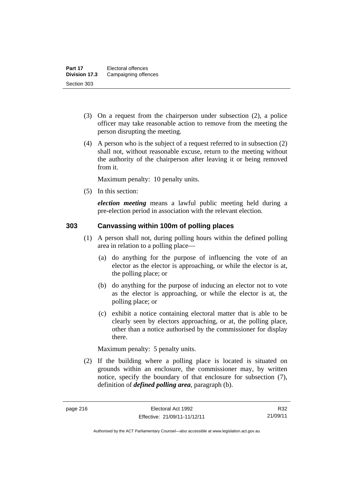- (3) On a request from the chairperson under subsection (2), a police officer may take reasonable action to remove from the meeting the person disrupting the meeting.
- (4) A person who is the subject of a request referred to in subsection (2) shall not, without reasonable excuse, return to the meeting without the authority of the chairperson after leaving it or being removed from it.

Maximum penalty: 10 penalty units.

(5) In this section:

*election meeting* means a lawful public meeting held during a pre-election period in association with the relevant election.

# **303 Canvassing within 100m of polling places**

- (1) A person shall not, during polling hours within the defined polling area in relation to a polling place—
	- (a) do anything for the purpose of influencing the vote of an elector as the elector is approaching, or while the elector is at, the polling place; or
	- (b) do anything for the purpose of inducing an elector not to vote as the elector is approaching, or while the elector is at, the polling place; or
	- (c) exhibit a notice containing electoral matter that is able to be clearly seen by electors approaching, or at, the polling place, other than a notice authorised by the commissioner for display there.

Maximum penalty: 5 penalty units.

 (2) If the building where a polling place is located is situated on grounds within an enclosure, the commissioner may, by written notice, specify the boundary of that enclosure for subsection (7), definition of *defined polling area*, paragraph (b).

R32 21/09/11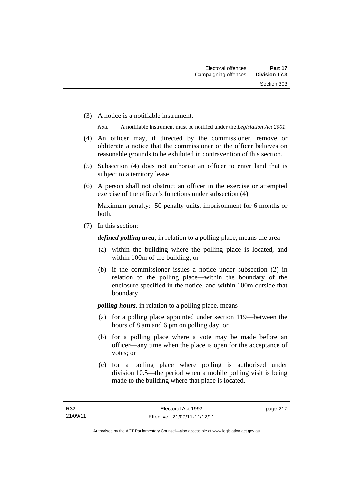(3) A notice is a notifiable instrument.

*Note* A notifiable instrument must be notified under the *Legislation Act 2001*.

- (4) An officer may, if directed by the commissioner, remove or obliterate a notice that the commissioner or the officer believes on reasonable grounds to be exhibited in contravention of this section.
- (5) Subsection (4) does not authorise an officer to enter land that is subject to a territory lease.
- (6) A person shall not obstruct an officer in the exercise or attempted exercise of the officer's functions under subsection (4).

Maximum penalty: 50 penalty units, imprisonment for 6 months or both.

(7) In this section:

*defined polling area*, in relation to a polling place, means the area—

- (a) within the building where the polling place is located, and within 100m of the building; or
- (b) if the commissioner issues a notice under subsection (2) in relation to the polling place—within the boundary of the enclosure specified in the notice, and within 100m outside that boundary.

*polling hours*, in relation to a polling place, means—

- (a) for a polling place appointed under section 119—between the hours of 8 am and 6 pm on polling day; or
- (b) for a polling place where a vote may be made before an officer—any time when the place is open for the acceptance of votes; or
- (c) for a polling place where polling is authorised under division 10.5—the period when a mobile polling visit is being made to the building where that place is located.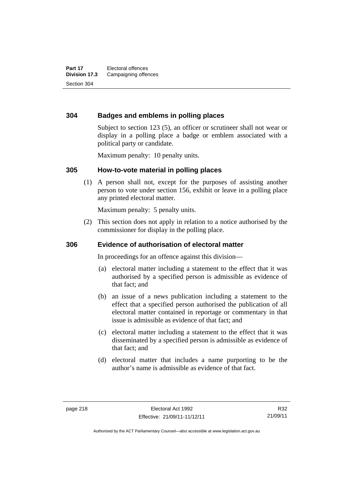### **304 Badges and emblems in polling places**

Subject to section 123 (5), an officer or scrutineer shall not wear or display in a polling place a badge or emblem associated with a political party or candidate.

Maximum penalty: 10 penalty units.

#### **305 How-to-vote material in polling places**

(1) A person shall not, except for the purposes of assisting another person to vote under section 156, exhibit or leave in a polling place any printed electoral matter.

Maximum penalty: 5 penalty units.

 (2) This section does not apply in relation to a notice authorised by the commissioner for display in the polling place.

### **306 Evidence of authorisation of electoral matter**

In proceedings for an offence against this division—

- (a) electoral matter including a statement to the effect that it was authorised by a specified person is admissible as evidence of that fact; and
- (b) an issue of a news publication including a statement to the effect that a specified person authorised the publication of all electoral matter contained in reportage or commentary in that issue is admissible as evidence of that fact; and
- (c) electoral matter including a statement to the effect that it was disseminated by a specified person is admissible as evidence of that fact; and
- (d) electoral matter that includes a name purporting to be the author's name is admissible as evidence of that fact.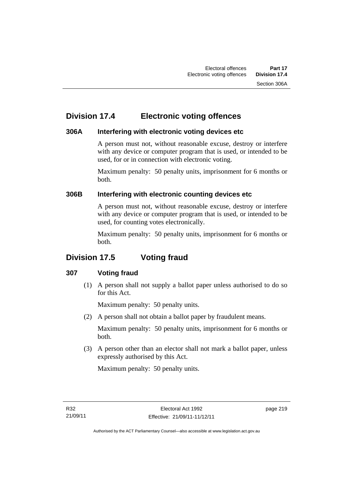# **Division 17.4 Electronic voting offences**

# **306A Interfering with electronic voting devices etc**

A person must not, without reasonable excuse, destroy or interfere with any device or computer program that is used, or intended to be used, for or in connection with electronic voting.

Maximum penalty: 50 penalty units, imprisonment for 6 months or both.

# **306B Interfering with electronic counting devices etc**

A person must not, without reasonable excuse, destroy or interfere with any device or computer program that is used, or intended to be used, for counting votes electronically.

Maximum penalty: 50 penalty units, imprisonment for 6 months or both.

# **Division 17.5 Voting fraud**

# **307 Voting fraud**

 (1) A person shall not supply a ballot paper unless authorised to do so for this Act.

Maximum penalty: 50 penalty units.

(2) A person shall not obtain a ballot paper by fraudulent means.

Maximum penalty: 50 penalty units, imprisonment for 6 months or both.

 (3) A person other than an elector shall not mark a ballot paper, unless expressly authorised by this Act.

Maximum penalty: 50 penalty units.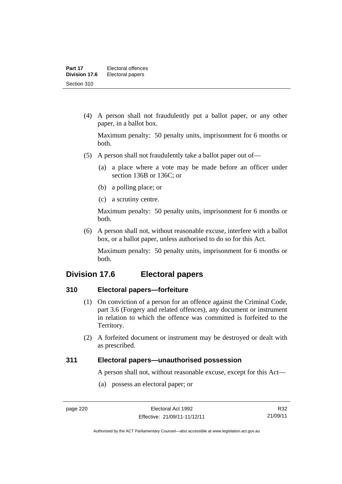(4) A person shall not fraudulently put a ballot paper, or any other paper, in a ballot box.

Maximum penalty: 50 penalty units, imprisonment for 6 months or both.

- (5) A person shall not fraudulently take a ballot paper out of—
	- (a) a place where a vote may be made before an officer under section 136B or 136C; or
	- (b) a polling place; or
	- (c) a scrutiny centre.

Maximum penalty: 50 penalty units, imprisonment for 6 months or both.

 (6) A person shall not, without reasonable excuse, interfere with a ballot box, or a ballot paper, unless authorised to do so for this Act.

Maximum penalty: 50 penalty units, imprisonment for 6 months or both.

# **Division 17.6 Electoral papers**

# **310 Electoral papers—forfeiture**

- (1) On conviction of a person for an offence against the Criminal Code, part 3.6 (Forgery and related offences), any document or instrument in relation to which the offence was committed is forfeited to the Territory.
- (2) A forfeited document or instrument may be destroyed or dealt with as prescribed.

### **311 Electoral papers—unauthorised possession**

A person shall not, without reasonable excuse, except for this Act—

(a) possess an electoral paper; or

Authorised by the ACT Parliamentary Counsel—also accessible at www.legislation.act.gov.au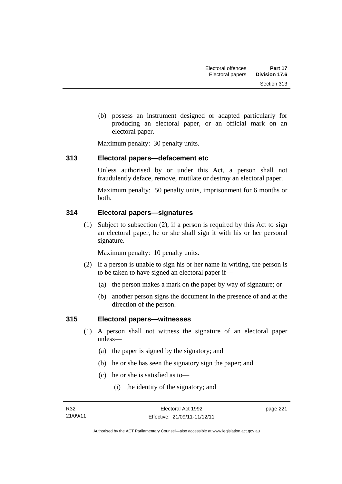(b) possess an instrument designed or adapted particularly for producing an electoral paper, or an official mark on an electoral paper.

Maximum penalty: 30 penalty units.

### **313 Electoral papers—defacement etc**

Unless authorised by or under this Act, a person shall not fraudulently deface, remove, mutilate or destroy an electoral paper.

Maximum penalty: 50 penalty units, imprisonment for 6 months or both.

# **314 Electoral papers—signatures**

(1) Subject to subsection (2), if a person is required by this Act to sign an electoral paper, he or she shall sign it with his or her personal signature.

Maximum penalty: 10 penalty units.

- (2) If a person is unable to sign his or her name in writing, the person is to be taken to have signed an electoral paper if—
	- (a) the person makes a mark on the paper by way of signature; or
	- (b) another person signs the document in the presence of and at the direction of the person.

# **315 Electoral papers—witnesses**

- (1) A person shall not witness the signature of an electoral paper unless—
	- (a) the paper is signed by the signatory; and
	- (b) he or she has seen the signatory sign the paper; and
	- (c) he or she is satisfied as to—
		- (i) the identity of the signatory; and

page 221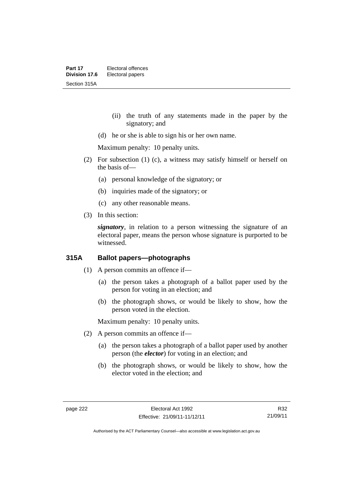- (ii) the truth of any statements made in the paper by the signatory; and
- (d) he or she is able to sign his or her own name.

Maximum penalty: 10 penalty units.

- (2) For subsection (1) (c), a witness may satisfy himself or herself on the basis of—
	- (a) personal knowledge of the signatory; or
	- (b) inquiries made of the signatory; or
	- (c) any other reasonable means.
- (3) In this section:

*signatory*, in relation to a person witnessing the signature of an electoral paper, means the person whose signature is purported to be witnessed.

# **315A Ballot papers—photographs**

- (1) A person commits an offence if—
	- (a) the person takes a photograph of a ballot paper used by the person for voting in an election; and
	- (b) the photograph shows, or would be likely to show, how the person voted in the election.

Maximum penalty: 10 penalty units.

- (2) A person commits an offence if—
	- (a) the person takes a photograph of a ballot paper used by another person (the *elector*) for voting in an election; and
	- (b) the photograph shows, or would be likely to show, how the elector voted in the election; and

R32 21/09/11

Authorised by the ACT Parliamentary Counsel—also accessible at www.legislation.act.gov.au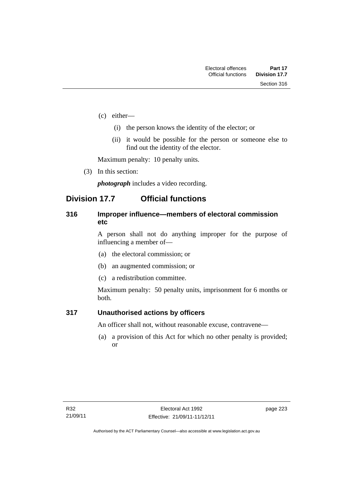- (c) either—
	- (i) the person knows the identity of the elector; or
	- (ii) it would be possible for the person or someone else to find out the identity of the elector.

Maximum penalty: 10 penalty units.

(3) In this section:

*photograph* includes a video recording.

# **Division 17.7 Official functions**

### **316 Improper influence—members of electoral commission etc**

A person shall not do anything improper for the purpose of influencing a member of—

- (a) the electoral commission; or
- (b) an augmented commission; or
- (c) a redistribution committee.

Maximum penalty: 50 penalty units, imprisonment for 6 months or both.

### **317 Unauthorised actions by officers**

An officer shall not, without reasonable excuse, contravene—

(a) a provision of this Act for which no other penalty is provided; or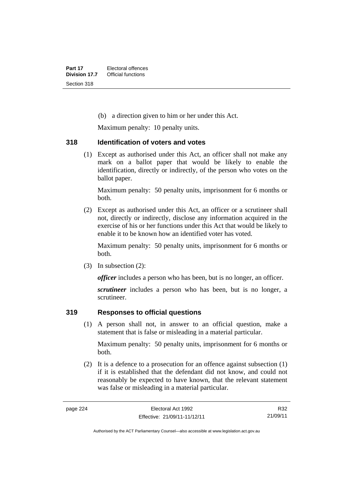(b) a direction given to him or her under this Act.

Maximum penalty: 10 penalty units.

### **318 Identification of voters and votes**

(1) Except as authorised under this Act, an officer shall not make any mark on a ballot paper that would be likely to enable the identification, directly or indirectly, of the person who votes on the ballot paper.

Maximum penalty: 50 penalty units, imprisonment for 6 months or both.

 (2) Except as authorised under this Act, an officer or a scrutineer shall not, directly or indirectly, disclose any information acquired in the exercise of his or her functions under this Act that would be likely to enable it to be known how an identified voter has voted.

Maximum penalty: 50 penalty units, imprisonment for 6 months or both.

(3) In subsection (2):

*officer* includes a person who has been, but is no longer, an officer.

*scrutineer* includes a person who has been, but is no longer, a scrutineer.

# **319 Responses to official questions**

(1) A person shall not, in answer to an official question, make a statement that is false or misleading in a material particular.

Maximum penalty: 50 penalty units, imprisonment for 6 months or both.

 (2) It is a defence to a prosecution for an offence against subsection (1) if it is established that the defendant did not know, and could not reasonably be expected to have known, that the relevant statement was false or misleading in a material particular.

R32 21/09/11

Authorised by the ACT Parliamentary Counsel—also accessible at www.legislation.act.gov.au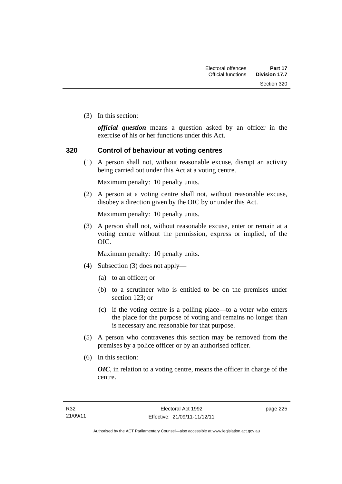Section 320

(3) In this section:

*official question* means a question asked by an officer in the exercise of his or her functions under this Act.

### **320 Control of behaviour at voting centres**

 (1) A person shall not, without reasonable excuse, disrupt an activity being carried out under this Act at a voting centre.

Maximum penalty: 10 penalty units.

 (2) A person at a voting centre shall not, without reasonable excuse, disobey a direction given by the OIC by or under this Act.

Maximum penalty: 10 penalty units.

 (3) A person shall not, without reasonable excuse, enter or remain at a voting centre without the permission, express or implied, of the OIC.

Maximum penalty: 10 penalty units.

- (4) Subsection (3) does not apply—
	- (a) to an officer; or
	- (b) to a scrutineer who is entitled to be on the premises under section 123; or
	- (c) if the voting centre is a polling place—to a voter who enters the place for the purpose of voting and remains no longer than is necessary and reasonable for that purpose.
- (5) A person who contravenes this section may be removed from the premises by a police officer or by an authorised officer.
- (6) In this section:

*OIC*, in relation to a voting centre, means the officer in charge of the centre.

page 225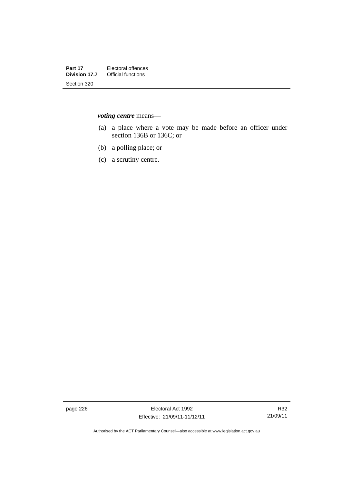*voting centre* means—

- (a) a place where a vote may be made before an officer under section 136B or 136C; or
- (b) a polling place; or
- (c) a scrutiny centre.

page 226 Electoral Act 1992 Effective: 21/09/11-11/12/11

R32 21/09/11

Authorised by the ACT Parliamentary Counsel—also accessible at www.legislation.act.gov.au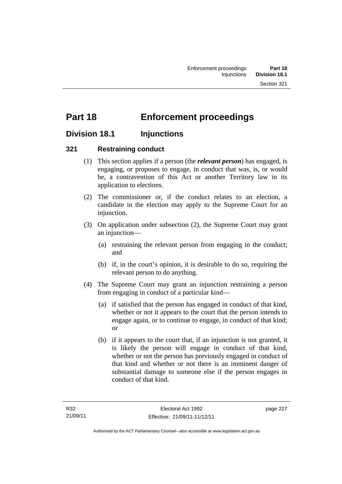# **Part 18 Enforcement proceedings**

# **Division 18.1 Injunctions**

# **321 Restraining conduct**

- (1) This section applies if a person (the *relevant person*) has engaged, is engaging, or proposes to engage, in conduct that was, is, or would be, a contravention of this Act or another Territory law in its application to elections.
- (2) The commissioner or, if the conduct relates to an election, a candidate in the election may apply to the Supreme Court for an injunction.
- (3) On application under subsection (2), the Supreme Court may grant an injunction—
	- (a) restraining the relevant person from engaging in the conduct; and
	- (b) if, in the court's opinion, it is desirable to do so, requiring the relevant person to do anything.
- (4) The Supreme Court may grant an injunction restraining a person from engaging in conduct of a particular kind—
	- (a) if satisfied that the person has engaged in conduct of that kind, whether or not it appears to the court that the person intends to engage again, or to continue to engage, in conduct of that kind; or
	- (b) if it appears to the court that, if an injunction is not granted, it is likely the person will engage in conduct of that kind, whether or not the person has previously engaged in conduct of that kind and whether or not there is an imminent danger of substantial damage to someone else if the person engages in conduct of that kind.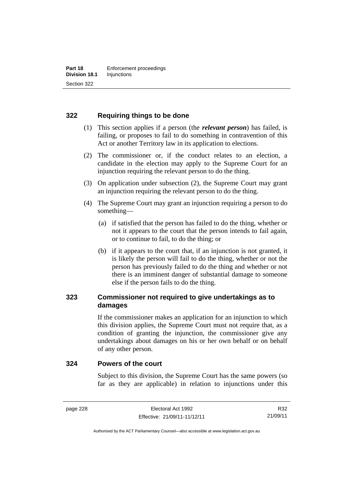# **322 Requiring things to be done**

- (1) This section applies if a person (the *relevant person*) has failed, is failing, or proposes to fail to do something in contravention of this Act or another Territory law in its application to elections.
- (2) The commissioner or, if the conduct relates to an election, a candidate in the election may apply to the Supreme Court for an injunction requiring the relevant person to do the thing.
- (3) On application under subsection (2), the Supreme Court may grant an injunction requiring the relevant person to do the thing.
- (4) The Supreme Court may grant an injunction requiring a person to do something—
	- (a) if satisfied that the person has failed to do the thing, whether or not it appears to the court that the person intends to fail again, or to continue to fail, to do the thing; or
	- (b) if it appears to the court that, if an injunction is not granted, it is likely the person will fail to do the thing, whether or not the person has previously failed to do the thing and whether or not there is an imminent danger of substantial damage to someone else if the person fails to do the thing.

# **323 Commissioner not required to give undertakings as to damages**

If the commissioner makes an application for an injunction to which this division applies, the Supreme Court must not require that, as a condition of granting the injunction, the commissioner give any undertakings about damages on his or her own behalf or on behalf of any other person.

### **324 Powers of the court**

Subject to this division, the Supreme Court has the same powers (so far as they are applicable) in relation to injunctions under this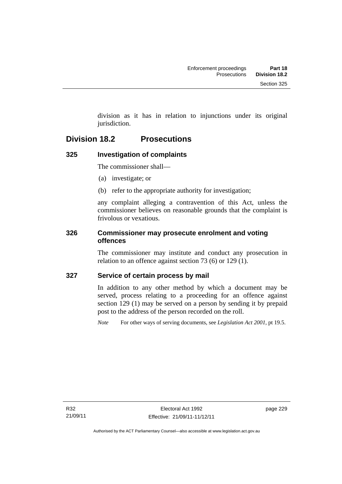division as it has in relation to injunctions under its original jurisdiction.

# **Division 18.2 Prosecutions**

# **325 Investigation of complaints**

The commissioner shall—

- (a) investigate; or
- (b) refer to the appropriate authority for investigation;

any complaint alleging a contravention of this Act, unless the commissioner believes on reasonable grounds that the complaint is frivolous or vexatious.

### **326 Commissioner may prosecute enrolment and voting offences**

The commissioner may institute and conduct any prosecution in relation to an offence against section 73 (6) or 129 (1).

# **327 Service of certain process by mail**

In addition to any other method by which a document may be served, process relating to a proceeding for an offence against section 129 (1) may be served on a person by sending it by prepaid post to the address of the person recorded on the roll.

*Note* For other ways of serving documents, see *Legislation Act 2001*, pt 19.5.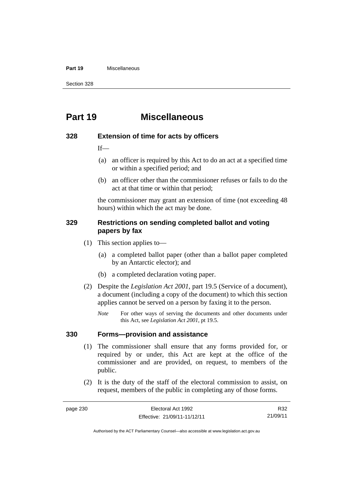#### **Part 19** Miscellaneous

Section 328

# **Part 19 Miscellaneous**

#### **328 Extension of time for acts by officers**

 $If$ 

- (a) an officer is required by this Act to do an act at a specified time or within a specified period; and
- (b) an officer other than the commissioner refuses or fails to do the act at that time or within that period;

the commissioner may grant an extension of time (not exceeding 48 hours) within which the act may be done.

### **329 Restrictions on sending completed ballot and voting papers by fax**

- (1) This section applies to—
	- (a) a completed ballot paper (other than a ballot paper completed by an Antarctic elector); and
	- (b) a completed declaration voting paper.
- (2) Despite the *Legislation Act 2001*, part 19.5 (Service of a document), a document (including a copy of the document) to which this section applies cannot be served on a person by faxing it to the person.
	- *Note* For other ways of serving the documents and other documents under this Act, see *Legislation Act 2001*, pt 19.5.

#### **330 Forms—provision and assistance**

- (1) The commissioner shall ensure that any forms provided for, or required by or under, this Act are kept at the office of the commissioner and are provided, on request, to members of the public.
- (2) It is the duty of the staff of the electoral commission to assist, on request, members of the public in completing any of those forms.

R32 21/09/11

Authorised by the ACT Parliamentary Counsel—also accessible at www.legislation.act.gov.au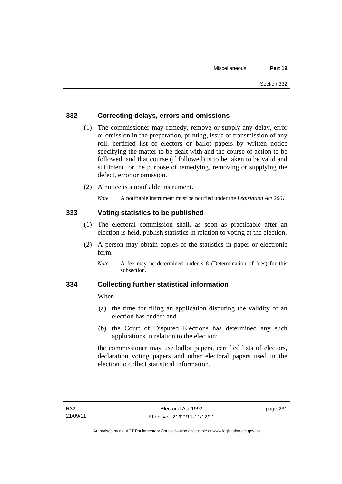### **332 Correcting delays, errors and omissions**

- (1) The commissioner may remedy, remove or supply any delay, error or omission in the preparation, printing, issue or transmission of any roll, certified list of electors or ballot papers by written notice specifying the matter to be dealt with and the course of action to be followed, and that course (if followed) is to be taken to be valid and sufficient for the purpose of remedying, removing or supplying the defect, error or omission.
- (2) A notice is a notifiable instrument.

*Note* A notifiable instrument must be notified under the *Legislation Act 2001*.

### **333 Voting statistics to be published**

- (1) The electoral commission shall, as soon as practicable after an election is held, publish statistics in relation to voting at the election.
- (2) A person may obtain copies of the statistics in paper or electronic form.

### **334 Collecting further statistical information**

When—

- (a) the time for filing an application disputing the validity of an election has ended; and
- (b) the Court of Disputed Elections has determined any such applications in relation to the election;

the commissioner may use ballot papers, certified lists of electors, declaration voting papers and other electoral papers used in the election to collect statistical information.

*Note* A fee may be determined under s 8 (Determination of fees) for this subsection.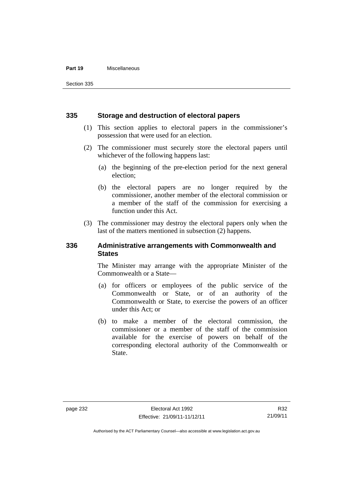#### **Part 19** Miscellaneous

Section 335

#### **335 Storage and destruction of electoral papers**

- (1) This section applies to electoral papers in the commissioner's possession that were used for an election.
- (2) The commissioner must securely store the electoral papers until whichever of the following happens last:
	- (a) the beginning of the pre-election period for the next general election;
	- (b) the electoral papers are no longer required by the commissioner, another member of the electoral commission or a member of the staff of the commission for exercising a function under this Act.
- (3) The commissioner may destroy the electoral papers only when the last of the matters mentioned in subsection (2) happens.

### **336 Administrative arrangements with Commonwealth and States**

The Minister may arrange with the appropriate Minister of the Commonwealth or a State—

- (a) for officers or employees of the public service of the Commonwealth or State, or of an authority of the Commonwealth or State, to exercise the powers of an officer under this Act; or
- (b) to make a member of the electoral commission, the commissioner or a member of the staff of the commission available for the exercise of powers on behalf of the corresponding electoral authority of the Commonwealth or State.

Authorised by the ACT Parliamentary Counsel—also accessible at www.legislation.act.gov.au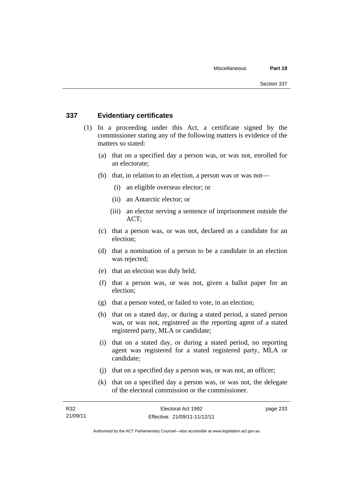### **337 Evidentiary certificates**

- (1) In a proceeding under this Act, a certificate signed by the commissioner stating any of the following matters is evidence of the matters so stated:
	- (a) that on a specified day a person was, or was not, enrolled for an electorate;
	- (b) that, in relation to an election, a person was or was not—
		- (i) an eligible overseas elector; or
		- (ii) an Antarctic elector; or
		- (iii) an elector serving a sentence of imprisonment outside the ACT;
	- (c) that a person was, or was not, declared as a candidate for an election;
	- (d) that a nomination of a person to be a candidate in an election was rejected;
	- (e) that an election was duly held;
	- (f) that a person was, or was not, given a ballot paper for an election;
	- (g) that a person voted, or failed to vote, in an election;
	- (h) that on a stated day, or during a stated period, a stated person was, or was not, registered as the reporting agent of a stated registered party, MLA or candidate;
	- (i) that on a stated day, or during a stated period, no reporting agent was registered for a stated registered party, MLA or candidate;
	- (j) that on a specified day a person was, or was not, an officer;
	- (k) that on a specified day a person was, or was not, the delegate of the electoral commission or the commissioner.

page 233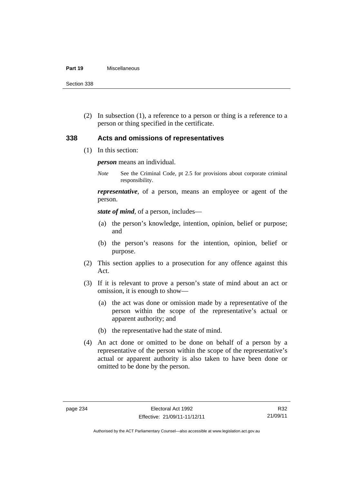#### **Part 19** Miscellaneous

Section 338

 (2) In subsection (1), a reference to a person or thing is a reference to a person or thing specified in the certificate.

### **338 Acts and omissions of representatives**

(1) In this section:

*person* means an individual.

*Note* See the Criminal Code, pt 2.5 for provisions about corporate criminal responsibility.

*representative*, of a person, means an employee or agent of the person.

*state of mind*, of a person, includes—

- (a) the person's knowledge, intention, opinion, belief or purpose; and
- (b) the person's reasons for the intention, opinion, belief or purpose.
- (2) This section applies to a prosecution for any offence against this Act.
- (3) If it is relevant to prove a person's state of mind about an act or omission, it is enough to show—
	- (a) the act was done or omission made by a representative of the person within the scope of the representative's actual or apparent authority; and
	- (b) the representative had the state of mind.
- (4) An act done or omitted to be done on behalf of a person by a representative of the person within the scope of the representative's actual or apparent authority is also taken to have been done or omitted to be done by the person.

R32 21/09/11

Authorised by the ACT Parliamentary Counsel—also accessible at www.legislation.act.gov.au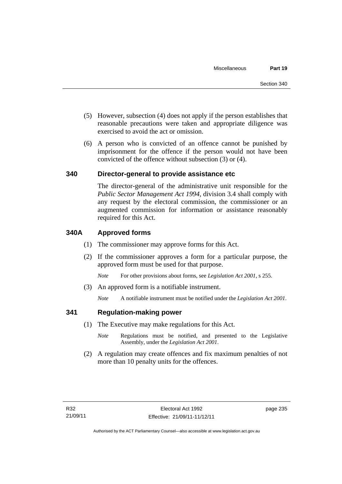- (5) However, subsection (4) does not apply if the person establishes that reasonable precautions were taken and appropriate diligence was exercised to avoid the act or omission.
- (6) A person who is convicted of an offence cannot be punished by imprisonment for the offence if the person would not have been convicted of the offence without subsection (3) or (4).

#### **340 Director-general to provide assistance etc**

The director-general of the administrative unit responsible for the *Public Sector Management Act 1994*, division 3.4 shall comply with any request by the electoral commission, the commissioner or an augmented commission for information or assistance reasonably required for this Act.

#### **340A Approved forms**

- (1) The commissioner may approve forms for this Act.
- (2) If the commissioner approves a form for a particular purpose, the approved form must be used for that purpose.

*Note* For other provisions about forms, see *Legislation Act 2001*, s 255.

(3) An approved form is a notifiable instrument.

*Note* A notifiable instrument must be notified under the *Legislation Act 2001*.

#### **341 Regulation-making power**

- (1) The Executive may make regulations for this Act.
	- *Note* **Regulations** must be notified, and presented to the Legislative Assembly, under the *Legislation Act 2001*.
- (2) A regulation may create offences and fix maximum penalties of not more than 10 penalty units for the offences.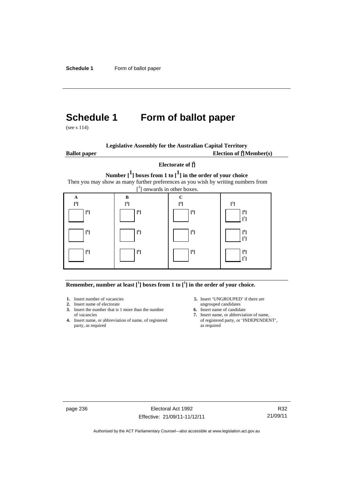# **Schedule 1 Form of ballot paper**

(see s 114)

| <b>Legislative Assembly for the Australian Capital Territory</b> |  |
|------------------------------------------------------------------|--|
|------------------------------------------------------------------|--|

**Ballot paper** Election of  $\prod_{i=1}^{n} \text{Member}(s)$ 

#### **Electorate of [ 2 ]**

**Number [1] boxes from 1 to [1] in the order of your choice**  Then you may show as many further preferences as you wish by writing numbers from



#### **Remember, number at least**  $\begin{bmatrix} 1 \end{bmatrix}$  boxes from 1 to  $\begin{bmatrix} 1 \end{bmatrix}$  in the order of your choice.

- **2.** Insert name of electorate ungrouped candidates
- **3.** Insert the number that is 1 more than the number **6.** Insert name of candidate of vacancies **7.** Insert name, or abbreviate
- **4.** Insert name, or abbreviation of name, of registered party, as required as required
- 1. Insert number of vacancies **5.** Insert 'UNGROUPED' if there are
	-
	- 7. Insert name, or abbreviation of name, of registered party, or 'INDEPENDENT',

page 236 Electoral Act 1992 Effective: 21/09/11-11/12/11

R32 21/09/11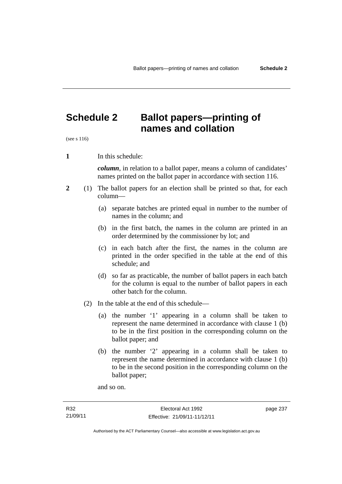## **Schedule 2 Ballot papers—printing of names and collation**

(see s 116)

**1** In this schedule:

*column*, in relation to a ballot paper, means a column of candidates' names printed on the ballot paper in accordance with section 116.

- **2** (1) The ballot papers for an election shall be printed so that, for each column—
	- (a) separate batches are printed equal in number to the number of names in the column; and
	- (b) in the first batch, the names in the column are printed in an order determined by the commissioner by lot; and
	- (c) in each batch after the first, the names in the column are printed in the order specified in the table at the end of this schedule; and
	- (d) so far as practicable, the number of ballot papers in each batch for the column is equal to the number of ballot papers in each other batch for the column.
	- (2) In the table at the end of this schedule—
		- (a) the number '1' appearing in a column shall be taken to represent the name determined in accordance with clause 1 (b) to be in the first position in the corresponding column on the ballot paper; and
		- (b) the number '2' appearing in a column shall be taken to represent the name determined in accordance with clause 1 (b) to be in the second position in the corresponding column on the ballot paper;

and so on.

page 237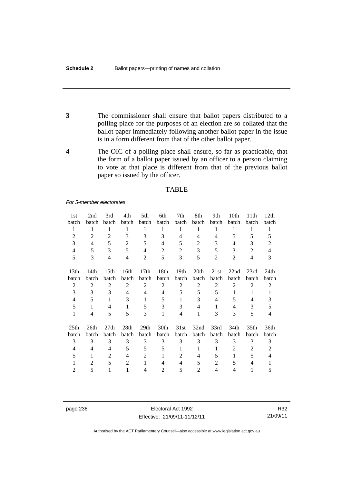- **3** The commissioner shall ensure that ballot papers distributed to a polling place for the purposes of an election are so collated that the ballot paper immediately following another ballot paper in the issue is in a form different from that of the other ballot paper.
- **4** The OIC of a polling place shall ensure, so far as practicable, that the form of a ballot paper issued by an officer to a person claiming to vote at that place is different from that of the previous ballot paper so issued by the officer.

#### TABLE

*For 5-member electorates*

| 1st              | 2nd            | 3rd              | 4th            | 5th              | 6th            | 7th              | 8th            | 9th            | 10th           | 11th             | 12 <sub>th</sub> |
|------------------|----------------|------------------|----------------|------------------|----------------|------------------|----------------|----------------|----------------|------------------|------------------|
| batch            | batch          | batch            | batch          | batch            | batch          | batch            | batch          | batch          | batch          | batch            | batch            |
| 1                | 1              | 1                | 1              | 1                | 1              | 1                | 1              | 1              | 1              | 1                | 1                |
| $\overline{2}$   | $\overline{2}$ | 2                | 3              | 3                | 3              | 4                | 4              | 4              | 5              | 5                | 5                |
| 3                | 4              | 5                | $\overline{2}$ | 5                | 4              | 5                | $\overline{c}$ | 3              | 4              | 3                | 2                |
| 4                | 5              | 3                | 5              | 4                | 2              | $\overline{2}$   | 3              | 5              | 3              | $\overline{2}$   | $\overline{4}$   |
| 5                | 3              | $\overline{4}$   | $\overline{4}$ | $\overline{2}$   | 5              | 3                | 5              | $\overline{2}$ | $\overline{2}$ | $\overline{4}$   | 3                |
| 13 <sub>th</sub> | 14th           | 15 <sup>th</sup> | 16th           | 17 <sub>th</sub> | 18th           | 19 <sub>th</sub> | 20th           | 21st           | 22nd           | 23rd             | 24th             |
| batch            | batch          | batch            | batch          | batch            | batch          | batch            | batch          | batch          | batch          | batch            | batch            |
| $\overline{c}$   | $\overline{2}$ | 2                | $\overline{2}$ | $\overline{2}$   | $\overline{2}$ | $\overline{2}$   | $\overline{2}$ | 2              | $\overline{2}$ | $\overline{2}$   | 2                |
| 3                | 3              | 3                | $\overline{4}$ | 4                | $\overline{4}$ | 5                | 5              | 5              | 1              | 1                | 1                |
| 4                | 5              | 1                | 3              | 1                | 5              | 1                | 3              | 4              | 5              | 4                | 3                |
| 5                | 1              | 4                | 1              | 5                | 3              | 3                | 4              | 1              | $\overline{4}$ | 3                | 5                |
| $\mathbf{1}$     | 4              | 5                | 5              | 3                | 1              | 4                | 1              | 3              | 3              | 5                | 4                |
| 25 <sub>th</sub> | 26th           | 27th             | 28th           | 29th             | 30th           | 31st             | 32nd           | 33rd           | 34th           | 35 <sub>th</sub> | 36th             |
| batch            | batch          | batch            | batch          | batch            | batch          | batch            | batch          | batch          | batch          | batch            | batch            |
| 3                | 3              | 3                | 3              | 3                | 3              | 3                | 3              | 3              | 3              | 3                | 3                |
| 4                | 4              | 4                | 5              | 5                | 5              | 1                | 1              | 1              | 2              | 2                | 2                |
| 5                | 1              | $\overline{2}$   | 4              | $\overline{2}$   | 1              | 2                | 4              | 5              | 1              | 5                | 4                |
| 1                | 2              | 5                | $\overline{2}$ | 1                | 4              | 4                | 5              | $\overline{2}$ | 5              | 4                |                  |
| $\overline{2}$   | 5              | 1                | 1              | 4                | 2              | 5                | $\mathfrak{D}$ | 4              | 4              | 1                | 5                |

page 238 Electoral Act 1992 Effective: 21/09/11-11/12/11

R32 21/09/11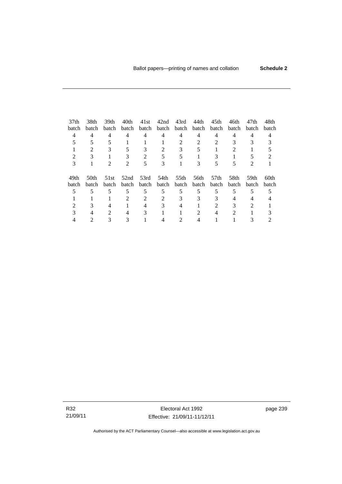| 37 <sub>th</sub> | 38th  | 39th                        | 40th | 41st                        | 42nd  | 43rd        | 44th  | 45th  | 46th  | 47th           | 48th             |
|------------------|-------|-----------------------------|------|-----------------------------|-------|-------------|-------|-------|-------|----------------|------------------|
| batch            | batch | batch                       |      | batch batch                 |       | batch batch | batch | batch | batch | batch          | batch            |
| 4                | 4     | $\overline{4}$              | 4    | 4                           | 4     | 4           | 4     | 4     | 4     | 4              |                  |
|                  |       |                             |      |                             |       |             |       |       |       |                |                  |
|                  | 2     | 3                           | 5    | 3                           | 2     | 3           |       |       |       |                |                  |
|                  |       |                             |      | $\mathcal{D}_{\mathcal{L}}$ |       |             |       |       |       |                |                  |
| 3                |       |                             | 2    | 5                           | 3     |             | 3     |       | 5     | $\mathfrak{D}$ |                  |
| 49th             | 50th  | 51st                        |      | 52nd 53rd                   | 54th  | 55th        | 56th  | 57th  | .58th | 59th           | 60 <sub>th</sub> |
| batch            | batch | batch                       |      | batch batch                 | batch | batch       | batch | batch | batch | batch          | batch            |
|                  | 5     | 5                           | 5    | 5                           | 5     | 5           | 5     | 5     | 5     |                |                  |
|                  |       |                             |      | $\mathcal{L}$               |       |             | 3     |       |       |                |                  |
|                  |       |                             |      |                             |       |             |       |       |       | $\mathcal{D}$  |                  |
|                  |       | $\mathcal{D}_{\mathcal{L}}$ | 4    | 3                           |       |             |       |       | 2     |                |                  |
|                  |       |                             |      |                             |       |             |       |       |       |                |                  |

R32 21/09/11

Electoral Act 1992 Effective: 21/09/11-11/12/11 page 239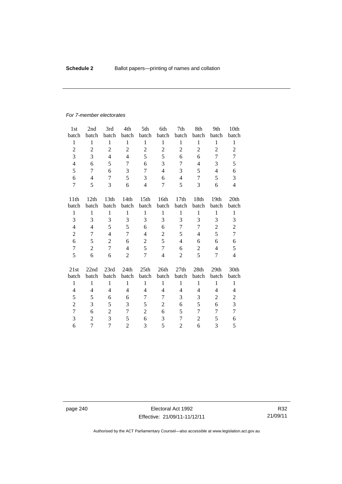#### *For 7-member electorates*

| 1st              | 2nd            | 3rd              | 4th            | 5th              | 6th            | 7th              | 8th            | 9th            | 10th             |
|------------------|----------------|------------------|----------------|------------------|----------------|------------------|----------------|----------------|------------------|
| batch            | batch          | batch            | batch          | batch            | batch          | batch            | batch          | batch          | batch            |
| $\mathbf{1}$     | $\mathbf{1}$   | $\mathbf{1}$     | $\mathbf{1}$   | $\mathbf{1}$     | $\mathbf{1}$   | $\mathbf{1}$     | 1              | $\mathbf{1}$   | $\mathbf{1}$     |
| $\overline{2}$   | $\overline{2}$ | $\overline{c}$   | $\overline{2}$ | $\overline{c}$   | $\overline{2}$ | $\overline{2}$   | $\overline{c}$ | $\overline{2}$ | $\overline{2}$   |
| 3                | 3              | $\overline{4}$   | $\overline{4}$ | 5                | 5              | 6                | 6              | 7              | 7                |
| $\overline{4}$   | 6              | 5                | 7              | 6                | 3              | 7                | $\overline{4}$ | 3              | 5                |
| 5                | 7              | 6                | 3              | 7                | $\overline{4}$ | 3                | 5              | $\overline{4}$ | 6                |
| 6                | 4              | 7                | 5              | 3                | 6              | $\overline{4}$   | 7              | 5              | 3                |
| $\tau$           | 5              | 3                | 6              | $\overline{4}$   | $\overline{7}$ | 5                | 3              | 6              | $\overline{4}$   |
| 11 <sup>th</sup> | 12th           | 13 <sup>th</sup> | 14th           | 15 <sup>th</sup> | 16th           | 17 <sub>th</sub> | 18th           | 19th           | 20 <sub>th</sub> |
| batch            | batch          | batch            | batch          | batch            | batch          | batch            | batch          | batch          | batch            |
| $\mathbf{1}$     | $\mathbf{1}$   | $\mathbf{1}$     | $\mathbf{1}$   | $\mathbf{1}$     | $\mathbf{1}$   | $\mathbf{1}$     | 1              | $\mathbf{1}$   | $\mathbf{1}$     |
| 3                | 3              | 3                | 3              | 3                | 3              | 3                | 3              | 3              | 3                |
| $\overline{4}$   | 4              | 5                | 5              | 6                | 6              | 7                | 7              | $\overline{2}$ | $\overline{c}$   |
| $\overline{2}$   | 7              | $\overline{4}$   | 7              | $\overline{4}$   | $\overline{2}$ | 5                | 4              | 5              | 7                |
| 6                | 5              | $\overline{2}$   | 6              | $\overline{2}$   | 5              | 4                | 6              | 6              | 6                |
| $\tau$           | $\overline{2}$ | $\tau$           | $\overline{4}$ | 5                | 7              | 6                | $\overline{2}$ | $\overline{4}$ | 5                |
| 5                | 6              | 6                | $\overline{2}$ | $\overline{7}$   | $\overline{4}$ | 2                | 5              | 7              | $\overline{4}$   |
|                  |                |                  |                |                  |                |                  |                |                |                  |
| 21st             | 22nd           | 23rd             | 24th           | 25th             | 26th           | 27th             | 28th           | 29th           | 30th             |
| batch            | batch          | batch            | batch          | batch            | batch          | batch            | batch          | batch          | batch            |
| $\mathbf{1}$     | $\mathbf{1}$   | $\mathbf{1}$     | $\mathbf{1}$   | 1                | 1              | $\mathbf{1}$     | 1              | $\mathbf{1}$   | $\mathbf{1}$     |
| 4                | 4              | $\overline{4}$   | 4              | 4                | $\overline{4}$ | $\overline{4}$   | 4              | 4              | $\overline{4}$   |
| 5                | 5              | 6                | 6              | 7                | 7              | 3                | 3              | 2              | $\overline{c}$   |
| $\overline{c}$   | 3              | 5                | 3              | 5                | 2              | 6                | 5              | 6              | 3                |
| 7                | 6              | $\overline{2}$   | 7              | $\overline{2}$   | 6              | 5                | 7              | 7              | 7                |
| 3                | $\overline{2}$ | 3                | 5              | 6                | 3              | 7                | 2              | 5              | 6                |
| 6                | 7              | 7                | $\overline{2}$ | 3                | 5              | $\overline{c}$   | 6              | 3              | 5                |

page 240 Electoral Act 1992 Effective: 21/09/11-11/12/11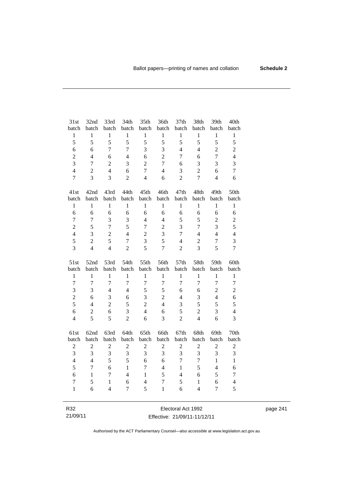| batch<br>batch<br>batch<br>batch<br>batch<br>batch<br>batch<br>batch<br>batch<br>$\mathbf{1}$<br>$\mathbf{1}$<br>$\mathbf{1}$<br>$\mathbf{1}$<br>$\mathbf{1}$<br>$\mathbf{1}$<br>$\mathbf{1}$<br>$\mathbf{1}$<br>$\mathbf{1}$<br>5<br>5<br>5<br>5<br>5<br>5<br>5<br>5<br>5<br>$\overline{3}$<br>$\overline{7}$<br>$\overline{7}$<br>3<br>$\overline{4}$<br>$\overline{2}$<br>6<br>6<br>$\overline{4}$<br>$\overline{2}$<br>6<br>$\overline{7}$<br>$\boldsymbol{2}$<br>$\overline{4}$<br>6<br>$\overline{4}$<br>7<br>6<br>3<br>$\overline{2}$<br>$\overline{7}$<br>$\overline{2}$<br>3<br>$\overline{7}$<br>3<br>3<br>6<br>$\overline{4}$<br>$\overline{2}$<br>$\tau$<br>$\overline{4}$<br>$\overline{2}$<br>$\overline{4}$<br>6<br>3<br>6<br>$\overline{3}$<br>$\overline{7}$<br>$\overline{3}$<br>$\overline{c}$<br>$\overline{4}$<br>6<br>$\overline{c}$<br>$\overline{7}$<br>$\overline{4}$<br>42nd<br>43rd<br>44th<br>45th<br>46th<br>47th<br>48th<br>49th<br>41st<br>batch<br>batch<br>batch<br>batch<br>batch<br>batch<br>batch<br>batch<br>batch<br>$\mathbf{1}$<br>$\mathbf{1}$<br>$\mathbf{1}$<br>$\mathbf{1}$<br>$\mathbf{1}$<br>$\mathbf{1}$<br>$\mathbf{1}$<br>$\mathbf{1}$<br>$\mathbf{1}$<br>6<br>6<br>6<br>6<br>6<br>6<br>6<br>6<br>6<br>$\overline{7}$<br>3<br>3<br>$\overline{4}$<br>$\overline{4}$<br>5<br>5<br>$\overline{2}$<br>$\tau$<br>$\overline{2}$<br>5<br>$\overline{7}$<br>5<br>$\overline{2}$<br>$\overline{3}$<br>3<br>$\overline{7}$<br>$\overline{7}$ | batch<br>$\,1$<br>5<br>$\overline{c}$<br>$\overline{4}$<br>3<br>$\tau$<br>6<br>50th<br>batch |   |   |                |                |                |                |                |                          |                |
|---------------------------------------------------------------------------------------------------------------------------------------------------------------------------------------------------------------------------------------------------------------------------------------------------------------------------------------------------------------------------------------------------------------------------------------------------------------------------------------------------------------------------------------------------------------------------------------------------------------------------------------------------------------------------------------------------------------------------------------------------------------------------------------------------------------------------------------------------------------------------------------------------------------------------------------------------------------------------------------------------------------------------------------------------------------------------------------------------------------------------------------------------------------------------------------------------------------------------------------------------------------------------------------------------------------------------------------------------------------------------------------------------------------------------------------------------------------------------------------|----------------------------------------------------------------------------------------------|---|---|----------------|----------------|----------------|----------------|----------------|--------------------------|----------------|
|                                                                                                                                                                                                                                                                                                                                                                                                                                                                                                                                                                                                                                                                                                                                                                                                                                                                                                                                                                                                                                                                                                                                                                                                                                                                                                                                                                                                                                                                                       |                                                                                              |   |   |                |                |                |                |                |                          |                |
|                                                                                                                                                                                                                                                                                                                                                                                                                                                                                                                                                                                                                                                                                                                                                                                                                                                                                                                                                                                                                                                                                                                                                                                                                                                                                                                                                                                                                                                                                       |                                                                                              |   |   |                |                |                |                |                |                          |                |
|                                                                                                                                                                                                                                                                                                                                                                                                                                                                                                                                                                                                                                                                                                                                                                                                                                                                                                                                                                                                                                                                                                                                                                                                                                                                                                                                                                                                                                                                                       |                                                                                              |   |   |                |                |                |                |                |                          |                |
|                                                                                                                                                                                                                                                                                                                                                                                                                                                                                                                                                                                                                                                                                                                                                                                                                                                                                                                                                                                                                                                                                                                                                                                                                                                                                                                                                                                                                                                                                       |                                                                                              |   |   |                |                |                |                |                |                          |                |
|                                                                                                                                                                                                                                                                                                                                                                                                                                                                                                                                                                                                                                                                                                                                                                                                                                                                                                                                                                                                                                                                                                                                                                                                                                                                                                                                                                                                                                                                                       |                                                                                              |   |   |                |                |                |                |                |                          |                |
|                                                                                                                                                                                                                                                                                                                                                                                                                                                                                                                                                                                                                                                                                                                                                                                                                                                                                                                                                                                                                                                                                                                                                                                                                                                                                                                                                                                                                                                                                       |                                                                                              |   |   |                |                |                |                |                |                          |                |
|                                                                                                                                                                                                                                                                                                                                                                                                                                                                                                                                                                                                                                                                                                                                                                                                                                                                                                                                                                                                                                                                                                                                                                                                                                                                                                                                                                                                                                                                                       |                                                                                              |   |   |                |                |                |                |                |                          |                |
|                                                                                                                                                                                                                                                                                                                                                                                                                                                                                                                                                                                                                                                                                                                                                                                                                                                                                                                                                                                                                                                                                                                                                                                                                                                                                                                                                                                                                                                                                       |                                                                                              |   |   |                |                |                |                |                |                          |                |
|                                                                                                                                                                                                                                                                                                                                                                                                                                                                                                                                                                                                                                                                                                                                                                                                                                                                                                                                                                                                                                                                                                                                                                                                                                                                                                                                                                                                                                                                                       |                                                                                              |   |   |                |                |                |                |                |                          |                |
|                                                                                                                                                                                                                                                                                                                                                                                                                                                                                                                                                                                                                                                                                                                                                                                                                                                                                                                                                                                                                                                                                                                                                                                                                                                                                                                                                                                                                                                                                       |                                                                                              |   |   |                |                |                |                |                |                          |                |
|                                                                                                                                                                                                                                                                                                                                                                                                                                                                                                                                                                                                                                                                                                                                                                                                                                                                                                                                                                                                                                                                                                                                                                                                                                                                                                                                                                                                                                                                                       | $\mathbf{1}$                                                                                 |   |   |                |                |                |                |                |                          |                |
|                                                                                                                                                                                                                                                                                                                                                                                                                                                                                                                                                                                                                                                                                                                                                                                                                                                                                                                                                                                                                                                                                                                                                                                                                                                                                                                                                                                                                                                                                       | 6                                                                                            |   |   |                |                |                |                |                |                          |                |
|                                                                                                                                                                                                                                                                                                                                                                                                                                                                                                                                                                                                                                                                                                                                                                                                                                                                                                                                                                                                                                                                                                                                                                                                                                                                                                                                                                                                                                                                                       | $\overline{c}$                                                                               |   |   |                |                |                |                |                |                          |                |
|                                                                                                                                                                                                                                                                                                                                                                                                                                                                                                                                                                                                                                                                                                                                                                                                                                                                                                                                                                                                                                                                                                                                                                                                                                                                                                                                                                                                                                                                                       | 5                                                                                            |   |   |                |                |                |                |                |                          |                |
| $\overline{4}$<br>3<br>$\overline{c}$<br>$\overline{c}$<br>3<br>$\overline{4}$<br>$\overline{4}$<br>$\overline{7}$<br>$\overline{4}$                                                                                                                                                                                                                                                                                                                                                                                                                                                                                                                                                                                                                                                                                                                                                                                                                                                                                                                                                                                                                                                                                                                                                                                                                                                                                                                                                  | $\overline{4}$                                                                               |   |   |                |                |                |                |                |                          |                |
| 5<br>$\overline{3}$<br>5<br>$\overline{7}$<br>5<br>$\sqrt{2}$<br>$\overline{c}$<br>$\overline{7}$<br>$\overline{4}$                                                                                                                                                                                                                                                                                                                                                                                                                                                                                                                                                                                                                                                                                                                                                                                                                                                                                                                                                                                                                                                                                                                                                                                                                                                                                                                                                                   | 3                                                                                            |   |   |                |                |                |                |                |                          |                |
| 5<br>3<br>$\overline{4}$<br>$\overline{4}$<br>$\overline{2}$<br>$\overline{7}$<br>3<br>5<br>$\overline{2}$                                                                                                                                                                                                                                                                                                                                                                                                                                                                                                                                                                                                                                                                                                                                                                                                                                                                                                                                                                                                                                                                                                                                                                                                                                                                                                                                                                            | $\overline{7}$                                                                               |   |   |                |                |                |                |                |                          |                |
| 53rd<br>54th<br>55th<br>56th<br>57th<br>58th<br>59th<br>51st<br>52nd                                                                                                                                                                                                                                                                                                                                                                                                                                                                                                                                                                                                                                                                                                                                                                                                                                                                                                                                                                                                                                                                                                                                                                                                                                                                                                                                                                                                                  | 60th                                                                                         |   |   |                |                |                |                |                |                          |                |
| batch<br>batch<br>batch<br>batch<br>batch<br>batch<br>batch<br>batch<br>batch                                                                                                                                                                                                                                                                                                                                                                                                                                                                                                                                                                                                                                                                                                                                                                                                                                                                                                                                                                                                                                                                                                                                                                                                                                                                                                                                                                                                         | batch                                                                                        |   |   |                |                |                |                |                |                          |                |
| $\mathbf{1}$<br>$\mathbf{1}$<br>$\mathbf{1}$<br>$\mathbf{1}$<br>$\mathbf{1}$<br>$\mathbf{1}$<br>$\mathbf{1}$<br>$\mathbf{1}$<br>$\mathbf{1}$                                                                                                                                                                                                                                                                                                                                                                                                                                                                                                                                                                                                                                                                                                                                                                                                                                                                                                                                                                                                                                                                                                                                                                                                                                                                                                                                          | $\mathbf{1}$                                                                                 |   |   |                |                |                |                |                |                          |                |
| $\overline{7}$<br>$\overline{7}$<br>$\overline{7}$<br>$\overline{7}$<br>$\overline{7}$<br>$\overline{7}$<br>$\overline{7}$<br>$\overline{7}$<br>$\overline{7}$                                                                                                                                                                                                                                                                                                                                                                                                                                                                                                                                                                                                                                                                                                                                                                                                                                                                                                                                                                                                                                                                                                                                                                                                                                                                                                                        | $\boldsymbol{7}$                                                                             |   |   |                |                |                |                |                |                          |                |
| 5<br>5<br>$\overline{c}$<br>6<br>6                                                                                                                                                                                                                                                                                                                                                                                                                                                                                                                                                                                                                                                                                                                                                                                                                                                                                                                                                                                                                                                                                                                                                                                                                                                                                                                                                                                                                                                    | $\overline{c}$                                                                               |   |   |                |                |                |                |                |                          |                |
| 3<br>$\overline{4}$                                                                                                                                                                                                                                                                                                                                                                                                                                                                                                                                                                                                                                                                                                                                                                                                                                                                                                                                                                                                                                                                                                                                                                                                                                                                                                                                                                                                                                                                   | 6                                                                                            |   |   |                |                |                | $\overline{4}$ | $\overline{4}$ | 3                        | 3              |
|                                                                                                                                                                                                                                                                                                                                                                                                                                                                                                                                                                                                                                                                                                                                                                                                                                                                                                                                                                                                                                                                                                                                                                                                                                                                                                                                                                                                                                                                                       |                                                                                              |   |   | $\overline{4}$ | $\overline{c}$ | 3              | 6              | 3              | 6                        | $\overline{c}$ |
|                                                                                                                                                                                                                                                                                                                                                                                                                                                                                                                                                                                                                                                                                                                                                                                                                                                                                                                                                                                                                                                                                                                                                                                                                                                                                                                                                                                                                                                                                       | 5                                                                                            | 5 | 5 | 3              | $\overline{4}$ | $\overline{2}$ | 5              | $\overline{2}$ | $\overline{\mathcal{L}}$ | 5              |
| 3<br>$\overline{4}$<br>$\overline{2}$<br>3<br>6<br>6<br>6<br>5<br>$\mathbf{2}$                                                                                                                                                                                                                                                                                                                                                                                                                                                                                                                                                                                                                                                                                                                                                                                                                                                                                                                                                                                                                                                                                                                                                                                                                                                                                                                                                                                                        | $\overline{4}$                                                                               |   |   |                |                |                |                |                |                          |                |
| 5<br>$\overline{2}$<br>$\overline{2}$<br>$\overline{4}$<br>5<br>3<br>$\overline{4}$<br>6<br>6                                                                                                                                                                                                                                                                                                                                                                                                                                                                                                                                                                                                                                                                                                                                                                                                                                                                                                                                                                                                                                                                                                                                                                                                                                                                                                                                                                                         | 3                                                                                            |   |   |                |                |                |                |                |                          |                |
| 63rd<br>64th<br>66th<br>68th<br>69th<br>62nd<br>65th<br>67th<br>61st                                                                                                                                                                                                                                                                                                                                                                                                                                                                                                                                                                                                                                                                                                                                                                                                                                                                                                                                                                                                                                                                                                                                                                                                                                                                                                                                                                                                                  | 70th                                                                                         |   |   |                |                |                |                |                |                          |                |
| batch<br>batch<br>batch<br>batch<br>batch<br>batch<br>batch<br>batch<br>batch                                                                                                                                                                                                                                                                                                                                                                                                                                                                                                                                                                                                                                                                                                                                                                                                                                                                                                                                                                                                                                                                                                                                                                                                                                                                                                                                                                                                         | batch                                                                                        |   |   |                |                |                |                |                |                          |                |
| $\overline{c}$<br>$\overline{c}$<br>$\sqrt{2}$<br>$\overline{2}$<br>$\overline{c}$<br>$\overline{c}$<br>$\overline{2}$<br>$\overline{c}$<br>$\sqrt{2}$                                                                                                                                                                                                                                                                                                                                                                                                                                                                                                                                                                                                                                                                                                                                                                                                                                                                                                                                                                                                                                                                                                                                                                                                                                                                                                                                | $\overline{c}$                                                                               |   |   |                |                |                |                |                |                          |                |
| $\overline{3}$<br>$\overline{3}$<br>3<br>3<br>3<br>3<br>3<br>$\overline{3}$<br>3                                                                                                                                                                                                                                                                                                                                                                                                                                                                                                                                                                                                                                                                                                                                                                                                                                                                                                                                                                                                                                                                                                                                                                                                                                                                                                                                                                                                      | 3                                                                                            |   |   |                |                |                |                |                |                          |                |
| $\overline{\mathbf{4}}$<br>5<br>5<br>$\mathbf{1}$<br>$\overline{4}$<br>6<br>6<br>$\overline{7}$<br>$\overline{7}$                                                                                                                                                                                                                                                                                                                                                                                                                                                                                                                                                                                                                                                                                                                                                                                                                                                                                                                                                                                                                                                                                                                                                                                                                                                                                                                                                                     | $\mathbf{1}$                                                                                 |   |   |                |                |                |                |                |                          |                |
| 5<br>6<br>$\mathbf{1}$<br>$\overline{7}$<br>$\overline{4}$<br>5<br>$\overline{7}$<br>$\mathbf{1}$<br>$\overline{4}$                                                                                                                                                                                                                                                                                                                                                                                                                                                                                                                                                                                                                                                                                                                                                                                                                                                                                                                                                                                                                                                                                                                                                                                                                                                                                                                                                                   | 6                                                                                            |   |   |                |                |                |                |                |                          |                |
| 6<br>7<br>$\overline{4}$<br>$\mathbf{1}$<br>5<br>6<br>5<br>$\mathbf{1}$<br>$\overline{4}$                                                                                                                                                                                                                                                                                                                                                                                                                                                                                                                                                                                                                                                                                                                                                                                                                                                                                                                                                                                                                                                                                                                                                                                                                                                                                                                                                                                             | $\tau$                                                                                       |   |   |                |                |                |                |                |                          |                |
| $\overline{7}$<br>$\overline{7}$<br>5<br>6<br>$\overline{4}$<br>5<br>$\boldsymbol{6}$<br>$\mathbf{1}$<br>$\mathbf{1}$<br>5<br>$\mathbf{1}$<br>$\mathbf{1}$<br>6<br>$\overline{4}$<br>7<br>6<br>$\overline{4}$<br>$\overline{7}$                                                                                                                                                                                                                                                                                                                                                                                                                                                                                                                                                                                                                                                                                                                                                                                                                                                                                                                                                                                                                                                                                                                                                                                                                                                       | $\overline{4}$<br>5                                                                          |   |   |                |                |                |                |                |                          |                |

page 241

Effective: 21/09/11-11/12/11

R32 21/09/11

Authorised by the ACT Parliamentary Counsel—also accessible at www.legislation.act.gov.au

Electoral Act 1992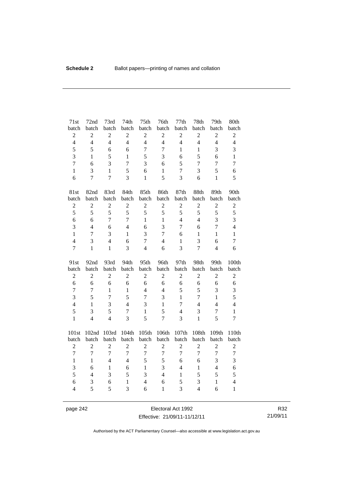| 71st                | 72nd           | 73rd           | 74th              | 75 <sup>th</sup>    | 76th              | 77th           | 78th                             | 79th           | 80th                           |
|---------------------|----------------|----------------|-------------------|---------------------|-------------------|----------------|----------------------------------|----------------|--------------------------------|
| batch               | batch          | batch          | batch             | batch               | batch             | batch          | batch                            | batch          | batch                          |
| $\sqrt{2}$          | $\mathbf{2}$   | $\overline{c}$ | $\overline{c}$    | $\sqrt{2}$          | $\mathbf{2}$      | $\overline{c}$ | $\sqrt{2}$                       | $\mathbf{2}$   | $\overline{c}$                 |
| $\overline{4}$      | $\overline{4}$ | $\overline{4}$ | $\overline{4}$    | $\overline{4}$      | $\overline{4}$    | $\overline{4}$ | $\overline{4}$                   | $\overline{4}$ | $\overline{4}$                 |
| 5                   | 5              | 6              | 6                 | $\overline{7}$      | $\boldsymbol{7}$  | $\mathbf{1}$   | $\mathbf{1}$                     | 3              | 3                              |
| 3                   | $\mathbf{1}$   | 5              | $\mathbf{1}$      | 5                   | 3                 | 6              | 5                                | 6              | $\mathbf{1}$                   |
| $\overline{7}$      | 6              | 3              | $\tau$            | 3                   | 6                 | 5              | $\tau$                           | $\tau$         | $\tau$                         |
| $\mathbf{1}$        | 3              | $\mathbf{1}$   | 5                 | 6                   | $\mathbf{1}$      | $\tau$         | 3                                | 5              | 6                              |
| 6                   | $\overline{7}$ | $\overline{7}$ | $\overline{3}$    | $\mathbf{1}$        | 5                 | 3              | 6                                | $\mathbf{1}$   | 5                              |
| 81st                | 82nd           | 83rd           | 84th              | 85th                | 86th              | 87th           | 88th                             | 89th           | 90th                           |
| batch               | batch          | batch          | batch             | batch               | batch             | batch          | batch                            | batch          | batch                          |
| $\overline{c}$      | $\overline{c}$ | $\overline{2}$ | $\overline{c}$    | $\sqrt{2}$          | $\overline{2}$    | $\mathbf{2}$   | $\overline{c}$                   | $\overline{c}$ | $\sqrt{2}$                     |
| 5                   | 5              | 5              | 5                 | 5                   | 5                 | 5              | 5                                | 5              | 5                              |
| 6                   | 6              | $\overline{7}$ | $\overline{7}$    | $\mathbf{1}$        | $\mathbf{1}$      | $\overline{4}$ | $\overline{4}$                   | 3              | $\overline{3}$                 |
| 3                   | $\overline{4}$ | 6              | $\overline{4}$    | 6                   | 3                 | $\overline{7}$ | 6                                | $\overline{7}$ | $\overline{4}$                 |
| $\mathbf{1}$        | $\overline{7}$ | 3              | $\mathbf{1}$      | 3                   | $\overline{7}$    | 6              | $\mathbf{1}$                     | $\mathbf{1}$   | $\mathbf{1}$                   |
| $\overline{4}$      | 3              | $\overline{4}$ | 6                 | $\overline{7}$      | $\overline{4}$    | $\mathbf{1}$   | 3                                | 6              | $\overline{7}$                 |
| $\overline{7}$      | $\mathbf{1}$   | $\mathbf{1}$   | $\overline{3}$    | $\overline{4}$      | 6                 | 3              | $\overline{7}$                   | $\overline{4}$ | 6                              |
|                     |                |                |                   |                     |                   |                |                                  |                |                                |
| 91st                | 92nd           | 93rd           | 94th              | 95th                | 96th              | 97th           | 98th                             | 99th           | 100th                          |
| batch               | batch          | batch          | batch             | batch               | batch             | batch          | batch                            | batch          | batch                          |
| $\sqrt{2}$          | $\overline{c}$ | $\sqrt{2}$     | $\overline{c}$    | $\sqrt{2}$          | $\sqrt{2}$        | $\overline{c}$ | $\boldsymbol{2}$                 | $\overline{c}$ | $\overline{c}$                 |
| 6                   | 6              | 6              | 6                 | 6                   | 6                 | 6              | 6                                | 6              | 6                              |
| $\boldsymbol{7}$    | $\overline{7}$ | $\mathbf{1}$   | $\mathbf{1}$      | $\overline{4}$      | $\overline{4}$    | 5              | 5                                | 3              | 3                              |
| 3                   | 5              | $\overline{7}$ | 5                 | $\overline{7}$      | 3                 | $\mathbf{1}$   | 7                                | $\mathbf{1}$   | 5                              |
| $\overline{4}$      | $\mathbf{1}$   | 3              | $\overline{4}$    | 3                   | $\mathbf{1}$      | 7              | $\overline{4}$                   | $\overline{4}$ | $\overline{4}$                 |
| 5                   | 3              | 5              | $\overline{7}$    | $\mathbf{1}$        | 5                 | $\overline{4}$ | 3                                | $\overline{7}$ | $\mathbf{1}$                   |
| $\mathbf{1}$        | $\overline{4}$ | $\overline{4}$ | 3                 | 5                   | $\overline{7}$    | 3              | $\mathbf{1}$                     | 5              | $\overline{7}$                 |
| 101st               | 102nd          | 103rd          | 104th             | 105th               | 106th             | 107th          | 108th                            | 109th          | 110th                          |
| batch               | batch          | batch          | batch             | batch               | batch             | batch          | batch                            | batch          | batch                          |
| $\overline{2}$      | $\overline{2}$ | $\overline{2}$ | $\overline{c}$    | $\overline{2}$      | $\overline{2}$    | $\overline{2}$ | $\overline{2}$                   | $\overline{2}$ | $\overline{c}$                 |
| $\overline{7}$      | $\overline{7}$ | $\overline{7}$ | $\overline{7}$    | $\overline{7}$      | $\boldsymbol{7}$  | $\overline{7}$ | $\overline{7}$                   | $\overline{7}$ | $\boldsymbol{7}$               |
| $\mathbf{1}$        | $\mathbf{1}$   | $\overline{4}$ | $\overline{4}$    | 5                   | 5                 | 6              | 6                                | 3              | 3                              |
| 3                   | 6              | $\mathbf{1}$   | 6                 | $\mathbf{1}$        | 3                 | $\overline{4}$ | $\mathbf{1}$                     | $\overline{4}$ | 6                              |
| 5                   | $\overline{4}$ | 3              | 5                 | 3                   | $\overline{4}$    | $\mathbf{1}$   | 5                                | 5              | 5                              |
| 6<br>$\overline{4}$ | 3<br>5         | 6<br>5         | $\mathbf{1}$<br>3 | $\overline{4}$<br>6 | 6<br>$\mathbf{1}$ | 5<br>3         | $\mathfrak{Z}$<br>$\overline{4}$ | $\,1$<br>6     | $\overline{4}$<br>$\mathbf{1}$ |

page 242 **Electoral Act 1992** Effective: 21/09/11-11/12/11

R32 21/09/11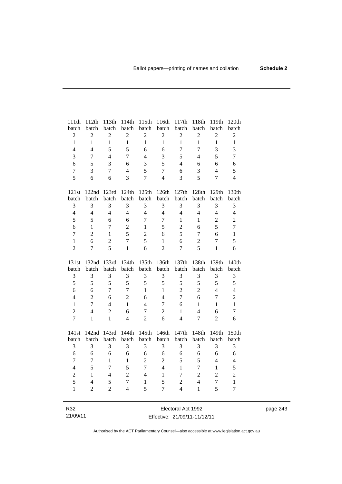| 111th                          | 112th                            | 113th               | 114th                          | 115th               | 116th                          | 117th                            | 118th                    | 119th                            | 120th                          |
|--------------------------------|----------------------------------|---------------------|--------------------------------|---------------------|--------------------------------|----------------------------------|--------------------------|----------------------------------|--------------------------------|
| batch                          | batch                            | batch               | batch                          | batch               | batch                          | batch                            | batch                    | batch                            | batch                          |
| $\sqrt{2}$                     | $\boldsymbol{2}$                 | $\overline{2}$      | $\overline{2}$                 | $\overline{c}$      | $\boldsymbol{2}$               | $\overline{2}$                   | $\sqrt{2}$               | $\boldsymbol{2}$                 | $\sqrt{2}$                     |
| $\mathbf{1}$                   | $\mathbf{1}$                     | $\mathbf{1}$        | $\mathbf{1}$                   | $\mathbf{1}$        | $\mathbf{1}$                   | $\mathbf{1}$                     | $\mathbf{1}$             | $\mathbf{1}$                     | $\mathbf{1}$                   |
| $\overline{4}$                 | $\overline{4}$                   | 5                   | 5                              | 6                   | 6                              | $\overline{7}$                   | $\overline{7}$           | 3                                | 3                              |
| $\overline{3}$                 | 7                                | $\overline{4}$      | $\overline{7}$                 | $\overline{4}$      | 3                              | 5                                | $\overline{\mathcal{L}}$ | 5                                | $\overline{7}$                 |
| 6                              | 5                                | $\overline{3}$      | 6                              | 3                   | 5                              | $\overline{4}$                   | 6                        | 6                                | 6                              |
| $\overline{7}$                 | 3                                | $\overline{7}$      | $\overline{4}$                 | 5                   | $\overline{7}$                 | 6                                | 3                        | $\overline{4}$                   | 5                              |
| 5                              | 6                                | 6                   | 3                              | $\overline{7}$      | $\overline{4}$                 | 3                                | 5                        | $\overline{7}$                   | $\overline{4}$                 |
| 121st                          | 122nd                            | 123rd               | 124th                          | 125th               | 126th                          | 127th                            | 128th                    | 129th                            | 130th                          |
| batch                          | batch                            | batch               | batch                          | batch               | batch                          | batch                            | batch                    | batch                            | batch                          |
| 3                              | 3                                | 3                   | 3                              | 3                   | $\mathfrak{Z}$                 | 3                                | 3                        | 3                                | 3                              |
| $\overline{4}$                 | $\overline{4}$                   | $\overline{4}$      | $\overline{4}$                 | $\overline{4}$      | $\overline{4}$                 | $\overline{4}$                   | $\overline{4}$           | $\overline{4}$                   | $\overline{4}$                 |
| 5                              | 5                                | 6                   | 6                              | $\overline{7}$      | $\boldsymbol{7}$               | $\mathbf{1}$                     | 1                        | $\mathbf{2}$                     | $\overline{2}$                 |
| 6                              | $\mathbf{1}$                     | $\overline{7}$      | $\overline{c}$                 | $\mathbf{1}$        | 5                              | $\overline{c}$                   | 6                        | 5                                | $\tau$                         |
| $\overline{7}$                 | $\overline{2}$                   | $\mathbf{1}$        | 5                              | $\overline{2}$      | 6                              | 5                                | $\overline{7}$           | 6                                | $\mathbf{1}$                   |
| $\mathbf{1}$                   | 6                                | $\overline{c}$      | $\overline{7}$                 | 5                   | $\mathbf{1}$                   | 6                                | $\overline{2}$           | $\boldsymbol{7}$                 | 5                              |
| $\overline{2}$                 | 7                                | $\overline{5}$      | $\mathbf{1}$                   | 6                   | $\overline{2}$                 | 7                                | 5                        | $\mathbf{1}$                     | 6                              |
|                                |                                  |                     |                                |                     |                                |                                  |                          |                                  |                                |
| 131st                          | 132nd                            | 133rd               | 134th                          | 135th               | 136th                          | 137th                            | 138th                    | 139th                            | 140th                          |
| batch                          | batch                            | batch               | batch                          | batch               | batch                          | batch                            | batch                    | batch                            | batch                          |
| 3                              | 3                                | 3                   | 3                              | 3                   | 3                              | 3                                | 3                        | 3                                | 3                              |
| 5                              | 5                                | 5                   | 5                              | 5                   | 5                              | 5                                | 5                        | 5                                | 5                              |
| 6                              | 6                                | $\tau$              | $\tau$                         | $\mathbf{1}$        | $\mathbf{1}$<br>$\overline{4}$ | $\overline{2}$<br>$\overline{7}$ | $\overline{2}$           | $\overline{4}$<br>$\overline{7}$ | $\overline{4}$                 |
| $\overline{4}$<br>$\mathbf{1}$ | $\overline{2}$<br>$\overline{7}$ | 6<br>$\overline{4}$ | $\overline{2}$<br>$\mathbf{1}$ | 6<br>$\overline{4}$ | $\overline{7}$                 | 6                                | 6<br>$\mathbf{1}$        | $\mathbf{1}$                     | $\overline{c}$<br>$\mathbf{1}$ |
| $\overline{2}$                 | $\overline{4}$                   | $\overline{2}$      | 6                              | $\boldsymbol{7}$    | $\overline{2}$                 | $\mathbf{1}$                     | $\overline{4}$           | 6                                | $\tau$                         |
| $\overline{7}$                 | $\mathbf{1}$                     | $\mathbf{1}$        | $\overline{4}$                 | $\overline{2}$      | 6                              | $\overline{4}$                   | $\overline{7}$           | $\overline{2}$                   | 6                              |
|                                |                                  |                     |                                |                     |                                |                                  |                          |                                  |                                |
| 141st                          | 142nd<br>batch                   | 143rd<br>batch      | 144th<br>batch                 | 145th<br>batch      | 146th<br>batch                 | 147th<br>batch                   | 148th<br>batch           | 149th<br>batch                   | 150th                          |
| batch<br>3                     | 3                                | 3                   | 3                              | 3                   | 3                              | 3                                | 3                        | 3                                | batch<br>3                     |
| 6                              | 6                                | 6                   | 6                              | 6                   | 6                              | 6                                | 6                        | 6                                | 6                              |
| $\overline{7}$                 | $\tau$                           | $\mathbf{1}$        | $\mathbf{1}$                   | $\overline{2}$      | $\sqrt{2}$                     | 5                                | 5                        | $\overline{\mathcal{L}}$         | $\overline{4}$                 |
| $\overline{4}$                 | 5                                | $\overline{7}$      | 5                              | $\overline{7}$      | $\overline{4}$                 | $\mathbf{1}$                     | $\overline{7}$           | $\mathbf{1}$                     | 5                              |
| $\sqrt{2}$                     | $\mathbf{1}$                     | $\overline{4}$      | $\overline{c}$                 | $\overline{4}$      | $\mathbf{1}$                   | 7                                | $\overline{2}$           | $\overline{c}$                   |                                |
| 5                              | $\overline{\mathcal{L}}$         | 5                   | $\overline{7}$                 | $\mathbf{1}$        | 5                              | $\overline{2}$                   | $\overline{4}$           | $\tau$                           | $\overline{c}$<br>$\mathbf{1}$ |
| $\mathbf{1}$                   | $\overline{c}$                   | $\overline{2}$      | $\overline{4}$                 | 5                   | $\overline{7}$                 | $\overline{4}$                   | $\mathbf{1}$             | 5                                | $\overline{7}$                 |

page 243

R32 21/09/11

Electoral Act 1992 Effective: 21/09/11-11/12/11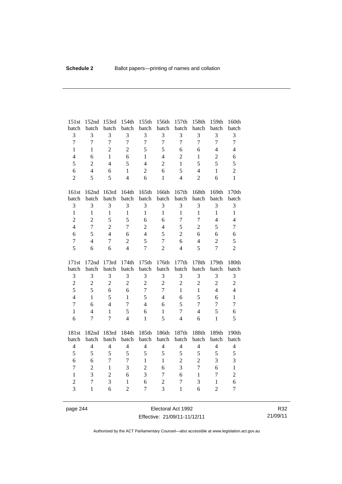| 151st                        | 152nd                   | 153rd                   | 154th                   | 155th                            | 156th                            | 157th                          | 158th                          | 159th                            | 160th                            |
|------------------------------|-------------------------|-------------------------|-------------------------|----------------------------------|----------------------------------|--------------------------------|--------------------------------|----------------------------------|----------------------------------|
| batch                        | batch                   | batch                   | batch                   | batch                            | batch                            | batch                          | batch                          | batch                            | batch                            |
| 3                            | 3                       | 3                       | $\overline{\mathbf{3}}$ | 3                                | 3                                | 3                              | $\overline{3}$                 | 3                                | 3                                |
| $\overline{7}$               | $\overline{7}$          | $\overline{7}$          | $\overline{7}$          | $\overline{7}$                   | $\overline{7}$                   | $\overline{7}$                 | $\overline{7}$                 | $\overline{7}$                   | $\boldsymbol{7}$                 |
| $\mathbf{1}$                 | $\mathbf{1}$            | $\overline{2}$          | $\overline{2}$          | 5                                | 5                                | 6                              | 6                              | $\overline{4}$                   | $\overline{4}$                   |
| $\overline{\mathcal{L}}$     | 6                       | $\mathbf{1}$            | 6                       | $\mathbf{1}$                     | $\overline{4}$                   | $\overline{2}$                 | $\mathbf{1}$                   | $\boldsymbol{2}$                 | 6                                |
| 5                            | $\overline{2}$          | $\overline{4}$          | 5                       | $\overline{4}$                   | $\overline{2}$                   | $\mathbf{1}$                   | 5                              | 5                                | 5                                |
| 6                            | $\overline{4}$          | 6                       | $\mathbf{1}$            | $\overline{2}$                   | 6                                | 5                              | $\overline{4}$                 | $\mathbf{1}$                     | $\overline{2}$                   |
| $\overline{2}$               | 5                       | 5                       | $\overline{4}$          | 6                                | $\mathbf{1}$                     | $\overline{4}$                 | $\overline{2}$                 | 6                                | $\mathbf{1}$                     |
| 161st                        |                         | 162nd 163rd             | 164th                   | 165th                            | 166th                            | 167th                          | 168th                          | 169th                            | 170th                            |
| batch                        | batch                   | batch                   | batch                   | batch                            | batch                            | batch                          | batch                          | batch                            | batch                            |
| 3                            | 3                       | 3                       | 3                       | 3                                | 3                                | 3                              | $\mathfrak{Z}$                 | 3                                | 3                                |
| $\mathbf{1}$                 | $\mathbf{1}$            | $\mathbf{1}$            | $\mathbf{1}$            | $\mathbf{1}$                     | $\mathbf{1}$                     | $\mathbf{1}$                   | $\mathbf{1}$                   | $\mathbf{1}$                     | $\mathbf{1}$                     |
| $\overline{2}$               | $\overline{2}$          | 5                       | 5                       | 6                                | 6                                | 7                              | $\overline{7}$                 | $\overline{4}$                   | $\overline{4}$                   |
| $\overline{4}$               | $\overline{7}$          | $\overline{2}$          | $\overline{7}$          | $\overline{2}$                   | $\overline{4}$                   | 5                              | $\sqrt{2}$                     | 5                                | $\tau$                           |
| 6                            | 5                       | $\overline{4}$          | 6                       | $\overline{4}$                   | 5                                | $\overline{2}$                 | 6                              | 6                                | 6                                |
| $\overline{7}$               | $\overline{4}$          | $\tau$                  | $\overline{2}$          | 5                                | $\overline{7}$                   | 6                              | $\overline{4}$                 | $\overline{2}$                   | 5                                |
| 5                            | 6                       | 6                       | $\overline{4}$          | $\overline{7}$                   | $\overline{2}$                   | $\overline{4}$                 | 5                              | $\overline{7}$                   | $\overline{2}$                   |
|                              |                         |                         |                         |                                  |                                  |                                |                                |                                  |                                  |
|                              |                         |                         |                         |                                  |                                  |                                |                                |                                  |                                  |
| 171st                        | 172nd                   | 173rd                   | 174th                   | 175th                            | 176th                            | 177th                          | 178th                          | 179th                            | 180th                            |
| batch                        | batch                   | batch                   | batch                   | batch                            | batch                            | batch                          | batch                          | batch                            | batch                            |
| 3                            | 3                       | 3                       | 3                       | 3                                | 3                                | 3                              | $\mathfrak{Z}$                 | 3                                | $\mathfrak{Z}$                   |
| $\overline{c}$               | $\sqrt{2}$<br>5         | $\overline{c}$<br>6     | $\overline{2}$<br>6     | $\overline{2}$<br>$\overline{7}$ | $\overline{2}$<br>$\overline{7}$ | $\overline{c}$<br>$\mathbf{1}$ | $\overline{c}$<br>$\mathbf{1}$ | $\overline{2}$<br>$\overline{4}$ | $\overline{c}$<br>$\overline{4}$ |
| 5<br>$\overline{\mathbf{4}}$ | $\mathbf{1}$            | 5                       | $\mathbf{1}$            | 5                                | $\overline{4}$                   | 6                              | 5                              | 6                                |                                  |
| $\overline{7}$               | 6                       | $\overline{4}$          | $\overline{7}$          | $\overline{4}$                   | 6                                | 5                              | $\overline{7}$                 | $\overline{7}$                   | $\,1\,$<br>$\overline{7}$        |
| $\mathbf{1}$                 | $\overline{4}$          | $\mathbf{1}$            | 5                       | 6                                | $\mathbf{1}$                     | $\tau$                         | $\overline{4}$                 | 5                                | 6                                |
| 6                            | $\overline{7}$          | $\overline{7}$          | $\overline{4}$          | $\mathbf{1}$                     | 5                                | $\overline{4}$                 | 6                              | $\mathbf{1}$                     | 5                                |
|                              |                         |                         |                         |                                  |                                  |                                |                                |                                  |                                  |
| 181st                        | 182nd                   | 183rd                   | 184th                   | 185th                            | 186th                            | 187th                          | 188th                          | 189th                            | 190th                            |
| batch                        | batch<br>$\overline{4}$ | batch<br>$\overline{4}$ | batch<br>$\overline{4}$ | batch                            | batch<br>$\overline{4}$          | batch<br>$\overline{4}$        | batch<br>$\overline{4}$        | batch<br>$\overline{4}$          | batch                            |
| $\overline{4}$               | 5                       | 5                       | 5                       | $\overline{4}$<br>5              | 5                                | 5                              | 5                              | 5                                | $\overline{4}$                   |
| 5<br>6                       | 6                       | $\overline{7}$          | $\overline{7}$          | $\mathbf{1}$                     | $\mathbf{1}$                     | $\overline{2}$                 | $\overline{2}$                 | 3                                | 5<br>3                           |
| $\overline{7}$               | $\sqrt{2}$              | $\mathbf{1}$            | 3                       | $\sqrt{2}$                       | 6                                | 3                              | $\overline{7}$                 | 6                                | $\mathbf{1}$                     |
| $\mathbf{1}$                 | 3                       | $\overline{2}$          | 6                       | 3                                | $\overline{7}$                   | 6                              | $\mathbf{1}$                   | $\boldsymbol{7}$                 | $\overline{2}$                   |
| $\overline{2}$               | $\overline{7}$          | $\overline{3}$          | $\mathbf{1}$            | 6                                | $\overline{c}$                   | $\tau$                         | 3                              | $\mathbf{1}$                     | 6                                |

page 244 Electoral Act 1992 Effective: 21/09/11-11/12/11

R32 21/09/11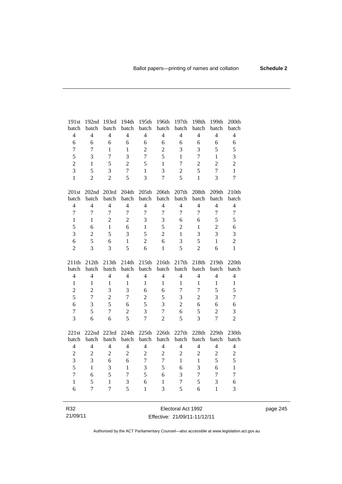| 191st                   | 192nd          | 193rd          | 194th          | 195th          | 196th          | 197th          | 198th            | 199th          | 200th          |
|-------------------------|----------------|----------------|----------------|----------------|----------------|----------------|------------------|----------------|----------------|
| batch                   | batch          | batch          | batch          | batch          | batch          | batch          | batch            | batch          | batch          |
| $\overline{4}$          | $\overline{4}$ | $\overline{4}$ | $\overline{4}$ | $\overline{4}$ | $\overline{4}$ | $\overline{4}$ | $\overline{4}$   | $\overline{4}$ | $\overline{4}$ |
| $\epsilon$              | 6              | 6              | 6              | 6              | 6              | 6              | $\epsilon$       | 6              | 6              |
| $\overline{7}$          | $\overline{7}$ | $\mathbf{1}$   | $\mathbf{1}$   | $\overline{2}$ | $\overline{2}$ | 3              | 3                | 5              | 5              |
| 5                       | 3              | $\overline{7}$ | 3              | $\overline{7}$ | 5              | $\mathbf{1}$   | $\overline{7}$   | $\mathbf{1}$   | 3              |
| $\overline{c}$          | 1              | 5              | $\overline{2}$ | 5              | $\mathbf{1}$   | $\overline{7}$ | $\overline{2}$   | $\overline{2}$ | $\overline{c}$ |
| $\overline{3}$          | 5              | 3              | $\overline{7}$ | $\mathbf{1}$   | 3              | $\overline{c}$ | 5                | $\overline{7}$ | $\mathbf{1}$   |
| $\mathbf{1}$            | $\overline{2}$ | $\overline{2}$ | 5              | 3              | $\overline{7}$ | 5              | $\mathbf{1}$     | 3              | $\overline{7}$ |
| 201st                   |                | 202nd 203rd    | 204th          | 205th          | 206th          | 207th          | 208th            | 209th          | 210th          |
| batch                   | batch          | batch          | batch          | batch          | batch          | batch          | batch            | batch          | batch          |
| $\overline{4}$          | $\overline{4}$ | $\overline{4}$ | $\overline{4}$ | $\overline{4}$ | $\overline{4}$ | $\overline{4}$ | $\overline{4}$   | $\overline{4}$ | $\overline{4}$ |
| $\overline{7}$          | $\overline{7}$ | $\overline{7}$ | $\overline{7}$ | $\overline{7}$ | $\overline{7}$ | $\overline{7}$ | $\overline{7}$   | $\overline{7}$ | $\overline{7}$ |
| $\mathbf{1}$            | $\mathbf{1}$   | $\overline{c}$ | $\overline{2}$ | 3              | 3              | 6              | 6                | 5              | 5              |
| 5                       | 6              | $\mathbf{1}$   | 6              | $\mathbf{1}$   | 5              | $\mathbf{2}$   | $\mathbf{1}$     | $\overline{2}$ | 6              |
| 3                       | $\overline{2}$ | 5              | 3              | 5              | $\overline{2}$ | $\mathbf{1}$   | 3                | 3              | $\overline{3}$ |
| 6                       | 5              | 6              | $\mathbf{1}$   | $\overline{2}$ | 6              | 3              | 5                | $\mathbf{1}$   | $\overline{2}$ |
| $\overline{2}$          | 3              | 3              | 5              | 6              | $\mathbf{1}$   | 5              | $\overline{2}$   | 6              | $\mathbf{1}$   |
|                         |                |                |                |                |                |                |                  |                |                |
| 211th                   | 212th          | 213th          | 214th          | 215th          | 216th          |                | 218th            | 219th          | 220th          |
| batch                   | batch          | batch          | batch          | batch          | batch          | 217th<br>batch | batch            | batch          | batch          |
| $\overline{4}$          | $\overline{4}$ | $\overline{4}$ | $\overline{4}$ | $\overline{4}$ | $\overline{4}$ | $\overline{4}$ | $\overline{4}$   | $\overline{4}$ | $\overline{4}$ |
| $\mathbf{1}$            | $\mathbf{1}$   | $\mathbf{1}$   | $\mathbf{1}$   | 1              | $\mathbf{1}$   | $\mathbf{1}$   | $\mathbf{1}$     | $\mathbf{1}$   | $\,1\,$        |
| $\overline{c}$          | $\overline{2}$ | 3              | 3              | 6              | 6              | $\tau$         | $\overline{7}$   | 5              | 5              |
| 5                       | $\overline{7}$ | $\overline{2}$ | $\overline{7}$ | $\overline{2}$ | 5              | 3              | $\overline{2}$   | $\overline{3}$ | $\overline{7}$ |
| 6                       | 3              | 5              | 6              | 5              | 3              | $\overline{2}$ | 6                | 6              | 6              |
| $\overline{7}$          | 5              | $\overline{7}$ | $\overline{2}$ | 3              | $\overline{7}$ | 6              | 5                | $\overline{2}$ | 3              |
| 3                       | 6              | 6              | 5              | $\overline{7}$ | $\overline{2}$ | 5              | $\overline{3}$   | $\overline{7}$ | $\overline{2}$ |
|                         |                |                |                |                |                |                |                  |                |                |
| 221st                   | 222nd<br>batch | 223rd<br>batch | 224th<br>batch | 225th<br>batch | 226th<br>batch | 227th<br>batch | 228th<br>batch   | 229th<br>batch | 230th<br>batch |
| batch<br>$\overline{4}$ | $\overline{4}$ | $\overline{4}$ | $\overline{4}$ | $\overline{4}$ | $\overline{4}$ | $\overline{4}$ | $\overline{4}$   | $\overline{4}$ | $\overline{4}$ |
| $\overline{c}$          | $\overline{c}$ | $\overline{c}$ | $\overline{2}$ | $\overline{c}$ | $\sqrt{2}$     | $\mathbf{2}$   | $\overline{2}$   | $\overline{c}$ | $\overline{c}$ |
| 3                       | 3              | 6              | 6              | $\overline{7}$ | $\overline{7}$ | $\mathbf{1}$   | $\mathbf{1}$     | 5              | 5              |
| 5                       | $\mathbf{1}$   | 3              | $\mathbf{1}$   | 3              | 5              | 6              | 3                | 6              | $\mathbf{1}$   |
| $\overline{7}$          | 6              | 5              | $\overline{7}$ | 5              | 6              | 3              | $\boldsymbol{7}$ | $\overline{7}$ | $\overline{7}$ |
| $\mathbf{1}$            | 5              | $\mathbf{1}$   | 3              | 6              | $\mathbf{1}$   | 7              | 5                | 3              | 6              |
| 6                       | $\overline{7}$ | $\overline{7}$ | 5              | 1              | $\overline{3}$ | 5              | 6                | $\mathbf{1}$   | 3              |

Electoral Act 1992 Effective: 21/09/11-11/12/11

R32 21/09/11 page 245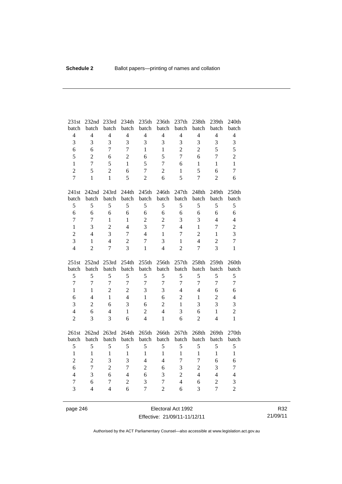| 231st<br>batch          | 232nd<br>batch      | 233rd<br>batch | 234th<br>batch      | 235th<br>batch      | 236th<br>batch                   | 237th<br>batch | 238th<br>batch | 239th<br>batch                   | 240th<br>batch      |
|-------------------------|---------------------|----------------|---------------------|---------------------|----------------------------------|----------------|----------------|----------------------------------|---------------------|
| $\overline{\mathbf{4}}$ | $\overline{4}$      | $\overline{4}$ | $\overline{4}$      | $\overline{4}$      | $\overline{4}$                   | $\overline{4}$ | $\overline{4}$ | $\overline{4}$                   | $\overline{4}$      |
| 3                       | 3                   | $\overline{3}$ | $\overline{3}$      | 3                   | 3                                | 3              | 3              | 3                                | 3                   |
| 6                       | 6                   | $\overline{7}$ | $\overline{7}$      | $\mathbf{1}$        | $\mathbf{1}$                     | $\overline{2}$ | $\overline{2}$ | 5                                | 5                   |
| 5                       | $\overline{2}$      | 6              | $\overline{2}$      | 6                   | 5                                | $\overline{7}$ | 6              | $\overline{7}$                   | $\overline{c}$      |
| $\mathbf{1}$            | $\overline{7}$      | 5              | $\mathbf{1}$        | 5                   | $\overline{7}$                   | 6              | $\mathbf{1}$   | $\mathbf{1}$                     | $\mathbf{1}$        |
| $\overline{2}$          | 5                   | $\overline{2}$ | 6                   | $\overline{7}$      | $\overline{c}$                   | 1              | 5              | 6                                | $\overline{7}$      |
| $\overline{7}$          | $\mathbf{1}$        | $\mathbf{1}$   | 5                   | $\overline{2}$      | 6                                | 5              | 7              | $\overline{2}$                   | 6                   |
|                         |                     |                |                     |                     |                                  |                |                |                                  |                     |
| 241st                   | 242nd 243rd         |                | 244th               | 245th               | 246th                            | 247th          | 248th          | 249th                            | 250th               |
| batch                   | batch               | batch          | batch               | batch               | batch                            | batch          | batch          | batch                            | batch               |
| 5                       | 5                   | 5              | 5                   | 5                   | 5                                | 5              | 5              | 5                                | 5                   |
| $\overline{6}$          | 6                   | 6              | 6                   | 6                   | 6                                | 6              | 6              | 6                                | 6                   |
| $\overline{7}$          | $\overline{7}$      | $\mathbf{1}$   | $\mathbf{1}$        | $\sqrt{2}$          | $\overline{2}$                   | 3              | 3              | $\overline{4}$                   | $\overline{4}$      |
| $\mathbf{1}$            | 3                   | $\overline{2}$ | $\overline{4}$      | 3                   | $\overline{7}$                   | $\overline{4}$ | $\mathbf{1}$   | $\overline{7}$                   | $\overline{c}$      |
| $\overline{c}$          | $\overline{4}$      | 3              | $\overline{7}$      | $\overline{4}$      | $\mathbf{1}$                     | 7              | $\overline{2}$ | $\mathbf{1}$                     | 3                   |
| $\overline{3}$          | $\mathbf{1}$        | $\overline{4}$ | $\overline{2}$      | $\overline{7}$      | 3                                | $\mathbf{1}$   | $\overline{4}$ | $\overline{2}$                   | $\overline{7}$      |
| $\overline{4}$          | $\overline{2}$      | $\overline{7}$ | $\overline{3}$      | $\mathbf{1}$        | $\overline{4}$                   | $\overline{2}$ | $\overline{7}$ | 3                                | $\mathbf{1}$        |
|                         |                     |                |                     |                     |                                  |                |                |                                  |                     |
| 251st                   | 252nd               | 253rd          | 254th               | 255th               | 256th                            | 257th          | 258th          | 259th                            | 260th               |
| batch                   | batch               | batch          | batch               | batch               | batch                            | batch          | batch          | batch                            | batch               |
| 5                       | 5                   | 5              | 5                   | 5                   | 5                                | 5              | 5              | 5                                | 5                   |
| $\overline{7}$          | $\overline{7}$      | $\overline{7}$ | $\overline{7}$      | $\overline{7}$      | $\overline{7}$                   | $\overline{7}$ | $\overline{7}$ | $\overline{7}$                   | $\overline{7}$      |
| $\mathbf{1}$            | $\mathbf{1}$        | $\overline{2}$ | $\overline{2}$      | 3                   | 3                                | $\overline{4}$ | $\overline{4}$ | 6                                | 6                   |
| 6                       | $\overline{4}$      | $\mathbf{1}$   | $\overline{4}$      | $\mathbf{1}$        | 6                                | $\overline{2}$ | $\mathbf{1}$   | $\overline{2}$                   | $\overline{4}$      |
| 3                       | $\overline{2}$      | 6              | 3                   | 6                   | $\overline{2}$                   | 1              | 3              | 3                                | 3                   |
| $\overline{4}$          | 6                   | $\overline{4}$ | $\mathbf{1}$        | $\overline{2}$      | $\overline{4}$                   | 3              | 6              | $\mathbf{1}$                     | $\overline{c}$      |
| $\overline{2}$          | 3                   | 3              | 6                   | $\overline{4}$      | $\mathbf{1}$                     | 6              | $\overline{2}$ | $\overline{4}$                   | $\mathbf{1}$        |
| 261st                   | 262nd 263rd         |                | 264th               | 265th               | 266th                            | 267th          | 268th          | 269th                            | 270th               |
| batch                   | batch               | batch          | batch               | batch               | batch                            | batch          | batch          | batch                            | batch               |
| 5                       | 5                   | 5              | 5                   | 5                   | 5                                | $\sqrt{5}$     | 5              | 5                                | 5                   |
| $\mathbf{1}$            | $\mathbf{1}$        | $\mathbf{1}$   | $\mathbf{1}$        | $\mathbf{1}$        | $\mathbf{1}$                     | $\mathbf{1}$   | $\mathbf{1}$   | $\mathbf{1}$                     | $\mathbf{1}$        |
| $\overline{c}$          | $\overline{2}$      | 3              | 3                   | $\overline{4}$      | $\overline{4}$                   | 7              | $\overline{7}$ | 6                                | 6                   |
| 6                       | $\overline{7}$      | $\overline{2}$ | $\overline{7}$      | $\sqrt{2}$          | 6                                | 3              | $\overline{2}$ | 3                                | $\boldsymbol{7}$    |
| $\overline{4}$          | 3                   | 6              | $\overline{4}$      | 6                   | 3                                | $\overline{2}$ | $\overline{4}$ | $\overline{4}$                   | $\overline{4}$      |
| $\tau$<br>3             | 6<br>$\overline{4}$ | $\tau$         | $\overline{2}$<br>6 | 3<br>$\overline{7}$ | $\overline{7}$<br>$\overline{2}$ | $\overline{4}$ | 6<br>3         | $\overline{c}$<br>$\overline{7}$ | 3<br>$\overline{2}$ |

page 246 Electoral Act 1992 Effective: 21/09/11-11/12/11

R32 21/09/11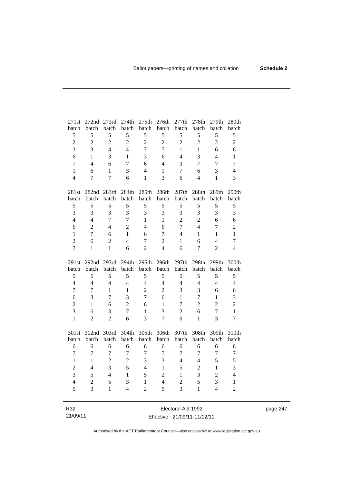| 271st          | 272nd 273rd    |                | 274th          | 275th             | 276th          | 277th             | 278th          | 279th          | 280th          |
|----------------|----------------|----------------|----------------|-------------------|----------------|-------------------|----------------|----------------|----------------|
| batch          | batch          | batch          | batch          | batch             | batch          | batch             | batch          | batch          | batch          |
| 5              | 5              | 5              | 5              | 5                 | 5              | 5                 | 5              | 5              | 5              |
| $\overline{c}$ | $\overline{2}$ | $\overline{2}$ | $\overline{2}$ | $\overline{2}$    | $\overline{2}$ | $\overline{c}$    | $\overline{2}$ | $\overline{2}$ | $\overline{2}$ |
| $\overline{3}$ | 3              | $\overline{4}$ | $\overline{4}$ | $\overline{7}$    | $\overline{7}$ | $\mathbf{1}$      | $\mathbf{1}$   | 6              | 6              |
| 6              | 1              | 3              | 1              | 3                 | 6              | $\overline{4}$    | 3              | $\overline{4}$ | $\mathbf{1}$   |
| $\overline{7}$ | $\overline{4}$ | 6              | $\tau$         | 6                 | $\overline{4}$ | 3                 | $\tau$         | $\overline{7}$ | $\overline{7}$ |
| $\mathbf{1}$   | 6              | $\mathbf{1}$   | 3              | $\overline{4}$    | $\mathbf{1}$   | 7                 | 6              | 3              | $\overline{4}$ |
| $\overline{4}$ | $\overline{7}$ | $\overline{7}$ | 6              | $\mathbf{1}$      | $\overline{3}$ | 6                 | $\overline{4}$ | $\mathbf{1}$   | 3              |
|                |                |                |                |                   |                |                   |                |                |                |
| 281st          |                | 282nd 283rd    | 284th          | 285 <sup>th</sup> | 286th          | 287 <sub>th</sub> | 288th          | 289th          | 290th          |
| batch          | batch          | batch          | batch          | batch             | batch          | batch             | batch          | batch          | batch          |
| $\mathfrak s$  | 5              | 5              | 5              | 5                 | 5              | 5                 | 5              | 5              | 5              |
| 3              | 3              | 3              | 3              | 3                 | 3              | 3                 | 3              | 3              | 3              |
| $\overline{4}$ | $\overline{4}$ | $\overline{7}$ | $\overline{7}$ | $\mathbf{1}$      | $\mathbf{1}$   | $\overline{2}$    | $\overline{c}$ | 6              | 6              |
| 6              | $\overline{2}$ | $\overline{4}$ | $\overline{2}$ | $\overline{4}$    | 6              | $\overline{7}$    | $\overline{4}$ | $\tau$         | $\overline{c}$ |
| $\mathbf{1}$   | $\overline{7}$ | 6              | $\mathbf{1}$   | 6                 | $\tau$         | $\overline{4}$    | $\mathbf{1}$   | $\mathbf{1}$   | $\mathbf{1}$   |
| $\overline{2}$ | 6              | $\overline{2}$ | $\overline{4}$ | $\overline{7}$    | $\overline{2}$ | $\mathbf{1}$      | 6              | $\overline{4}$ | $\tau$         |
| $\overline{7}$ | $\mathbf{1}$   | $\mathbf{1}$   | 6              | $\overline{2}$    | $\overline{4}$ | 6                 | $\tau$         | $\overline{2}$ | $\overline{4}$ |
|                |                |                |                |                   |                |                   |                |                |                |
|                |                |                |                |                   |                |                   |                |                |                |
| 291st          | 292nd 293rd    |                | 294th          | 295th             | 296th          | 297th             | 298th          | 299th          | 300th          |
| batch          | batch          | batch          | batch          | batch             | batch          | batch             | batch          | batch          | batch          |
| 5              | 5              | 5              | 5              | 5                 | 5              | 5                 | 5              | 5              | 5              |
| $\overline{4}$ | $\overline{4}$ | $\overline{4}$ | $\overline{4}$ | $\overline{4}$    | $\overline{4}$ | $\overline{4}$    | $\overline{4}$ | $\overline{4}$ | $\overline{4}$ |
| $\overline{7}$ | 7              | $\mathbf{1}$   | $\mathbf{1}$   | $\overline{2}$    | $\overline{2}$ | 3                 | 3              | 6              | 6              |
| 6              | 3              | $\tau$         | $\overline{3}$ | $\overline{7}$    | 6              | $\mathbf{1}$      | $\tau$         | $\mathbf{1}$   | 3              |
| $\overline{c}$ | $\mathbf{1}$   | 6              | $\overline{c}$ | 6                 | $\mathbf{1}$   | $\overline{7}$    | $\overline{c}$ | $\overline{c}$ | $\overline{2}$ |
| $\overline{3}$ | 6              | 3              | $\overline{7}$ | $\mathbf{1}$      | 3              | $\overline{2}$    | 6              | $\overline{7}$ | $\mathbf{1}$   |
| $\mathbf{1}$   | $\overline{2}$ | $\overline{2}$ | 6              | 3                 | $\overline{7}$ | 6                 | $\mathbf{1}$   | 3              | $\overline{7}$ |
|                |                |                |                |                   |                |                   |                |                |                |
| 301st          | 302nd          | 303rd          | 304th          | 305th             | 306th          | 307th             | 308th          | 309th          | 310th          |
| batch          | batch          | batch          | batch          | batch             | batch          | batch             | batch          | batch          | batch          |
| 6              | 6              | 6              | 6              | 6                 | 6              | 6                 | 6              | 6              | 6              |
| $\overline{7}$ | $\overline{7}$ | $\overline{7}$ | $\overline{7}$ | $\overline{7}$    | $\overline{7}$ | $\overline{7}$    | 7              | $\overline{7}$ | $\overline{7}$ |
| $\mathbf{1}$   | $\mathbf{1}$   | $\overline{c}$ | $\overline{c}$ | 3                 | $\overline{3}$ | $\overline{4}$    | $\overline{4}$ | 5              | 5              |
| $\overline{c}$ | $\overline{4}$ | $\overline{3}$ | $\overline{5}$ | $\overline{4}$    | $\mathbf{1}$   | 5                 | $\overline{c}$ | $\mathbf{1}$   | 3              |
| $\overline{3}$ | 5              | $\overline{4}$ | $\mathbf{1}$   | 5                 | $\overline{c}$ | $\mathbf{1}$      | $\overline{3}$ | $\overline{2}$ | $\overline{4}$ |
| $\overline{4}$ | $\overline{2}$ | 5              | 3              | $\mathbf{1}$      | $\overline{4}$ | $\overline{c}$    | 5              | 3              | $\mathbf{1}$   |
| 5              | 3              | $\mathbf{1}$   | $\overline{4}$ | $\overline{2}$    | 5              | 3                 | $\mathbf{1}$   | $\overline{4}$ | $\overline{2}$ |

R32 21/09/11 Electoral Act 1992 Effective: 21/09/11-11/12/11 page 247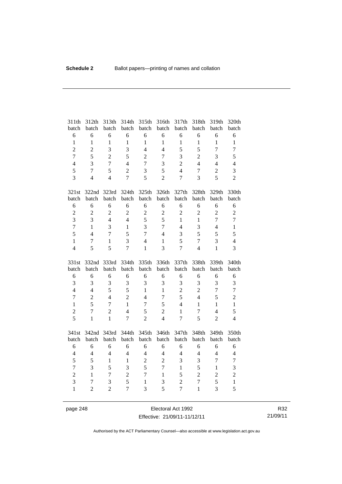| 311th             | 312th                    | 313th<br>batch      | 314th               | 315th<br>batch                 | 316th<br>batch | 317th<br>batch                   | 318th<br>batch | 319th               | 320th             |
|-------------------|--------------------------|---------------------|---------------------|--------------------------------|----------------|----------------------------------|----------------|---------------------|-------------------|
| batch<br>6        | batch<br>6               | 6                   | batch<br>6          | 6                              | 6              | 6                                | 6              | batch<br>6          | batch<br>6        |
| $\mathbf{1}$      | $\mathbf{1}$             | $\mathbf{1}$        | $\mathbf{1}$        | $\mathbf{1}$                   | $\mathbf{1}$   | $\mathbf{1}$                     | $\mathbf{1}$   | $\mathbf{1}$        | $\mathbf{1}$      |
| $\overline{c}$    | $\overline{c}$           | 3                   | 3                   | $\overline{4}$                 | $\overline{4}$ | 5                                | 5              | $\overline{7}$      | $\tau$            |
| $\overline{7}$    | 5                        | $\overline{2}$      | 5                   | $\overline{2}$                 | $\overline{7}$ | 3                                | $\overline{2}$ | $\overline{3}$      | 5                 |
| $\overline{4}$    | 3                        | $\overline{7}$      | $\overline{4}$      | $\overline{7}$                 | 3              | $\overline{2}$                   | $\overline{4}$ | $\overline{4}$      | $\overline{4}$    |
| 5                 | $\overline{7}$           | 5                   | $\overline{2}$      | 3                              | 5              | $\overline{4}$                   | $\overline{7}$ | $\overline{c}$      | 3                 |
| 3                 | $\overline{4}$           | $\overline{4}$      | $\overline{7}$      | 5                              | $\overline{2}$ | $\overline{7}$                   | 3              | 5                   | $\overline{2}$    |
|                   |                          |                     |                     |                                |                |                                  |                |                     |                   |
| 321st             | 322nd                    | 323rd               | 324th               | 325th                          | 326th          | 327th                            | 328th          | 329th               | 330th             |
| batch             | batch                    | batch               | batch               | batch                          | batch          | batch                            | batch          | batch               | batch             |
| 6                 | 6                        | 6                   | 6                   | 6                              | 6              | 6                                | 6              | 6                   | $\sqrt{6}$        |
| $\overline{c}$    | $\overline{c}$           | $\overline{2}$      | $\overline{2}$      | $\overline{c}$                 | $\overline{c}$ | $\overline{2}$                   | $\overline{2}$ | $\overline{2}$      | $\overline{c}$    |
| $\overline{3}$    | 3                        | $\overline{4}$      | $\overline{4}$      | 5                              | 5              | $\mathbf{1}$                     | $\mathbf{1}$   | $\overline{7}$      | $\boldsymbol{7}$  |
| $\overline{7}$    | $\mathbf{1}$             | 3                   | $\mathbf{1}$        | $\overline{3}$                 | $\tau$         | $\overline{4}$                   | 3              | $\overline{4}$      | $\,1\,$           |
| 5                 | $\overline{4}$           | $\overline{7}$      | 5                   | $\overline{7}$                 | $\overline{4}$ | 3                                | 5              | 5                   | 5                 |
| $\mathbf{1}$      | $\overline{7}$           | $\mathbf{1}$        | 3                   | $\overline{4}$                 | $\mathbf{1}$   | 5                                | $\overline{7}$ | 3                   | $\overline{4}$    |
| $\overline{4}$    | 5                        | 5                   | $\overline{7}$      | $\mathbf{1}$                   | $\overline{3}$ | $\overline{7}$                   | $\overline{4}$ | $\mathbf{1}$        | $\overline{3}$    |
|                   |                          |                     |                     |                                |                |                                  |                |                     |                   |
| 331st             | 332nd                    | 333rd               | 334th               | 335th                          | 336th          | 337th                            | 338th          | 339th               | 340th             |
| batch             | batch                    | batch               | batch               | batch                          | batch          | batch                            | batch          | batch               | batch             |
| 6                 | 6                        | 6                   | 6                   | 6                              | 6              | 6                                | 6              | 6                   | $\sqrt{6}$        |
| 3                 | 3                        | 3                   | 3                   | 3                              | 3              | 3                                | 3              | 3                   | 3                 |
| $\overline{4}$    | $\overline{4}$           | 5                   | 5                   | $\mathbf{1}$                   | $\mathbf{1}$   | $\overline{c}$                   | $\overline{2}$ | $\overline{7}$      | $\tau$            |
| $\tau$            | $\overline{2}$           | $\overline{4}$      | $\overline{2}$      | $\overline{4}$                 | $\overline{7}$ | 5                                | $\overline{4}$ | 5                   | $\overline{c}$    |
| $\mathbf{1}$      | 5                        | $\overline{7}$      | $\mathbf{1}$        | $\overline{7}$                 | 5              | $\overline{4}$                   | $\mathbf{1}$   | $\mathbf{1}$        | $\mathbf{1}$      |
| $\overline{2}$    | $\overline{7}$           | $\overline{2}$      | $\overline{4}$      | 5                              | $\overline{2}$ | $\mathbf{1}$                     | $\tau$         | $\overline{4}$      | 5                 |
| 5                 | $\mathbf{1}$             | $\mathbf{1}$        | $\overline{7}$      | $\overline{2}$                 | $\overline{4}$ | $\overline{7}$                   | 5              | $\overline{2}$      | $\overline{4}$    |
|                   | 342nd                    | 343rd               | 344th               | 345th                          | 346th          | 347th                            | 348th          | 349th               | 350th             |
| 341st<br>batch    | batch                    | batch               | batch               | batch                          | batch          | batch                            | batch          | batch               | batch             |
| $\sqrt{6}$        | 6                        | 6                   | 6                   | 6                              | 6              | 6                                | 6              | 6                   | $\sqrt{6}$        |
| $\overline{4}$    | $\overline{4}$           | $\overline{4}$      | $\overline{4}$      | $\overline{4}$                 | $\overline{4}$ | $\overline{4}$                   | $\overline{4}$ | $\overline{4}$      | $\overline{4}$    |
| 5                 | 5                        | $\mathbf{1}$        | $\mathbf{1}$        | $\overline{c}$                 | $\overline{2}$ | 3                                | 3              | $\overline{7}$      | $\tau$            |
| $\overline{7}$    | 3                        | 5                   | 3                   | 5                              | $\overline{7}$ | $\mathbf{1}$                     | 5              | $\mathbf{1}$        | 3                 |
| $\overline{2}$    | $\mathbf{1}$             | $\overline{7}$      | $\overline{2}$      | $\overline{7}$                 | $\mathbf{1}$   | 5                                | $\overline{2}$ | $\overline{c}$      | $\overline{c}$    |
| 3<br>$\mathbf{1}$ | $\tau$<br>$\overline{2}$ | 3<br>$\overline{2}$ | 5<br>$\overline{7}$ | $\mathbf{1}$<br>$\overline{3}$ | 3<br>5         | $\overline{2}$<br>$\overline{7}$ | $\overline{7}$ | 5<br>$\overline{3}$ | $\mathbf{1}$<br>5 |

page 248 Electoral Act 1992 Effective: 21/09/11-11/12/11

R32 21/09/11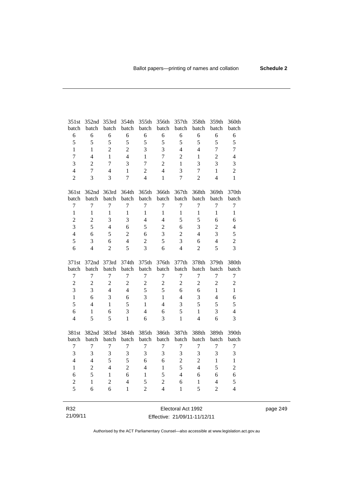| 351st            | 352nd          | 353rd          | 354th          | 355th          | 356th            | 357th            | 358th            | 359th            | 360th            |
|------------------|----------------|----------------|----------------|----------------|------------------|------------------|------------------|------------------|------------------|
| batch            | batch          | batch          | batch          | batch          | batch            | batch            | batch            | batch            | batch            |
| $\sqrt{6}$       | 6              | 6              | 6              | 6              | 6                | 6                | 6                | 6                | $\sqrt{6}$       |
| 5                | 5              | 5              | 5              | 5              | 5                | 5                | 5                | 5                | 5                |
| $\mathbf{1}$     | $\mathbf{1}$   | $\overline{2}$ | $\overline{2}$ | 3              | 3                | $\overline{4}$   | $\overline{4}$   | $\overline{7}$   | $\boldsymbol{7}$ |
| $\tau$           | $\overline{4}$ | 1              | $\overline{4}$ | $\mathbf{1}$   | $\overline{7}$   | $\overline{2}$   | 1                | $\overline{2}$   | $\overline{4}$   |
| 3                | $\overline{2}$ | $\overline{7}$ | 3              | $\overline{7}$ | $\overline{2}$   | $\mathbf{1}$     | 3                | 3                | 3                |
| $\overline{4}$   | $\overline{7}$ | $\overline{4}$ | $\mathbf{1}$   | $\overline{c}$ | $\overline{4}$   | 3                | $\tau$           | $\mathbf{1}$     | $\overline{c}$   |
| $\overline{2}$   | 3              | 3              | $\overline{7}$ | $\overline{4}$ | $\mathbf{1}$     | $\overline{7}$   | $\overline{2}$   | $\overline{4}$   | $\mathbf{1}$     |
| 361st            | 362nd 363rd    |                | 364th          | 365th          | 366th            | 367th            | 368th            | 369th            | 370th            |
| batch            | batch          | batch          | batch          | batch          | batch            | batch            | batch            | batch            | batch            |
| $\tau$           | $\overline{7}$ | $\overline{7}$ | $\overline{7}$ | $\tau$         | $\overline{7}$   | $\overline{7}$   | $\overline{7}$   | $\overline{7}$   | $\boldsymbol{7}$ |
| $\mathbf{1}$     | $\mathbf{1}$   | $\mathbf{1}$   | $\mathbf{1}$   | $\mathbf{1}$   | $\mathbf{1}$     | $\mathbf{1}$     | $\mathbf{1}$     | $\mathbf{1}$     | $\mathbf{1}$     |
| $\overline{c}$   | $\overline{c}$ | 3              | 3              | $\overline{4}$ | $\overline{4}$   | 5                | 5                | 6                | 6                |
| 3                | 5              | $\overline{4}$ | 6              | 5              | $\overline{2}$   | 6                | 3                | $\overline{c}$   | $\overline{4}$   |
| $\overline{4}$   | 6              | 5              | $\overline{2}$ | 6              | 3                | $\overline{2}$   | $\overline{4}$   | 3                | 5                |
| 5                | 3              | 6              | $\overline{4}$ | $\overline{2}$ | 5                | 3                | 6                | $\overline{4}$   | $\overline{2}$   |
| 6                | $\overline{4}$ | $\overline{2}$ | 5              | 3              | 6                | $\overline{4}$   | $\overline{2}$   | 5                | 3                |
|                  |                |                |                |                |                  |                  |                  |                  |                  |
| 371st            | 372nd 373rd    |                | 374th          | 375th          | 376th            | 377th            | 378th            | 379th            | 380th            |
| batch            | batch          | batch          | batch          | batch          | batch            | batch            | batch            | batch            | batch            |
| $\boldsymbol{7}$ | $\tau$         | $\overline{7}$ | $\tau$         | 7              | $\tau$           | $\tau$           | $\tau$           | 7                | $\boldsymbol{7}$ |
| $\overline{c}$   | $\overline{2}$ | $\overline{c}$ | $\overline{2}$ | $\overline{2}$ | $\sqrt{2}$       | $\overline{2}$   | $\overline{2}$   | $\overline{2}$   | $\sqrt{2}$       |
| $\overline{3}$   | 3              | $\overline{4}$ | $\overline{4}$ | 5              | 5                | 6                | 6                | $\mathbf{1}$     | $\mathbf{1}$     |
| $\mathbf{1}$     | 6              | 3              | 6              | 3              | $\mathbf{1}$     | $\overline{4}$   | 3                | $\overline{4}$   | 6                |
| 5                | $\overline{4}$ | $\mathbf{1}$   | 5              | $\mathbf{1}$   | $\overline{4}$   | 3                | 5                | 5                | 5                |
| 6                | 1              | 6              | $\overline{3}$ | $\overline{4}$ | 6                | 5                | $\mathbf{1}$     | 3                | $\overline{4}$   |
| $\overline{4}$   | 5              | 5              | $\mathbf{1}$   | 6              | 3                | $\mathbf{1}$     | $\overline{4}$   | 6                | 3                |
| 381st            |                |                |                |                |                  |                  |                  | 389th            | 390th            |
| batch            | 382nd<br>batch | 383rd<br>batch | 384th<br>batch | 385th<br>batch | 386th<br>batch   | 387th<br>batch   | 388th<br>batch   | batch            | batch            |
| $\boldsymbol{7}$ | $\overline{7}$ | $\overline{7}$ | $\tau$         | 7              | $\boldsymbol{7}$ | $\boldsymbol{7}$ | $\boldsymbol{7}$ | $\boldsymbol{7}$ | $\boldsymbol{7}$ |
| 3                | 3              | $\overline{3}$ | 3              | $\overline{3}$ | 3                | 3                | 3                | 3                | 3                |
| $\overline{4}$   | $\overline{4}$ | 5              | 5              | 6              | 6                | $\overline{c}$   | $\overline{c}$   | $\mathbf{1}$     | $\mathbf{1}$     |
| $\mathbf{1}$     | $\overline{c}$ | $\overline{4}$ | $\overline{2}$ | $\overline{4}$ | $\mathbf{1}$     | 5                | $\overline{4}$   | 5                | $\overline{c}$   |
| 6                | 5              | $\mathbf{1}$   | 6              | $\mathbf{1}$   | 5                | $\overline{4}$   | 6                | 6                | 6                |
| $\sqrt{2}$       | $\mathbf{1}$   | $\overline{c}$ | $\overline{4}$ | 5              | $\sqrt{2}$       | 6                | $\,1$            | $\overline{4}$   | 5                |
| 5                | 6              | 6              | $\mathbf{1}$   | $\overline{2}$ | $\overline{4}$   | $\mathbf{1}$     | 5                | $\overline{2}$   | $\overline{4}$   |

| R32      | Electoral Act 1992           | page 249 |
|----------|------------------------------|----------|
| 21/09/11 | Effective: 21/09/11-11/12/11 |          |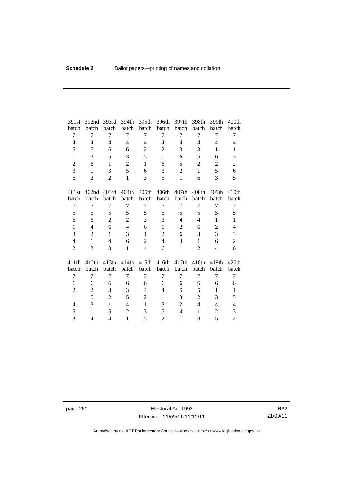| 391st          | 392 <sub>nd</sub> | 393rd          | 394th          | 395th          | 396th          | 397th          | 398th          | 399th          | 400 <sub>th</sub> |
|----------------|-------------------|----------------|----------------|----------------|----------------|----------------|----------------|----------------|-------------------|
| batch          | batch             | batch          | batch          | batch          | batch          | batch          | batch          | batch          | batch             |
| 7              | 7                 | 7              | 7              | 7              | 7              | 7              | 7              | 7              | 7                 |
| 4              | $\overline{4}$    | $\overline{4}$ | $\overline{4}$ | $\overline{4}$ | $\overline{4}$ | $\overline{4}$ | $\overline{4}$ | $\overline{4}$ | $\overline{4}$    |
| 5              | 5                 | 6              | 6              | $\overline{2}$ | $\overline{2}$ | 3              | 3              | 1              | 1                 |
| $\mathbf{1}$   | 3                 | 5              | 3              | 5              | $\mathbf{1}$   | 6              | 5              | 6              | 3                 |
| $\overline{2}$ | 6                 | $\mathbf{1}$   | $\overline{2}$ | $\mathbf{1}$   | 6              | 5              | $\overline{2}$ | $\overline{2}$ | $\overline{2}$    |
| 3              | 1                 | 3              | 5              | 6              | 3              | $\overline{2}$ | $\mathbf{1}$   | 5              | 6                 |
| 6              | 2                 | $\overline{2}$ | $\mathbf{1}$   | 3              | 5              | $\mathbf{1}$   | 6              | 3              | 5                 |
| 401st          | 402 <sub>nd</sub> | 403rd          | 404th          | 405th          | 406th          | 407th          | 408th          | 409th          | 410 <sub>th</sub> |
| batch          | batch             | batch          | batch          | batch          | batch          | batch          | batch          | batch          | batch             |
| 7              | 7                 | 7              | 7              | 7              | 7              | 7              | 7              | 7              | 7                 |
| 5              | 5                 | 5              | 5              | 5              | 5              | 5              | 5              | 5              | 5                 |
| 6              | 6                 | $\overline{2}$ | $\overline{c}$ | 3              | 3              | $\overline{4}$ | $\overline{4}$ | $\mathbf{1}$   | $\mathbf{1}$      |
| $\mathbf{1}$   | $\overline{4}$    | 6              | $\overline{4}$ | 6              | $\mathbf{1}$   | 2              | 6              | $\overline{2}$ | $\overline{4}$    |
| 3              | $\overline{2}$    | $\mathbf{1}$   | 3              | $\mathbf{1}$   | $\overline{2}$ | 6              | 3              | 3              | 3                 |
| $\overline{4}$ | $\mathbf{1}$      | $\overline{4}$ | 6              | $\overline{2}$ | $\overline{4}$ | 3              | $\mathbf{1}$   | 6              | $\overline{c}$    |
| $\overline{2}$ | 3                 | 3              | $\mathbf{1}$   | $\overline{4}$ | 6              | $\mathbf{1}$   | $\overline{2}$ | 4              | 6                 |
| 411th          | 412th             | 413th          | 414th          | 415th          | 416th          | 417th          | 418th          | 419th          | 420th             |
| batch          | batch             | batch          | batch          | batch          | batch          | batch          | batch          | batch          | batch             |
| 7              | $\overline{7}$    | 7              | 7              | $\overline{7}$ | 7              | 7              | 7              | 7              | 7                 |
| 6              | 6                 | 6              | 6              | 6              | 6              | 6              | 6              | 6              | 6                 |
| $\overline{2}$ | 2                 | 3              | 3              | $\overline{4}$ | $\overline{4}$ | 5              | 5              | $\mathbf{1}$   | $\mathbf{1}$      |
| $\mathbf{1}$   | 5                 | $\overline{2}$ | 5              | $\overline{c}$ | $\mathbf{1}$   | 3              | $\overline{c}$ | 3              | 5                 |
| 4              | 3                 | $\mathbf{1}$   | $\overline{4}$ | $\mathbf{1}$   | 3              | $\overline{2}$ | $\overline{4}$ | $\overline{4}$ | $\overline{4}$    |
| 5              | $\mathbf{1}$      | 5              | $\overline{2}$ | 3              | 5              | $\overline{4}$ | 1              | $\overline{c}$ | $\mathfrak{Z}$    |
| 3              | $\overline{4}$    | $\overline{4}$ | $\mathbf{1}$   | 5              | $\overline{2}$ | $\mathbf{1}$   | 3              | 5              | $\overline{2}$    |

page 250 **Electoral Act 1992** Effective: 21/09/11-11/12/11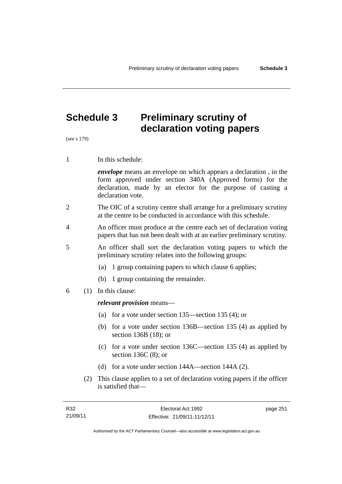# **Schedule 3 Preliminary scrutiny of declaration voting papers**

(see s 179)

1 In this schedule:

*envelope* means an envelope on which appears a declaration , in the form approved under section 340A (Approved forms) for the declaration, made by an elector for the purpose of casting a declaration vote.

- 2 The OIC of a scrutiny centre shall arrange for a preliminary scrutiny at the centre to be conducted in accordance with this schedule.
- 4 An officer must produce at the centre each set of declaration voting papers that has not been dealt with at an earlier preliminary scrutiny.
- 5 An officer shall sort the declaration voting papers to which the preliminary scrutiny relates into the following groups:
	- (a) 1 group containing papers to which clause 6 applies;
	- (b) 1 group containing the remainder.
- 6 (1) In this clause:

#### *relevant provision* means—

- (a) for a vote under section 135—section 135 (4); or
- (b) for a vote under section 136B—section 135 (4) as applied by section 136B (18); or
- (c) for a vote under section 136C—section 135 (4) as applied by section 136C (8); or
- (d) for a vote under section 144A—section 144A (2).
- (2) This clause applies to a set of declaration voting papers if the officer is satisfied that—

page 251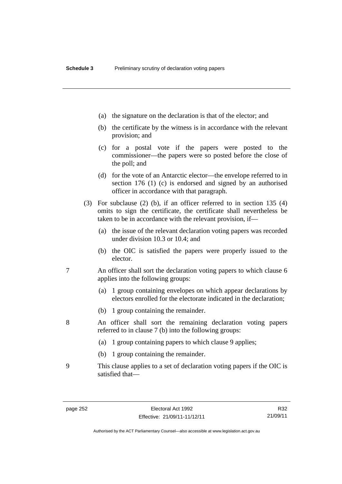- (a) the signature on the declaration is that of the elector; and
- (b) the certificate by the witness is in accordance with the relevant provision; and
- (c) for a postal vote if the papers were posted to the commissioner—the papers were so posted before the close of the poll; and
- (d) for the vote of an Antarctic elector—the envelope referred to in section 176 (1) (c) is endorsed and signed by an authorised officer in accordance with that paragraph.
- (3) For subclause (2) (b), if an officer referred to in section 135 (4) omits to sign the certificate, the certificate shall nevertheless be taken to be in accordance with the relevant provision, if—
	- (a) the issue of the relevant declaration voting papers was recorded under division 10.3 or 10.4; and
	- (b) the OIC is satisfied the papers were properly issued to the elector.
- 7 An officer shall sort the declaration voting papers to which clause 6 applies into the following groups:
	- (a) 1 group containing envelopes on which appear declarations by electors enrolled for the electorate indicated in the declaration;
	- (b) 1 group containing the remainder.
- 8 An officer shall sort the remaining declaration voting papers referred to in clause 7 (b) into the following groups:
	- (a) 1 group containing papers to which clause 9 applies;
	- (b) 1 group containing the remainder.
- 9 This clause applies to a set of declaration voting papers if the OIC is satisfied that—

R32 21/09/11

Authorised by the ACT Parliamentary Counsel—also accessible at www.legislation.act.gov.au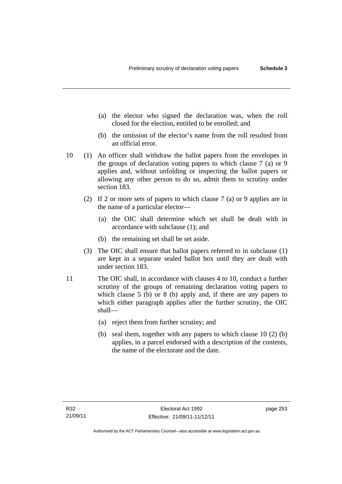- (a) the elector who signed the declaration was, when the roll closed for the election, entitled to be enrolled; and
- (b) the omission of the elector's name from the roll resulted from an official error.
- 10 (1) An officer shall withdraw the ballot papers from the envelopes in the groups of declaration voting papers to which clause 7 (a) or 9 applies and, without unfolding or inspecting the ballot papers or allowing any other person to do so, admit them to scrutiny under section 183.
	- (2) If 2 or more sets of papers to which clause 7 (a) or 9 applies are in the name of a particular elector—
		- (a) the OIC shall determine which set shall be dealt with in accordance with subclause (1); and
		- (b) the remaining set shall be set aside.
	- (3) The OIC shall ensure that ballot papers referred to in subclause (1) are kept in a separate sealed ballot box until they are dealt with under section 183.
- 11 The OIC shall, in accordance with clauses 4 to 10, conduct a further scrutiny of the groups of remaining declaration voting papers to which clause 5 (b) or 8 (b) apply and, if there are any papers to which either paragraph applies after the further scrutiny, the OIC shall—
	- (a) reject them from further scrutiny; and
	- (b) seal them, together with any papers to which clause 10 (2) (b) applies, in a parcel endorsed with a description of the contents, the name of the electorate and the date.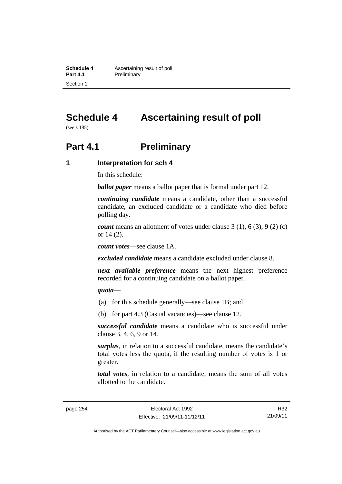**Schedule 4 Ascertaining result of poll**<br>**Part 4.1 Preliminary Preliminary** Section 1

# **Schedule 4 Ascertaining result of poll**

(see s 185)

## **Part 4.1** Preliminary

#### **1 Interpretation for sch 4**

In this schedule:

*ballot paper* means a ballot paper that is formal under part 12.

*continuing candidate* means a candidate, other than a successful candidate, an excluded candidate or a candidate who died before polling day.

*count* means an allotment of votes under clause 3 (1), 6 (3), 9 (2) (c) or 14 (2).

*count votes*—see clause 1A.

*excluded candidate* means a candidate excluded under clause 8.

*next available preference* means the next highest preference recorded for a continuing candidate on a ballot paper.

#### *quota*—

- (a) for this schedule generally—see clause 1B; and
- (b) for part 4.3 (Casual vacancies)—see clause 12.

*successful candidate* means a candidate who is successful under clause 3, 4, 6, 9 or 14.

*surplus*, in relation to a successful candidate, means the candidate's total votes less the quota, if the resulting number of votes is 1 or greater.

*total votes*, in relation to a candidate, means the sum of all votes allotted to the candidate.

R32 21/09/11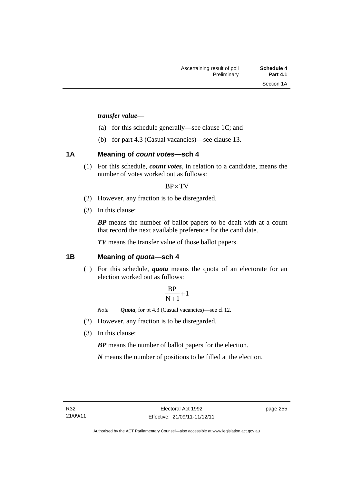#### *transfer value*—

- (a) for this schedule generally—see clause 1C; and
- (b) for part 4.3 (Casual vacancies)—see clause 13.

#### **1A Meaning of** *count votes***—sch 4**

(1) For this schedule, *count votes*, in relation to a candidate, means the number of votes worked out as follows:

#### $BP \times TV$

- (2) However, any fraction is to be disregarded.
- (3) In this clause:

*BP* means the number of ballot papers to be dealt with at a count that record the next available preference for the candidate.

*TV* means the transfer value of those ballot papers.

#### **1B Meaning of** *quota***—sch 4**

(1) For this schedule, *quota* means the quota of an electorate for an election worked out as follows:

$$
\frac{BP}{N+1}+1
$$

*Note Quota*, for pt 4.3 (Casual vacancies)—see cl 12.

- (2) However, any fraction is to be disregarded.
- (3) In this clause:

*BP* means the number of ballot papers for the election.

*N* means the number of positions to be filled at the election.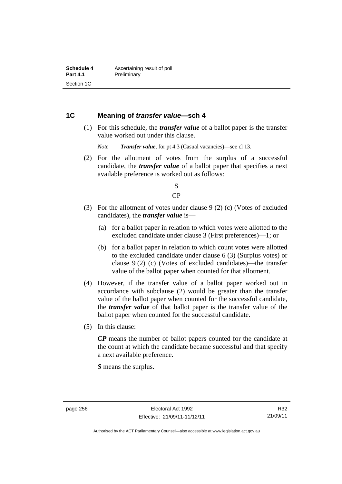#### **1C Meaning of** *transfer value***—sch 4**

 (1) For this schedule, the *transfer value* of a ballot paper is the transfer value worked out under this clause.

*Note Transfer value*, for pt 4.3 (Casual vacancies)—see cl 13.

 (2) For the allotment of votes from the surplus of a successful candidate, the *transfer value* of a ballot paper that specifies a next available preference is worked out as follows:



- (3) For the allotment of votes under clause 9 (2) (c) (Votes of excluded candidates), the *transfer value* is—
	- (a) for a ballot paper in relation to which votes were allotted to the excluded candidate under clause 3 (First preferences)—1; or
	- (b) for a ballot paper in relation to which count votes were allotted to the excluded candidate under clause 6 (3) (Surplus votes) or clause 9 (2) (c) (Votes of excluded candidates)—the transfer value of the ballot paper when counted for that allotment.
- (4) However, if the transfer value of a ballot paper worked out in accordance with subclause (2) would be greater than the transfer value of the ballot paper when counted for the successful candidate, the *transfer value* of that ballot paper is the transfer value of the ballot paper when counted for the successful candidate.
- (5) In this clause:

*CP* means the number of ballot papers counted for the candidate at the count at which the candidate became successful and that specify a next available preference.

*S* means the surplus.

Authorised by the ACT Parliamentary Counsel—also accessible at www.legislation.act.gov.au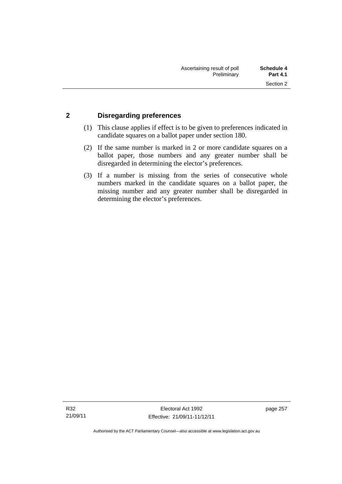#### **2 Disregarding preferences**

- (1) This clause applies if effect is to be given to preferences indicated in candidate squares on a ballot paper under section 180.
- (2) If the same number is marked in 2 or more candidate squares on a ballot paper, those numbers and any greater number shall be disregarded in determining the elector's preferences.
- (3) If a number is missing from the series of consecutive whole numbers marked in the candidate squares on a ballot paper, the missing number and any greater number shall be disregarded in determining the elector's preferences.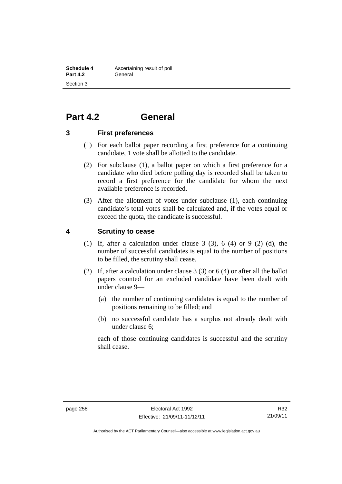## **Part 4.2 General**

#### **3 First preferences**

- (1) For each ballot paper recording a first preference for a continuing candidate, 1 vote shall be allotted to the candidate.
- (2) For subclause (1), a ballot paper on which a first preference for a candidate who died before polling day is recorded shall be taken to record a first preference for the candidate for whom the next available preference is recorded.
- (3) After the allotment of votes under subclause (1), each continuing candidate's total votes shall be calculated and, if the votes equal or exceed the quota, the candidate is successful.

#### **4 Scrutiny to cease**

- (1) If, after a calculation under clause  $3$  (3),  $6$  (4) or  $9$  (2) (d), the number of successful candidates is equal to the number of positions to be filled, the scrutiny shall cease.
- (2) If, after a calculation under clause 3 (3) or 6 (4) or after all the ballot papers counted for an excluded candidate have been dealt with under clause 9—
	- (a) the number of continuing candidates is equal to the number of positions remaining to be filled; and
	- (b) no successful candidate has a surplus not already dealt with under clause 6;

each of those continuing candidates is successful and the scrutiny shall cease.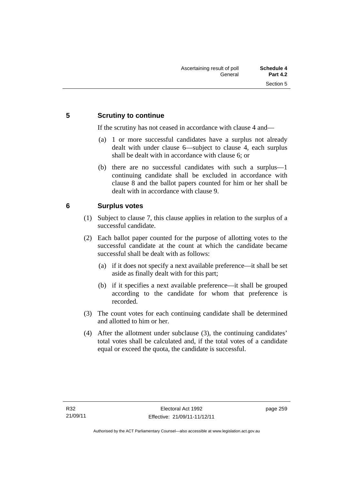#### **5 Scrutiny to continue**

If the scrutiny has not ceased in accordance with clause 4 and—

- (a) 1 or more successful candidates have a surplus not already dealt with under clause 6—subject to clause 4, each surplus shall be dealt with in accordance with clause 6; or
- (b) there are no successful candidates with such a surplus—1 continuing candidate shall be excluded in accordance with clause 8 and the ballot papers counted for him or her shall be dealt with in accordance with clause 9.

### **6 Surplus votes**

- (1) Subject to clause 7, this clause applies in relation to the surplus of a successful candidate.
- (2) Each ballot paper counted for the purpose of allotting votes to the successful candidate at the count at which the candidate became successful shall be dealt with as follows:
	- (a) if it does not specify a next available preference—it shall be set aside as finally dealt with for this part;
	- (b) if it specifies a next available preference—it shall be grouped according to the candidate for whom that preference is recorded.
- (3) The count votes for each continuing candidate shall be determined and allotted to him or her.
- (4) After the allotment under subclause (3), the continuing candidates' total votes shall be calculated and, if the total votes of a candidate equal or exceed the quota, the candidate is successful.

page 259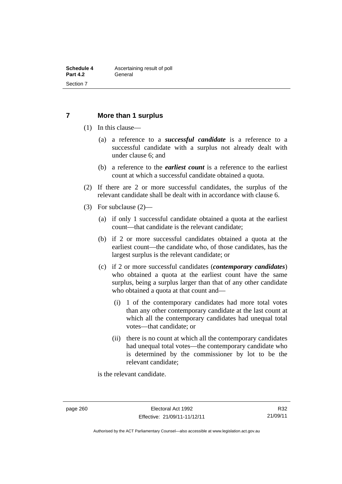#### **7 More than 1 surplus**

- (1) In this clause—
	- (a) a reference to a *successful candidate* is a reference to a successful candidate with a surplus not already dealt with under clause 6; and
	- (b) a reference to the *earliest count* is a reference to the earliest count at which a successful candidate obtained a quota.
- (2) If there are 2 or more successful candidates, the surplus of the relevant candidate shall be dealt with in accordance with clause 6.
- (3) For subclause (2)—
	- (a) if only 1 successful candidate obtained a quota at the earliest count—that candidate is the relevant candidate;
	- (b) if 2 or more successful candidates obtained a quota at the earliest count—the candidate who, of those candidates, has the largest surplus is the relevant candidate; or
	- (c) if 2 or more successful candidates (*contemporary candidates*) who obtained a quota at the earliest count have the same surplus, being a surplus larger than that of any other candidate who obtained a quota at that count and—
		- (i) 1 of the contemporary candidates had more total votes than any other contemporary candidate at the last count at which all the contemporary candidates had unequal total votes—that candidate; or
		- (ii) there is no count at which all the contemporary candidates had unequal total votes—the contemporary candidate who is determined by the commissioner by lot to be the relevant candidate;

is the relevant candidate.

Authorised by the ACT Parliamentary Counsel—also accessible at www.legislation.act.gov.au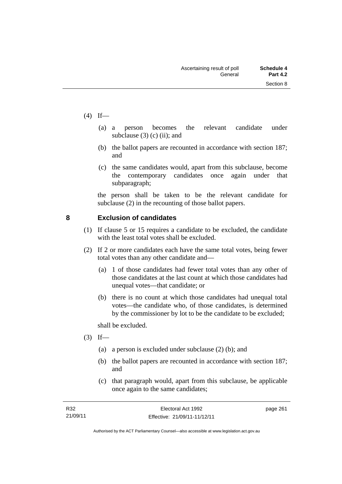- $(4)$  If—
- (a) a person becomes the relevant candidate under subclause  $(3)$  (c) (ii); and
	- (b) the ballot papers are recounted in accordance with section 187; and
	- (c) the same candidates would, apart from this subclause, become the contemporary candidates once again under that subparagraph;

the person shall be taken to be the relevant candidate for subclause (2) in the recounting of those ballot papers.

### **8 Exclusion of candidates**

- (1) If clause 5 or 15 requires a candidate to be excluded, the candidate with the least total votes shall be excluded.
- (2) If 2 or more candidates each have the same total votes, being fewer total votes than any other candidate and—
	- (a) 1 of those candidates had fewer total votes than any other of those candidates at the last count at which those candidates had unequal votes—that candidate; or
	- (b) there is no count at which those candidates had unequal total votes—the candidate who, of those candidates, is determined by the commissioner by lot to be the candidate to be excluded;

shall be excluded.

- $(3)$  If—
	- (a) a person is excluded under subclause (2) (b); and
	- (b) the ballot papers are recounted in accordance with section 187; and
	- (c) that paragraph would, apart from this subclause, be applicable once again to the same candidates;

page 261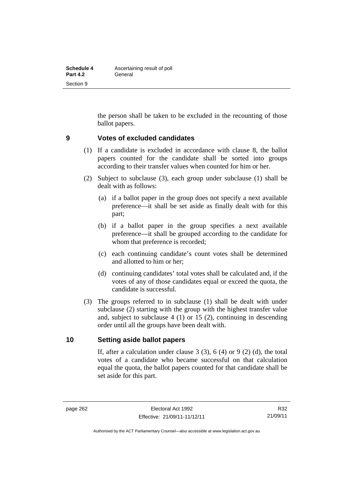| Schedule 4      | Ascertaining result of poll |
|-----------------|-----------------------------|
| <b>Part 4.2</b> | General                     |
| Section 9       |                             |

the person shall be taken to be excluded in the recounting of those ballot papers.

#### **9 Votes of excluded candidates**

- (1) If a candidate is excluded in accordance with clause 8, the ballot papers counted for the candidate shall be sorted into groups according to their transfer values when counted for him or her.
- (2) Subject to subclause (3), each group under subclause (1) shall be dealt with as follows:
	- (a) if a ballot paper in the group does not specify a next available preference—it shall be set aside as finally dealt with for this part;
	- (b) if a ballot paper in the group specifies a next available preference—it shall be grouped according to the candidate for whom that preference is recorded;
	- (c) each continuing candidate's count votes shall be determined and allotted to him or her;
	- (d) continuing candidates' total votes shall be calculated and, if the votes of any of those candidates equal or exceed the quota, the candidate is successful.
- (3) The groups referred to in subclause (1) shall be dealt with under subclause (2) starting with the group with the highest transfer value and, subject to subclause 4 (1) or 15 (2), continuing in descending order until all the groups have been dealt with.

#### **10 Setting aside ballot papers**

If, after a calculation under clause  $3(3)$ ,  $6(4)$  or  $9(2)(d)$ , the total votes of a candidate who became successful on that calculation equal the quota, the ballot papers counted for that candidate shall be set aside for this part.

R32 21/09/11

Authorised by the ACT Parliamentary Counsel—also accessible at www.legislation.act.gov.au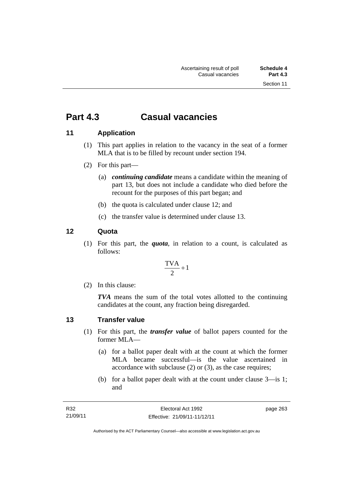## **Part 4.3 Casual vacancies**

### **11 Application**

- (1) This part applies in relation to the vacancy in the seat of a former MLA that is to be filled by recount under section 194.
- (2) For this part—
	- (a) *continuing candidate* means a candidate within the meaning of part 13, but does not include a candidate who died before the recount for the purposes of this part began; and
	- (b) the quota is calculated under clause 12; and
	- (c) the transfer value is determined under clause 13.

### **12 Quota**

(1) For this part, the *quota*, in relation to a count, is calculated as follows:

$$
\frac{\text{TVA}}{2} + 1
$$

(2) In this clause:

*TVA* means the sum of the total votes allotted to the continuing candidates at the count, any fraction being disregarded.

#### **13 Transfer value**

- (1) For this part, the *transfer value* of ballot papers counted for the former MLA—
	- (a) for a ballot paper dealt with at the count at which the former MLA became successful—is the value ascertained in accordance with subclause (2) or (3), as the case requires;
	- (b) for a ballot paper dealt with at the count under clause 3—is 1; and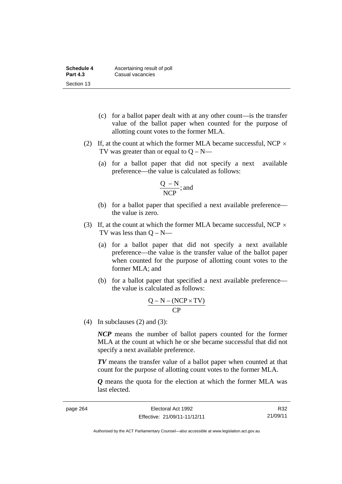| Schedule 4      | Ascertaining result of poll |
|-----------------|-----------------------------|
| <b>Part 4.3</b> | Casual vacancies            |
| Section 13      |                             |

- (c) for a ballot paper dealt with at any other count—is the transfer value of the ballot paper when counted for the purpose of allotting count votes to the former MLA.
- (2) If, at the count at which the former MLA became successful, NCP  $\times$ TV was greater than or equal to  $Q - N$ —
	- (a) for a ballot paper that did not specify a next available preference—the value is calculated as follows:

$$
\frac{Q - N}{NCP}; \text{and}
$$

- (b) for a ballot paper that specified a next available preference the value is zero.
- (3) If, at the count at which the former MLA became successful, NCP  $\times$ TV was less than  $Q - N$ —
	- (a) for a ballot paper that did not specify a next available preference—the value is the transfer value of the ballot paper when counted for the purpose of allotting count votes to the former MLA; and
	- (b) for a ballot paper that specified a next available preference the value is calculated as follows:

$$
\frac{Q-N-(NCP \times TV)}{CP}
$$

(4) In subclauses (2) and (3):

*NCP* means the number of ballot papers counted for the former MLA at the count at which he or she became successful that did not specify a next available preference.

*TV* means the transfer value of a ballot paper when counted at that count for the purpose of allotting count votes to the former MLA.

*Q* means the quota for the election at which the former MLA was last elected.

R32 21/09/11

Authorised by the ACT Parliamentary Counsel—also accessible at www.legislation.act.gov.au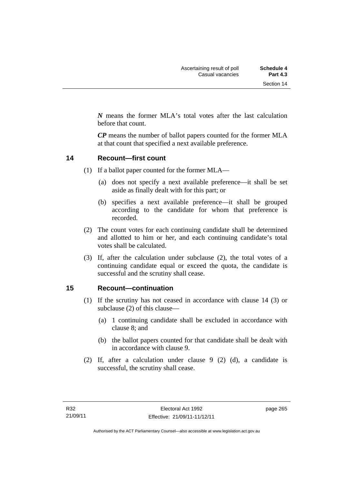*N* means the former MLA's total votes after the last calculation before that count.

*CP* means the number of ballot papers counted for the former MLA at that count that specified a next available preference.

#### **14 Recount—first count**

- (1) If a ballot paper counted for the former MLA—
	- (a) does not specify a next available preference—it shall be set aside as finally dealt with for this part; or
	- (b) specifies a next available preference—it shall be grouped according to the candidate for whom that preference is recorded.
- (2) The count votes for each continuing candidate shall be determined and allotted to him or her, and each continuing candidate's total votes shall be calculated.
- (3) If, after the calculation under subclause (2), the total votes of a continuing candidate equal or exceed the quota, the candidate is successful and the scrutiny shall cease.

#### **15 Recount—continuation**

- (1) If the scrutiny has not ceased in accordance with clause 14 (3) or subclause (2) of this clause—
	- (a) 1 continuing candidate shall be excluded in accordance with clause 8; and
	- (b) the ballot papers counted for that candidate shall be dealt with in accordance with clause 9.
- (2) If, after a calculation under clause 9 (2) (d), a candidate is successful, the scrutiny shall cease.

page 265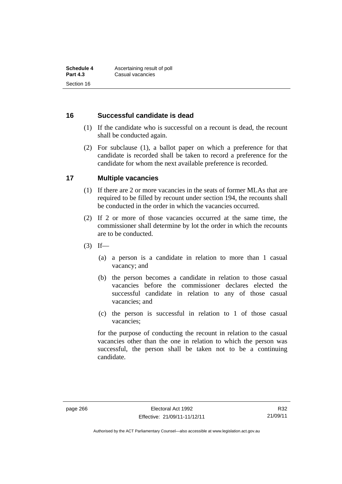#### **16 Successful candidate is dead**

- (1) If the candidate who is successful on a recount is dead, the recount shall be conducted again.
- (2) For subclause (1), a ballot paper on which a preference for that candidate is recorded shall be taken to record a preference for the candidate for whom the next available preference is recorded.

#### **17 Multiple vacancies**

- (1) If there are 2 or more vacancies in the seats of former MLAs that are required to be filled by recount under section 194, the recounts shall be conducted in the order in which the vacancies occurred.
- (2) If 2 or more of those vacancies occurred at the same time, the commissioner shall determine by lot the order in which the recounts are to be conducted.
- $(3)$  If—
	- (a) a person is a candidate in relation to more than 1 casual vacancy; and
	- (b) the person becomes a candidate in relation to those casual vacancies before the commissioner declares elected the successful candidate in relation to any of those casual vacancies; and
	- (c) the person is successful in relation to 1 of those casual vacancies;

for the purpose of conducting the recount in relation to the casual vacancies other than the one in relation to which the person was successful, the person shall be taken not to be a continuing candidate.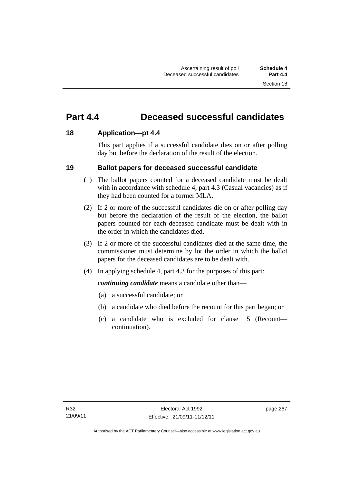## **Part 4.4 Deceased successful candidates**

#### **18 Application—pt 4.4**

This part applies if a successful candidate dies on or after polling day but before the declaration of the result of the election.

#### **19 Ballot papers for deceased successful candidate**

- (1) The ballot papers counted for a deceased candidate must be dealt with in accordance with schedule 4, part 4.3 (Casual vacancies) as if they had been counted for a former MLA.
- (2) If 2 or more of the successful candidates die on or after polling day but before the declaration of the result of the election, the ballot papers counted for each deceased candidate must be dealt with in the order in which the candidates died.
- (3) If 2 or more of the successful candidates died at the same time, the commissioner must determine by lot the order in which the ballot papers for the deceased candidates are to be dealt with.
- (4) In applying schedule 4, part 4.3 for the purposes of this part:

*continuing candidate* means a candidate other than—

- (a) a successful candidate; or
- (b) a candidate who died before the recount for this part began; or
- (c) a candidate who is excluded for clause 15 (Recount continuation).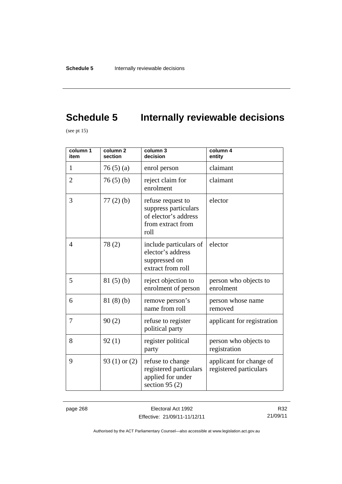# **Schedule 5** Internally reviewable decisions

(see pt  $15$ )

| column 1<br>item | column <sub>2</sub><br>section | column 3<br>decision                                                                           | column 4<br>entity                                |
|------------------|--------------------------------|------------------------------------------------------------------------------------------------|---------------------------------------------------|
| 1                | 76(5)(a)                       | enrol person                                                                                   | claimant                                          |
| $\overline{2}$   | 76(5)(b)                       | reject claim for<br>enrolment                                                                  | claimant                                          |
| 3                | $77(2)$ (b)                    | refuse request to<br>suppress particulars<br>of elector's address<br>from extract from<br>roll | elector                                           |
| $\overline{4}$   | 78(2)                          | include particulars of<br>elector's address<br>suppressed on<br>extract from roll              | elector                                           |
| 5                | 81(5)(b)                       | reject objection to<br>enrolment of person                                                     | person who objects to<br>enrolment                |
| 6                | 81(8)(b)                       | remove person's<br>name from roll                                                              | person whose name<br>removed                      |
| 7                | 90(2)                          | refuse to register<br>political party                                                          | applicant for registration                        |
| 8                | 92(1)                          | register political<br>party                                                                    | person who objects to<br>registration             |
| 9                | 93 $(1)$ or $(2)$              | refuse to change<br>registered particulars<br>applied for under<br>section 95 $(2)$            | applicant for change of<br>registered particulars |

page 268 Electoral Act 1992 Effective: 21/09/11-11/12/11

R32 21/09/11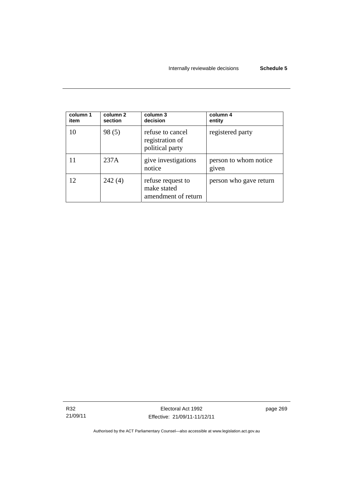| column 1<br>item | column 2<br>section | column 3<br>decision                                    | column 4<br>entity             |
|------------------|---------------------|---------------------------------------------------------|--------------------------------|
| 10               | 98(5)               | refuse to cancel<br>registration of<br>political party  | registered party               |
|                  | 237A                | give investigations<br>notice                           | person to whom notice<br>given |
| 12               | 242(4)              | refuse request to<br>make stated<br>amendment of return | person who gave return         |

R32 21/09/11 page 269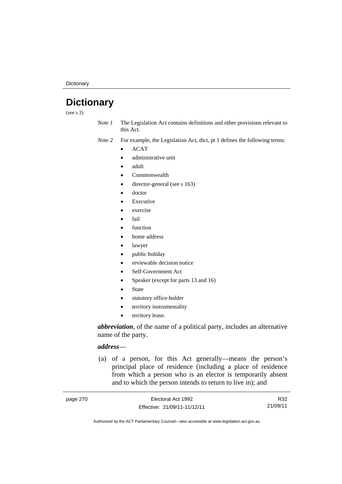**Dictionary** 

## **Dictionary**

(see s 3)

*Note 1* The Legislation Act contains definitions and other provisions relevant to this Act.

*Note 2* For example, the Legislation Act, dict, pt 1 defines the following terms:

- ACAT
- administrative unit
- adult
- Commonwealth
- director-general (see s 163)
- doctor
- Executive
- exercise
- fail
- function
- home address
- lawyer
- public holiday
- reviewable decision notice
- Self-Government Act
- Speaker (except for parts 13 and 16)
- State
- statutory office-holder
- territory instrumentality
- territory lease.

*abbreviation*, of the name of a political party, includes an alternative name of the party.

#### *address*—

 (a) of a person, for this Act generally—means the person's principal place of residence (including a place of residence from which a person who is an elector is temporarily absent and to which the person intends to return to live in); and

| page 270 | Electoral Act 1992           | R32      |
|----------|------------------------------|----------|
|          | Effective: 21/09/11-11/12/11 | 21/09/11 |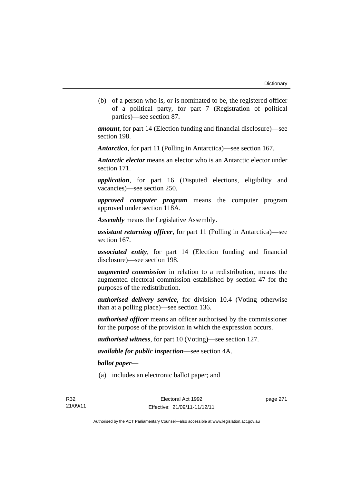(b) of a person who is, or is nominated to be, the registered officer of a political party, for part 7 (Registration of political parties)—see section 87.

*amount*, for part 14 (Election funding and financial disclosure)—see section 198.

*Antarctica*, for part 11 (Polling in Antarctica)—see section 167.

*Antarctic elector* means an elector who is an Antarctic elector under section 171.

*application*, for part 16 (Disputed elections, eligibility and vacancies)—see section 250.

*approved computer program* means the computer program approved under section 118A.

*Assembly* means the Legislative Assembly.

*assistant returning officer*, for part 11 (Polling in Antarctica)—see section 167.

*associated entity*, for part 14 (Election funding and financial disclosure)—see section 198.

*augmented commission* in relation to a redistribution, means the augmented electoral commission established by section 47 for the purposes of the redistribution.

*authorised delivery service*, for division 10.4 (Voting otherwise than at a polling place)—see section 136.

*authorised officer* means an officer authorised by the commissioner for the purpose of the provision in which the expression occurs.

*authorised witness*, for part 10 (Voting)—see section 127.

*available for public inspection*—see section 4A.

*ballot paper*—

(a) includes an electronic ballot paper; and

page 271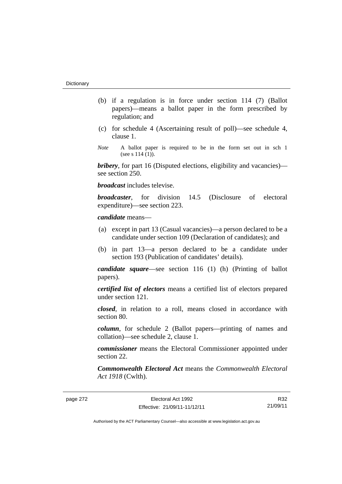- (b) if a regulation is in force under section 114 (7) (Ballot papers)—means a ballot paper in the form prescribed by regulation; and
- (c) for schedule 4 (Ascertaining result of poll)—see schedule 4, clause 1.
- *Note* A ballot paper is required to be in the form set out in sch 1 (see s  $114(1)$ ).

*bribery*, for part 16 (Disputed elections, eligibility and vacancies) see section 250.

*broadcast* includes televise.

*broadcaster*, for division 14.5 (Disclosure of electoral expenditure)—see section 223.

## *candidate* means—

- (a) except in part 13 (Casual vacancies)—a person declared to be a candidate under section 109 (Declaration of candidates); and
- (b) in part 13—a person declared to be a candidate under section 193 (Publication of candidates' details).

*candidate square*—see section 116 (1) (h) (Printing of ballot papers).

*certified list of electors* means a certified list of electors prepared under section 121.

*closed*, in relation to a roll, means closed in accordance with section 80.

*column*, for schedule 2 (Ballot papers—printing of names and collation)—see schedule 2, clause 1.

*commissioner* means the Electoral Commissioner appointed under section 22.

*Commonwealth Electoral Act* means the *Commonwealth Electoral Act 1918* (Cwlth).

R32 21/09/11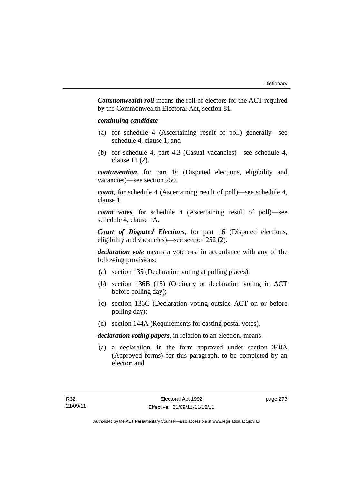*Commonwealth roll* means the roll of electors for the ACT required by the Commonwealth Electoral Act, section 81.

## *continuing candidate*—

- (a) for schedule 4 (Ascertaining result of poll) generally—see schedule 4, clause 1; and
- (b) for schedule 4, part 4.3 (Casual vacancies)—see schedule 4, clause 11 (2).

*contravention*, for part 16 (Disputed elections, eligibility and vacancies)—see section 250.

*count*, for schedule 4 (Ascertaining result of poll)—see schedule 4, clause 1.

*count votes*, for schedule 4 (Ascertaining result of poll)—see schedule 4, clause 1A.

*Court of Disputed Elections*, for part 16 (Disputed elections, eligibility and vacancies)—see section 252 (2).

*declaration vote* means a vote cast in accordance with any of the following provisions:

- (a) section 135 (Declaration voting at polling places);
- (b) section 136B (15) (Ordinary or declaration voting in ACT before polling day);
- (c) section 136C (Declaration voting outside ACT on or before polling day);
- (d) section 144A (Requirements for casting postal votes).

*declaration voting papers*, in relation to an election, means—

 (a) a declaration, in the form approved under section 340A (Approved forms) for this paragraph, to be completed by an elector; and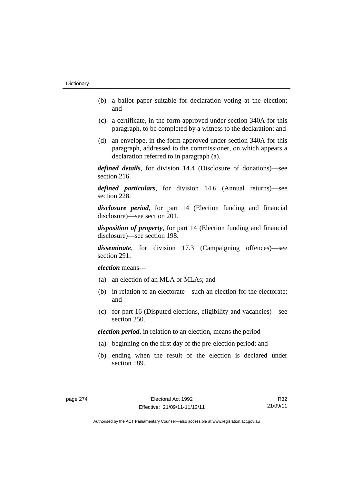- (b) a ballot paper suitable for declaration voting at the election; and
- (c) a certificate, in the form approved under section 340A for this paragraph, to be completed by a witness to the declaration; and
- (d) an envelope, in the form approved under section 340A for this paragraph, addressed to the commissioner, on which appears a declaration referred to in paragraph (a).

*defined details*, for division 14.4 (Disclosure of donations)—see section 216.

*defined particulars*, for division 14.6 (Annual returns)—see section 228.

*disclosure period*, for part 14 (Election funding and financial disclosure)—see section 201.

*disposition of property*, for part 14 (Election funding and financial disclosure)—see section 198.

*disseminate*, for division 17.3 (Campaigning offences)—see section 291.

*election* means—

- (a) an election of an MLA or MLAs; and
- (b) in relation to an electorate—such an election for the electorate; and
- (c) for part 16 (Disputed elections, eligibility and vacancies)—see section 250.

*election period*, in relation to an election, means the period—

- (a) beginning on the first day of the pre-election period; and
- (b) ending when the result of the election is declared under section 189.

R32 21/09/11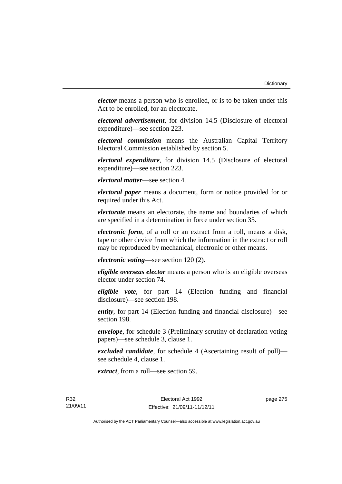*elector* means a person who is enrolled, or is to be taken under this Act to be enrolled, for an electorate.

*electoral advertisement*, for division 14.5 (Disclosure of electoral expenditure)—see section 223.

*electoral commission* means the Australian Capital Territory Electoral Commission established by section 5.

*electoral expenditure*, for division 14.5 (Disclosure of electoral expenditure)—see section 223.

*electoral matter*—see section 4.

*electoral paper* means a document, form or notice provided for or required under this Act.

*electorate* means an electorate, the name and boundaries of which are specified in a determination in force under section 35.

*electronic form*, of a roll or an extract from a roll, means a disk, tape or other device from which the information in the extract or roll may be reproduced by mechanical, electronic or other means.

*electronic voting*—see section 120 (2).

*eligible overseas elector* means a person who is an eligible overseas elector under section 74.

*eligible vote*, for part 14 (Election funding and financial disclosure)—see section 198.

*entity*, for part 14 (Election funding and financial disclosure)—see section 198.

*envelope*, for schedule 3 (Preliminary scrutiny of declaration voting papers)—see schedule 3, clause 1.

*excluded candidate*, for schedule 4 (Ascertaining result of poll) see schedule 4, clause 1.

*extract*, from a roll—see section 59.

page 275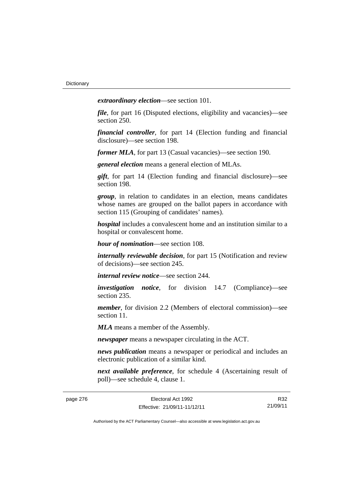*extraordinary election*—see section 101.

*file*, for part 16 (Disputed elections, eligibility and vacancies)—see section 250.

*financial controller*, for part 14 (Election funding and financial disclosure)—see section 198.

*former MLA*, for part 13 (Casual vacancies)—see section 190.

*general election* means a general election of MLAs.

*gift*, for part 14 (Election funding and financial disclosure)—see section 198.

*group*, in relation to candidates in an election, means candidates whose names are grouped on the ballot papers in accordance with section 115 (Grouping of candidates' names).

*hospital* includes a convalescent home and an institution similar to a hospital or convalescent home.

*hour of nomination*—see section 108.

*internally reviewable decision*, for part 15 (Notification and review of decisions)—see section 245.

*internal review notice*—see section 244.

*investigation notice*, for division 14.7 (Compliance)—see section 235.

*member*, for division 2.2 (Members of electoral commission)—see section 11.

*MLA* means a member of the Assembly.

*newspaper* means a newspaper circulating in the ACT.

*news publication* means a newspaper or periodical and includes an electronic publication of a similar kind.

*next available preference*, for schedule 4 (Ascertaining result of poll)—see schedule 4, clause 1.

| e 276 |  |  |  |
|-------|--|--|--|
|       |  |  |  |

R32 21/09/11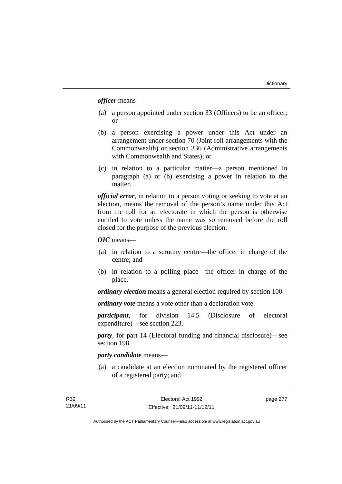*officer* means—

- (a) a person appointed under section 33 (Officers) to be an officer; or
- (b) a person exercising a power under this Act under an arrangement under section 70 (Joint roll arrangements with the Commonwealth) or section 336 (Administrative arrangements with Commonwealth and States); or
- (c) in relation to a particular matter—a person mentioned in paragraph (a) or (b) exercising a power in relation to the matter.

*official error*, in relation to a person voting or seeking to vote at an election, means the removal of the person's name under this Act from the roll for an electorate in which the person is otherwise entitled to vote unless the name was so removed before the roll closed for the purpose of the previous election.

*OIC* means—

- (a) in relation to a scrutiny centre—the officer in charge of the centre; and
- (b) in relation to a polling place—the officer in charge of the place.

*ordinary election* means a general election required by section 100.

*ordinary vote* means a vote other than a declaration vote.

*participant*, for division 14.5 (Disclosure of electoral expenditure)—see section 223.

*party*, for part 14 (Electoral funding and financial disclosure)—see section 198.

## *party candidate* means—

 (a) a candidate at an election nominated by the registered officer of a registered party; and

page 277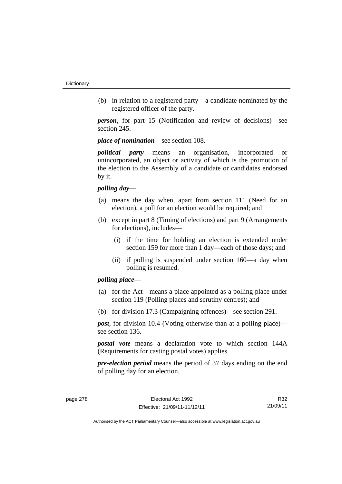(b) in relation to a registered party—a candidate nominated by the registered officer of the party.

*person*, for part 15 (Notification and review of decisions)—see section 245.

*place of nomination*—see section 108.

*political party* means an organisation, incorporated or unincorporated, an object or activity of which is the promotion of the election to the Assembly of a candidate or candidates endorsed by it.

## *polling day*—

- (a) means the day when, apart from section 111 (Need for an election), a poll for an election would be required; and
- (b) except in part 8 (Timing of elections) and part 9 (Arrangements for elections), includes—
	- (i) if the time for holding an election is extended under section 159 for more than 1 day—each of those days; and
	- (ii) if polling is suspended under section 160—a day when polling is resumed.

# *polling place—*

- (a) for the Act—means a place appointed as a polling place under section 119 (Polling places and scrutiny centres); and
- (b) for division 17.3 (Campaigning offences)—see section 291.

*post*, for division 10.4 (Voting otherwise than at a polling place) see section 136.

*postal vote* means a declaration vote to which section 144A (Requirements for casting postal votes) applies.

*pre-election period* means the period of 37 days ending on the end of polling day for an election.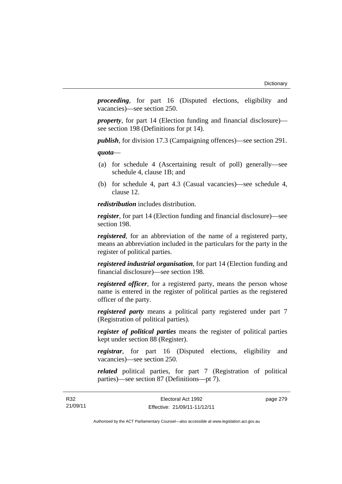*proceeding*, for part 16 (Disputed elections, eligibility and vacancies)—see section 250.

*property*, for part 14 (Election funding and financial disclosure) see section 198 (Definitions for pt 14).

*publish*, for division 17.3 (Campaigning offences)—see section 291.

*quota*—

- (a) for schedule 4 (Ascertaining result of poll) generally—see schedule 4, clause 1B; and
- (b) for schedule 4, part 4.3 (Casual vacancies)—see schedule 4, clause 12.

*redistribution* includes distribution.

*register*, for part 14 (Election funding and financial disclosure)—see section 198.

*registered*, for an abbreviation of the name of a registered party, means an abbreviation included in the particulars for the party in the register of political parties.

*registered industrial organisation*, for part 14 (Election funding and financial disclosure)—see section 198.

*registered officer*, for a registered party, means the person whose name is entered in the register of political parties as the registered officer of the party.

*registered party* means a political party registered under part 7 (Registration of political parties).

*register of political parties* means the register of political parties kept under section 88 (Register).

*registrar*, for part 16 (Disputed elections, eligibility and vacancies)—see section 250.

*related* political parties, for part 7 (Registration of political parties)—see section 87 (Definitions—pt 7).

page 279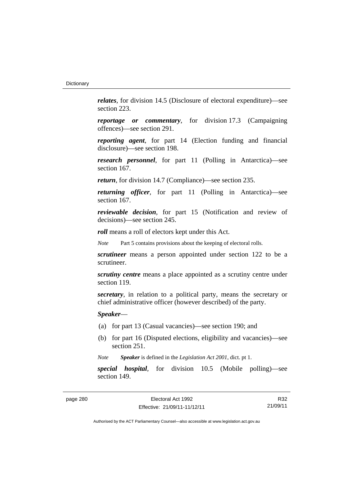*relates*, for division 14.5 (Disclosure of electoral expenditure)—see section 223.

*reportage or commentary*, for division 17.3 (Campaigning offences)—see section 291.

*reporting agent*, for part 14 (Election funding and financial disclosure)—see section 198.

*research personnel*, for part 11 (Polling in Antarctica)—see section 167.

*return*, for division 14.7 (Compliance)—see section 235.

*returning officer*, for part 11 (Polling in Antarctica)—see section 167.

*reviewable decision*, for part 15 (Notification and review of decisions)—see section 245.

*roll* means a roll of electors kept under this Act.

*Note* Part 5 contains provisions about the keeping of electoral rolls.

*scrutineer* means a person appointed under section 122 to be a scrutineer.

*scrutiny centre* means a place appointed as a scrutiny centre under section 119.

*secretary*, in relation to a political party, means the secretary or chief administrative officer (however described) of the party.

*Speaker*—

- (a) for part 13 (Casual vacancies)—see section 190; and
- (b) for part 16 (Disputed elections, eligibility and vacancies)—see section 251.

*Note Speaker* is defined in the *Legislation Act 2001*, dict. pt 1.

*special hospital*, for division 10.5 (Mobile polling)—see section 149.

R32 21/09/11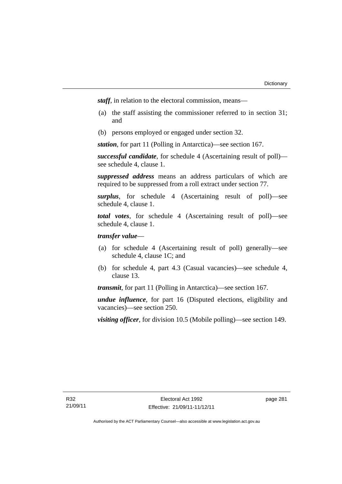*staff*, in relation to the electoral commission, means—

- (a) the staff assisting the commissioner referred to in section 31; and
- (b) persons employed or engaged under section 32.

*station*, for part 11 (Polling in Antarctica)—see section 167.

*successful candidate*, for schedule 4 (Ascertaining result of poll) see schedule 4, clause 1.

*suppressed address* means an address particulars of which are required to be suppressed from a roll extract under section 77.

*surplus*, for schedule 4 (Ascertaining result of poll)—see schedule 4, clause 1.

*total votes*, for schedule 4 (Ascertaining result of poll)—see schedule 4, clause 1.

# *transfer value*—

- (a) for schedule 4 (Ascertaining result of poll) generally—see schedule 4, clause 1C; and
- (b) for schedule 4, part 4.3 (Casual vacancies)—see schedule 4, clause 13.

*transmit*, for part 11 (Polling in Antarctica)—see section 167.

*undue influence*, for part 16 (Disputed elections, eligibility and vacancies)—see section 250.

*visiting officer*, for division 10.5 (Mobile polling)—see section 149.

page 281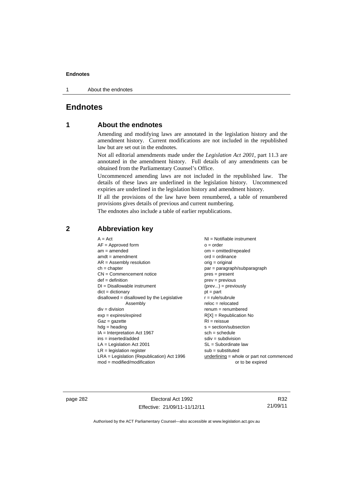1 About the endnotes

# **Endnotes**

# **1 About the endnotes**

Amending and modifying laws are annotated in the legislation history and the amendment history. Current modifications are not included in the republished law but are set out in the endnotes.

Not all editorial amendments made under the *Legislation Act 2001*, part 11.3 are annotated in the amendment history. Full details of any amendments can be obtained from the Parliamentary Counsel's Office.

Uncommenced amending laws are not included in the republished law. The details of these laws are underlined in the legislation history. Uncommenced expiries are underlined in the legislation history and amendment history.

If all the provisions of the law have been renumbered, a table of renumbered provisions gives details of previous and current numbering.

The endnotes also include a table of earlier republications.

# **2 Abbreviation key**

page 282 Electoral Act 1992 Effective: 21/09/11-11/12/11

R32 21/09/11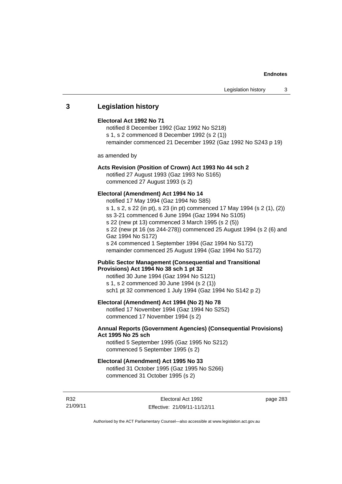# **3 Legislation history**

## **Electoral Act 1992 No 71**

notified 8 December 1992 (Gaz 1992 No S218) s 1, s 2 commenced 8 December 1992 (s 2 (1)) remainder commenced 21 December 1992 (Gaz 1992 No S243 p 19)

as amended by

## **Acts Revision (Position of Crown) Act 1993 No 44 sch 2**

notified 27 August 1993 (Gaz 1993 No S165) commenced 27 August 1993 (s 2)

## **Electoral (Amendment) Act 1994 No 14**

notified 17 May 1994 (Gaz 1994 No S85) s 1, s 2, s 22 (in pt), s 23 (in pt) commenced 17 May 1994 (s 2 (1), (2)) ss 3-21 commenced 6 June 1994 (Gaz 1994 No S105) s 22 (new pt 13) commenced 3 March 1995 (s 2 (5)) s 22 (new pt 16 (ss 244-278)) commenced 25 August 1994 (s 2 (6) and Gaz 1994 No S172) s 24 commenced 1 September 1994 (Gaz 1994 No S172) remainder commenced 25 August 1994 (Gaz 1994 No S172)

## **Public Sector Management (Consequential and Transitional Provisions) Act 1994 No 38 sch 1 pt 32**

notified 30 June 1994 (Gaz 1994 No S121) s 1, s 2 commenced 30 June 1994 (s 2 (1)) sch1 pt 32 commenced 1 July 1994 (Gaz 1994 No S142 p 2)

## **Electoral (Amendment) Act 1994 (No 2) No 78**

notified 17 November 1994 (Gaz 1994 No S252) commenced 17 November 1994 (s 2)

## **Annual Reports (Government Agencies) (Consequential Provisions) Act 1995 No 25 sch**

notified 5 September 1995 (Gaz 1995 No S212) commenced 5 September 1995 (s 2)

## **Electoral (Amendment) Act 1995 No 33**

notified 31 October 1995 (Gaz 1995 No S266) commenced 31 October 1995 (s 2)

R32 21/09/11

Electoral Act 1992 Effective: 21/09/11-11/12/11 page 283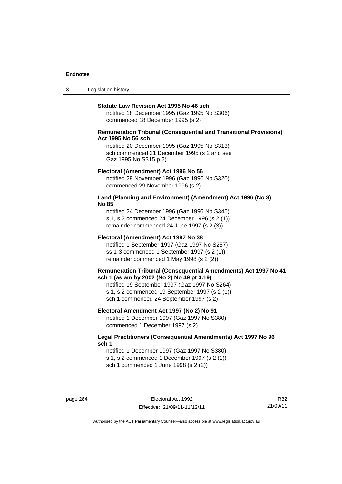3 Legislation history

#### **Statute Law Revision Act 1995 No 46 sch**

notified 18 December 1995 (Gaz 1995 No S306) commenced 18 December 1995 (s 2)

## **Remuneration Tribunal (Consequential and Transitional Provisions) Act 1995 No 56 sch**

notified 20 December 1995 (Gaz 1995 No S313) sch commenced 21 December 1995 (s 2 and see Gaz 1995 No S315 p 2)

#### **Electoral (Amendment) Act 1996 No 56**

notified 29 November 1996 (Gaz 1996 No S320) commenced 29 November 1996 (s 2)

## **Land (Planning and Environment) (Amendment) Act 1996 (No 3) No 85**

notified 24 December 1996 (Gaz 1996 No S345) s 1, s 2 commenced 24 December 1996 (s 2 (1)) remainder commenced 24 June 1997 (s 2 (3))

## **Electoral (Amendment) Act 1997 No 38**

notified 1 September 1997 (Gaz 1997 No S257) ss 1-3 commenced 1 September 1997 (s 2 (1)) remainder commenced 1 May 1998 (s 2 (2))

## **Remuneration Tribunal (Consequential Amendments) Act 1997 No 41 sch 1 (as am by 2002 (No 2) No 49 pt 3.19)**

notified 19 September 1997 (Gaz 1997 No S264) s 1, s 2 commenced 19 September 1997 (s 2 (1)) sch 1 commenced 24 September 1997 (s 2)

## **Electoral Amendment Act 1997 (No 2) No 91**

notified 1 December 1997 (Gaz 1997 No S380) commenced 1 December 1997 (s 2)

## **Legal Practitioners (Consequential Amendments) Act 1997 No 96 sch 1**

notified 1 December 1997 (Gaz 1997 No S380) s 1, s 2 commenced 1 December 1997 (s 2 (1)) sch 1 commenced 1 June 1998 (s 2 (2))

page 284 Electoral Act 1992 Effective: 21/09/11-11/12/11

R32 21/09/11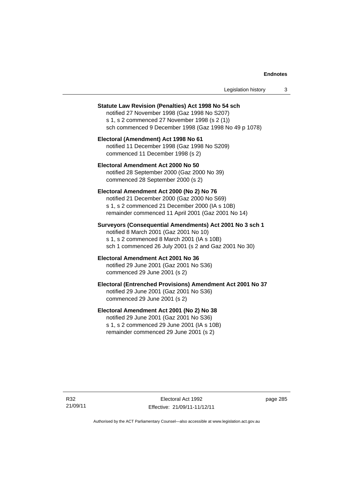| Legislation history |  |  |
|---------------------|--|--|
|---------------------|--|--|

#### **Statute Law Revision (Penalties) Act 1998 No 54 sch**

notified 27 November 1998 (Gaz 1998 No S207) s 1, s 2 commenced 27 November 1998 (s 2 (1)) sch commenced 9 December 1998 (Gaz 1998 No 49 p 1078)

## **Electoral (Amendment) Act 1998 No 61**  notified 11 December 1998 (Gaz 1998 No S209) commenced 11 December 1998 (s 2)

## **Electoral Amendment Act 2000 No 50**  notified 28 September 2000 (Gaz 2000 No 39) commenced 28 September 2000 (s 2)

#### **Electoral Amendment Act 2000 (No 2) No 76**

notified 21 December 2000 (Gaz 2000 No S69) s 1, s 2 commenced 21 December 2000 (IA s 10B) remainder commenced 11 April 2001 (Gaz 2001 No 14)

## **Surveyors (Consequential Amendments) Act 2001 No 3 sch 1**

notified 8 March 2001 (Gaz 2001 No 10) s 1, s 2 commenced 8 March 2001 (IA s 10B) sch 1 commenced 26 July 2001 (s 2 and Gaz 2001 No 30)

# **Electoral Amendment Act 2001 No 36**

notified 29 June 2001 (Gaz 2001 No S36) commenced 29 June 2001 (s 2)

## **Electoral (Entrenched Provisions) Amendment Act 2001 No 37**

notified 29 June 2001 (Gaz 2001 No S36) commenced 29 June 2001 (s 2)

## **Electoral Amendment Act 2001 (No 2) No 38**

notified 29 June 2001 (Gaz 2001 No S36) s 1, s 2 commenced 29 June 2001 (IA s 10B) remainder commenced 29 June 2001 (s 2)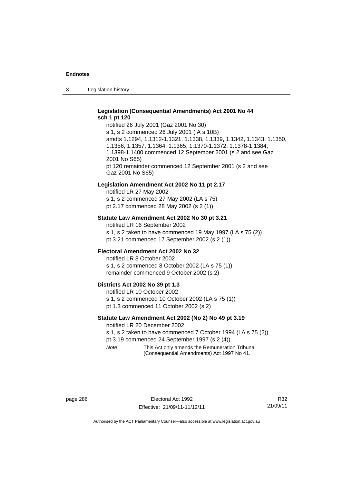3 Legislation history

## **Legislation (Consequential Amendments) Act 2001 No 44 sch 1 pt 120**

notified 26 July 2001 (Gaz 2001 No 30) s 1, s 2 commenced 26 July 2001 (IA s 10B) amdts 1.1294, 1.1312-1.1321, 1.1338, 1.1339, 1.1342, 1.1343, 1.1350, 1.1356, 1.1357, 1.1364, 1.1365, 1.1370-1.1372, 1.1378-1.1384, 1.1398-1.1400 commenced 12 September 2001 (s 2 and see Gaz 2001 No S65) pt 120 remainder commenced 12 September 2001 (s 2 and see Gaz 2001 No S65)

## **Legislation Amendment Act 2002 No 11 pt 2.17**

notified LR 27 May 2002 s 1, s 2 commenced 27 May 2002 (LA s 75) pt 2.17 commenced 28 May 2002 (s 2 (1))

## **Statute Law Amendment Act 2002 No 30 pt 3.21**

notified LR 16 September 2002 s 1, s 2 taken to have commenced 19 May 1997 (LA s 75 (2)) pt 3.21 commenced 17 September 2002 (s 2 (1))

### **Electoral Amendment Act 2002 No 32**

notified LR 8 October 2002 s 1, s 2 commenced 8 October 2002 (LA s 75 (1)) remainder commenced 9 October 2002 (s 2)

#### **Districts Act 2002 No 39 pt 1.3**

notified LR 10 October 2002 s 1, s 2 commenced 10 October 2002 (LA s 75 (1)) pt 1.3 commenced 11 October 2002 (s 2)

## **Statute Law Amendment Act 2002 (No 2) No 49 pt 3.19**

notified LR 20 December 2002

s 1, s 2 taken to have commenced 7 October 1994 (LA s 75 (2)) pt 3.19 commenced 24 September 1997 (s 2 (4))

*Note* This Act only amends the Remuneration Tribunal

(Consequential Amendments) Act 1997 No 41.

R32 21/09/11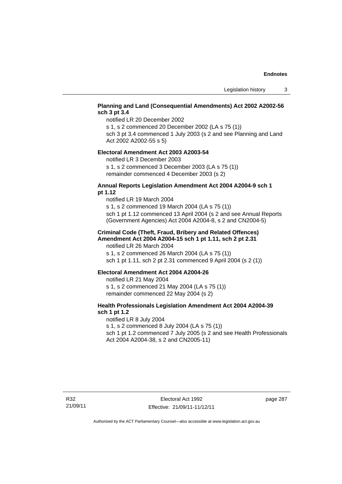# **Planning and Land (Consequential Amendments) Act 2002 A2002-56 sch 3 pt 3.4**

notified LR 20 December 2002

s 1, s 2 commenced 20 December 2002 (LA s 75 (1)) sch 3 pt 3.4 commenced 1 July 2003 (s 2 and see Planning and Land

Act 2002 A2002-55 s 5)

## **Electoral Amendment Act 2003 A2003-54**

notified LR 3 December 2003

s 1, s 2 commenced 3 December 2003 (LA s 75 (1)) remainder commenced 4 December 2003 (s 2)

## **Annual Reports Legislation Amendment Act 2004 A2004-9 sch 1 pt 1.12**

notified LR 19 March 2004 s 1, s 2 commenced 19 March 2004 (LA s 75 (1)) sch 1 pt 1.12 commenced 13 April 2004 (s 2 and see Annual Reports (Government Agencies) Act 2004 A2004-8, s 2 and CN2004-5)

## **Criminal Code (Theft, Fraud, Bribery and Related Offences) Amendment Act 2004 A2004-15 sch 1 pt 1.11, sch 2 pt 2.31**

notified LR 26 March 2004 s 1, s 2 commenced 26 March 2004 (LA s 75 (1)) sch 1 pt 1.11, sch 2 pt 2.31 commenced 9 April 2004 (s 2 (1))

## **Electoral Amendment Act 2004 A2004-26**

notified LR 21 May 2004 s 1, s 2 commenced 21 May 2004 (LA s 75 (1)) remainder commenced 22 May 2004 (s 2)

## **Health Professionals Legislation Amendment Act 2004 A2004-39 sch 1 pt 1.2**

notified LR 8 July 2004 s 1, s 2 commenced 8 July 2004 (LA s 75 (1)) sch 1 pt 1.2 commenced 7 July 2005 (s 2 and see Health Professionals Act 2004 A2004-38, s 2 and CN2005-11)

page 287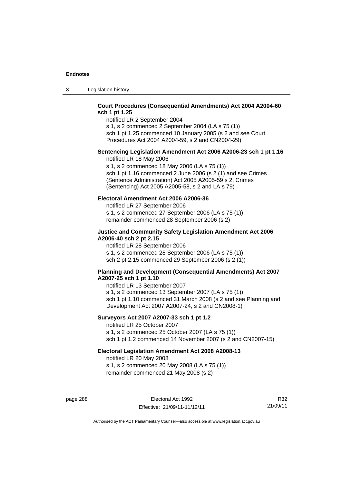3 Legislation history

## **Court Procedures (Consequential Amendments) Act 2004 A2004-60 sch 1 pt 1.25**

notified LR 2 September 2004 s 1, s 2 commenced 2 September 2004 (LA s 75 (1)) sch 1 pt 1.25 commenced 10 January 2005 (s 2 and see Court

Procedures Act 2004 A2004-59, s 2 and CN2004-29)

# **Sentencing Legislation Amendment Act 2006 A2006-23 sch 1 pt 1.16**

notified LR 18 May 2006

s 1, s 2 commenced 18 May 2006 (LA s 75 (1)) sch 1 pt 1.16 commenced 2 June 2006 (s 2 (1) and see Crimes (Sentence Administration) Act 2005 A2005-59 s 2, Crimes (Sentencing) Act 2005 A2005-58, s 2 and LA s 79)

## **Electoral Amendment Act 2006 A2006-36**

notified LR 27 September 2006 s 1, s 2 commenced 27 September 2006 (LA s 75 (1)) remainder commenced 28 September 2006 (s 2)

## **Justice and Community Safety Legislation Amendment Act 2006 A2006-40 sch 2 pt 2.15**

notified LR 28 September 2006 s 1, s 2 commenced 28 September 2006 (LA s 75 (1)) sch 2 pt 2.15 commenced 29 September 2006 (s 2 (1))

## **Planning and Development (Consequential Amendments) Act 2007 A2007-25 sch 1 pt 1.10**

notified LR 13 September 2007 s 1, s 2 commenced 13 September 2007 (LA s 75 (1)) sch 1 pt 1.10 commenced 31 March 2008 (s 2 and see Planning and Development Act 2007 A2007-24, s 2 and CN2008-1)

## **Surveyors Act 2007 A2007-33 sch 1 pt 1.2**

notified LR 25 October 2007 s 1, s 2 commenced 25 October 2007 (LA s 75 (1)) sch 1 pt 1.2 commenced 14 November 2007 (s 2 and CN2007-15)

## **Electoral Legislation Amendment Act 2008 A2008-13**

notified LR 20 May 2008 s 1, s 2 commenced 20 May 2008 (LA s 75 (1)) remainder commenced 21 May 2008 (s 2)

page 288 **Electoral Act 1992** Effective: 21/09/11-11/12/11

R32 21/09/11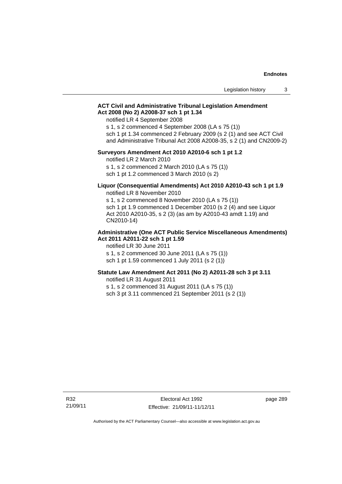## **ACT Civil and Administrative Tribunal Legislation Amendment Act 2008 (No 2) A2008-37 sch 1 pt 1.34**

notified LR 4 September 2008

s 1, s 2 commenced 4 September 2008 (LA s 75 (1))

sch 1 pt 1.34 commenced 2 February 2009 (s 2 (1) and see ACT Civil and Administrative Tribunal Act 2008 A2008-35, s 2 (1) and CN2009-2)

## **Surveyors Amendment Act 2010 A2010-6 sch 1 pt 1.2**

notified LR 2 March 2010

s 1, s 2 commenced 2 March 2010 (LA s 75 (1)) sch 1 pt 1.2 commenced 3 March 2010 (s 2)

## **Liquor (Consequential Amendments) Act 2010 A2010-43 sch 1 pt 1.9**  notified LR 8 November 2010

s 1, s 2 commenced 8 November 2010 (LA s 75 (1)) sch 1 pt 1.9 commenced 1 December 2010 (s 2 (4) and see Liquor Act 2010 A2010-35, s 2 (3) (as am by A2010-43 amdt 1.19) and CN2010-14)

### **Administrative (One ACT Public Service Miscellaneous Amendments) Act 2011 A2011-22 sch 1 pt 1.59**

notified LR 30 June 2011 s 1, s 2 commenced 30 June 2011 (LA s 75 (1)) sch 1 pt 1.59 commenced 1 July 2011 (s 2 (1))

## **Statute Law Amendment Act 2011 (No 2) A2011-28 sch 3 pt 3.11**

notified LR 31 August 2011

s 1, s 2 commenced 31 August 2011 (LA s 75 (1))

sch 3 pt 3.11 commenced 21 September 2011 (s 2 (1))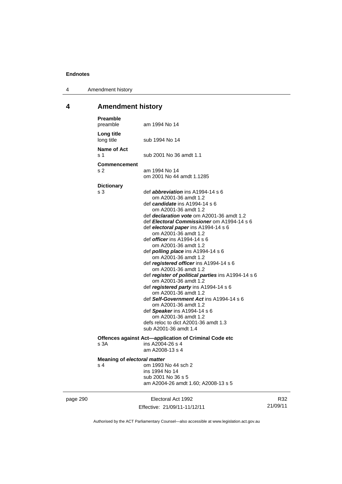4 Amendment history

# **4 Amendment history**

|          | <b>Preamble</b><br>preamble               | am 1994 No 14                                                                                                                                                                                                                                                                                                                                                                                                                                                                                                                                                                                                                                                                                                                                                                                                                                     |                 |
|----------|-------------------------------------------|---------------------------------------------------------------------------------------------------------------------------------------------------------------------------------------------------------------------------------------------------------------------------------------------------------------------------------------------------------------------------------------------------------------------------------------------------------------------------------------------------------------------------------------------------------------------------------------------------------------------------------------------------------------------------------------------------------------------------------------------------------------------------------------------------------------------------------------------------|-----------------|
|          | Long title<br>long title                  | sub 1994 No 14                                                                                                                                                                                                                                                                                                                                                                                                                                                                                                                                                                                                                                                                                                                                                                                                                                    |                 |
|          | Name of Act<br>s 1                        | sub 2001 No 36 amdt 1.1                                                                                                                                                                                                                                                                                                                                                                                                                                                                                                                                                                                                                                                                                                                                                                                                                           |                 |
|          | <b>Commencement</b>                       |                                                                                                                                                                                                                                                                                                                                                                                                                                                                                                                                                                                                                                                                                                                                                                                                                                                   |                 |
|          | s 2                                       | am 1994 No 14<br>om 2001 No 44 amdt 1.1285                                                                                                                                                                                                                                                                                                                                                                                                                                                                                                                                                                                                                                                                                                                                                                                                        |                 |
|          | <b>Dictionary</b>                         |                                                                                                                                                                                                                                                                                                                                                                                                                                                                                                                                                                                                                                                                                                                                                                                                                                                   |                 |
|          | s 3                                       | def <i>abbreviation</i> ins A1994-14 s 6<br>om A2001-36 amdt 1.2<br>def <i>candidate</i> ins A1994-14 s 6<br>om A2001-36 amdt 1.2<br>def declaration vote om A2001-36 amdt 1.2<br>def Electoral Commissioner om A1994-14 s 6<br>def electoral paper ins A1994-14 s 6<br>om A2001-36 amdt 1.2<br>def <i>officer</i> ins A1994-14 s 6<br>om A2001-36 amdt 1.2<br>def <b>polling place</b> ins $A1994-14 s 6$<br>om A2001-36 amdt 1.2<br>def registered officer ins A1994-14 s 6<br>om A2001-36 amdt 1.2<br>def register of political parties ins A1994-14 s 6<br>om A2001-36 amdt 1.2<br>def registered party ins A1994-14 s 6<br>om A2001-36 amdt 1.2<br>def Self-Government Act ins A1994-14 s 6<br>om A2001-36 amdt 1.2<br>def Speaker ins A1994-14 s 6<br>om A2001-36 amdt 1.2<br>defs reloc to dict A2001-36 amdt 1.3<br>sub A2001-36 amdt 1.4 |                 |
|          |                                           |                                                                                                                                                                                                                                                                                                                                                                                                                                                                                                                                                                                                                                                                                                                                                                                                                                                   |                 |
|          | s 3A                                      | Offences against Act—application of Criminal Code etc<br>ins A2004-26 s 4<br>am A2008-13 s 4                                                                                                                                                                                                                                                                                                                                                                                                                                                                                                                                                                                                                                                                                                                                                      |                 |
|          | <b>Meaning of electoral matter</b><br>s 4 | om 1993 No 44 sch 2<br>ins 1994 No 14<br>sub 2001 No 36 s 5<br>am A2004-26 amdt 1.60; A2008-13 s 5                                                                                                                                                                                                                                                                                                                                                                                                                                                                                                                                                                                                                                                                                                                                                |                 |
| page 290 |                                           | Electoral Act 1992<br>Effective: 21/09/11-11/12/11                                                                                                                                                                                                                                                                                                                                                                                                                                                                                                                                                                                                                                                                                                                                                                                                | R32<br>21/09/11 |
|          |                                           |                                                                                                                                                                                                                                                                                                                                                                                                                                                                                                                                                                                                                                                                                                                                                                                                                                                   |                 |

Authorised by the ACT Parliamentary Counsel—also accessible at www.legislation.act.gov.au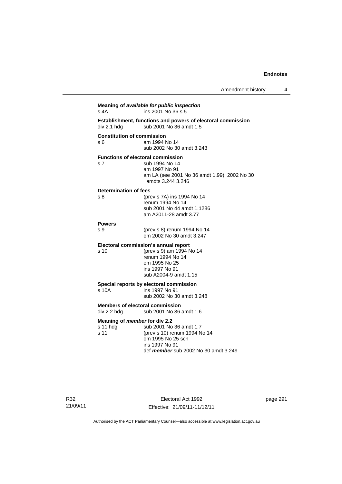| Establishment, functions and powers of electoral commission<br>sub 2001 No 36 amdt 1.5<br><b>Constitution of commission</b><br>am 1994 No 14<br>sub 2002 No 30 amdt 3.243<br><b>Functions of electoral commission</b><br>sub 1994 No 14<br>am 1997 No 91<br>amdts 3.244 3.246<br><b>Determination of fees</b><br>(prev s 7A) ins 1994 No 14<br>renum 1994 No 14<br>sub 2001 No 44 amdt 1.1286<br>am A2011-28 amdt 3.77<br>(prev s 8) renum 1994 No 14<br>om 2002 No 30 amdt 3.247<br>Electoral commission's annual report<br>(prev s 9) am 1994 No 14<br>renum 1994 No 14<br>om 1995 No 25<br>ins 1997 No 91<br>sub A2004-9 amdt 1.15<br>Special reports by electoral commission<br>ins 1997 No 91<br>sub 2002 No 30 amdt 3.248<br><b>Members of electoral commission</b><br>sub 2001 No 36 amdt 1.6<br>Meaning of <i>member</i> for div 2.2<br>sub 2001 No 36 amdt 1.7<br>(prev s 10) renum 1994 No 14<br>om 1995 No 25 sch<br>ins 1997 No 91<br>def member sub 2002 No 30 amdt 3.249 |                  |                                              |
|----------------------------------------------------------------------------------------------------------------------------------------------------------------------------------------------------------------------------------------------------------------------------------------------------------------------------------------------------------------------------------------------------------------------------------------------------------------------------------------------------------------------------------------------------------------------------------------------------------------------------------------------------------------------------------------------------------------------------------------------------------------------------------------------------------------------------------------------------------------------------------------------------------------------------------------------------------------------------------------|------------------|----------------------------------------------|
|                                                                                                                                                                                                                                                                                                                                                                                                                                                                                                                                                                                                                                                                                                                                                                                                                                                                                                                                                                                        | div 2.1 hdg      |                                              |
|                                                                                                                                                                                                                                                                                                                                                                                                                                                                                                                                                                                                                                                                                                                                                                                                                                                                                                                                                                                        | s 6              |                                              |
|                                                                                                                                                                                                                                                                                                                                                                                                                                                                                                                                                                                                                                                                                                                                                                                                                                                                                                                                                                                        | s <sub>7</sub>   | am LA (see 2001 No 36 amdt 1.99); 2002 No 30 |
|                                                                                                                                                                                                                                                                                                                                                                                                                                                                                                                                                                                                                                                                                                                                                                                                                                                                                                                                                                                        | s <sub>8</sub>   |                                              |
|                                                                                                                                                                                                                                                                                                                                                                                                                                                                                                                                                                                                                                                                                                                                                                                                                                                                                                                                                                                        | <b>Powers</b>    |                                              |
|                                                                                                                                                                                                                                                                                                                                                                                                                                                                                                                                                                                                                                                                                                                                                                                                                                                                                                                                                                                        | S <sub>9</sub>   |                                              |
|                                                                                                                                                                                                                                                                                                                                                                                                                                                                                                                                                                                                                                                                                                                                                                                                                                                                                                                                                                                        | s 10             |                                              |
|                                                                                                                                                                                                                                                                                                                                                                                                                                                                                                                                                                                                                                                                                                                                                                                                                                                                                                                                                                                        | s 10A            |                                              |
|                                                                                                                                                                                                                                                                                                                                                                                                                                                                                                                                                                                                                                                                                                                                                                                                                                                                                                                                                                                        | div 2.2 hdg      |                                              |
|                                                                                                                                                                                                                                                                                                                                                                                                                                                                                                                                                                                                                                                                                                                                                                                                                                                                                                                                                                                        | s 11 hdg<br>s 11 |                                              |

page 291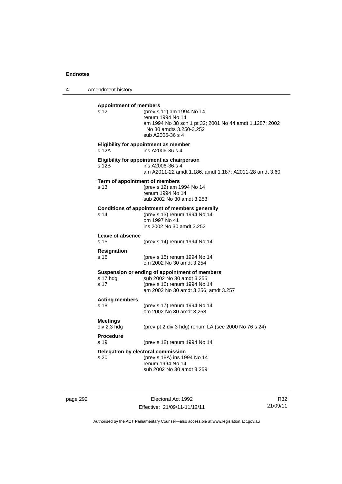4 Amendment history

| <b>Appointment of members</b><br>s 12      | (prev s 11) am 1994 No 14<br>renum 1994 No 14<br>am 1994 No 38 sch 1 pt 32; 2001 No 44 amdt 1.1287; 2002<br>No 30 amdts 3.250-3.252<br>sub A2006-36 s 4 |
|--------------------------------------------|---------------------------------------------------------------------------------------------------------------------------------------------------------|
| s 12A                                      | Eligibility for appointment as member<br>ins A2006-36 s 4                                                                                               |
| s 12B                                      | Eligibility for appointment as chairperson<br>ins A2006-36 s 4<br>am A2011-22 amdt 1.186, amdt 1.187; A2011-28 amdt 3.60                                |
| Term of appointment of members<br>s 13     | (prev s 12) am 1994 No 14<br>renum 1994 No 14<br>sub 2002 No 30 amdt 3.253                                                                              |
| s <sub>14</sub>                            | <b>Conditions of appointment of members generally</b><br>(prev s 13) renum 1994 No 14<br>om 1997 No 41<br>ins 2002 No 30 amdt 3.253                     |
| Leave of absence<br>s 15                   | (prev s 14) renum 1994 No 14                                                                                                                            |
| Resignation<br>s 16                        | (prev s 15) renum 1994 No 14<br>om 2002 No 30 amdt 3.254                                                                                                |
| s 17 hdg<br>s 17                           | Suspension or ending of appointment of members<br>sub 2002 No 30 amdt 3.255<br>(prev s 16) renum 1994 No 14<br>am 2002 No 30 amdt 3.256, amdt 3.257     |
| <b>Acting members</b><br>s 18              | (prev s 17) renum 1994 No 14<br>om 2002 No 30 amdt 3.258                                                                                                |
| <b>Meetings</b><br>div 2.3 hdg             | (prev pt 2 div 3 hdg) renum LA (see 2000 No 76 s 24)                                                                                                    |
| <b>Procedure</b><br>s 19                   | (prev s 18) renum 1994 No 14                                                                                                                            |
| Delegation by electoral commission<br>s 20 | (prev s 18A) ins 1994 No 14<br>renum 1994 No 14<br>sub 2002 No 30 amdt 3.259                                                                            |

page 292 Electoral Act 1992 Effective: 21/09/11-11/12/11

R32 21/09/11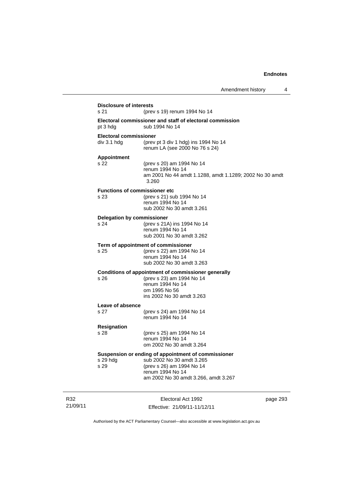| <b>Disclosure of interests</b><br>s 21       | (prev s 19) renum 1994 No 14                                                                                                                                              |
|----------------------------------------------|---------------------------------------------------------------------------------------------------------------------------------------------------------------------------|
| pt 3 hdg                                     | Electoral commissioner and staff of electoral commission<br>sub 1994 No 14                                                                                                |
| <b>Electoral commissioner</b>                |                                                                                                                                                                           |
| div 3.1 hdg                                  | (prev pt 3 div 1 hdg) ins 1994 No 14<br>renum LA (see 2000 No 76 s 24)                                                                                                    |
| <b>Appointment</b><br>s 22                   | (prev s 20) am 1994 No 14<br>renum 1994 No 14<br>am 2001 No 44 amdt 1.1288, amdt 1.1289; 2002 No 30 amdt<br>3.260                                                         |
| <b>Functions of commissioner etc</b><br>s 23 | (prev s 21) sub 1994 No 14<br>renum 1994 No 14<br>sub 2002 No 30 amdt 3.261                                                                                               |
| <b>Delegation by commissioner</b><br>s 24    | (prev s 21A) ins 1994 No 14<br>renum 1994 No 14<br>sub 2001 No 30 amdt 3.262                                                                                              |
| s 25                                         | Term of appointment of commissioner<br>(prev s 22) am 1994 No 14<br>renum 1994 No 14<br>sub 2002 No 30 amdt 3.263                                                         |
| s 26                                         | Conditions of appointment of commissioner generally<br>(prev s 23) am 1994 No 14<br>renum 1994 No 14<br>om 1995 No 56<br>ins 2002 No 30 amdt 3.263                        |
| <b>Leave of absence</b><br>s 27              | (prev s 24) am 1994 No 14<br>renum 1994 No 14                                                                                                                             |
| <b>Resignation</b><br>s 28                   | (prev s 25) am 1994 No 14<br>renum 1994 No 14<br>om 2002 No 30 amdt 3.264                                                                                                 |
| s 29 hdg<br>s 29                             | Suspension or ending of appointment of commissioner<br>sub 2002 No 30 amdt 3.265<br>(prev s 26) am 1994 No 14<br>renum 1994 No 14<br>am 2002 No 30 amdt 3.266, amdt 3.267 |

R32 21/09/11

Electoral Act 1992 Effective: 21/09/11-11/12/11 page 293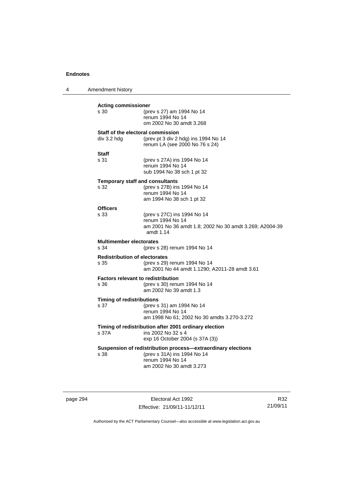4 Amendment history **Acting commissioner**  s 30 (prev s 27) am 1994 No 14 renum 1994 No 14 om 2002 No 30 amdt 3.268 **Staff of the electoral commission**  div 3.2 hdg (prev pt 3 div 2 hdg) ins 1994 No 14 renum LA (see 2000 No 76 s 24) **Staff**  (prev s 27A) ins 1994 No 14 renum 1994 No 14 sub 1994 No 38 sch 1 pt 32 **Temporary staff and consultants**  s 32 (prev s 27B) ins 1994 No 14 renum 1994 No 14 am 1994 No 38 sch 1 pt 32 **Officers**  s 33 (prev s 27C) ins 1994 No 14 renum 1994 No 14 am 2001 No 36 amdt 1.8; 2002 No 30 amdt 3.269; A2004-39 amdt 1.14 **Multimember electorates**  s 34 (prev s 28) renum 1994 No 14 **Redistribution of electorates**  s 35 (prev s 29) renum 1994 No 14 am 2001 No 44 amdt 1.1290; A2011-28 amdt 3.61 **Factors relevant to redistribution**  s 36 (prev s 30) renum 1994 No 14 am 2002 No 39 amdt 1.3 **Timing of redistributions**<br>s 37 (prev s (prev s 31) am 1994 No 14 renum 1994 No 14 am 1998 No 61; 2002 No 30 amdts 3.270-3.272 **Timing of redistribution after 2001 ordinary election**  s 37A ins 2002 No 32 s 4 exp 16 October 2004 (s 37A (3)) **Suspension of redistribution process—extraordinary elections**  s 38 (prev s 31A) ins 1994 No 14 renum 1994 No 14 am 2002 No 30 amdt 3.273

page 294 Electoral Act 1992 Effective: 21/09/11-11/12/11

R32 21/09/11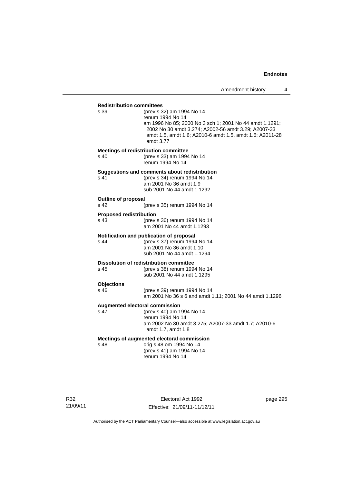| <b>Redistribution committees</b> |                                                                                                                                                                                                                                          |
|----------------------------------|------------------------------------------------------------------------------------------------------------------------------------------------------------------------------------------------------------------------------------------|
| s 39                             | (prev s 32) am 1994 No 14<br>renum 1994 No 14<br>am 1996 No 85; 2000 No 3 sch 1; 2001 No 44 amdt 1.1291;<br>2002 No 30 amdt 3.274; A2002-56 amdt 3.29; A2007-33<br>amdt 1.5, amdt 1.6; A2010-6 amdt 1.5, amdt 1.6; A2011-28<br>amdt 3.77 |
|                                  | <b>Meetings of redistribution committee</b>                                                                                                                                                                                              |
| s 40                             | (prev s 33) am 1994 No 14<br>renum 1994 No 14                                                                                                                                                                                            |
|                                  | Suggestions and comments about redistribution                                                                                                                                                                                            |
| s 41                             | (prev s 34) renum 1994 No 14                                                                                                                                                                                                             |
|                                  | am 2001 No 36 amdt 1.9                                                                                                                                                                                                                   |
|                                  | sub 2001 No 44 amdt 1.1292                                                                                                                                                                                                               |
| <b>Outline of proposal</b>       |                                                                                                                                                                                                                                          |
| s 42                             | (prev s 35) renum 1994 No 14                                                                                                                                                                                                             |
| <b>Proposed redistribution</b>   |                                                                                                                                                                                                                                          |
| s 43                             | (prev s 36) renum 1994 No 14<br>am 2001 No 44 amdt 1.1293                                                                                                                                                                                |
|                                  | Notification and publication of proposal                                                                                                                                                                                                 |
| s 44                             | (prev s 37) renum 1994 No 14                                                                                                                                                                                                             |
|                                  | am 2001 No 36 amdt 1.10                                                                                                                                                                                                                  |
|                                  | sub 2001 No 44 amdt 1.1294                                                                                                                                                                                                               |
|                                  | <b>Dissolution of redistribution committee</b>                                                                                                                                                                                           |
| s 45                             | (prev s 38) renum 1994 No 14                                                                                                                                                                                                             |
|                                  | sub 2001 No 44 amdt 1.1295                                                                                                                                                                                                               |
| <b>Objections</b>                |                                                                                                                                                                                                                                          |
| s 46                             | (prev s 39) renum 1994 No 14                                                                                                                                                                                                             |
|                                  | am 2001 No 36 s 6 and amdt 1.11; 2001 No 44 amdt 1.1296                                                                                                                                                                                  |
| Augmented electoral commission   |                                                                                                                                                                                                                                          |
| s 47                             | (prev s 40) am 1994 No 14                                                                                                                                                                                                                |
|                                  | renum 1994 No 14                                                                                                                                                                                                                         |
|                                  | am 2002 No 30 amdt 3.275; A2007-33 amdt 1.7; A2010-6<br>amdt 1.7, amdt 1.8                                                                                                                                                               |
|                                  |                                                                                                                                                                                                                                          |
| s 48                             | Meetings of augmented electoral commission<br>orig s 48 om 1994 No 14                                                                                                                                                                    |
|                                  | (prev s 41) am 1994 No 14                                                                                                                                                                                                                |
|                                  | renum 1994 No 14                                                                                                                                                                                                                         |
|                                  |                                                                                                                                                                                                                                          |

page 295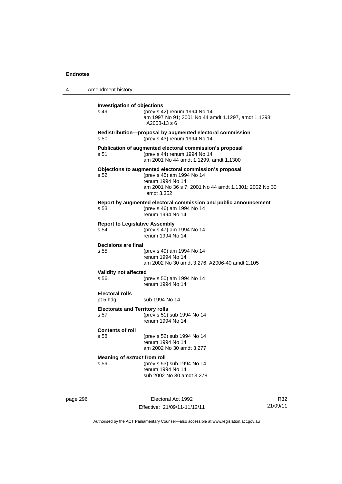| 4 | Amendment history                             |                                                                                                                                                                                 |
|---|-----------------------------------------------|---------------------------------------------------------------------------------------------------------------------------------------------------------------------------------|
|   | <b>Investigation of objections</b><br>s 49    | (prev s 42) renum 1994 No 14<br>am 1997 No 91; 2001 No 44 amdt 1.1297, amdt 1.1298;<br>A2008-13 s 6                                                                             |
|   | s 50                                          | Redistribution-proposal by augmented electoral commission<br>(prev s 43) renum 1994 No 14                                                                                       |
|   | s 51                                          | Publication of augmented electoral commission's proposal<br>(prev s 44) renum 1994 No 14<br>am 2001 No 44 amdt 1.1299, amdt 1.1300                                              |
|   | s 52                                          | Objections to augmented electoral commission's proposal<br>(prev s 45) am 1994 No 14<br>renum 1994 No 14<br>am 2001 No 36 s 7; 2001 No 44 amdt 1.1301; 2002 No 30<br>amdt 3.352 |
|   | s 53                                          | Report by augmented electoral commission and public announcement<br>(prev s 46) am 1994 No 14<br>renum 1994 No 14                                                               |
|   | <b>Report to Legislative Assembly</b><br>s 54 | (prev s 47) am 1994 No 14<br>renum 1994 No 14                                                                                                                                   |
|   | Decisions are final<br>s 55                   | (prev s 49) am 1994 No 14<br>renum 1994 No 14<br>am 2002 No 30 amdt 3.276; A2006-40 amdt 2.105                                                                                  |
|   | <b>Validity not affected</b><br>s 56          | (prev s 50) am 1994 No 14<br>renum 1994 No 14                                                                                                                                   |
|   | <b>Electoral rolls</b><br>pt 5 hdg            | sub 1994 No 14                                                                                                                                                                  |
|   | <b>Electorate and Territory rolls</b><br>s 57 | (prev s 51) sub 1994 No 14<br>renum 1994 No 14                                                                                                                                  |
|   | <b>Contents of roll</b><br>s 58               | (prev s 52) sub 1994 No 14<br>renum 1994 No 14<br>am 2002 No 30 amdt 3.277                                                                                                      |
|   | Meaning of extract from roll<br>s 59          | (prev s 53) sub 1994 No 14<br>renum 1994 No 14<br>sub 2002 No 30 amdt 3.278                                                                                                     |

page 296 Electoral Act 1992 Effective: 21/09/11-11/12/11

R32 21/09/11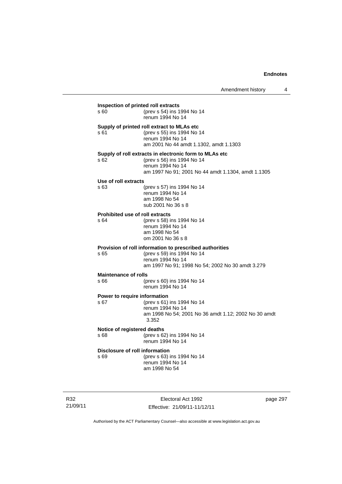| s 60                                 | (prev s 54) ins 1994 No 14                                                           |
|--------------------------------------|--------------------------------------------------------------------------------------|
|                                      | renum 1994 No 14                                                                     |
|                                      | Supply of printed roll extract to MLAs etc                                           |
| s 61                                 | (prev s 55) ins 1994 No 14                                                           |
|                                      | renum 1994 No 14                                                                     |
|                                      | am 2001 No 44 amdt 1.1302, amdt 1.1303                                               |
| s 62.                                | Supply of roll extracts in electronic form to MLAs etc<br>(prev s 56) ins 1994 No 14 |
|                                      | renum 1994 No 14                                                                     |
|                                      | am 1997 No 91; 2001 No 44 amdt 1.1304, amdt 1.1305                                   |
| Use of roll extracts                 |                                                                                      |
| s 63                                 | (prev s 57) ins 1994 No 14                                                           |
|                                      | renum 1994 No 14                                                                     |
|                                      | am 1998 No 54<br>sub 2001 No 36 s 8                                                  |
|                                      |                                                                                      |
| s 64                                 | <b>Prohibited use of roll extracts</b><br>(prev s 58) ins 1994 No 14                 |
|                                      | renum 1994 No 14                                                                     |
|                                      | am 1998 No 54                                                                        |
|                                      | om 2001 No 36 s 8                                                                    |
|                                      | Provision of roll information to prescribed authorities                              |
| s 65                                 | (prev s 59) ins 1994 No 14                                                           |
|                                      | renum 1994 No 14<br>am 1997 No 91; 1998 No 54; 2002 No 30 amdt 3.279                 |
|                                      |                                                                                      |
| <b>Maintenance of rolls</b><br>s 66. | (prev s 60) ins 1994 No 14                                                           |
|                                      | renum 1994 No 14                                                                     |
|                                      | Power to require information                                                         |
| s 67                                 | (prev s 61) ins 1994 No 14                                                           |
|                                      | renum 1994 No 14                                                                     |
|                                      | am 1998 No 54; 2001 No 36 amdt 1.12; 2002 No 30 amdt<br>3.352                        |
|                                      |                                                                                      |
| s 68                                 | Notice of registered deaths<br>(prev s 62) ins 1994 No 14                            |
|                                      | renum 1994 No 14                                                                     |
|                                      | Disclosure of roll information                                                       |
| s 69                                 | (prev s 63) ins 1994 No 14                                                           |
|                                      | renum 1994 No 14                                                                     |
|                                      | am 1998 No 54                                                                        |

R32 21/09/11

Electoral Act 1992 Effective: 21/09/11-11/12/11 page 297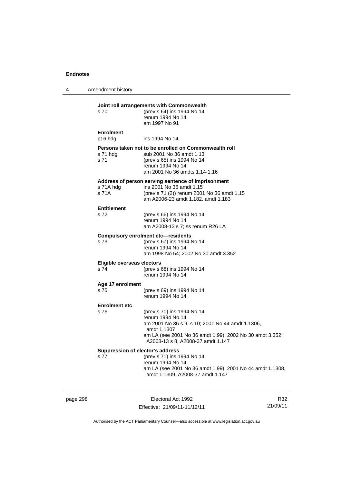4 Amendment history

| s 70                               | Joint roll arrangements with Commonwealth<br>(prev s 64) ins 1994 No 14<br>renum 1994 No 14<br>am 1997 No 91                                                                                                       |
|------------------------------------|--------------------------------------------------------------------------------------------------------------------------------------------------------------------------------------------------------------------|
| <b>Enrolment</b><br>pt 6 hdg       | ins 1994 No 14                                                                                                                                                                                                     |
| s 71 hdg<br>s 71                   | Persons taken not to be enrolled on Commonwealth roll<br>sub 2001 No 36 amdt 1.13<br>(prev s 65) ins 1994 No 14<br>renum 1994 No 14<br>am 2001 No 36 amdts 1.14-1.16                                               |
| s 71A hdg<br>s 71A                 | Address of person serving sentence of imprisonment<br>ins 2001 No 36 amdt 1.15<br>(prev s 71 (2)) renum 2001 No 36 amdt 1.15<br>am A2006-23 amdt 1.182, amdt 1.183                                                 |
| <b>Entitlement</b><br>s 72         | (prev s 66) ins 1994 No 14<br>renum 1994 No 14<br>am A2008-13 s 7; ss renum R26 LA                                                                                                                                 |
| s 73                               | <b>Compulsory enrolment etc-residents</b><br>(prev s 67) ins 1994 No 14<br>renum 1994 No 14<br>am 1998 No 54; 2002 No 30 amdt 3.352                                                                                |
| Eligible overseas electors<br>s 74 | (prev s 68) ins 1994 No 14<br>renum 1994 No 14                                                                                                                                                                     |
| Age 17 enrolment<br>s 75           | (prev s 69) ins 1994 No 14<br>renum 1994 No 14                                                                                                                                                                     |
| <b>Enrolment etc</b>               |                                                                                                                                                                                                                    |
| s 76                               | (prev s 70) ins 1994 No 14<br>renum 1994 No 14<br>am 2001 No 36 s 9, s 10; 2001 No 44 amdt 1.1306,<br>amdt 1.1307<br>am LA (see 2001 No 36 amdt 1.99); 2002 No 30 amdt 3.352;<br>A2008-13 s 8, A2008-37 amdt 1.147 |
| s 77                               | Suppression of elector's address<br>(prev s 71) ins 1994 No 14<br>renum 1994 No 14<br>am LA (see 2001 No 36 amdt 1.99); 2001 No 44 amdt 1.1308,<br>amdt 1.1309, A2008-37 amdt 1.147                                |

page 298 Electoral Act 1992 Effective: 21/09/11-11/12/11

R32 21/09/11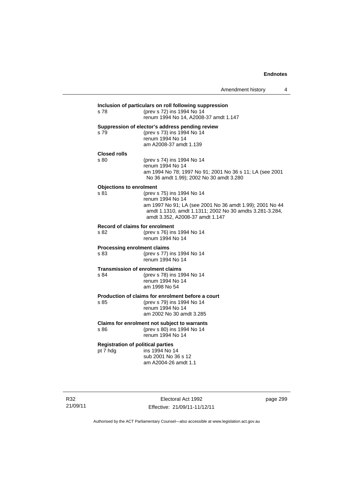| s 78                           | (prev s 72) ins 1994 No 14<br>renum 1994 No 14, A2008-37 amdt 1.147                                                 |
|--------------------------------|---------------------------------------------------------------------------------------------------------------------|
|                                | Suppression of elector's address pending review                                                                     |
| s 79                           | (prev s 73) ins 1994 No 14<br>renum 1994 No 14                                                                      |
|                                | am A2008-37 amdt 1.139                                                                                              |
| <b>Closed rolls</b>            |                                                                                                                     |
| s 80                           | (prev s 74) ins 1994 No 14                                                                                          |
|                                | renum 1994 No 14                                                                                                    |
|                                | am 1994 No 78; 1997 No 91; 2001 No 36 s 11; LA (see 2001<br>No 36 amdt 1.99); 2002 No 30 amdt 3.280                 |
| <b>Objections to enrolment</b> |                                                                                                                     |
| s 81                           | (prev s 75) ins 1994 No 14                                                                                          |
|                                | renum 1994 No 14                                                                                                    |
|                                | am 1997 No 91; LA (see 2001 No 36 amdt 1.99); 2001 No 44<br>amdt 1.1310, amdt 1.1311; 2002 No 30 amdts 3.281-3.284, |
|                                | amdt 3.352, A2008-37 amdt 1.147                                                                                     |
|                                | Record of claims for enrolment                                                                                      |
| s 82                           | (prev s 76) ins 1994 No 14<br>renum 1994 No 14                                                                      |
|                                | <b>Processing enrolment claims</b>                                                                                  |
| s 83                           | (prev s 77) ins 1994 No 14<br>renum 1994 No 14                                                                      |
|                                | <b>Transmission of enrolment claims</b>                                                                             |
| s 84                           | (prev s 78) ins 1994 No 14                                                                                          |
|                                | renum 1994 No 14<br>am 1998 No 54                                                                                   |
|                                |                                                                                                                     |
| s 85                           | Production of claims for enrolment before a court<br>(prev s 79) ins 1994 No 14                                     |
|                                | renum 1994 No 14                                                                                                    |
|                                | am 2002 No 30 amdt 3.285                                                                                            |
|                                | Claims for enrolment not subject to warrants                                                                        |
| s 86                           | (prev s 80) ins 1994 No 14                                                                                          |
|                                | renum 1994 No 14                                                                                                    |
|                                | <b>Registration of political parties</b>                                                                            |
| pt 7 hdg                       | ins 1994 No 14<br>sub 2001 No 36 s 12                                                                               |
|                                | am A2004-26 amdt 1.1                                                                                                |

R32 21/09/11

Electoral Act 1992 Effective: 21/09/11-11/12/11 page 299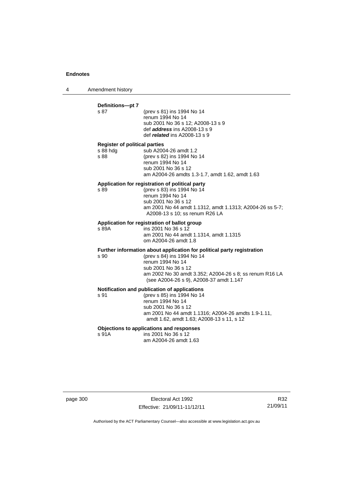4 Amendment history

## **Definitions—pt 7**  (prev s 81) ins 1994 No 14 renum 1994 No 14 sub 2001 No 36 s 12; A2008-13 s 9 def *address* ins A2008-13 s 9 def *related* ins A2008-13 s 9 **Register of political parties**  s 88 hdg sub A2004-26 amdt 1.2 s 88 (prev s 82) ins 1994 No 14 renum 1994 No 14 sub 2001 No 36 s 12 am A2004-26 amdts 1.3-1.7, amdt 1.62, amdt 1.63 **Application for registration of political party**  s 89 (prev s 83) ins 1994 No 14 renum 1994 No 14 sub 2001 No 36 s 12 am 2001 No 44 amdt 1.1312, amdt 1.1313; A2004-26 ss 5-7; A2008-13 s 10; ss renum R26 LA **Application for registration of ballot group**  s 89A ins 2001 No 36 s 12 am 2001 No 44 amdt 1.1314, amdt 1.1315 om A2004-26 amdt 1.8 **Further information about application for political party registration**  s 90 (prev s 84) ins 1994 No 14 renum 1994 No 14 sub 2001 No 36 s 12 am 2002 No 30 amdt 3.352; A2004-26 s 8; ss renum R16 LA (see A2004-26 s 9), A2008-37 amdt 1.147 **Notification and publication of applications**  s 91 (prev s 85) ins 1994 No 14 renum 1994 No 14

 sub 2001 No 36 s 12 am 2001 No 44 amdt 1.1316; A2004-26 amdts 1.9-1.11, amdt 1.62, amdt 1.63; A2008-13 s 11, s 12

#### **Objections to applications and responses**

s 91A ins 2001 No 36 s 12 am A2004-26 amdt 1.63

page 300 Electoral Act 1992 Effective: 21/09/11-11/12/11

R32 21/09/11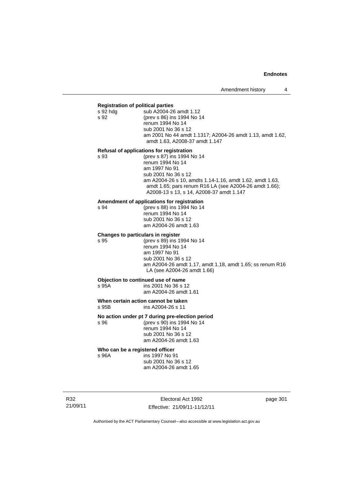#### **Registration of political parties**

| s 92 hdg | sub A2004-26 amdt 1.12                                    |
|----------|-----------------------------------------------------------|
| s 92     | (prev s 86) ins 1994 No 14                                |
|          | renum 1994 No 14                                          |
|          | sub 2001 No 36 s 12                                       |
|          | am 2001 No 44 amdt 1.1317; A2004-26 amdt 1.13, amdt 1.62, |
|          | amdt 1.63, A2008-37 amdt 1.147                            |
|          |                                                           |

#### **Refusal of applications for registration**

| s 93 | (prev s 87) ins 1994 No 14                               |
|------|----------------------------------------------------------|
|      | renum 1994 No 14                                         |
|      | am 1997 No 91                                            |
|      | sub 2001 No 36 s 12                                      |
|      | am A2004-26 s 10, amdts 1.14-1.16, amdt 1.62, amdt 1.63, |
|      | amdt 1.65; pars renum R16 LA (see A2004-26 amdt 1.66);   |
|      | A2008-13 s 13, s 14, A2008-37 amdt 1.147                 |
|      |                                                          |

#### **Amendment of applications for registration**

s 94 (prev s 88) ins 1994 No 14 renum 1994 No 14 sub 2001 No 36 s 12 am A2004-26 amdt 1.63

#### **Changes to particulars in register**

s 95 (prev s 89) ins 1994 No 14 renum 1994 No 14 am 1997 No 91 sub 2001 No 36 s 12 am A2004-26 amdt 1.17, amdt 1.18, amdt 1.65; ss renum R16 LA (see A2004-26 amdt 1.66)

# **Objection to continued use of name**<br>s 95A ins 2001 No 36 s 1

ins 2001 No 36 s 12 am A2004-26 amdt 1.61

**When certain action cannot be taken**<br>  $\frac{1}{2}$  S 95B ins A2004-26 s 11 ins A2004-26 s 11

## **No action under pt 7 during pre-election period**

s 96 (prev s 90) ins 1994 No 14 renum 1994 No 14 sub 2001 No 36 s 12 am A2004-26 amdt 1.63

# **Who can be a registered officer s** 96A **ins 1997** No 9

ins 1997 No 91

 sub 2001 No 36 s 12 am A2004-26 amdt 1.65

R32 21/09/11

Electoral Act 1992 Effective: 21/09/11-11/12/11 page 301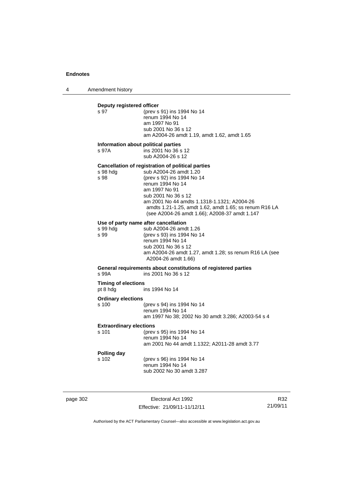4 Amendment history

# **Deputy registered officer**<br>s 97 (prev s (prev s 91) ins 1994 No 14 renum 1994 No 14 am 1997 No 91 sub 2001 No 36 s 12 am A2004-26 amdt 1.19, amdt 1.62, amdt 1.65 **Information about political parties**  s 97A ins 2001 No 36 s 12 sub A2004-26 s 12 **Cancellation of registration of political parties**  sub A2004-26 amdt 1.20 s 98 (prev s 92) ins 1994 No 14 renum 1994 No 14 am 1997 No 91 sub 2001 No 36 s 12 am 2001 No 44 amdts 1.1318-1.1321; A2004-26 amdts 1.21-1.25, amdt 1.62, amdt 1.65; ss renum R16 LA (see A2004-26 amdt 1.66); A2008-37 amdt 1.147 **Use of party name after cancellation**  s 99 hdg sub A2004-26 amdt 1.26<br>s 99 (prev s 93) ins 1994 No 1 (prev s 93) ins 1994 No 14 renum 1994 No 14 sub 2001 No 36 s 12 am A2004-26 amdt 1.27, amdt 1.28; ss renum R16 LA (see A2004-26 amdt 1.66) **General requirements about constitutions of registered parties**  s 99A ins 2001 No 36 s 12 **Timing of elections**  pt 8 hdg ins 1994 No 14 **Ordinary elections**  s 100 (prev s 94) ins 1994 No 14 renum 1994 No 14 am 1997 No 38; 2002 No 30 amdt 3.286; A2003-54 s 4 **Extraordinary elections**  s 101 (prev s 95) ins 1994 No 14 renum 1994 No 14 am 2001 No 44 amdt 1.1322; A2011-28 amdt 3.77 **Polling day**  s 102 (prev s 96) ins 1994 No 14 renum 1994 No 14 sub 2002 No 30 amdt 3.287

page 302 Electoral Act 1992 Effective: 21/09/11-11/12/11

R32 21/09/11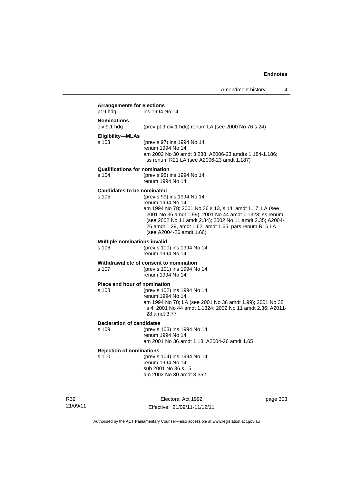| <b>Arrangements for elections</b>             |                                                                                                                                                                                                                                                                                                                        |
|-----------------------------------------------|------------------------------------------------------------------------------------------------------------------------------------------------------------------------------------------------------------------------------------------------------------------------------------------------------------------------|
| pt 9 hdg                                      | ins 1994 No 14                                                                                                                                                                                                                                                                                                         |
| <b>Nominations</b><br>div 9.1 hdg             | (prev pt 9 div 1 hdg) renum LA (see 2000 No 76 s 24)                                                                                                                                                                                                                                                                   |
| Eligibility-MLAs<br>s 103                     | (prev s 97) ins 1994 No 14<br>renum 1994 No 14<br>am 2002 No 30 amdt 3.288; A2006-23 amdts 1.184-1.186;<br>ss renum R21 LA (see A2006-23 amdt 1.187)                                                                                                                                                                   |
| <b>Qualifications for nomination</b><br>s 104 | (prev s 98) ins 1994 No 14<br>renum 1994 No 14                                                                                                                                                                                                                                                                         |
| <b>Candidates to be nominated</b><br>s 105    | (prev s 99) ins 1994 No 14<br>renum 1994 No 14<br>am 1994 No 78; 2001 No 36 s 13, s 14, amdt 1.17; LA (see<br>2001 No 36 amdt 1.99); 2001 No 44 amdt 1.1323; ss renum<br>(see 2002 No 11 amdt 2.34); 2002 No 11 amdt 2.35; A2004-<br>26 amdt 1.29, amdt 1.62, amdt 1.65; pars renum R16 LA<br>(see A2004-26 amdt 1.66) |
| Multiple nominations invalid<br>s 106         | (prev s 100) ins 1994 No 14<br>renum 1994 No 14                                                                                                                                                                                                                                                                        |
| s 107                                         | Withdrawal etc of consent to nomination<br>(prev s 101) ins 1994 No 14<br>renum 1994 No 14                                                                                                                                                                                                                             |
| <b>Place and hour of nomination</b><br>s 108  | (prev s 102) ins 1994 No 14<br>renum 1994 No 14<br>am 1994 No 78; LA (see 2001 No 36 amdt 1.99); 2001 No 38<br>s 4; 2001 No 44 amdt 1.1324; 2002 No 11 amdt 2.36; A2011-<br>28 amdt 3.77                                                                                                                               |
| <b>Declaration of candidates</b><br>s 109     | (prev s 103) ins 1994 No 14<br>renum 1994 No 14<br>am 2001 No 36 amdt 1.18; A2004-26 amdt 1.65                                                                                                                                                                                                                         |
| <b>Rejection of nominations</b><br>s 110      | (prev s 104) ins 1994 No 14<br>renum 1994 No 14<br>sub 2001 No 36 s 15<br>am 2002 No 30 amdt 3.352                                                                                                                                                                                                                     |

R32 21/09/11

Electoral Act 1992 Effective: 21/09/11-11/12/11 page 303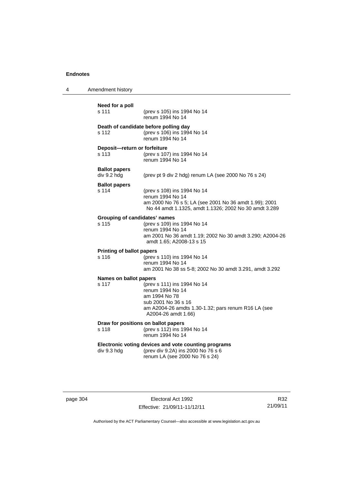| Amendment history                         |                                                                                                                                                                       |
|-------------------------------------------|-----------------------------------------------------------------------------------------------------------------------------------------------------------------------|
| Need for a poll<br>s 111                  | (prev s 105) ins 1994 No 14<br>renum 1994 No 14                                                                                                                       |
| s 112                                     | Death of candidate before polling day<br>(prev s 106) ins 1994 No 14<br>renum 1994 No 14                                                                              |
| Deposit-return or forfeiture<br>s 113     | (prev s 107) ins 1994 No 14<br>renum 1994 No 14                                                                                                                       |
| <b>Ballot papers</b><br>div 9.2 hdg       | (prev pt 9 div 2 hdg) renum LA (see 2000 No 76 s 24)                                                                                                                  |
| <b>Ballot papers</b><br>s 114             | (prev s 108) ins 1994 No 14<br>renum 1994 No 14<br>am 2000 No 76 s 5; LA (see 2001 No 36 amdt 1.99); 2001<br>No 44 amdt 1.1325, amdt 1.1326; 2002 No 30 amdt 3.289    |
| Grouping of candidates' names<br>s 115    | (prev s 109) ins 1994 No 14<br>renum 1994 No 14<br>am 2001 No 36 amdt 1.19; 2002 No 30 amdt 3.290; A2004-26<br>amdt 1.65; A2008-13 s 15                               |
| <b>Printing of ballot papers</b><br>s 116 | (prev s 110) ins 1994 No 14<br>renum 1994 No 14<br>am 2001 No 38 ss 5-8; 2002 No 30 amdt 3.291, amdt 3.292                                                            |
| Names on ballot papers<br>s 117           | (prev s 111) ins 1994 No 14<br>renum 1994 No 14<br>am 1994 No 78<br>sub 2001 No 36 s 16<br>am A2004-26 amdts 1.30-1.32; pars renum R16 LA (see<br>A2004-26 amdt 1.66) |
| s 118                                     | Draw for positions on ballot papers<br>(prev s 112) ins 1994 No 14<br>renum 1994 No 14                                                                                |
| div 9.3 hdg                               | Electronic voting devices and vote counting programs<br>(prev div 9.2A) ins 2000 No 76 s 6<br>renum LA (see 2000 No 76 s 24)                                          |
|                                           |                                                                                                                                                                       |

page 304 Electoral Act 1992 Effective: 21/09/11-11/12/11

R32 21/09/11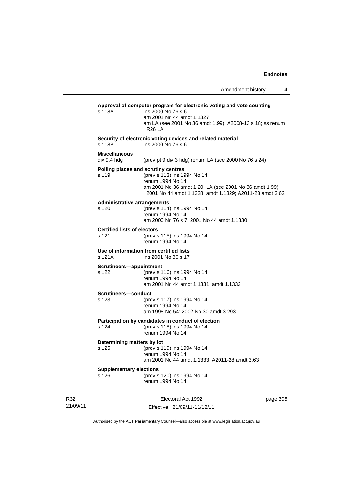| s 118A                                      | Approval of computer program for electronic voting and vote counting<br>ins 2000 No 76 s 6<br>am 2001 No 44 amdt 1.1327<br>am LA (see 2001 No 36 amdt 1.99); A2008-13 s 18; ss renum<br><b>R26 LA</b>        |
|---------------------------------------------|--------------------------------------------------------------------------------------------------------------------------------------------------------------------------------------------------------------|
| s 118B                                      | Security of electronic voting devices and related material<br>ins 2000 No 76 s 6                                                                                                                             |
| <b>Miscellaneous</b><br>div 9.4 hdg         | (prev pt 9 div 3 hdg) renum LA (see 2000 No 76 s 24)                                                                                                                                                         |
| s 119                                       | Polling places and scrutiny centres<br>(prev s 113) ins 1994 No 14<br>renum 1994 No 14<br>am 2001 No 36 amdt 1.20; LA (see 2001 No 36 amdt 1.99);<br>2001 No 44 amdt 1.1328, amdt 1.1329; A2011-28 amdt 3.62 |
| <b>Administrative arrangements</b><br>s 120 | (prev s 114) ins 1994 No 14<br>renum 1994 No 14<br>am 2000 No 76 s 7; 2001 No 44 amdt 1.1330                                                                                                                 |
| <b>Certified lists of electors</b><br>s 121 | (prev s 115) ins 1994 No 14<br>renum 1994 No 14                                                                                                                                                              |
| s 121A                                      | Use of information from certified lists<br>ins 2001 No 36 s 17                                                                                                                                               |
| Scrutineers-appointment<br>s 122            | (prev s 116) ins 1994 No 14<br>renum 1994 No 14<br>am 2001 No 44 amdt 1.1331, amdt 1.1332                                                                                                                    |
| Scrutineers-conduct<br>s 123                | (prev s 117) ins 1994 No 14<br>renum 1994 No 14<br>am 1998 No 54; 2002 No 30 amdt 3.293                                                                                                                      |
| s 124                                       | Participation by candidates in conduct of election<br>(prev s 118) ins 1994 No 14<br>renum 1994 No 14                                                                                                        |
| Determining matters by lot<br>s 125         | (prev s 119) ins 1994 No 14<br>renum 1994 No 14<br>am 2001 No 44 amdt 1.1333; A2011-28 amdt 3.63                                                                                                             |
| <b>Supplementary elections</b><br>s 126     | (prev s 120) ins 1994 No 14<br>renum 1994 No 14                                                                                                                                                              |

R32 21/09/11

J.

Electoral Act 1992 Effective: 21/09/11-11/12/11 page 305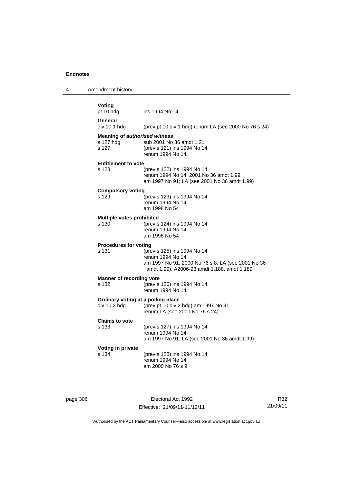4 Amendment history

| Voting<br>pt 10 hdg                               | ins 1994 No 14                                        |
|---------------------------------------------------|-------------------------------------------------------|
| General<br>div 10.1 hda                           | (prev pt 10 div 1 hdg) renum LA (see 2000 No 76 s 24) |
| <b>Meaning of authorised witness</b><br>s 127 hdg | sub 2001 No 36 amdt 1.21                              |
| s 127                                             | (prev s 121) ins 1994 No 14<br>renum 1994 No 14       |
| <b>Entitlement to vote</b>                        |                                                       |
| s 128                                             | (prev s 122) ins 1994 No 14                           |
|                                                   | renum 1994 No 14; 2001 No 36 amdt 1.99                |
|                                                   | am 1997 No 91; LA (see 2001 No 36 amdt 1.99)          |
| <b>Compulsory voting</b>                          |                                                       |
| s 129                                             | (prev s 123) ins 1994 No 14                           |
|                                                   | renum 1994 No 14                                      |
|                                                   | am 1998 No 54                                         |
| <b>Multiple votes prohibited</b>                  |                                                       |
| s 130                                             | (prev s 124) ins 1994 No 14                           |
|                                                   | renum 1994 No 14                                      |
|                                                   | am 1998 No 54                                         |
| <b>Procedures for voting</b>                      |                                                       |
| s 131                                             | (prev s 125) ins 1994 No 14                           |
|                                                   | renum 1994 No 14                                      |
|                                                   | am 1997 No 91; 2000 No 76 s 8; LA (see 2001 No 36     |
|                                                   | amdt 1.99); A2006-23 amdt 1.188, amdt 1.189           |
| <b>Manner of recording vote</b>                   |                                                       |
| s 132                                             | (prev s 126) ins 1994 No 14                           |
|                                                   | renum 1994 No 14                                      |
| Ordinary voting at a polling place                |                                                       |
| div 10.2 hdg                                      | (prev pt 10 div 2 hdg) am 1997 No 91                  |
|                                                   | renum LA (see 2000 No 76 s 24)                        |
| <b>Claims to vote</b>                             |                                                       |
| s 133                                             | (prev s 127) ins 1994 No 14                           |
|                                                   | renum 1994 No 14                                      |
|                                                   | am 1997 No 91; LA (see 2001 No 36 amdt 1.99)          |
|                                                   |                                                       |
| Voting in private                                 |                                                       |
| s 134                                             | (prev s 128) ins 1994 No 14                           |
|                                                   | renum 1994 No 14<br>am 2000 No 76 s 9                 |

page 306 Electoral Act 1992 Effective: 21/09/11-11/12/11

R32 21/09/11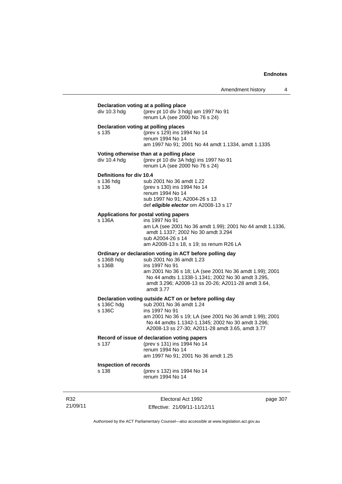| div 10.3 hdg                                   | Declaration voting at a polling place<br>(prev pt 10 div 3 hdg) am 1997 No 91<br>renum LA (see 2000 No 76 s 24)                                                                                                                                                                           |
|------------------------------------------------|-------------------------------------------------------------------------------------------------------------------------------------------------------------------------------------------------------------------------------------------------------------------------------------------|
| s 135                                          | Declaration voting at polling places<br>(prev s 129) ins 1994 No 14<br>renum 1994 No 14<br>am 1997 No 91; 2001 No 44 amdt 1.1334, amdt 1.1335                                                                                                                                             |
| div $10.4$ hdg                                 | Voting otherwise than at a polling place<br>(prev pt 10 div 3A hdg) ins 1997 No 91<br>renum LA (see 2000 No 76 s 24)                                                                                                                                                                      |
| Definitions for div 10.4<br>s 136 hdg<br>s 136 | sub 2001 No 36 amdt 1.22<br>(prev s 130) ins 1994 No 14<br>renum 1994 No 14<br>sub 1997 No 91; A2004-26 s 13<br>def eligible elector om A2008-13 s 17                                                                                                                                     |
| s 136A                                         | Applications for postal voting papers<br>ins 1997 No 91<br>am LA (see 2001 No 36 amdt 1.99); 2001 No 44 amdt 1.1336,<br>amdt 1.1337; 2002 No 30 amdt 3.294<br>sub A2004-26 s 14<br>am A2008-13 s 18, s 19; ss renum R26 LA                                                                |
| s 136B hdg<br>s 136B                           | Ordinary or declaration voting in ACT before polling day<br>sub 2001 No 36 amdt 1.23<br>ins 1997 No 91<br>am 2001 No 36 s 18; LA (see 2001 No 36 amdt 1.99); 2001<br>No 44 amdts 1.1338-1.1341; 2002 No 30 amdt 3.295,<br>amdt 3.296; A2008-13 ss 20-26; A2011-28 amdt 3.64,<br>amdt 3.77 |
| s 136C hdg<br>s 136C                           | Declaration voting outside ACT on or before polling day<br>sub 2001 No 36 amdt 1.24<br>ins 1997 No 91<br>am 2001 No 36 s 19; LA (see 2001 No 36 amdt 1.99); 2001<br>No 44 amdts 1.1342-1.1345; 2002 No 30 amdt 3.296;<br>A2008-13 ss 27-30; A2011-28 amdt 3.65, amdt 3.77                 |
| s 137                                          | Record of issue of declaration voting papers<br>(prev s 131) ins 1994 No 14<br>renum 1994 No 14<br>am 1997 No 91; 2001 No 36 amdt 1.25                                                                                                                                                    |
|                                                | <b>Inspection of records</b>                                                                                                                                                                                                                                                              |

R32 21/09/11

Electoral Act 1992 Effective: 21/09/11-11/12/11 page 307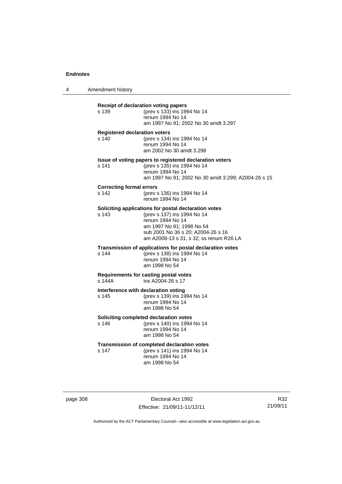4 Amendment history

|                                                     | (prev s 133) ins 1994 No 14<br>renum 1994 No 14<br>am 1997 No 91; 2002 No 30 amdt 3.297                                                                                                                               |
|-----------------------------------------------------|-----------------------------------------------------------------------------------------------------------------------------------------------------------------------------------------------------------------------|
| $s$ 140                                             | <b>Registered declaration voters</b><br>(prev s 134) ins 1994 No 14<br>renum 1994 No 14<br>am 2002 No 30 amdt 3.298                                                                                                   |
| s 141                                               | Issue of voting papers to registered declaration voters<br>(prev s 135) ins 1994 No 14<br>renum 1994 No 14<br>am 1997 No 91; 2002 No 30 amdt 3.299; A2004-26 s 15                                                     |
| <b>Correcting formal errors</b><br>s <sub>142</sub> | (prev s 136) ins 1994 No 14<br>renum 1994 No 14                                                                                                                                                                       |
| s 143                                               | Soliciting applications for postal declaration votes<br>(prev s 137) ins 1994 No 14<br>renum 1994 No 14<br>am 1997 No 91; 1998 No 54<br>sub 2001 No 36 s 20; A2004-26 s 16<br>am A2008-13 s 31, s 32; ss renum R26 LA |
| s 144                                               | Transmission of applications for postal declaration votes<br>(prev s 138) ins 1994 No 14<br>renum 1994 No 14<br>am 1998 No 54                                                                                         |
| s 144A                                              | Requirements for casting postal votes<br>ins A2004-26 s 17                                                                                                                                                            |
| s <sub>145</sub>                                    | Interference with declaration voting<br>(prev s 139) ins 1994 No 14<br>renum 1994 No 14<br>am 1998 No 54                                                                                                              |
| s <sub>146</sub>                                    | Soliciting completed declaration votes<br>(prev s 140) ins 1994 No 14<br>renum 1994 No 14<br>am 1998 No 54                                                                                                            |
| s 147                                               | <b>Transmission of completed declaration votes</b><br>(prev s 141) ins 1994 No 14<br>renum 1994 No 14<br>am 1998 No 54                                                                                                |

page 308 Electoral Act 1992 Effective: 21/09/11-11/12/11

R32 21/09/11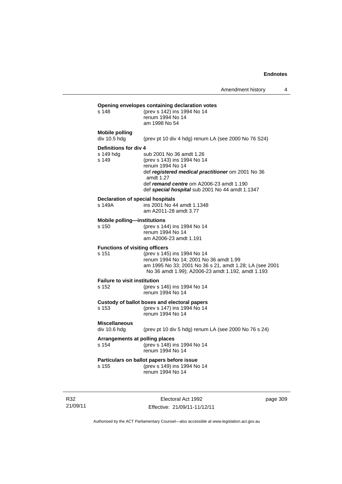| s 148                                          | (prev s 142) ins 1994 No 14<br>renum 1994 No 14<br>am 1998 No 54                                                                                                                                                                             |
|------------------------------------------------|----------------------------------------------------------------------------------------------------------------------------------------------------------------------------------------------------------------------------------------------|
| Mobile polling<br>div 10.5 hdg                 | (prev pt 10 div 4 hdg) renum LA (see 2000 No 76 S24)                                                                                                                                                                                         |
| Definitions for div 4<br>s 149 hda<br>s 149    | sub 2001 No 36 amdt 1.26<br>(prev s 143) ins 1994 No 14<br>renum 1994 No 14<br>def registered medical practitioner om 2001 No 36<br>amdt 1.27<br>def remand centre om A2006-23 amdt 1.190<br>def special hospital sub 2001 No 44 amdt 1.1347 |
| s 149A                                         | Declaration of special hospitals<br>ins 2001 No 44 amdt 1.1348<br>am A2011-28 amdt 3.77                                                                                                                                                      |
| <b>Mobile polling-institutions</b><br>s 150    | (prev s 144) ins 1994 No 14<br>renum 1994 No 14<br>am A2006-23 amdt 1.191                                                                                                                                                                    |
| <b>Functions of visiting officers</b><br>s 151 | (prev s 145) ins 1994 No 14<br>renum 1994 No 14; 2001 No 36 amdt 1.99<br>am 1995 No 33; 2001 No 36 s 21, amdt 1.28; LA (see 2001<br>No 36 amdt 1.99); A2006-23 amdt 1.192, amdt 1.193                                                        |
| <b>Failure to visit institution</b><br>s 152   | (prev s 146) ins 1994 No 14<br>renum 1994 No 14                                                                                                                                                                                              |
| s 153                                          | Custody of ballot boxes and electoral papers<br>(prev s 147) ins 1994 No 14<br>renum 1994 No 14                                                                                                                                              |
| <b>Miscellaneous</b><br>div 10.6 hdg           | (prev pt 10 div 5 hdg) renum LA (see 2000 No 76 s 24)                                                                                                                                                                                        |
| s 154                                          | Arrangements at polling places<br>(prev s 148) ins 1994 No 14<br>renum 1994 No 14                                                                                                                                                            |
| s 155                                          | Particulars on ballot papers before issue<br>(prev s 149) ins 1994 No 14<br>renum 1994 No 14                                                                                                                                                 |

R32 21/09/11

Electoral Act 1992 Effective: 21/09/11-11/12/11 page 309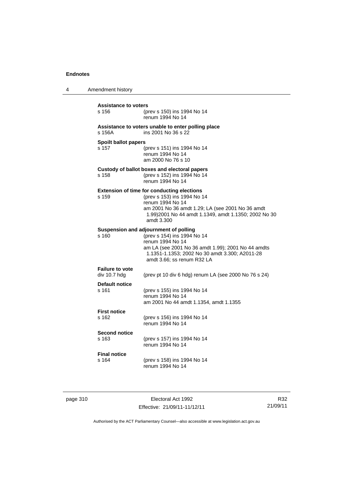4 Amendment history **Assistance to voters** s 156 (prev s 150) ins 1994 No 14 renum 1994 No 14 **Assistance to voters unable to enter polling place** s 156A ins 2001 No 36 s 22 **Spoilt ballot papers** s 157 (prev s 151) ins 1994 No 14 renum 1994 No 14 am 2000 No 76 s 10 **Custody of ballot boxes and electoral papers** s 158 (prev s 152) ins 1994 No 14 renum 1994 No 14 **Extension of time for conducting elections** s 159 (prev s 153) ins 1994 No 14 renum 1994 No 14 am 2001 No 36 amdt 1.29; LA (see 2001 No 36 amdt 1.99)2001 No 44 amdt 1.1349, amdt 1.1350; 2002 No 30 amdt 3.300 **Suspension and adjournment of polling**<br>s 160 (prev s 154) ins 1994 s 160 (prev s 154) ins 1994 No 14 renum 1994 No 14 am LA (see 2001 No 36 amdt 1.99); 2001 No 44 amdts 1.1351-1.1353; 2002 No 30 amdt 3.300; A2011-28 amdt 3.66; ss renum R32 LA **Failure to vote**  (prev pt 10 div 6 hdg) renum LA (see 2000 No 76 s 24) **Default notice** s 161 (prev s 155) ins 1994 No 14 renum 1994 No 14 am 2001 No 44 amdt 1.1354, amdt 1.1355 **First notice** s 162 (prev s 156) ins 1994 No 14 renum 1994 No 14 **Second notice** s 163 (prev s 157) ins 1994 No 14 renum 1994 No 14 **Final notice** s 164 (prev s 158) ins 1994 No 14 renum 1994 No 14

page 310 **Electoral Act 1992** Effective: 21/09/11-11/12/11

R32 21/09/11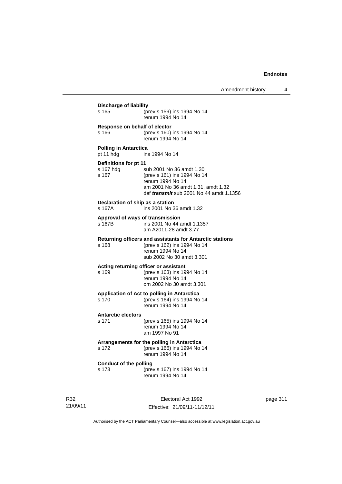| Discharge of liability<br>s 165             | (prev s 159) ins 1994 No 14<br>renum 1994 No 14                                                                                                                     |
|---------------------------------------------|---------------------------------------------------------------------------------------------------------------------------------------------------------------------|
| Response on behalf of elector<br>s 166      | (prev s 160) ins 1994 No 14<br>renum 1994 No 14                                                                                                                     |
| <b>Polling in Antarctica</b><br>pt 11 hdg   | ins 1994 No 14                                                                                                                                                      |
| Definitions for pt 11<br>s 167 hdg<br>s 167 | sub 2001 No 36 amdt 1.30<br>(prev s 161) ins 1994 No 14<br>renum 1994 No 14<br>am 2001 No 36 amdt 1.31, amdt 1.32<br>def <i>transmit</i> sub 2001 No 44 amdt 1.1356 |
| Declaration of ship as a station<br>s 167A  | ins 2001 No 36 amdt 1.32                                                                                                                                            |
| s 167B                                      | Approval of ways of transmission<br>ins 2001 No 44 amdt 1.1357<br>am A2011-28 amdt 3.77                                                                             |
| s 168                                       | Returning officers and assistants for Antarctic stations<br>(prev s 162) ins 1994 No 14<br>renum 1994 No 14<br>sub 2002 No 30 amdt 3.301                            |
| s 169                                       | Acting returning officer or assistant<br>(prev s 163) ins 1994 No 14<br>renum 1994 No 14<br>om 2002 No 30 amdt 3.301                                                |
| s 170                                       | Application of Act to polling in Antarctica<br>(prev s 164) ins 1994 No 14<br>renum 1994 No 14                                                                      |
| <b>Antarctic electors</b><br>s 171          | (prev s 165) ins 1994 No 14<br>renum 1994 No 14<br>am 1997 No 91                                                                                                    |
| s 172                                       | Arrangements for the polling in Antarctica<br>(prev s 166) ins 1994 No 14<br>renum 1994 No 14                                                                       |
| <b>Conduct of the polling</b><br>s 173      | (prev s 167) ins 1994 No 14<br>renum 1994 No 14                                                                                                                     |

R32 21/09/11

Electoral Act 1992 Effective: 21/09/11-11/12/11 page 311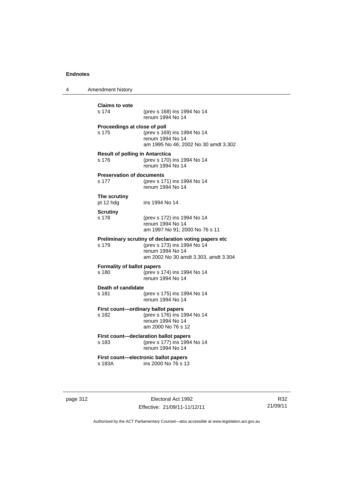4 Amendment history

| <b>Claims to vote</b><br>s 174                  | (prev s 168) ins 1994 No 14<br>renum 1994 No 14                                                                                                  |
|-------------------------------------------------|--------------------------------------------------------------------------------------------------------------------------------------------------|
| Proceedings at close of poll<br>s 175           | (prev s 169) ins 1994 No 14<br>renum 1994 No 14<br>am 1995 No 46; 2002 No 30 amdt 3.302                                                          |
| <b>Result of polling in Antarctica</b><br>s 176 | (prev s 170) ins 1994 No 14<br>renum 1994 No 14                                                                                                  |
| <b>Preservation of documents</b><br>s 177       | (prev s 171) ins 1994 No 14<br>renum 1994 No 14                                                                                                  |
| The scrutiny<br>pt 12 hdg                       | ins 1994 No 14                                                                                                                                   |
| <b>Scrutiny</b><br>s 178                        | (prev s 172) ins 1994 No 14<br>renum 1994 No 14<br>am 1997 No 91; 2000 No 76 s 11                                                                |
| s 179                                           | Preliminary scrutiny of declaration voting papers etc<br>(prev s 173) ins 1994 No 14<br>renum 1994 No 14<br>am 2002 No 30 amdt 3.303, amdt 3.304 |
| <b>Formality of ballot papers</b><br>s 180      | (prev s 174) ins 1994 No 14<br>renum 1994 No 14                                                                                                  |
| Death of candidate<br>s 181                     | (prev s 175) ins 1994 No 14<br>renum 1994 No 14                                                                                                  |
| s 182                                           | First count-ordinary ballot papers<br>(prev s 176) ins 1994 No 14<br>renum 1994 No 14<br>am 2000 No 76 s 12                                      |
| s 183                                           | First count-declaration ballot papers<br>(prev s 177) ins 1994 No 14<br>renum 1994 No 14                                                         |
| s 183A                                          | First count-electronic ballot papers<br>ins 2000 No 76 s 13                                                                                      |

page 312 **Electoral Act 1992** Effective: 21/09/11-11/12/11

R32 21/09/11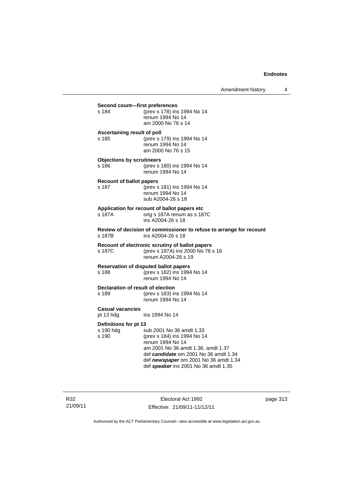| Second count-first preferences              |                                                                                                                                                                                                                                             |
|---------------------------------------------|---------------------------------------------------------------------------------------------------------------------------------------------------------------------------------------------------------------------------------------------|
| s 184                                       | (prev s 178) ins 1994 No 14<br>renum 1994 No 14<br>am 2000 No 76 s 14                                                                                                                                                                       |
| Ascertaining result of poll<br>s 185        | (prev s 179) ins 1994 No 14<br>renum 1994 No 14<br>am 2000 No 76 s 15                                                                                                                                                                       |
| <b>Objections by scrutineers</b><br>s 186   | (prev s 180) ins 1994 No 14<br>renum 1994 No 14                                                                                                                                                                                             |
| <b>Recount of ballot papers</b><br>s 187    | (prev s 181) ins 1994 No 14<br>renum 1994 No 14<br>sub A2004-26 s 18                                                                                                                                                                        |
| s 187A                                      | Application for recount of ballot papers etc<br>orig s 187A renum as s 187C<br>ins A2004-26 s 18                                                                                                                                            |
| s 187B                                      | Review of decision of commissioner to refuse to arrange for recount<br>ins A2004-26 s 18                                                                                                                                                    |
| s 187C                                      | Recount of electronic scrutiny of ballot papers<br>(prev s 187A) ins 2000 No 76 s 16<br>renum A2004-26 s 19                                                                                                                                 |
| s 188                                       | <b>Reservation of disputed ballot papers</b><br>(prev s 182) ins 1994 No 14<br>renum 1994 No 14                                                                                                                                             |
| Declaration of result of election<br>s 189  | (prev s 183) ins 1994 No 14<br>renum 1994 No 14                                                                                                                                                                                             |
| <b>Casual vacancies</b><br>pt 13 hdg        | ins 1994 No 14                                                                                                                                                                                                                              |
| Definitions for pt 13<br>s 190 hdg<br>s 190 | sub 2001 No 36 amdt 1.33<br>(prev s 184) ins 1994 No 14<br>renum 1994 No 14<br>am 2001 No 36 amdt 1.36, amdt 1.37<br>def candidate om 2001 No 36 amdt 1.34<br>def newspaper om 2001 No 36 amdt 1.34<br>def speaker ins 2001 No 36 amdt 1.35 |

R32 21/09/11

Electoral Act 1992 Effective: 21/09/11-11/12/11 page 313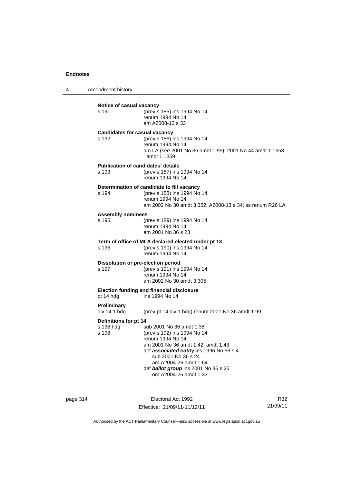4 Amendment history

| s 191                                       | (prev s 185) ins 1994 No 14<br>renum 1994 No 14<br>am A2008-13 s 33                                                                                                                                                                                                            |
|---------------------------------------------|--------------------------------------------------------------------------------------------------------------------------------------------------------------------------------------------------------------------------------------------------------------------------------|
| s 192                                       | <b>Candidates for casual vacancy</b><br>(prev s 186) ins 1994 No 14<br>renum 1994 No 14<br>am LA (see 2001 No 36 amdt 1.99); 2001 No 44 amdt 1.1358,<br>amdt 1.1359                                                                                                            |
| s 193                                       | <b>Publication of candidates' details</b><br>(prev s 187) ins 1994 No 14<br>renum 1994 No 14                                                                                                                                                                                   |
| s 194                                       | Determination of candidate to fill vacancy<br>(prev s 188) ins 1994 No 14<br>renum 1994 No 14<br>am 2002 No 30 amdt 3.352; A2008-13 s 34; ss renum R26 LA                                                                                                                      |
| <b>Assembly nominees</b><br>s 195           | (prev s 189) ins 1994 No 14<br>renum 1994 No 14<br>am 2001 No 36 s 23                                                                                                                                                                                                          |
| s 196                                       | Term of office of MLA declared elected under pt 13<br>(prev s 190) ins 1994 No 14<br>renum 1994 No 14                                                                                                                                                                          |
| s 197                                       | Dissolution or pre-election period<br>(prev s 191) ins 1994 No 14<br>renum 1994 No 14<br>am 2002 No 30 amdt 3.305                                                                                                                                                              |
| pt 14 hdg                                   | <b>Election funding and financial disclosure</b><br>ins 1994 No 14                                                                                                                                                                                                             |
| <b>Preliminary</b><br>div 14.1 hdg          | (prev pt 14 div 1 hdg) renum 2001 No 36 amdt 1.99                                                                                                                                                                                                                              |
| Definitions for pt 14<br>s 198 hdg<br>s 198 | sub 2001 No 36 amdt 1.38<br>(prev s 192) ins 1994 No 14<br>renum 1994 No 14<br>am 2001 No 36 amdt 1.42, amdt 1.43<br>def associated entity ins 1996 No 56 s 4<br>sub 2001 No 36 s 24<br>am A2004-26 amdt 1.64<br>def ballot group ins 2001 No 36 s 25<br>om A2004-26 amdt 1.33 |

page 314 Electoral Act 1992 Effective: 21/09/11-11/12/11

R32 21/09/11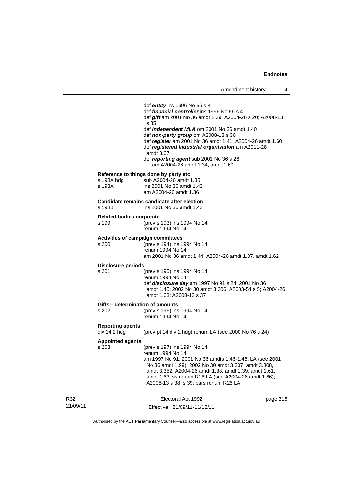|                 |                                                   | def <i>entity</i> ins 1996 No 56 s 4<br>def <i>financial controller</i> ins 1996 No 56 s 4<br>def gift am 2001 No 36 amdt 1.39; A2004-26 s 20; A2008-13<br>s 35<br>def <i>independent MLA</i> om 2001 No 36 amdt 1.40<br>def non-party group om A2008-13 s 36<br>def register am 2001 No 36 amdt 1.41; A2004-26 amdt 1.60<br>def registered industrial organisation am A2011-28<br>amdt 3.67<br>def reporting agent sub 2001 No 36 s 26<br>am A2004-26 amdt 1.34, amdt 1.60 |          |
|-----------------|---------------------------------------------------|-----------------------------------------------------------------------------------------------------------------------------------------------------------------------------------------------------------------------------------------------------------------------------------------------------------------------------------------------------------------------------------------------------------------------------------------------------------------------------|----------|
|                 | s 198A hdg<br>s 198A                              | Reference to things done by party etc<br>sub A2004-26 amdt 1.35<br>ins 2001 No 36 amdt 1.43<br>am A2004-26 amdt 1.36                                                                                                                                                                                                                                                                                                                                                        |          |
|                 | s 198B                                            | Candidate remains candidate after election<br>ins 2001 No 36 amdt 1.43                                                                                                                                                                                                                                                                                                                                                                                                      |          |
|                 | <b>Related bodies corporate</b><br>s 199          | (prev s 193) ins 1994 No 14<br>renum 1994 No 14                                                                                                                                                                                                                                                                                                                                                                                                                             |          |
|                 | <b>Activities of campaign committees</b><br>s 200 | (prev s 194) ins 1994 No 14<br>renum 1994 No 14<br>am 2001 No 36 amdt 1.44; A2004-26 amdt 1.37, amdt 1.62                                                                                                                                                                                                                                                                                                                                                                   |          |
|                 | <b>Disclosure periods</b><br>s 201                | (prev s 195) ins 1994 No 14<br>renum 1994 No 14<br>def disclosure day am 1997 No 91 s 24; 2001 No 36<br>amdt 1.45; 2002 No 30 amdt 3.306; A2003-54 s 5; A2004-26<br>amdt 1.63; A2008-13 s 37                                                                                                                                                                                                                                                                                |          |
|                 | Gifts-determination of amounts<br>s 202           | (prev s 196) ins 1994 No 14<br>renum 1994 No 14                                                                                                                                                                                                                                                                                                                                                                                                                             |          |
|                 | <b>Reporting agents</b><br>div 14.2 hdg           | (prev pt 14 div 2 hdg) renum LA (see 2000 No 76 s 24)                                                                                                                                                                                                                                                                                                                                                                                                                       |          |
|                 | <b>Appointed agents</b><br>s 203                  | (prev s 197) ins 1994 No 14<br>renum 1994 No 14<br>am 1997 No 91; 2001 No 36 amdts 1.46-1.48; LA (see 2001<br>No 36 amdt 1.99); 2002 No 30 amdt 3.307, amdt 3.308,<br>amdt 3.352; A2004-26 amdt 1.38, amdt 1.39, amdt 1.61,<br>amdt 1.63; ss renum R16 LA (see A2004-26 amdt 1.66);<br>A2008-13 s 38, s 39; pars renum R26 LA                                                                                                                                               |          |
| R32<br>21/09/11 |                                                   | Electoral Act 1992<br>Effective: 21/09/11-11/12/11                                                                                                                                                                                                                                                                                                                                                                                                                          | page 315 |

Authorised by the ACT Parliamentary Counsel—also accessible at www.legislation.act.gov.au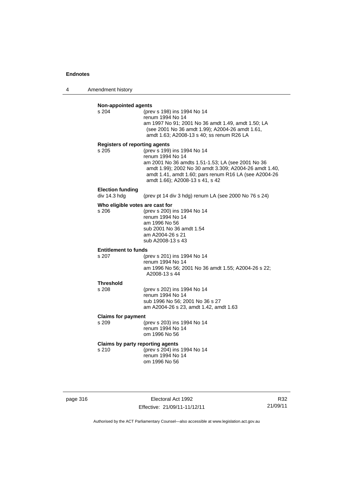4 Amendment history

| s 204                                            | (prev s 198) ins 1994 No 14                                                                                                                                                                             |
|--------------------------------------------------|---------------------------------------------------------------------------------------------------------------------------------------------------------------------------------------------------------|
|                                                  | renum 1994 No 14                                                                                                                                                                                        |
|                                                  | am 1997 No 91; 2001 No 36 amdt 1.49, amdt 1.50; LA                                                                                                                                                      |
|                                                  | (see 2001 No 36 amdt 1.99); A2004-26 amdt 1.61,<br>amdt 1.63; A2008-13 s 40; ss renum R26 LA                                                                                                            |
| <b>Registers of reporting agents</b>             |                                                                                                                                                                                                         |
| s 205                                            | (prev s 199) ins 1994 No 14                                                                                                                                                                             |
|                                                  | renum 1994 No 14                                                                                                                                                                                        |
|                                                  | am 2001 No 36 amdts 1.51-1.53; LA (see 2001 No 36<br>amdt 1.99); 2002 No 30 amdt 3.309; A2004-26 amdt 1.40,<br>amdt 1.41, amdt 1.60; pars renum R16 LA (see A2004-26<br>amdt 1.66); A2008-13 s 41, s 42 |
|                                                  |                                                                                                                                                                                                         |
| <b>Election funding</b><br>div 14.3 hdg          | (prev pt 14 div 3 hdg) renum LA (see 2000 No 76 s 24)                                                                                                                                                   |
| Who eligible votes are cast for                  |                                                                                                                                                                                                         |
| s 206                                            | (prev s 200) ins 1994 No 14                                                                                                                                                                             |
|                                                  | renum 1994 No 14                                                                                                                                                                                        |
|                                                  | am 1996 No 56<br>sub 2001 No 36 amdt 1.54                                                                                                                                                               |
|                                                  | am A2004-26 s 21                                                                                                                                                                                        |
|                                                  | sub A2008-13 s 43                                                                                                                                                                                       |
| <b>Entitlement to funds</b>                      |                                                                                                                                                                                                         |
| s 207                                            | (prev s 201) ins 1994 No 14                                                                                                                                                                             |
|                                                  | renum 1994 No 14<br>am 1996 No 56; 2001 No 36 amdt 1.55; A2004-26 s 22;                                                                                                                                 |
|                                                  | A2008-13 s 44                                                                                                                                                                                           |
| <b>Threshold</b>                                 |                                                                                                                                                                                                         |
| s 208                                            | (prev s 202) ins 1994 No 14                                                                                                                                                                             |
|                                                  | renum 1994 No 14<br>sub 1996 No 56; 2001 No 36 s 27                                                                                                                                                     |
|                                                  | am A2004-26 s 23, amdt 1.42, amdt 1.63                                                                                                                                                                  |
| <b>Claims for payment</b>                        |                                                                                                                                                                                                         |
| s 209                                            | (prev s 203) ins 1994 No 14                                                                                                                                                                             |
|                                                  | renum 1994 No 14<br>om 1996 No 56                                                                                                                                                                       |
|                                                  |                                                                                                                                                                                                         |
|                                                  |                                                                                                                                                                                                         |
| <b>Claims by party reporting agents</b><br>s 210 | (prev s 204) ins 1994 No 14<br>renum 1994 No 14                                                                                                                                                         |

page 316 Electoral Act 1992 Effective: 21/09/11-11/12/11

R32 21/09/11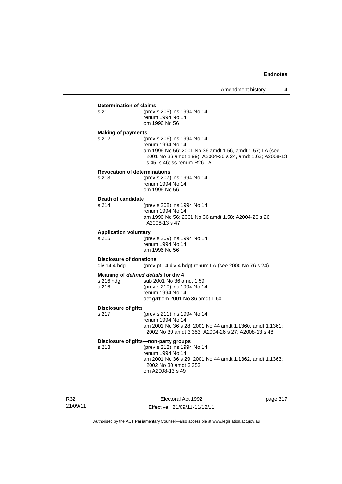## **Determination of claims**<br>s 211 (prev

(prev s 205) ins 1994 No 14 renum 1994 No 14 om 1996 No 56

#### **Making of payments**

s 212 (prev s 206) ins 1994 No 14 renum 1994 No 14 am 1996 No 56; 2001 No 36 amdt 1.56, amdt 1.57; LA (see 2001 No 36 amdt 1.99); A2004-26 s 24, amdt 1.63; A2008-13 s 45, s 46; ss renum R26 LA

#### **Revocation of determinations**

| s 213 | (prev s 207) ins 1994 No 14 |
|-------|-----------------------------|
|       | renum 1994 No 14            |
|       | om 1996 No 56               |

# **Death of candidate**

(prev s 208) ins 1994 No 14 renum 1994 No 14 am 1996 No 56; 2001 No 36 amdt 1.58; A2004-26 s 26; A2008-13 s 47

#### **Application voluntary**

s 215 (prev s 209) ins 1994 No 14 renum 1994 No 14 am 1996 No 56

# **Disclosure of donations**<br>div 14.4 hdg (prev)

(prev pt 14 div 4 hdg) renum LA (see 2000 No 76 s 24)

#### **Meaning of** *defined details* **for div 4**

| s 216 hda | sub 2001 No 36 amdt 1.59         |
|-----------|----------------------------------|
| s 216     | (prev s 210) ins 1994 No 14      |
|           | renum 1994 No 14                 |
|           | def gift om 2001 No 36 amdt 1.60 |

#### **Disclosure of gifts**

s 217 (prev s 211) ins 1994 No 14 renum 1994 No 14 am 2001 No 36 s 28; 2001 No 44 amdt 1.1360, amdt 1.1361; 2002 No 30 amdt 3.353; A2004-26 s 27; A2008-13 s 48

## **Disclosure of gifts—non-party groups**

s 218 (prev s 212) ins 1994 No 14 renum 1994 No 14 am 2001 No 36 s 29; 2001 No 44 amdt 1.1362, amdt 1.1363; 2002 No 30 amdt 3.353 om A2008-13 s 49

R32 21/09/11

Electoral Act 1992 Effective: 21/09/11-11/12/11 page 317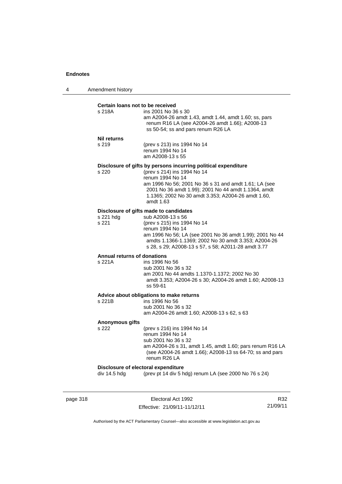| 4 | Amendment history |
|---|-------------------|
|---|-------------------|

#### **Certain loans not to be received**

| s 218A | ins 2001 No 36 s 30                                                                                      |
|--------|----------------------------------------------------------------------------------------------------------|
|        | am A2004-26 amdt 1.43, amdt 1.44, amdt 1.60; ss, pars<br>renum R16 LA (see A2004-26 amdt 1.66); A2008-13 |
|        | ss 50-54; ss and pars renum R26 LA                                                                       |

#### **Nil returns**

s 219 (prev s 213) ins 1994 No 14 renum 1994 No 14 am A2008-13 s 55

#### **Disclosure of gifts by persons incurring political expenditure**

s 220 (prev s 214) ins 1994 No 14 renum 1994 No 14 am 1996 No 56; 2001 No 36 s 31 and amdt 1.61; LA (see 2001 No 36 amdt 1.99); 2001 No 44 amdt 1.1364, amdt 1.1365; 2002 No 30 amdt 3.353; A2004-26 amdt 1.60, amdt 1.63

#### **Disclosure of gifts made to candidates**

| s 221 hda | sub A2008-13 s 56                                        |
|-----------|----------------------------------------------------------|
| s 221     | (prev s 215) ins 1994 No 14                              |
|           | renum 1994 No 14                                         |
|           | am 1996 No 56; LA (see 2001 No 36 amdt 1.99); 2001 No 44 |
|           | amdts 1.1366-1.1369: 2002 No 30 amdt 3.353: A2004-26     |
|           | s 28, s 29; A2008-13 s 57, s 58; A2011-28 amdt 3.77      |
|           |                                                          |

## **Annual returns of donations**

ins 1996 No 56 sub 2001 No 36 s 32 am 2001 No 44 amdts 1.1370-1.1372; 2002 No 30 amdt 3.353; A2004-26 s 30; A2004-26 amdt 1.60; A2008-13 ss 59-61

#### **Advice about obligations to make returns**

| s 221B | ins 1996 No 56                             |
|--------|--------------------------------------------|
|        | sub 2001 No 36 s 32                        |
|        | am A2004-26 amdt 1.60: A2008-13 s 62, s 63 |
|        |                                            |

#### **Anonymous gifts**

s 222 (prev s 216) ins 1994 No 14 renum 1994 No 14 sub 2001 No 36 s 32 am A2004-26 s 31, amdt 1.45, amdt 1.60; pars renum R16 LA (see A2004-26 amdt 1.66); A2008-13 ss 64-70; ss and pars renum R26 LA

#### **Disclosure of electoral expenditure**

div 14.5 hdg (prev pt 14 div 5 hdg) renum LA (see 2000 No 76 s 24)

page 318 **Electoral Act 1992** Effective: 21/09/11-11/12/11

R32 21/09/11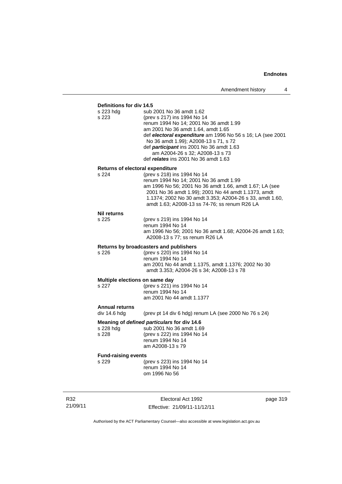## **Definitions for div 14.5**

| s 223 hdg<br>s 223                      | sub 2001 No 36 amdt 1.62<br>(prev s 217) ins 1994 No 14<br>renum 1994 No 14; 2001 No 36 amdt 1.99<br>am 2001 No 36 amdt 1.64, amdt 1.65<br>def electoral expenditure am 1996 No 56 s 16; LA (see 2001<br>No 36 amdt 1.99); A2008-13 s 71, s 72<br>def participant ins 2001 No 36 amdt 1.63<br>am A2004-26 s 32; A2008-13 s 73<br>def <i>relates</i> ins 2001 No 36 amdt 1.63 |
|-----------------------------------------|------------------------------------------------------------------------------------------------------------------------------------------------------------------------------------------------------------------------------------------------------------------------------------------------------------------------------------------------------------------------------|
| <b>Returns of electoral expenditure</b> |                                                                                                                                                                                                                                                                                                                                                                              |
| s 224                                   | (prev s 218) ins 1994 No 14<br>renum 1994 No 14; 2001 No 36 amdt 1.99<br>am 1996 No 56; 2001 No 36 amdt 1.66, amdt 1.67; LA (see<br>2001 No 36 amdt 1.99); 2001 No 44 amdt 1.1373, amdt<br>1.1374; 2002 No 30 amdt 3.353; A2004-26 s 33, amdt 1.60,<br>amdt 1.63; A2008-13 ss 74-76; ss renum R26 LA                                                                         |
| Nil returns                             |                                                                                                                                                                                                                                                                                                                                                                              |
| s 225                                   | (prev s 219) ins 1994 No 14<br>renum 1994 No 14<br>am 1996 No 56; 2001 No 36 amdt 1.68; A2004-26 amdt 1.63;<br>A2008-13 s 77; ss renum R26 LA                                                                                                                                                                                                                                |
|                                         | Returns by broadcasters and publishers                                                                                                                                                                                                                                                                                                                                       |
| s 226                                   | (prev s 220) ins 1994 No 14<br>renum 1994 No 14<br>am 2001 No 44 amdt 1.1375, amdt 1.1376; 2002 No 30<br>amdt 3.353; A2004-26 s 34; A2008-13 s 78                                                                                                                                                                                                                            |
| Multiple elections on same day          |                                                                                                                                                                                                                                                                                                                                                                              |
| s 227                                   | (prev s 221) ins 1994 No 14<br>renum 1994 No 14<br>am 2001 No 44 amdt 1.1377                                                                                                                                                                                                                                                                                                 |
| <b>Annual returns</b><br>div 14.6 hdg   | (prev pt 14 div 6 hdg) renum LA (see 2000 No 76 s 24)                                                                                                                                                                                                                                                                                                                        |
| s 228 hdg<br>s 228                      | Meaning of defined particulars for div 14.6<br>sub 2001 No 36 amdt 1.69<br>(prev s 222) ins 1994 No 14<br>renum 1994 No 14<br>am A2008-13 s 79                                                                                                                                                                                                                               |
| <b>Fund-raising events</b>              |                                                                                                                                                                                                                                                                                                                                                                              |
| s 229                                   | (prev s 223) ins 1994 No 14<br>renum 1994 No 14<br>om 1996 No 56                                                                                                                                                                                                                                                                                                             |
|                                         |                                                                                                                                                                                                                                                                                                                                                                              |

R32 21/09/11

Electoral Act 1992 Effective: 21/09/11-11/12/11 page 319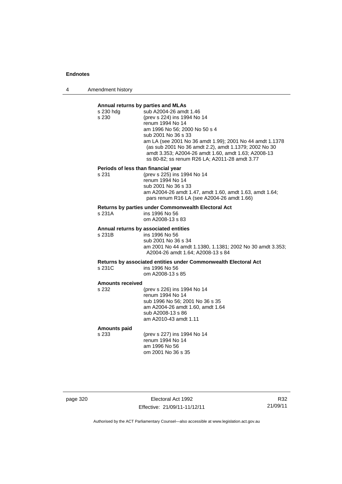4 Amendment history

### **Annual returns by parties and MLAs**  s 230 hdg sub A2004-26 amdt 1.46 s 230 (prev s 224) ins 1994 No 14 renum 1994 No 14 am 1996 No 56; 2000 No 50 s 4 sub 2001 No 36 s 33 am LA (see 2001 No 36 amdt 1.99); 2001 No 44 amdt 1.1378 (as sub 2001 No 36 amdt 2.2), amdt 1.1379; 2002 No 30 amdt 3.353; A2004-26 amdt 1.60, amdt 1.63; A2008-13 ss 80-82; ss renum R26 LA; A2011-28 amdt 3.77 **Periods of less than financial year**<br>s 231 (prev s 225) ins 1 (prev s 225) ins 1994 No 14 renum 1994 No 14 sub 2001 No 36 s 33 am A2004-26 amdt 1.47, amdt 1.60, amdt 1.63, amdt 1.64; pars renum R16 LA (see A2004-26 amdt 1.66) **Returns by parties under Commonwealth Electoral Act** s 231A ins 1996 No 56 om A2008-13 s 83 **Annual returns by associated entities** s 231B ins 1996 No 56 sub 2001 No 36 s 34 am 2001 No 44 amdt 1.1380, 1.1381; 2002 No 30 amdt 3.353; A2004-26 amdt 1.64; A2008-13 s 84 **Returns by associated entities under Commonwealth Electoral Act** ins 1996 No 56 om A2008-13 s 85 **Amounts received**  s 232 (prev s 226) ins 1994 No 14 renum 1994 No 14 sub 1996 No 56; 2001 No 36 s 35 am A2004-26 amdt 1.60, amdt 1.64 sub A2008-13 s 86 am A2010-43 amdt 1.11

**Amounts paid** 

s 233 (prev s 227) ins 1994 No 14 renum 1994 No 14 am 1996 No 56 om 2001 No 36 s 35

page 320 **Electoral Act 1992** Effective: 21/09/11-11/12/11

R32 21/09/11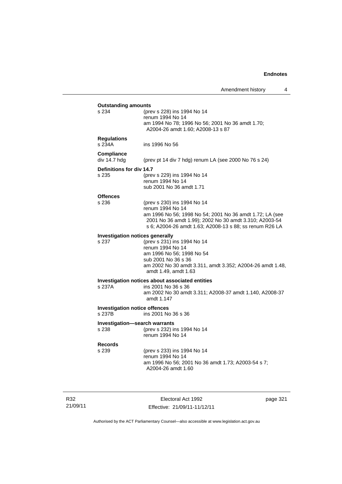| <b>Outstanding amounts</b><br>s 234  |                                                           |
|--------------------------------------|-----------------------------------------------------------|
|                                      | (prev s 228) ins 1994 No 14<br>renum 1994 No 14           |
|                                      | am 1994 No 78; 1996 No 56; 2001 No 36 amdt 1.70;          |
|                                      | A2004-26 amdt 1.60; A2008-13 s 87                         |
|                                      |                                                           |
| <b>Regulations</b>                   |                                                           |
| s 234A                               | ins 1996 No 56                                            |
| Compliance                           |                                                           |
| div 14.7 hdg                         | (prev pt 14 div 7 hdg) renum LA (see 2000 No 76 s 24)     |
|                                      |                                                           |
| Definitions for div 14.7<br>s 235    | (prev s 229) ins 1994 No 14                               |
|                                      | renum 1994 No 14                                          |
|                                      | sub 2001 No 36 amdt 1.71                                  |
|                                      |                                                           |
| <b>Offences</b>                      |                                                           |
| s 236                                | (prev s 230) ins 1994 No 14                               |
|                                      | renum 1994 No 14                                          |
|                                      | am 1996 No 56; 1998 No 54; 2001 No 36 amdt 1.72; LA (see  |
|                                      | 2001 No 36 amdt 1.99); 2002 No 30 amdt 3.310; A2003-54    |
|                                      | s 6; A2004-26 amdt 1.63; A2008-13 s 88; ss renum R26 LA   |
| Investigation notices generally      |                                                           |
| s 237                                | (prev s 231) ins 1994 No 14                               |
|                                      | renum 1994 No 14                                          |
|                                      | am 1996 No 56; 1998 No 54                                 |
|                                      | sub 2001 No 36 s 36                                       |
|                                      | am 2002 No 30 amdt 3.311, amdt 3.352; A2004-26 amdt 1.48, |
|                                      | amdt 1.49, amdt 1.63                                      |
|                                      | Investigation notices about associated entities           |
| s 237A                               | ins 2001 No 36 s 36                                       |
|                                      | am 2002 No 30 amdt 3.311; A2008-37 amdt 1.140, A2008-37   |
|                                      | amdt 1.147                                                |
| <b>Investigation notice offences</b> |                                                           |
| s 237B                               | ins 2001 No 36 s 36                                       |
|                                      |                                                           |
| Investigation-search warrants        |                                                           |
| s 238                                | (prev s 232) ins 1994 No 14                               |
|                                      | renum 1994 No 14                                          |
| <b>Records</b>                       |                                                           |
| s 239                                | (prev s 233) ins 1994 No 14                               |
|                                      | renum 1994 No 14                                          |
|                                      | am 1996 No 56; 2001 No 36 amdt 1.73; A2003-54 s 7;        |
|                                      | A2004-26 amdt 1.60                                        |
|                                      |                                                           |
|                                      |                                                           |
|                                      |                                                           |

R32 21/09/11

Electoral Act 1992 Effective: 21/09/11-11/12/11 page 321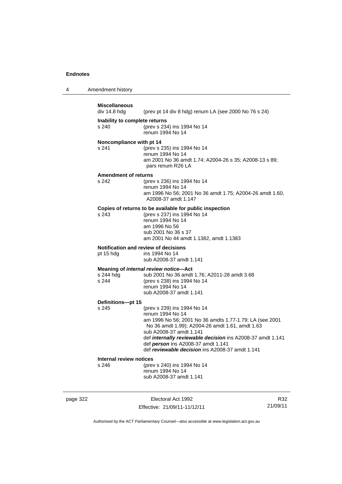| 4 | Amendment history |
|---|-------------------|
|---|-------------------|

## **Miscellaneous**  (prev pt 14 div 8 hdg) renum LA (see 2000 No 76 s 24) **Inability to complete returns** s 240 (prev s 234) ins 1994 No 14 renum 1994 No 14 **Noncompliance with pt 14** s 241 (prev s 235) ins 1994 No 14 renum 1994 No 14 am 2001 No 36 amdt 1.74; A2004-26 s 35; A2008-13 s 89; pars renum R26 LA **Amendment of returns**<br>s 242 (prev (prev s 236) ins 1994 No 14 renum 1994 No 14 am 1996 No 56; 2001 No 36 amdt 1.75; A2004-26 amdt 1.60, A2008-37 amdt 1.147 **Copies of returns to be available for public inspection** s 243 (prev s 237) ins 1994 No 14 renum 1994 No 14 am 1996 No 56 sub 2001 No 36 s 37 am 2001 No 44 amdt 1.1382, amdt 1.1383 **Notification and review of decisions** pt 15 hdg ins 1994 No 14 sub A2008-37 amdt 1.141 **Meaning of** *internal review notice***—Act**<br>s 244 hdd s 2001 No 36 amdt s 244 hdg sub 2001 No 36 amdt 1.76; A2011-28 amdt 3.68<br>s 244 s (prev s 238) ins 1994 No 14 s 244 (prev s 238) ins 1994 No 14 renum 1994 No 14 sub A2008-37 amdt 1.141 **Definitions—pt 15** s 245 (prev s 239) ins 1994 No 14 renum 1994 No 14 am 1996 No 56; 2001 No 36 amdts 1.77-1.79; LA (see 2001 No 36 amdt 1.99); A2004-26 amdt 1.61, amdt 1.63 sub A2008-37 amdt 1.141 def *internally reviewable decision* ins A2008-37 amdt 1.141 def *person* ins A2008-37 amdt 1.141 def *reviewable decision* ins A2008-37 amdt 1.141 **Internal review notices**<br>s 246 (prev s 246 (prev s 240) ins 1994 No 14 renum 1994 No 14 sub A2008-37 amdt 1.141

page 322 Electoral Act 1992 Effective: 21/09/11-11/12/11

R32 21/09/11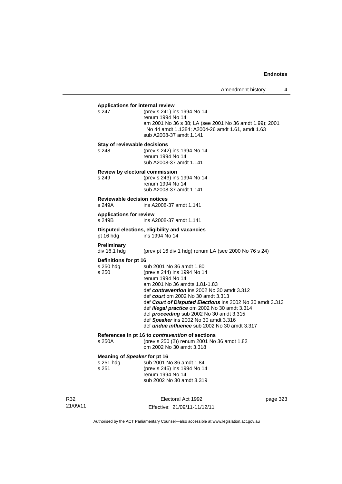|                                                    | Applications for internal review                                                                                                                                                                                                                                                                                                                                                                                                                             |          |
|----------------------------------------------------|--------------------------------------------------------------------------------------------------------------------------------------------------------------------------------------------------------------------------------------------------------------------------------------------------------------------------------------------------------------------------------------------------------------------------------------------------------------|----------|
| s 247                                              | (prev s 241) ins 1994 No 14<br>renum 1994 No 14<br>am 2001 No 36 s 38; LA (see 2001 No 36 amdt 1.99); 2001<br>No 44 amdt 1.1384; A2004-26 amdt 1.61, amdt 1.63<br>sub A2008-37 amdt 1.141                                                                                                                                                                                                                                                                    |          |
| Stay of reviewable decisions<br>s 248              | (prev s 242) ins 1994 No 14<br>renum 1994 No 14<br>sub A2008-37 amdt 1.141                                                                                                                                                                                                                                                                                                                                                                                   |          |
| s 249                                              | Review by electoral commission<br>(prev s 243) ins 1994 No 14<br>renum 1994 No 14<br>sub A2008-37 amdt 1.141                                                                                                                                                                                                                                                                                                                                                 |          |
| <b>Reviewable decision notices</b><br>s 249A       | ins A2008-37 amdt 1.141                                                                                                                                                                                                                                                                                                                                                                                                                                      |          |
| <b>Applications for review</b><br>s 249B           | ins A2008-37 amdt 1.141                                                                                                                                                                                                                                                                                                                                                                                                                                      |          |
| pt 16 hdg                                          | Disputed elections, eligibility and vacancies<br>ins 1994 No 14                                                                                                                                                                                                                                                                                                                                                                                              |          |
| <b>Preliminary</b><br>div 16.1 hdg                 | (prev pt 16 div 1 hdg) renum LA (see 2000 No 76 s 24)                                                                                                                                                                                                                                                                                                                                                                                                        |          |
| Definitions for pt 16<br>s 250 hdg<br>s 250        | sub 2001 No 36 amdt 1.80<br>(prev s 244) ins 1994 No 14<br>renum 1994 No 14<br>am 2001 No 36 amdts 1.81-1.83<br>def contravention ins 2002 No 30 amdt 3.312<br>def court om 2002 No 30 amdt 3.313<br>def Court of Disputed Elections ins 2002 No 30 amdt 3.313<br>def illegal practice om 2002 No 30 amdt 3.314<br>def proceeding sub 2002 No 30 amdt 3.315<br>def Speaker ins 2002 No 30 amdt 3.316<br>def <i>undue influence</i> sub 2002 No 30 amdt 3.317 |          |
| s 250A                                             | References in pt 16 to contravention of sections<br>(prev s 250 (2)) renum 2001 No 36 amdt 1.82<br>om 2002 No 30 amdt 3.318                                                                                                                                                                                                                                                                                                                                  |          |
| Meaning of Speaker for pt 16<br>s 251 hdg<br>s 251 | sub 2001 No 36 amdt 1.84<br>(prev s 245) ins 1994 No 14<br>renum 1994 No 14<br>sub 2002 No 30 amdt 3.319                                                                                                                                                                                                                                                                                                                                                     |          |
|                                                    | Electoral Act 1992                                                                                                                                                                                                                                                                                                                                                                                                                                           | naga 321 |

R32 21/09/11

Electoral Act 1992 Effective: 21/09/11-11/12/11 page 323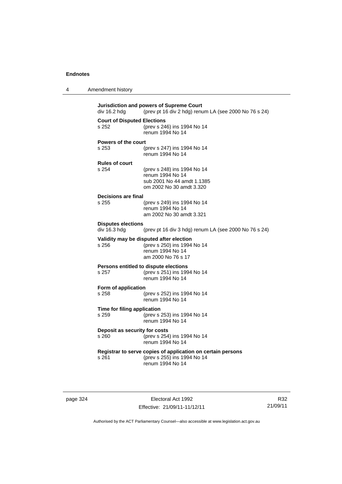| 4 | Amendment history |
|---|-------------------|
|---|-------------------|

| Jurisdiction and powers of Supreme Court<br>(prev pt 16 div 2 hdg) renum LA (see 2000 No 76 s 24)<br>div 16.2 hdg |                                                             |  |
|-------------------------------------------------------------------------------------------------------------------|-------------------------------------------------------------|--|
| <b>Court of Disputed Elections</b>                                                                                |                                                             |  |
|                                                                                                                   |                                                             |  |
| s 252                                                                                                             | (prev s 246) ins 1994 No 14                                 |  |
|                                                                                                                   | renum 1994 No 14                                            |  |
|                                                                                                                   |                                                             |  |
| <b>Powers of the court</b>                                                                                        |                                                             |  |
| s 253                                                                                                             | (prev s 247) ins 1994 No 14                                 |  |
|                                                                                                                   | renum 1994 No 14                                            |  |
|                                                                                                                   |                                                             |  |
| <b>Rules of court</b>                                                                                             |                                                             |  |
|                                                                                                                   |                                                             |  |
| s 254                                                                                                             | (prev s 248) ins 1994 No 14                                 |  |
|                                                                                                                   | renum 1994 No 14                                            |  |
|                                                                                                                   | sub 2001 No 44 amdt 1.1385                                  |  |
|                                                                                                                   | om 2002 No 30 amdt 3.320                                    |  |
|                                                                                                                   |                                                             |  |
| <b>Decisions are final</b>                                                                                        |                                                             |  |
| s 255                                                                                                             | (prev s 249) ins 1994 No 14                                 |  |
|                                                                                                                   | renum 1994 No 14                                            |  |
|                                                                                                                   |                                                             |  |
|                                                                                                                   | am 2002 No 30 amdt 3.321                                    |  |
|                                                                                                                   |                                                             |  |
| <b>Disputes elections</b>                                                                                         |                                                             |  |
| div 16.3 hdg                                                                                                      | (prev pt 16 div 3 hdg) renum LA (see 2000 No 76 s 24)       |  |
|                                                                                                                   |                                                             |  |
|                                                                                                                   | Validity may be disputed after election                     |  |
| s 256                                                                                                             | (prev s 250) ins 1994 No 14                                 |  |
|                                                                                                                   | renum 1994 No 14                                            |  |
|                                                                                                                   | am 2000 No 76 s 17                                          |  |
|                                                                                                                   |                                                             |  |
|                                                                                                                   | Persons entitled to dispute elections                       |  |
| s 257                                                                                                             | (prev s 251) ins 1994 No 14                                 |  |
|                                                                                                                   | renum 1994 No 14                                            |  |
|                                                                                                                   |                                                             |  |
| Form of application                                                                                               |                                                             |  |
| s 258                                                                                                             | (prev s 252) ins 1994 No 14                                 |  |
|                                                                                                                   | renum 1994 No 14                                            |  |
|                                                                                                                   |                                                             |  |
| Time for filing application                                                                                       |                                                             |  |
| s 259                                                                                                             | (prev s 253) ins 1994 No 14                                 |  |
|                                                                                                                   |                                                             |  |
|                                                                                                                   | renum 1994 No 14                                            |  |
| Deposit as security for costs                                                                                     |                                                             |  |
|                                                                                                                   |                                                             |  |
| s 260                                                                                                             | (prev s 254) ins 1994 No 14                                 |  |
|                                                                                                                   | renum 1994 No 14                                            |  |
|                                                                                                                   |                                                             |  |
|                                                                                                                   | Registrar to serve copies of application on certain persons |  |
| s 261                                                                                                             | (prev s 255) ins 1994 No 14                                 |  |
|                                                                                                                   | renum 1994 No 14                                            |  |
|                                                                                                                   |                                                             |  |
|                                                                                                                   |                                                             |  |
|                                                                                                                   |                                                             |  |

page 324 Electoral Act 1992 Effective: 21/09/11-11/12/11

R32 21/09/11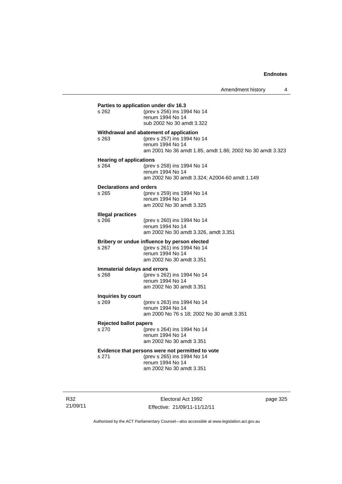| s 262                                   | (prev s 256) ins 1994 No 14<br>renum 1994 No 14<br>sub 2002 No 30 amdt 3.322                                                                            |
|-----------------------------------------|---------------------------------------------------------------------------------------------------------------------------------------------------------|
| s 263                                   | Withdrawal and abatement of application<br>(prev s 257) ins 1994 No 14<br>renum 1994 No 14<br>am 2001 No 36 amdt 1.85, amdt 1.86; 2002 No 30 amdt 3.323 |
| <b>Hearing of applications</b><br>s 264 | (prev s 258) ins 1994 No 14<br>renum 1994 No 14<br>am 2002 No 30 amdt 3.324; A2004-60 amdt 1.149                                                        |
| <b>Declarations and orders</b><br>s 265 | (prev s 259) ins 1994 No 14<br>renum 1994 No 14<br>am 2002 No 30 amdt 3.325                                                                             |
| <b>Illegal practices</b><br>s 266       | (prev s 260) ins 1994 No 14<br>renum 1994 No 14<br>am 2002 No 30 amdt 3.326, amdt 3.351                                                                 |
| s 267                                   | Bribery or undue influence by person elected<br>(prev s 261) ins 1994 No 14<br>renum 1994 No 14<br>am 2002 No 30 amdt 3.351                             |
| s 268                                   | Immaterial delays and errors<br>(prev s 262) ins 1994 No 14<br>renum 1994 No 14<br>am 2002 No 30 amdt 3.351                                             |
| Inquiries by court<br>s 269             | (prev s 263) ins 1994 No 14<br>renum 1994 No 14<br>am 2000 No 76 s 18; 2002 No 30 amdt 3.351                                                            |
| <b>Rejected ballot papers</b><br>s.270  | (prev s 264) ins 1994 No 14<br>renum 1994 No 14<br>am 2002 No 30 amdt 3.351                                                                             |
| s 271                                   | Evidence that persons were not permitted to vote<br>(prev s 265) ins 1994 No 14<br>renum 1994 No 14<br>am 2002 No 30 amdt 3.351                         |

R32 21/09/11

Electoral Act 1992 Effective: 21/09/11-11/12/11 page 325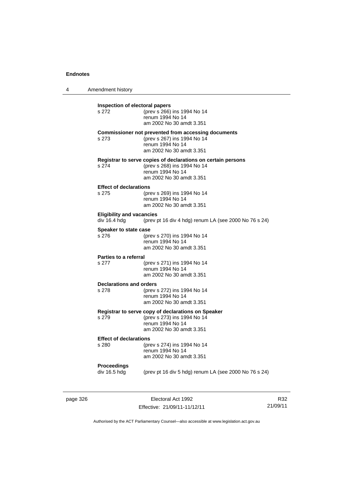4 Amendment history

**Inspection of electoral papers**<br>s 272 (prev s 266) (prev s 266) ins 1994 No 14 renum 1994 No 14 am 2002 No 30 amdt 3.351 **Commissioner not prevented from accessing documents** s 273 (prev s 267) ins 1994 No 14

renum 1994 No 14 am 2002 No 30 amdt 3.351 **Registrar to serve copies of declarations on certain persons**

s 274 (prev s 268) ins 1994 No 14 renum 1994 No 14 am 2002 No 30 amdt 3.351

#### **Effect of declarations**

s 275 (prev s 269) ins 1994 No 14 renum 1994 No 14 am 2002 No 30 amdt 3.351

#### **Eligibility and vacancies**

div 16.4 hdg (prev pt 16 div 4 hdg) renum LA (see 2000 No 76 s 24)

# **Speaker to state case**<br>s 276 (pre

s 276 (prev s 270) ins 1994 No 14 renum 1994 No 14 am 2002 No 30 amdt 3.351

#### **Parties to a referral**

s 277 (prev s 271) ins 1994 No 14 renum 1994 No 14 am 2002 No 30 amdt 3.351

#### **Declarations and orders**

s 278 (prev s 272) ins 1994 No 14 renum 1994 No 14 am 2002 No 30 amdt 3.351

**Registrar to serve copy of declarations on Speaker**

s 279 (prev s 273) ins 1994 No 14 renum 1994 No 14 am 2002 No 30 amdt 3.351

#### **Effect of declarations**

s 280 (prev s 274) ins 1994 No 14 renum 1994 No 14 am 2002 No 30 amdt 3.351

# **Proceedings**

(prev pt 16 div 5 hdg) renum LA (see 2000 No 76 s 24)

page 326 **Electoral Act 1992** Effective: 21/09/11-11/12/11

R32 21/09/11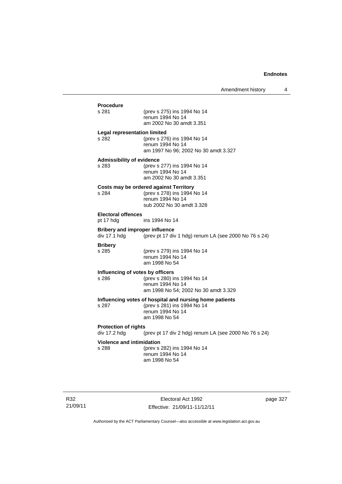| <b>Procedure</b><br>s 281                             | (prev s 275) ins 1994 No 14<br>renum 1994 No 14<br>am 2002 No 30 amdt 3.351                                                 |
|-------------------------------------------------------|-----------------------------------------------------------------------------------------------------------------------------|
| <b>Legal representation limited</b><br>s 282          | (prev s 276) ins 1994 No 14<br>renum 1994 No 14<br>am 1997 No 96; 2002 No 30 amdt 3.327                                     |
| <b>Admissibility of evidence</b><br>s 283             | (prev s 277) ins 1994 No 14<br>renum 1994 No 14<br>am 2002 No 30 amdt 3.351                                                 |
| s 284                                                 | Costs may be ordered against Territory<br>(prev s 278) ins 1994 No 14<br>renum 1994 No 14<br>sub 2002 No 30 amdt 3.328      |
| <b>Electoral offences</b><br>pt 17 hdg                | ins 1994 No 14                                                                                                              |
| <b>Bribery and improper influence</b><br>div 17.1 hdg | (prev pt 17 div 1 hdg) renum LA (see 2000 No 76 s 24)                                                                       |
| <b>Bribery</b><br>s 285                               | (prev s 279) ins 1994 No 14<br>renum 1994 No 14<br>am 1998 No 54                                                            |
| Influencing of votes by officers<br>s 286             | (prev s 280) ins 1994 No 14<br>renum 1994 No 14<br>am 1998 No 54; 2002 No 30 amdt 3.329                                     |
| s 287                                                 | Influencing votes of hospital and nursing home patients<br>(prev s 281) ins 1994 No 14<br>renum 1994 No 14<br>am 1998 No 54 |
| <b>Protection of rights</b><br>div 17.2 hdg           | (prev pt 17 div 2 hdg) renum LA (see 2000 No 76 s 24)                                                                       |
| <b>Violence and intimidation</b><br>s 288             | (prev s 282) ins 1994 No 14<br>renum 1994 No 14<br>am 1998 No 54                                                            |

R32 21/09/11

Electoral Act 1992 Effective: 21/09/11-11/12/11 page 327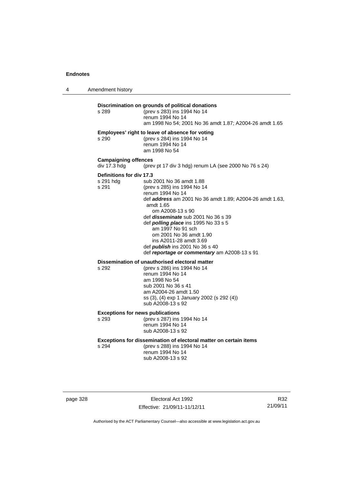4 Amendment history

#### **Discrimination on grounds of political donations**

s 289 (prev s 283) ins 1994 No 14 renum 1994 No 14 am 1998 No 54; 2001 No 36 amdt 1.87; A2004-26 amdt 1.65 **Employees' right to leave of absence for voting** s 290 (prev s 284) ins 1994 No 14 renum 1994 No 14 am 1998 No 54 **Campaigning offences**  div 17.3 hdg (prev pt 17 div 3 hdg) renum LA (see 2000 No 76 s 24) **Definitions for div 17.3**<br>s 291 hdg sub s 291 hdg sub 2001 No 36 amdt 1.88<br>s 291 (prev s 285) ins 1994 No 14 (prev s 285) ins 1994 No 14 renum 1994 No 14 def *address* am 2001 No 36 amdt 1.89; A2004-26 amdt 1.63, amdt 1.65 om A2008-13 s 90 def *disseminate* sub 2001 No 36 s 39 def *polling place* ins 1995 No 33 s 5 am 1997 No 91 sch om 2001 No 36 amdt 1.90 ins A2011-28 amdt 3.69 def *publish* ins 2001 No 36 s 40 def *reportage or commentary* am A2008-13 s 91

**Dissemination of unauthorised electoral matter**<br>s 292 (prev s 286) ins 1994 No 14

s 292 (prev s 286) ins 1994 No 14 renum 1994 No 14 am 1998 No 54 sub 2001 No 36 s 41 am A2004-26 amdt 1.50 ss (3), (4) exp 1 January 2002 (s 292 (4)) sub A2008-13 s 92

#### **Exceptions for news publications**

s 293 (prev s 287) ins 1994 No 14 renum 1994 No 14 sub A2008-13 s 92

**Exceptions for dissemination of electoral matter on certain items**

s 294 (prev s 288) ins 1994 No 14 renum 1994 No 14 sub A2008-13 s 92

Electoral Act 1992 Effective: 21/09/11-11/12/11

R32 21/09/11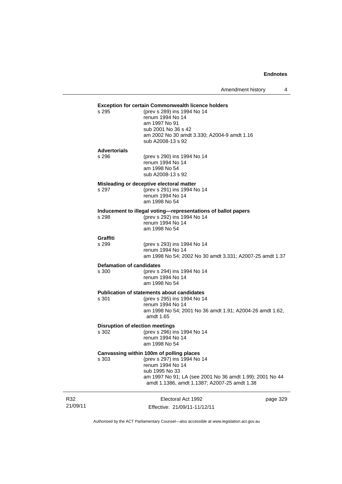Amendment history 4

#### **Exception for certain Commonwealth licence holders**

| (prev s 289) ins 1994 No 14                 |
|---------------------------------------------|
| renum 1994 No 14                            |
| am 1997 No 91                               |
| sub 2001 No 36 s 42                         |
| am 2002 No 30 amdt 3.330; A2004-9 amdt 1.16 |
| sub A2008-13 s 92                           |
|                                             |

### **Advertorials**

 $s$  295

| s 296 | (prev s 290) ins 1994 No 14 |
|-------|-----------------------------|
|       | renum 1994 No 14            |
|       | am 1998 No 54               |
|       | sub A2008-13 s 92           |

#### **Misleading or deceptive electoral matter**

s 297 (prev s 291) ins 1994 No 14 renum 1994 No 14 am 1998 No 54

## **Inducement to illegal voting—representations of ballot papers**

 $(prev s 292)$  ins 1994 No 14 renum 1994 No 14 am 1998 No 54

## **Graffiti**

(prev s 293) ins 1994 No 14 renum 1994 No 14 am 1998 No 54; 2002 No 30 amdt 3.331; A2007-25 amdt 1.37

## **Defamation of candidates**<br>s 300 (prev s

(prev s 294) ins 1994 No 14 renum 1994 No 14 am 1998 No 54

# **Publication of statements about candidates**<br>s 301 (orev s 295) ins 1994 No 1-

(prev s 295) ins 1994 No 14 renum 1994 No 14 am 1998 No 54; 2001 No 36 amdt 1.91; A2004-26 amdt 1.62, amdt 1.65

#### **Disruption of election meetings**

s 302 (prev s 296) ins 1994 No 14 renum 1994 No 14 am 1998 No 54

#### **Canvassing within 100m of polling places**

s 303 (prev s 297) ins 1994 No 14 renum 1994 No 14 sub 1995 No 33 am 1997 No 91; LA (see 2001 No 36 amdt 1.99); 2001 No 44 amdt 1.1386, amdt 1.1387; A2007-25 amdt 1.38

| R32      | Electoral Act 1992           | page 329 |
|----------|------------------------------|----------|
| 21/09/11 | Effective: 21/09/11-11/12/11 |          |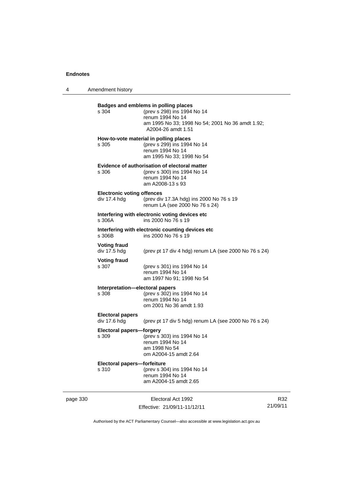4 Amendment history

|          | s 304<br>s 305                                    | Badges and emblems in polling places<br>(prev s 298) ins 1994 No 14<br>renum 1994 No 14<br>am 1995 No 33; 1998 No 54; 2001 No 36 amdt 1.92;<br>A2004-26 amdt 1.51<br>How-to-vote material in polling places<br>(prev s 299) ins 1994 No 14<br>renum 1994 No 14 |                 |
|----------|---------------------------------------------------|----------------------------------------------------------------------------------------------------------------------------------------------------------------------------------------------------------------------------------------------------------------|-----------------|
|          | s 306                                             | am 1995 No 33; 1998 No 54<br>Evidence of authorisation of electoral matter<br>(prev s 300) ins 1994 No 14<br>renum 1994 No 14<br>am A2008-13 s 93                                                                                                              |                 |
|          | <b>Electronic voting offences</b><br>div 17.4 hdg | (prev div 17.3A hdg) ins 2000 No 76 s 19<br>renum LA (see 2000 No 76 s 24)                                                                                                                                                                                     |                 |
|          | s 306A                                            | Interfering with electronic voting devices etc<br>ins 2000 No 76 s 19                                                                                                                                                                                          |                 |
|          | s 306B                                            | Interfering with electronic counting devices etc<br>ins 2000 No 76 s 19                                                                                                                                                                                        |                 |
|          | <b>Voting fraud</b><br>div 17.5 hdg               | (prev pt 17 div 4 hdg) renum LA (see 2000 No 76 s 24)                                                                                                                                                                                                          |                 |
|          | <b>Voting fraud</b><br>s 307                      | (prev s 301) ins 1994 No 14<br>renum 1994 No 14<br>am 1997 No 91; 1998 No 54                                                                                                                                                                                   |                 |
|          | Interpretation-electoral papers<br>s 308          | (prev s 302) ins 1994 No 14<br>renum 1994 No 14<br>om 2001 No 36 amdt 1.93                                                                                                                                                                                     |                 |
|          | <b>Electoral papers</b><br>div 17.6 hdg           | (prev pt 17 div 5 hdg) renum LA (see 2000 No 76 s 24)                                                                                                                                                                                                          |                 |
|          | Electoral papers-forgery<br>s 309                 | (prev s 303) ins 1994 No 14<br>renum 1994 No 14<br>am 1998 No 54<br>om A2004-15 amdt 2.64                                                                                                                                                                      |                 |
|          | Electoral papers-forfeiture<br>s 310              | (prev s 304) ins 1994 No 14<br>renum 1994 No 14<br>am A2004-15 amdt 2.65                                                                                                                                                                                       |                 |
| page 330 |                                                   | Electoral Act 1992<br>Effective: 21/09/11-11/12/11                                                                                                                                                                                                             | R32<br>21/09/11 |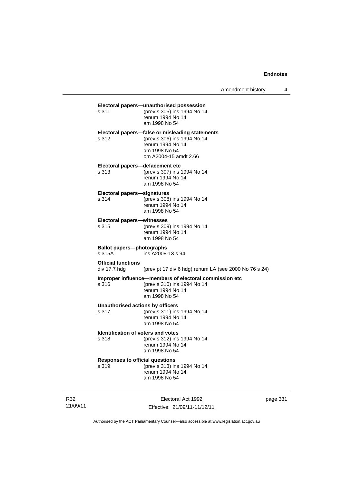| s 311                                              | Electoral papers-unauthorised possession<br>(prev s 305) ins 1994 No 14<br>renum 1994 No 14<br>am 1998 No 54                                 |
|----------------------------------------------------|----------------------------------------------------------------------------------------------------------------------------------------------|
| s 312                                              | Electoral papers-false or misleading statements<br>(prev s 306) ins 1994 No 14<br>renum 1994 No 14<br>am 1998 No 54<br>om A2004-15 amdt 2.66 |
| Electoral papers-defacement etc<br>s 313           | (prev s 307) ins 1994 No 14<br>renum 1994 No 14<br>am 1998 No 54                                                                             |
| <b>Electoral papers-signatures</b><br>s 314        | (prev s 308) ins 1994 No 14<br>renum 1994 No 14<br>am 1998 No 54                                                                             |
| <b>Electoral papers-witnesses</b><br>s 315         | (prev s 309) ins 1994 No 14<br>renum 1994 No 14<br>am 1998 No 54                                                                             |
| <b>Ballot papers-photographs</b><br>s 315A         | ins A2008-13 s 94                                                                                                                            |
| <b>Official functions</b><br>div 17.7 hdg          | (prev pt 17 div 6 hdg) renum LA (see 2000 No 76 s 24)                                                                                        |
| s 316                                              | Improper influence-members of electoral commission etc<br>(prev s 310) ins 1994 No 14<br>renum 1994 No 14<br>am 1998 No 54                   |
|                                                    |                                                                                                                                              |
| s 317                                              | <b>Unauthorised actions by officers</b><br>(prev s 311) ins 1994 No 14<br>renum 1994 No 14<br>am 1998 No 54                                  |
| <b>Identification of voters and votes</b><br>s 318 | (prev s 312) ins 1994 No 14<br>renum 1994 No 14<br>am 1998 No 54                                                                             |
| <b>Responses to official questions</b><br>s 319    | (prev s 313) ins 1994 No 14<br>renum 1994 No 14<br>am 1998 No 54                                                                             |

R32 21/09/11

Electoral Act 1992 Effective: 21/09/11-11/12/11 page 331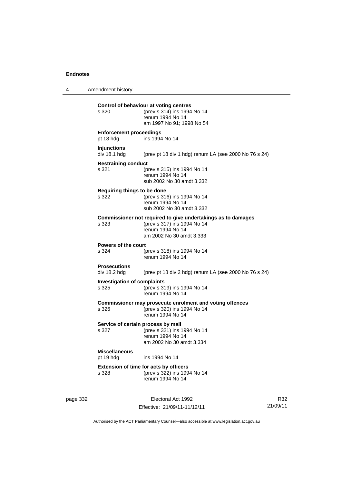4 Amendment history

**Control of behaviour at voting centres** s 320 (prev s 314) ins 1994 No 14 renum 1994 No 14 am 1997 No 91; 1998 No 54 **Enforcement proceedings** pt 18 hdg ins 1994 No 14 **Injunctions**  div 18.1 hdg (prev pt 18 div 1 hdg) renum LA (see 2000 No 76 s 24) **Restraining conduct** s 321 (prev s 315) ins 1994 No 14 renum 1994 No 14 sub 2002 No 30 amdt 3.332 **Requiring things to be done** s 322 (prev s 316) ins 1994 No 14 renum 1994 No 14 sub 2002 No 30 amdt 3.332 **Commissioner not required to give undertakings as to damages** s 323 (prev s 317) ins 1994 No 14 renum 1994 No 14 am 2002 No 30 amdt 3.333 **Powers of the court** s 324 (prev s 318) ins 1994 No 14 renum 1994 No 14 **Prosecutions**  div 18.2 hdg (prev pt 18 div 2 hdg) renum LA (see 2000 No 76 s 24)

**Investigation of complaints**<br>s 325 (prev s 31)

(prev s 319) ins 1994 No 14 renum 1994 No 14

**Commissioner may prosecute enrolment and voting offences**

s 326 (prev s 320) ins 1994 No 14 renum 1994 No 14

**Service of certain process by mail**

s 327 (prev s 321) ins 1994 No 14 renum 1994 No 14 am 2002 No 30 amdt 3.334

**Miscellaneous**

pt 19 hdg ins 1994 No 14

**Extension of time for acts by officers** s 328 (prev s 322) ins 1994 No 14 renum 1994 No 14

page 332 Electoral Act 1992 Effective: 21/09/11-11/12/11

R32 21/09/11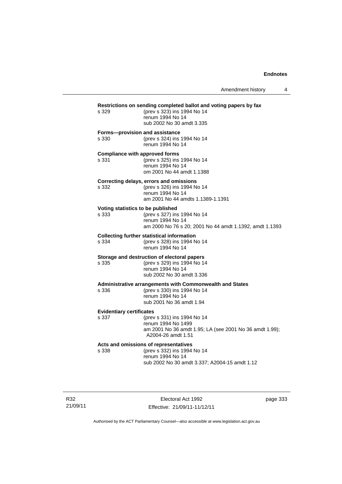| s 329                                          | Restrictions on sending completed ballot and voting papers by fax<br>(prev s 323) ins 1994 No 14<br>renum 1994 No 14<br>sub 2002 No 30 amdt 3.335 |  |  |
|------------------------------------------------|---------------------------------------------------------------------------------------------------------------------------------------------------|--|--|
| Forms-provision and assistance<br>s 330        | (prev s 324) ins 1994 No 14<br>renum 1994 No 14                                                                                                   |  |  |
| <b>Compliance with approved forms</b><br>s 331 | (prev s 325) ins 1994 No 14<br>renum 1994 No 14<br>om 2001 No 44 amdt 1.1388                                                                      |  |  |
| s 332                                          | Correcting delays, errors and omissions<br>(prev s 326) ins 1994 No 14<br>renum 1994 No 14<br>am 2001 No 44 amdts 1.1389-1.1391                   |  |  |
| Voting statistics to be published<br>s 333     | (prev s 327) ins 1994 No 14<br>renum 1994 No 14<br>am 2000 No 76 s 20; 2001 No 44 amdt 1.1392, amdt 1.1393                                        |  |  |
| s 334                                          | <b>Collecting further statistical information</b><br>(prev s 328) ins 1994 No 14<br>renum 1994 No 14                                              |  |  |
| s 335                                          | Storage and destruction of electoral papers<br>(prev s 329) ins 1994 No 14<br>renum 1994 No 14<br>sub 2002 No 30 amdt 3.336                       |  |  |
| s 336                                          | Administrative arrangements with Commonwealth and States<br>(prev s 330) ins 1994 No 14<br>renum 1994 No 14<br>sub 2001 No 36 amdt 1.94           |  |  |
| <b>Evidentiary certificates</b><br>s 337       | (prev s 331) ins 1994 No 14<br>renum 1994 No 1499<br>am 2001 No 36 amdt 1.95; LA (see 2001 No 36 amdt 1.99);<br>A2004-26 amdt 1.51                |  |  |
| s 338                                          | Acts and omissions of representatives<br>(prev s 332) ins 1994 No 14<br>renum 1994 No 14<br>sub 2002 No 30 amdt 3.337; A2004-15 amdt 1.12         |  |  |

R32 21/09/11

Electoral Act 1992 Effective: 21/09/11-11/12/11 page 333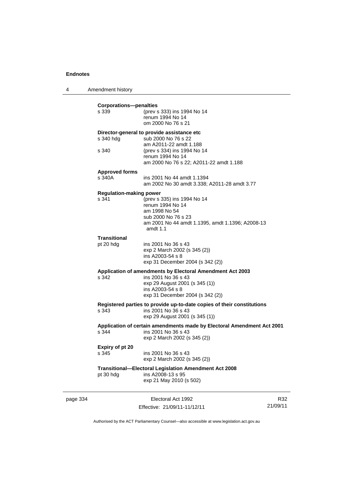4 Amendment history page 334 Electoral Act 1992 **Corporations—penalties** s 339 (prev s 333) ins 1994 No 14 renum 1994 No 14 om 2000 No 76 s 21 **Director-general to provide assistance etc** s 340 hdg sub 2000 No 76 s 22 am A2011-22 amdt 1.188<br>s 340 (prev s 334) ins 1994 No (prev s 334) ins 1994 No 14 renum 1994 No 14 am 2000 No 76 s 22; A2011-22 amdt 1.188 **Approved forms**  s 340A ins 2001 No 44 amdt 1.1394 am 2002 No 30 amdt 3.338; A2011-28 amdt 3.77 **Regulation-making power**<br>s 341 (prev s)  $S$  (prev s 335) ins 1994 No 14 renum 1994 No 14 am 1998 No 54 sub 2000 No 76 s 23 am 2001 No 44 amdt 1.1395, amdt 1.1396; A2008-13 amdt 1.1 **Transitional** pt 20 hdg ins 2001 No 36 s 43 exp 2 March 2002 (s 345 (2)) ins A2003-54 s 8 exp 31 December 2004 (s 342 (2)) **Application of amendments by Electoral Amendment Act 2003** s 342 ins 2001 No 36 s 43 exp 29 August 2001 (s 345 (1)) ins A2003-54 s 8 exp 31 December 2004 (s 342 (2)) **Registered parties to provide up-to-date copies of their constitutions** s 343 ins 2001 No 36 s 43 exp 29 August 2001 (s 345 (1)) **Application of certain amendments made by Electoral Amendment Act 2001** s 344 ins 2001 No 36 s 43 exp 2 March 2002 (s 345 (2)) **Expiry of pt 20** s 345 ins 2001 No 36 s 43 exp 2 March 2002 (s 345 (2)) **Transitional—Electoral Legislation Amendment Act 2008**   $ins A2008-13 s 95$ exp 21 May 2010 (s 502)

Effective: 21/09/11-11/12/11

R32 21/09/11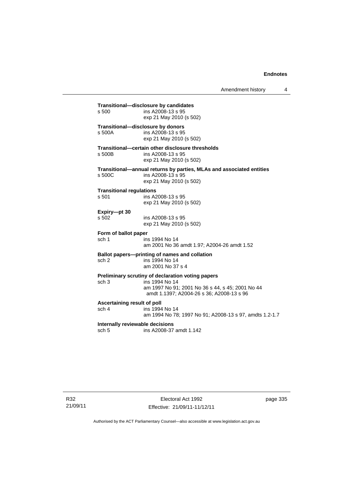## **Transitional—disclosure by candidates**  ins A2008-13 s 95 exp 21 May 2010 (s 502) **Transitional—disclosure by donors**  ins A2008-13 s 95 exp 21 May 2010 (s 502) **Transitional—certain other disclosure thresholds**  s 500B ins A2008-13 s 95 exp 21 May 2010 (s 502) **Transitional—annual returns by parties, MLAs and associated entities**  s 500C ins A2008-13 s 95 exp 21 May 2010 (s 502) **Transitional regulations**  s 501 ins A2008-13 s 95 exp 21 May 2010 (s 502) **Expiry—pt 30**  ins A2008-13 s 95 exp 21 May 2010 (s 502) **Form of ballot paper** sch 1 ins 1994 No 14 am 2001 No 36 amdt 1.97; A2004-26 amdt 1.52 **Ballot papers—printing of names and collation**<br>sch 2 ins 1994 No 14 ins 1994 No 14 am 2001 No 37 s 4 **Preliminary scrutiny of declaration voting papers**<br>sch 3 ins 1994 No 14 ins 1994 No 14 am 1997 No 91; 2001 No 36 s 44, s 45; 2001 No 44 amdt 1.1397; A2004-26 s 36; A2008-13 s 96 **Ascertaining result of poll** sch 4 ins 1994 No 14 am 1994 No 78; 1997 No 91; A2008-13 s 97, amdts 1.2-1.7 **Internally reviewable decisions**  sch 5 ins A2008-37 amdt 1.142

R32 21/09/11

Electoral Act 1992 Effective: 21/09/11-11/12/11 page 335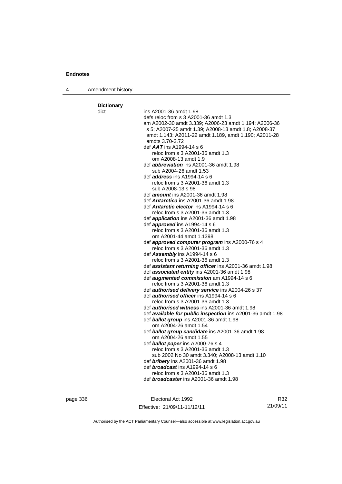| 4 | Amendment history |  |
|---|-------------------|--|
|---|-------------------|--|

| <b>Dictionary</b> |                                                                                                            |
|-------------------|------------------------------------------------------------------------------------------------------------|
| dict              | ins A2001-36 amdt 1.98                                                                                     |
|                   | defs reloc from s 3 A2001-36 amdt 1.3                                                                      |
|                   | am A2002-30 amdt 3.339; A2006-23 amdt 1.194; A2006-36                                                      |
|                   | s 5; A2007-25 amdt 1.39; A2008-13 amdt 1.8; A2008-37                                                       |
|                   | amdt 1.143; A2011-22 amdt 1.189, amdt 1.190; A2011-28                                                      |
|                   | amdts 3.70-3.72                                                                                            |
|                   | def $AAT$ ins A1994-14 s 6                                                                                 |
|                   | reloc from s 3 A2001-36 amdt 1.3                                                                           |
|                   | om A2008-13 amdt 1.9                                                                                       |
|                   | def <i>abbreviation</i> ins A2001-36 amdt 1.98                                                             |
|                   | sub A2004-26 amdt 1.53                                                                                     |
|                   | def <i>address</i> ins A1994-14 s 6                                                                        |
|                   | reloc from s 3 A2001-36 amdt 1.3                                                                           |
|                   | sub A2008-13 s 98                                                                                          |
|                   | def <b>amount</b> ins A2001-36 amdt 1.98                                                                   |
|                   | def <b>Antarctica</b> ins A2001-36 amdt 1.98                                                               |
|                   | def <b>Antarctic elector</b> ins A1994-14 s 6                                                              |
|                   | reloc from s 3 A2001-36 amdt 1.3                                                                           |
|                   | def <i>application</i> ins A2001-36 amdt 1.98                                                              |
|                   | def <b>approved</b> ins $A1994-14 s 6$                                                                     |
|                   | reloc from s 3 A2001-36 amdt 1.3                                                                           |
|                   | om A2001-44 amdt 1.1398                                                                                    |
|                   | def <b>approved computer program</b> ins A2000-76 s 4                                                      |
|                   | reloc from s 3 A2001-36 amdt 1.3                                                                           |
|                   | def $\textsf{Assemblv}$ ins A1994-14 s 6                                                                   |
|                   | reloc from s 3 A2001-36 amdt 1.3                                                                           |
|                   | def assistant returning officer ins A2001-36 amdt 1.98                                                     |
|                   | def associated entity ins A2001-36 amdt 1.98                                                               |
|                   | def <b>augmented commission</b> am A1994-14 s 6                                                            |
|                   | reloc from s 3 A2001-36 amdt 1.3                                                                           |
|                   | def <b>authorised delivery service</b> ins A2004-26 s 37<br>def <i>authorised officer</i> ins A1994-14 s 6 |
|                   | reloc from s 3 A2001-36 amdt 1.3                                                                           |
|                   | def <i>authorised witness</i> ins A2001-36 amdt 1.98                                                       |
|                   | def available for public inspection ins A2001-36 amdt 1.98                                                 |
|                   | def ballot group ins A2001-36 amdt 1.98                                                                    |
|                   | om A2004-26 amdt 1.54                                                                                      |
|                   | def ballot group candidate ins A2001-36 amdt 1.98                                                          |
|                   | om A2004-26 amdt 1.55                                                                                      |
|                   | def <b>ballot paper</b> ins A2000-76 s 4                                                                   |
|                   | reloc from s 3 A2001-36 amdt 1.3                                                                           |
|                   | sub 2002 No 30 amdt 3.340; A2008-13 amdt 1.10                                                              |
|                   | def <b>bribery</b> ins A2001-36 amdt 1.98                                                                  |
|                   | def <b>broadcast</b> ins A1994-14 s 6                                                                      |
|                   | reloc from s 3 A2001-36 amdt 1.3                                                                           |
|                   | def <b>broadcaster</b> ins A2001-36 amdt 1.98                                                              |
|                   |                                                                                                            |
|                   |                                                                                                            |

page 336 Electoral Act 1992 Effective: 21/09/11-11/12/11

R32 21/09/11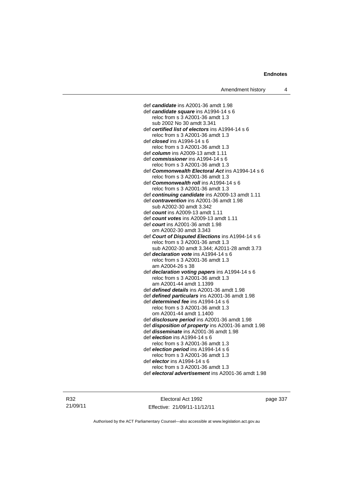def *candidate* ins A2001-36 amdt 1.98 def *candidate square* ins A1994-14 s 6 reloc from s 3 A2001-36 amdt 1.3 sub 2002 No 30 amdt 3.341 def *certified list of electors* ins A1994-14 s 6 reloc from s 3 A2001-36 amdt 1.3 def *closed* ins A1994-14 s 6 reloc from s 3 A2001-36 amdt 1.3 def *column* ins A2009-13 amdt 1.11 def *commissioner* ins A1994-14 s 6 reloc from s 3 A2001-36 amdt 1.3 def *Commonwealth Electoral Act* ins A1994-14 s 6 reloc from s 3 A2001-36 amdt 1.3 def *Commonwealth roll* ins A1994-14 s 6 reloc from s 3 A2001-36 amdt 1.3 def *continuing candidate* ins A2009-13 amdt 1.11 def *contravention* ins A2001-36 amdt 1.98 sub A2002-30 amdt 3.342 def *count* ins A2009-13 amdt 1.11 def *count votes* ins A2009-13 amdt 1.11 def *court* ins A2001-36 amdt 1.98 om A2002-30 amdt 3.343 def *Court of Disputed Elections* ins A1994-14 s 6 reloc from s 3 A2001-36 amdt 1.3 sub A2002-30 amdt 3.344; A2011-28 amdt 3.73 def *declaration vote* ins A1994-14 s 6 reloc from s 3 A2001-36 amdt 1.3 am A2004-26 s 38 def *declaration voting papers* ins A1994-14 s 6 reloc from s 3 A2001-36 amdt 1.3 am A2001-44 amdt 1.1399 def *defined details* ins A2001-36 amdt 1.98 def *defined particulars* ins A2001-36 amdt 1.98 def *determined fee* ins A1994-14 s 6 reloc from s 3 A2001-36 amdt 1.3 om A2001-44 amdt 1.1400 def *disclosure period* ins A2001-36 amdt 1.98 def *disposition of property* ins A2001-36 amdt 1.98 def *disseminate* ins A2001-36 amdt 1.98 def *election* ins A1994-14 s 6 reloc from s 3 A2001-36 amdt 1.3 def *election period* ins A1994-14 s 6 reloc from s 3 A2001-36 amdt 1.3 def *elector* ins A1994-14 s 6 reloc from s 3 A2001-36 amdt 1.3 def *electoral advertisement* ins A2001-36 amdt 1.98

R32 21/09/11

Electoral Act 1992 Effective: 21/09/11-11/12/11 page 337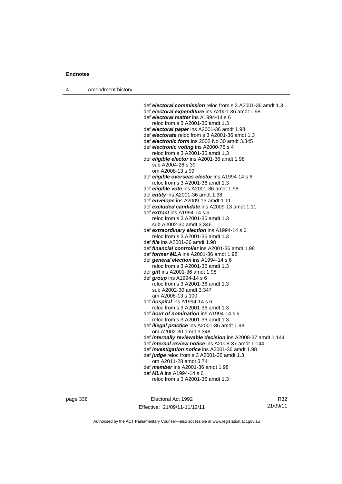4 Amendment history

 def *electoral commission* reloc from s 3 A2001-36 amdt 1.3 def *electoral expenditure* ins A2001-36 amdt 1.98 def *electoral matter* ins A1994-14 s 6 reloc from s 3 A2001-36 amdt 1.3 def *electoral paper* ins A2001-36 amdt 1.98 def *electorate* reloc from s 3 A2001-36 amdt 1.3 def *electronic form* ins 2002 No 30 amdt 3.345 def *electronic voting* ins A2000-76 s 4 reloc from s 3 A2001-36 amdt 1.3 def *eligible elector* ins A2001-36 amdt 1.98 sub A2004-26 s 39 om A2008-13 s 99 def *eligible overseas elector* ins A1994-14 s 6 reloc from s 3 A2001-36 amdt 1.3 def *eligible vote* ins A2001-36 amdt 1.98 def *entity* ins A2001-36 amdt 1.98 def *envelope* ins A2009-13 amdt 1.11 def *excluded candidate* ins A2009-13 amdt 1.11 def *extract* ins A1994-14 s 6 reloc from s 3 A2001-36 amdt 1.3 sub A2002-30 amdt 3.346 def *extraordinary election* ins A1994-14 s 6 reloc from s 3 A2001-36 amdt 1.3 def *file* ins A2001-36 amdt 1.98 def *financial controller* ins A2001-36 amdt 1.98 def *former MLA* ins A2001-36 amdt 1.98 def *general election* ins A1994-14 s 6 reloc from s 3 A2001-36 amdt 1.3 def *gift* ins A2001-36 amdt 1.98 def *group* ins A1994-14 s 6 reloc from s 3 A2001-36 amdt 1.3 sub A2002-30 amdt 3.347 am A2008-13 s 100 def *hospital* ins A1994-14 s 6 reloc from s 3 A2001-36 amdt 1.3 def *hour of nomination* ins A1994-14 s 6 reloc from s 3 A2001-36 amdt 1.3 def *illegal practice* ins A2001-36 amdt 1.98 om A2002-30 amdt 3.348 def *internally reviewable decision* ins A2008-37 amdt 1.144 def *internal review notice* ins A2008-37 amdt 1.144 def *investigation notice* ins A2001-36 amdt 1.98 def *judge* reloc from s 3 A2001-36 amdt 1.3 om A2011-28 amdt 3.74 def *member* ins A2001-36 amdt 1.98 def *MLA* ins A1994-14 s 6 reloc from s 3 A2001-36 amdt 1.3

page 338 Electoral Act 1992 Effective: 21/09/11-11/12/11

R32 21/09/11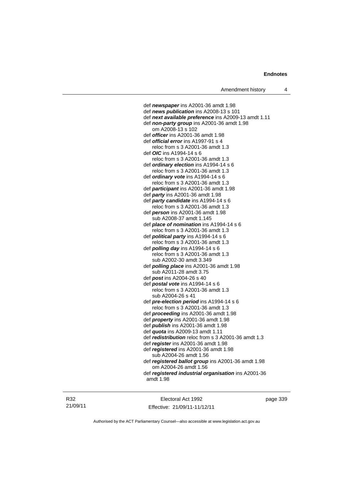def *newspaper* ins A2001-36 amdt 1.98 def *news publication* ins A2008-13 s 101 def *next available preference* ins A2009-13 amdt 1.11 def *non-party group* ins A2001-36 amdt 1.98 om A2008-13 s 102 def *officer* ins A2001-36 amdt 1.98 def *official error* ins A1997-91 s 4 reloc from s 3 A2001-36 amdt 1.3 def *OIC* ins A1994-14 s 6 reloc from s 3 A2001-36 amdt 1.3 def *ordinary election* ins A1994-14 s 6 reloc from s 3 A2001-36 amdt 1.3 def *ordinary vote* ins A1994-14 s 6 reloc from s 3 A2001-36 amdt 1.3 def *participant* ins A2001-36 amdt 1.98 def *party* ins A2001-36 amdt 1.98 def *party candidate* ins A1994-14 s 6 reloc from s 3 A2001-36 amdt 1.3 def *person* ins A2001-36 amdt 1.98 sub A2008-37 amdt 1.145 def *place of nomination* ins A1994-14 s 6 reloc from s 3 A2001-36 amdt 1.3 def *political party* ins A1994-14 s 6 reloc from s 3 A2001-36 amdt 1.3 def *polling day* ins A1994-14 s 6 reloc from s 3 A2001-36 amdt 1.3 sub A2002-30 amdt 3.349 def *polling place* ins A2001-36 amdt 1.98 sub A2011-28 amdt 3.75 def *post* ins A2004-26 s 40 def *postal vote* ins A1994-14 s 6 reloc from s 3 A2001-36 amdt 1.3 sub A2004-26 s 41 def *pre-election period* ins A1994-14 s 6 reloc from s 3 A2001-36 amdt 1.3 def *proceeding* ins A2001-36 amdt 1.98 def *property* ins A2001-36 amdt 1.98 def *publish* ins A2001-36 amdt 1.98 def *quota* ins A2009-13 amdt 1.11 def *redistribution* reloc from s 3 A2001-36 amdt 1.3 def *register* ins A2001-36 amdt 1.98 def *registered* ins A2001-36 amdt 1.98 sub A2004-26 amdt 1.56 def *registered ballot group* ins A2001-36 amdt 1.98 om A2004-26 amdt 1.56 def *registered industrial organisation* ins A2001-36 amdt 1.98

R32 21/09/11

Electoral Act 1992 Effective: 21/09/11-11/12/11 page 339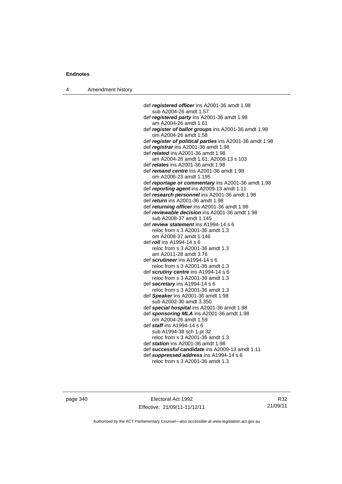4 Amendment history

 def *registered officer* ins A2001-36 amdt 1.98 sub A2004-26 amdt 1.57 def *registered party* ins A2001-36 amdt 1.98 am A2004-26 amdt 1.61 def *register of ballot groups* ins A2001-36 amdt 1.98 om A2004-26 amdt 1.58 def *register of political parties* ins A2001-36 amdt 1.98 def *registrar* ins A2001-36 amdt 1.98 def *related* ins A2001-36 amdt 1.98 am A2004-26 amdt 1.61; A2008-13 s 103 def *relates* ins A2001-36 amdt 1.98 def *remand centre* ins A2001-36 amdt 1.98 om A2006-23 amdt 1.195 def *reportage or commentary* ins A2001-36 amdt 1.98 def *reporting agent* ins A2009-13 amdt 1.11 def *research personnel* ins A2001-36 amdt 1.98 def *return* ins A2001-36 amdt 1.98 def *returning officer* ins A2001-36 amdt 1.98 def *reviewable decision* ins A2001-36 amdt 1.98 sub A2008-37 amdt 1.145 def *review statement* ins A1994-14 s 6 reloc from s 3 A2001-36 amdt 1.3 om A2008-37 amdt 1.146 def *roll* ins A1994-14 s 6 reloc from s 3 A2001-36 amdt 1.3 am A2011-28 amdt 3.76 def *scrutineer* ins A1994-14 s 6 reloc from s 3 A2001-36 amdt 1.3 def *scrutiny centre* ins A1994-14 s 6 reloc from s 3 A2001-36 amdt 1.3 def *secretary* ins A1994-14 s 6 reloc from s 3 A2001-36 amdt 1.3 def *Speaker* ins A2001-36 amdt 1.98 sub A2002-30 amdt 3.350 def *special hospital* ins A2001-36 amdt 1.98 def *sponsoring MLA* ins A2001-36 amdt 1.98 om A2004-26 amdt 1.59 def *staff* ins A1994-14 s 6 sub A1994-38 sch 1 pt 32 reloc from s 3 A2001-36 amdt 1.3 def *station* ins A2001-36 amdt 1.98 def *successful candidate* ins A2009-13 amdt 1.11 def *suppressed address* ins A1994-14 s 6 reloc from s 3 A2001-36 amdt 1.3

page 340 Electoral Act 1992 Effective: 21/09/11-11/12/11

R32 21/09/11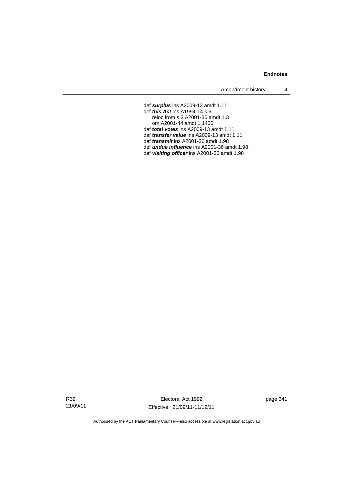Amendment history 4

def *surplus* ins A2009-13 amdt 1.11 def *this Act* ins A1994-14 s 6 reloc from s 3 A2001-36 amdt 1.3 om A2001-44 amdt 1.1400 def *total votes* ins A2009-13 amdt 1.11 def *transfer value* ins A2009-13 amdt 1.11 def *transmit* ins A2001-36 amdt 1.98 def *undue influence* ins A2001-36 amdt 1.98 def *visiting officer* ins A2001-36 amdt 1.98

page 341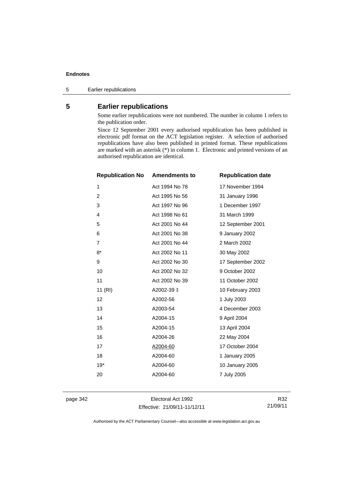5 Earlier republications

## **5 Earlier republications**

Some earlier republications were not numbered. The number in column 1 refers to the publication order.

Since 12 September 2001 every authorised republication has been published in electronic pdf format on the ACT legislation register. A selection of authorised republications have also been published in printed format. These republications are marked with an asterisk (\*) in column 1. Electronic and printed versions of an authorised republication are identical.

| <b>Republication No</b> | <b>Amendments to</b> | <b>Republication date</b> |
|-------------------------|----------------------|---------------------------|
| 1                       | Act 1994 No 78       | 17 November 1994          |
| $\overline{c}$          | Act 1995 No 56       | 31 January 1996           |
| 3                       | Act 1997 No 96       | 1 December 1997           |
| 4                       | Act 1998 No 61       | 31 March 1999             |
| 5                       | Act 2001 No 44       | 12 September 2001         |
| 6                       | Act 2001 No 38       | 9 January 2002            |
| $\overline{7}$          | Act 2001 No 44       | 2 March 2002              |
| $8*$                    | Act 2002 No 11       | 30 May 2002               |
| 9                       | Act 2002 No 30       | 17 September 2002         |
| 10                      | Act 2002 No 32       | 9 October 2002            |
| 11                      | Act 2002 No 39       | 11 October 2002           |
| 11 (RI)                 | A2002-39 ±           | 10 February 2003          |
| 12                      | A2002-56             | 1 July 2003               |
| 13                      | A2003-54             | 4 December 2003           |
| 14                      | A2004-15             | 9 April 2004              |
| 15                      | A2004-15             | 13 April 2004             |
| 16                      | A2004-26             | 22 May 2004               |
| 17                      | A2004-60             | 17 October 2004           |
| 18                      | A2004-60             | 1 January 2005            |
| $19*$                   | A2004-60             | 10 January 2005           |
| 20                      | A2004-60             | 7 July 2005               |
|                         |                      |                           |

page 342 Electoral Act 1992 Effective: 21/09/11-11/12/11

R32 21/09/11